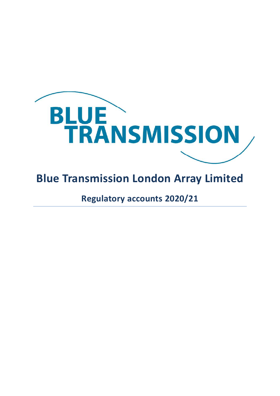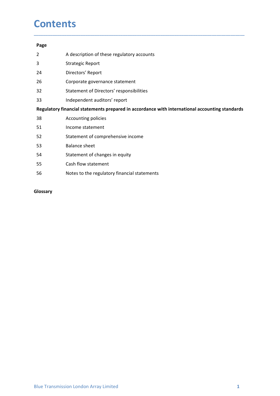### **Contents**

### Page

- **Contents**<br>
Page<br>
2 A description of these regulatory accounts<br>
3 Strategic Report<br>
24 Directors' Report<br>
26 Corporate governance statement **Contents**<br>
Page<br>
2 A description of these regulatory accounts<br>
3 Strategic Report<br>
24 Directors' Report<br>
26 Corporate governance statement<br>
32 Statement of Directors' responsibilities
- 
- 24 Directors' Report
- 
- 
- 

## **Contents**<br>
Page<br>
26 A description of these regulatory accounts<br>
37 Strategic Report<br>
26 Corporate governance statement<br>
32 Statement of Directors' responsibilities<br>
33 Independent auditors' report<br>
26 Corporate gives a st **Contents**<br> **Page**<br>
2 A description of these regulatory accounts<br>
3 Strategic Report<br>
24 Directors' Report<br>
26 Corporate governance statement<br>
32 Independent auditors' responsibilities<br>
13 Independent auditors' report<br> **Re**

\_\_\_\_\_\_\_\_\_\_\_\_\_\_\_\_\_\_\_\_\_\_\_\_\_\_\_\_\_\_\_\_\_\_\_\_\_\_\_\_\_\_\_\_\_\_\_\_\_\_\_\_\_\_\_\_\_\_\_\_\_\_\_\_\_\_\_\_\_\_\_\_\_\_\_\_\_\_\_\_\_\_\_\_\_\_\_\_\_\_

- **Contents**<br> **Page**<br>
2 A description of these regulatory accounts<br>
3 Strategic Report<br>
24 Directors' Report<br>
26 Corporate governance statement<br>
32 Statement of Directors' responsibilities<br>
101<br> **Regulatory financial stateme Contents**<br> **Regulator**<br>
24 **Directors' Report**<br>
24 **Directors' Report**<br>
26 **Corporate governance statement**<br>
32 **Statement of Directors' responsibilities**<br>
13 **Independent auditors' report**<br> **Regulatory financial statemen Contents**<br> **Page**<br>
2 A description of these regulatory accounts<br>
3 Strategic Report<br>
26 Corporate governance statement<br>
32 Statement of Directors' responsibilities<br>
33 Independent auditors' report<br> **Regulatory financial s Contents**<br>
Page<br>
2 A description of these regulatory accounts<br>
3 Strategic Report<br>
26 Corporate governance statement<br>
26 Corporate governance statement<br>
32 Independent auditors' repored in accordance with international ac **Contents**<br>
Page<br>
2 A description of these regulatory accounts<br>
3 Strategic Report<br>
26 Corporate governance statement<br>
32 Statement of Directors' resport<br>
Regulatory financial statements prepared in accordance with interna 53 Balance sheet Page<br>
22 A description of these regulatory accounts<br>
33 Strategic Report<br>
26 Corporate governance statement<br>
32 Statement of Directors' responsibilities<br>
133 Independent auditors' report<br> **Regulatory financial statements p** 55 Cash flow statement Examption to these regulatory accounts<br>
33 Strategic Report<br>
26 Corporate governance statement<br>
56 Corporate governance statement<br>
56 Statement of Directors' responsibilities<br>
18 Independent auditors' report<br> **Regulatory f**
- 
- 
- 

### Glossary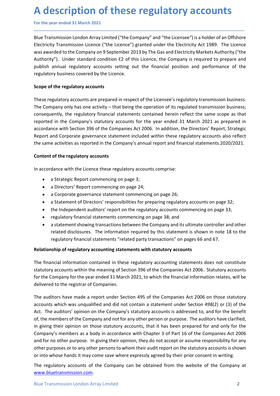**A description of these regulatory accounts**<br>
For the year ended 31 March 2021<br>
Blue Transmission London Array Limited ("the Company" and "the Licensee") is a holder of an Offshore<br>
Electricity Transmission Licence ("the L A description of these regulatory accounts<br>
For the year ended 31 March 2021<br>
Blue Transmission London Array Limited ("the Company" and "the Licensee") is a holder of an Offshore<br>
Electricity Transmission Licence ("the Lic A description of these regulatory accounts<br>For the year ended 31 March 2021<br>Blue Transmission London Array Limited ("the Company" and "the Licensee") is a holder of an Offshore<br>Electricity Transmission Licence ("the Licenc A description of these regulatory accounts<br>For the year ended 31 March 2021<br>Blue Transmission London Array Limited ("the Company" and "the Licensee") is a holder of an Offshore<br>Electricity Transmission Licence ("the Licenc A description of these regulatory accounts<br>
For the year ended 31 March 2021<br>
Blue Transmission London Array Limited ("the Company" and "the Licensee") is a holder of an Offshore<br>
Electricity Transmission Licence ("the Lic A description of these regulatory accounts<br>For the year ended 31 March 2021<br>Blue Transmission London Array Limited ("the Company" and "the Licensee") is a holder of an Offshore<br>Electricity Transmission Licence ("the Licenc **A description of these regulatory accounts**<br>For the year ended 31 March 2021<br>Blue Transmission London Array Limited ("the Company" and "the Licensee") is a holder of an Offshore<br>Electricity Transmission Licence ("the Lice A description of these regulatory accounts<br>
For the year ended 31 March 2021<br>
Blue Transmission London Array Limited ("the Company" and "the Licensee") is a holder of an Offshore<br>
Electricity Transmission Licence ("the Lic **A description of these regulatory accounts**<br>
For the year ended 31 March 2021<br>
Blue Transmission London Array Limited ("the Company" and "the Licensee") is a holder of an Offsh<br>
Electricity Transmission Licence ("the Lice A description of these regulatory accounts<br>For the year ended 31 March 2021<br>Blue Transmission London Array Limited ("the Company" and "the Licensee") is a holder of an Offshore<br>Electricity Transmission Licence ("the Licenc

\_\_\_\_\_\_\_\_\_\_\_\_\_\_\_\_\_\_\_\_\_\_\_\_\_\_\_\_\_\_\_\_\_\_\_\_\_\_\_\_\_\_\_\_\_\_\_\_\_\_\_\_\_\_\_\_\_\_\_\_\_\_\_\_\_\_\_\_\_\_\_\_\_\_\_\_\_\_\_\_\_\_\_\_\_\_\_\_\_\_

A description of these regulatory accounts<br>For the year ended 31 March 2021<br>Blue Transmission London Array Limited ("the Company" and "the Licensee") is a holder of an Offshore<br>Electricity Transmission Licence ("the Licenc **A description of these regulatory accounts**<br>For the year ended 31 March 2021<br>Blue Transmission London Array Limited ("the Company" and "the Licensee") is a holder of an Offshore<br>Electricity Transmission Licence ("the Lice **A description of these regulatory accounts**<br>For the year ended 31 March 2021<br>Blue Transmission London Array Limited ("the Company" and "the Licensee") is a holder of an Offshore<br>Electricity Transmission London C ("the Lic For the year ended 31 March 2021<br>Blue Transmission London Array Limited ("the Company" and "the Licensee") is a holder of an Offshore<br>Electricity Transmission Licence ("the Licence") granted under the Electricity Act 1989. For the year ended 31 March 2021<br>Blue Transmission London Array Limited ("the Company" and "the Licensee") is a holder of an Offshore<br>Electricity Transmission Licence ("the Licence") granted under the Electricity Act 1989. Blue Transmission London Array Limited ("the Company" and "the Licensee") is a holder of an Offshore<br>Electricity Transmission Licence ("the Licence") granted under the Electricity Act 1989. The Licence<br>was awarded to the C Electricity Transmission Licence ("the Licence") granted under the Electricity Act 1989. The Licence<br>Electricity Transmission Licence ("the Licence") granted under the Electricity Act 1989. The Licence<br>was awarded to the C was awarded to the Company on 9 September 2013 by The Gas and Electricity Markets Authority ("the<br>Authority"). Under standard condition E2 of this Licence, the Company is required to prepare and<br>publish annual regulatory a *i*, mundle regulatory accounts setting out the financial position and performance of the<br>privalens covered by the Licence.<br>The regulatory accounts setting out the financial position and performance of the<br>pry business co If the regulatory accounts<br>
and the regulatory accounts<br>
from engulatory accounts<br>
any any only has one activity – that being the operation of its regulated transmission business;<br>
pany only has one activity – that being t f the regulatory accounts<br>sigualtatory accounts are prepared in respect of the Licensee's regulatory transmission business;<br>papary only has one activity – that being the operation of its regulated transmission business;<br>pe f the regulatory accounts<br>
sigulatory accounts are prepared in respect of the Licensee's regulatory transmission business.<br>
signary only has one activity – that being the operation of its regulated transmission business;<br> egulatory accounts are prepared in respect of the Licensee's regulatory transmission business,<br>prany only has one activity – that being the operation of its regulated transmission business;<br>enertly, the regulatory financia regulatory accounts are prepared in respect of the Licensees's regulatory transmission business;<br>
rently, the regulatory financial statements contained herein reflect the same scope as that<br>
in the Company's statutory acco papy only has one activity -- that being the operation or its regulate transmission business;<br>nently, the regulatory financial statements contained herein reflect the same scope as that<br>in the Company's statutory accounts inture regulatory innancial statements contained neren relate the same scope as trate<br>in the Company's statutory accounts for the year ended 31 March 2021 as prepared in<br>nce with Section 396 of the Companies Act 2006. In a In the Company's statutory accounts for the year emode 31 March 2021 as prepared in<br>the check with Section 396 of the Companies Act 2006. In addition, the Directors' Report, Strategic<br>and Corporate governance statement inc

- 
- 
- 
- 
- 
- 
- 

Report and Corporate governance statement included within these regulatory accounts also reflect<br>the same activities as reported in the Company's annual report and financial statements 2020/2021.<br> **Content of the regulator** Content of the regulatory accounts<br>
In accordance with the Licence these regulatory accounts comprise:<br>
• a Strategic Report commencing on page 24;<br>
• a Corporate government estatement commenting on page 24;<br>
• a Corporate Content of the regulatory accounts<br>
• a Strategic Report commencing on page 3;<br>
• a Directors' Report commencing on page 24;<br>
• a Corporate governance statement commencing on page 26;<br>
• a Statement of Directors' responsib In accordance with the Licence these regulatory accounts comprise:<br>
• a Strategic Report commencing on page 3;<br>
• a Directors' Report commencing on page 24;<br>
• a Corporate governance statement commencing on page 26;<br>
• a In accordance with the Licence these regulatory accounts comprise:<br>
• a Strategic Report commencing on page 24;<br>
• a Directors' Report commencing on page 24;<br>
• a Groporate governance statement commencing on page 26;<br>
• a

statutory accounts within the meaning of Section 396 of the Companies Act 2006. Statutory accounts<br>for the Company for the year ended 31 March 2021, to which the financial information relates, will be<br>delivered to the regi • a Strategic Report commencing on page 3;<br>• a Directors' Report commencing on page 24;<br>• a Corporate governance statement commencing on page 26;<br>• a Statement of Directors' responsibilities for preparing regulatory accoun a Drector's 'Report Commention son page 26;<br>
a Corporate governance statement commencing on page 26;<br>
a Statement of Director's' responsibilities for preparing regulatory accounts on page 32;<br>
be lindependent auditors' rep • a Corporate governance statement commencing on page 26;<br>• a Statement of Directors' responsibilities for preparing regulatory accounts on page 32;<br>• the Independent auditors' report on the regulatory accounts commencing • a Statement of Directors' responsibilities for preparing regulatory accounts on page 32;<br>• the Independent auditors' report on the regulatory accounts commencing on page 33;<br>• regulatory financial statements commencing o • the Independent auditors' report on the regulatory accounts commencing on page 33;<br>• regulatory financial statements commencing on page 33; and<br>• a statement showing transactions between the Company and its ultimate cont • regulatory financial statements commencing on page 38; and<br>• a statement showwing transactions between the Company and its ultimate controller and other<br>related disclosures. The information required by this statement is • a statement showing transactions between the Company and its ultimate controller and other<br>
related disclosures. The information required by this statement is shown in note 18 to the<br>
regulatory financial statements "rel related disclosures. The information required by this statement is shown in note 18 to the<br>regulatory financial statements "related party transactions" on pages 66 and 67.<br>The financial information contained in these regul regulatory financial statements "related party transactions" on pages 66 and 67.<br>
Relationship of regulatory accounting statements with statutory accounts<br>
The financial information contained in these regulatory accounting Relationship of regulatory accounting statements with statutory accounts<br>The financial information contained in these regulatory accounting statements does not constitute<br>statutory accounts within the meaning of Section 39

www.bluetransmission.com.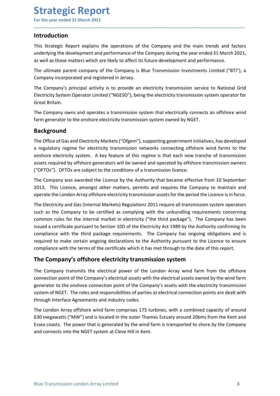### Introduction

Strategic Report<br>
For the year ended 31 March 2021<br>
Introduction<br>
This Strategic Report explains the operations of the Company and the main trends and **Strategic Report**<br>
For the year ended 31 March 2021<br> **Introduction**<br>
This Strategic Report explains the operations of the Company and the main trends and factors<br>
underlying the development and performance of the Company **Strategic Report**<br>For the year ended 31 March 2021<br>Introduction<br>This Strategic Report explains the operations of the Company and the main trends and factors<br>underlying the development and performance of the Company during **Strategic Report**<br>For the year ended 31 March 2021<br>This Strategic Report explains the operations of the Company and the main trends and factors<br>underlying the development and performance of the Company during the year end **Strategic Report**<br>For the year ended 31 March 2021<br>Introduction<br>This Strategic Report explains the operations of the Company and the main trends and factors<br>underlying the development and performance of the Company during **Strategic Report**<br>
For the year ended 31 March 2021<br> **Introduction**<br>
This Strategic Report explains the operations of the Company and the main trends and factors<br>
as well as those matters which are likely to affect its fu **Strategic Report**<br>
For the year ended 31 March 2021<br>
Introduction<br>
This Strategic Report explains the operations of the Company and the main trends and factors<br>
underlying the development and performance of the Company du **Strategic Report**<br>For the year ended 31 March 2021<br>Intr**oduction**<br>This Strategic Report explains the operations of the Company and the main trends and factors<br>underlying the development and performance of the Company duri **Strategic Report**<br>
For the year ended 31 March 2021<br>
Introduction<br>
This Strategic Report explains the operations of the Company and the main trends and factors<br>
underlying the development and performance of the Company du **Strategic Report**<br>For the year ended 31 March 2021<br>Introduction<br>This Strategic Report explains the operations of the Company and the mai<br>underlying the development and performance of the Company during the year e<br>as well **Strategic Report**<br>
This Strategic Report explains the operations of the Company and the main trends and factors<br>
underlying the development and performance of the Company during the year ended 31 March 2021,<br>
as well as t **Strategic Report**<br>For the year ended 31 March 2021<br>Introduction<br>Underlying the development and performance of the Company and the main trends and factors<br>as well as those matters which are likely to affect its future deve

\_\_\_\_\_\_\_\_\_\_\_\_\_\_\_\_\_\_\_\_\_\_\_\_\_\_\_\_\_\_\_\_\_\_\_\_\_\_\_\_\_\_\_\_\_\_\_\_\_\_\_\_\_\_\_\_\_\_\_\_\_\_\_\_\_\_\_\_\_\_\_\_\_\_\_\_\_\_\_\_\_\_\_\_\_\_\_\_\_\_

### Background

**Introduction**<br>This Strategic Report explains the operations of the Company and the main trends and factors<br>underlying the development and performance of the Company during the year ended 31 March 2021,<br>as well as those ma **Introduction**<br>This Strategic Report explains the operations of the Company and the main trends and factors<br>underlying the development and performance of the Company during the year ended 31 March 2021,<br>as well as those ma The Strategic Report explains the operations of the Company and the main trends and factors<br>This Strategic Report explains and performance of the Company during the year ended 31 March 2021,<br>as well as those matters which This Strategic Report explains the operations of the Company and the main trends and factors<br>
and welf aget the development and performance of the Company during the year ended 31 March 2021,<br>
as well as those matters whic underlying the development and performance of the Company during the year ended 31 March 2021,<br>as well as those matters which are likely to affect its future development and performance.<br>The ultimate parent company of the The Ultimate parent company of the Company is Blue Transmission Investments Limited ("BTI"), a<br>Company incorporated and registered in Jersey.<br>The Company's principal activity is to provide an electricity transmission servi The ultimate parent company of the Company is Blue Transmission Investments Limited ("BTI"), a<br>Company incorporated and registered in Jersey.<br>The Company's principal activity is to provide an electricity transmission servi Company incorporated and registered in Jersey.<br>
The Company's principal activity is to provide an electricity transmission service to National Grid<br>
Electricity System Operator Limited ("NGESO"), being the electricity tran

The Company's principal activity is to provide an electricity transmission service to National Grid<br>Electricity System Operator Limited ("NGESO"), being the electricity transmission system operator for<br>The Company owns and Electricity System Operator Limited ("NGESO"), being the electricity transmission system operator for<br>
Great Britain.<br>
The Company owns and operates a transmission system that electrically connects an offshore wind<br>
farm g Great Britain.<br>The Company owns and operates a transmission system that electrically connects an offshore wind<br>farm generator to the onshore electricity transmission system owned by NGET.<br>**Background**<br>The Office of Gas and The Company owns and operates a transmission system that electrically connects an offshore wind<br>farm generator to the onshore electricity transmission system owned by NGET.<br> **Background**<br>
The Office of Gas and Electricity farm generator to the onshore electricity transmission system owned by NGET.<br> **Background**<br>
The Office of Gas and Electricity Markets ("Ofgem"), supporting government initiatives, has developed<br>
a regulatory regime for ele **Background**<br>The Office of Gas and Electricity Markets ("Ofgem"), supporting government initiatives, has developed<br>a regulatory regime for electricity transmission networks connecting offshore wind farms to the<br>onshore ele **Background**<br>The Office of Gas and Electricity Markets ("Ofgem"), supporting government initiatives, has developed<br>a regulatory regime for electricity transmission networks connecting offshore wind farms to the<br>onshore ele The Omean of assume tecturicity wars are the policial assets with the electricity comection of satisfactor is a regulatory regime for electricity transmission networks connecting offshore wind farms to the onshore electric onshore electricity system. A key feature of this regime is that each new tranche of transmission systes required by offshore generators will be commet and operated by offshore transmission owners systes required by offsho assets required by offshore generators will be owned and operated by offshore transmission owners<br>"("OFTOs"). OFTOs are subject to the conditions of a transmission licence.<br>
The Company was awarded the licence by the Autho ("OFTOs"). OFTOs are subject to the conditions of a transmission licence.<br>The Company was awarded the Licence by the Authority that became effective from 10 September<br>2013. This Licence, amongst other matters, permits and The Company was awarded the Licence by the Authority that became effective from 10 September<br>2013. This Licence, amongst other matters, permits and requires the Company to maintain and<br>operate the London Array offshore ele This Licence, amongst other matters, permits and requires the Company to maintain and<br>operate the London Array offshore electricity transmission assets for the period the Licence is in force.<br>The Electricity and Gas (Inter operate the London Array offshore electricity transmission assets for the period the Licence is in force.<br>The Electricity and Gas (Internal Markets) Regulations 2011 require all transmission system operators<br>as the Company The Electricity and Gas (Internal Markets) Regulations 2011 require all transmission system operators<br>such as the Company to be certified as complying with the unbundling requirements concerning<br>common rules for the intern Intertuction, the company to be certified as complying with the unbundling requirements concerning<br>common rules for the internal market in electricity ("the third package"). The Company has been<br>issued a certificate pursua Example the map of the extracted to enterprise with the durathangy evaluation, the map of the system at the map of the system issued a certificate pursuant to Section 10D of the Electricity Act 1989 by the Authority confir

The Company transmits the electrical power of the London Array wind farm from the offshore connection point of the Company's electrical assets with the electrical assets owned by the wind farm generator to the coshore conn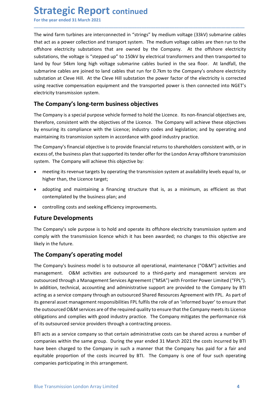Strategic Report continued<br>
For the year ended 31 March 2021<br>
The wind farm turbines are interconnected in "strings" by medium voltage (33kV) submarine<br>
that act as a power collection and transport system. The medium volta **Strategic Report continued**<br>For the year ended 31 March 2021<br>The wind farm turbines are interconnected in "strings" by medium voltage (33kV) submarine cables<br>that act as a power collection and transport system. The medium **Strategic Report continued**<br>For the year ended 31 March 2021<br>The wind farm turbines are interconnected in "strings" by medium voltage (33kV) submarine cables<br>that act as a power collection and transport system. The medium **Strategic Report continued**<br>For the year ended 31 March 2021<br>The wind farm turbines are interconnected in "strings" by medium voltage (33kV) submarine cables<br>that act as a power collection and transport system. The medium **Strategic Report continued**<br>For the year ended 31 March 2021<br>The wind farm turbines are interconnected in "strings" by medium voltage (33kV) submarine cables<br>that act as a power collection and transport system. The medium **Strategic Report continued**<br>For the year ended 31 March 2021<br>The wind farm turbines are interconnected in "strings" by medium voltage (33kV) submarine cables<br>that act as a power collection and transport system. The medium **Strategic Report continued**<br>For the year ended 31 March 2021<br>The wind farm turbines are interconnected in "strings" by medium voltage (33kV) submarine cables<br>that act as a power collection and transport system. The medium **Strategic Report continued**<br>For the year ended 31 March 2021<br>The wind farm turbines are interconnected in "strings" by medium voltage (33kV) submarine cables<br>that act as a power collection and transport system. The medium **Strategic Report continued**<br>For the year ended 31 March 2021<br>The wind farm turbines are interconnected in "strings" by medium voltage (33kV) submarine cables<br>that atd at a power collection and transport system. The medium **Strategic Report continued**<br>For the year ended 31 March 2021<br>The wind farm turbines are interconnected in "strings" by medium voltage (33kV) submarine cables<br>that act as a power collection and transport system. The medium **Strategic Report continued**<br>
For the year ended 31 March 2021<br>
The wind farm turbines are interconnected in "strings" by medium voltage (33kV) submarine cables<br>
that act as a power collection and transport system. The med **Strategic Report continued**<br>The wind farm turbines are interconnected in "strings" by medium voltage (33kV) submarine cables<br>The wind farm turbines are interconnected in "strings" by medium voltage cables are then run to **Strategic Report continued**<br>
For the year ended 31 March 2021<br>
The wind farm turbines are interconnected in "strings" by medium voltage (33kV) submarine cables<br>
that act as a power collection and transport system. The med **DET ATE PUTT COMITHUEG**<br>The wind farm turbines are interconnected in "strings" by medium voltage (33kV) submarine cables<br>that acts a power collection and transport system. The medium voltage cables are then run to the<br>dis For the year ended 31 March 2021<br>
The wind farm turbines are interconnected in "strings" by medium voltage (33kV) submarine cables<br>
that act as a power collection and transport system. The medium voltage cables are then ru The wind farm turbines are interconnected in "strings" by medium voltage (33kV) submarine cables<br>offshore electricity substations that are owned by the Company. At the offshore electricity<br>substations, the voltage is "step Inter unit and the business of the business of the business of the business of the company.<br>
In a mediator, the voltage called is the product of the company. At the offshore electricity substations, the voltage submarine c Enter the Depoistion and the Company of the Company. At the offshore electricity substations, the voltage is "stepped up" to 150kV by electrical transformers and then transported to substations, the voltage is "stepped up" tations, the voltage is "stepped up" to 150kV by electrical transformers and then transported to<br>
by four S4km long high voltage submarine cables burid in the sea floor. At landfall, the<br>
narine cables are joined to land c I by four 54km long high voltage submarine cables buried in the sea floor. At landfall, the marine cables the pioned to land cables that run for 0.7km to the Company's onshore leeletricity is corrected g reactive compensat

\_\_\_\_\_\_\_\_\_\_\_\_\_\_\_\_\_\_\_\_\_\_\_\_\_\_\_\_\_\_\_\_\_\_\_\_\_\_\_\_\_\_\_\_\_\_\_\_\_\_\_\_\_\_\_\_\_\_\_\_\_\_\_\_\_\_\_\_\_\_\_\_\_\_\_\_\_\_\_\_\_\_\_\_\_\_\_\_\_\_

name causes are pumed to rand causes that run for c.rxm to tremulany so usmathe reactors are pumed to and cause that the cleve Hill substation the power factor of the electricity is corrected g reactive compensation equipm Example at Cleve Hin. At the Ceree Hin substable the power action of the electricity storiected<br>g reactive compensation equipment and the transported power is then connected into NGET's<br>tricity transmission system.<br>**Compan** tricity transmission system.<br> **Company's long-term business objectives**<br> **Company's long-term business objectives**<br> **Company** is a special purpose vehicle formed to hold the Licence. Its non-financial objectives are,<br>
efor The **Company's long-term business objectives**<br>The **Company** is a special purpose vehicle formed to hold the Licence. Its non-finan<br>therefore, consistent with the objectives of the Licence. The Company will achiev<br>by ensuri The Company is a special purpose vehicle formed to hold the Licence. Its non-financial objectives are,<br>therefore, consistent with the objectives of the Licence. The Company will achieve these ebjectives<br>to presuming its tr therefore, consistent with the objectives of the Licence. The Company will achieve these objectives<br>ty ensuring its compliance with the licence; industry codes and legislation; and by operating and<br>maintalning its complian

**Solutionary** its compliance with the Licence; industry codes and legislation; and by<br>maintaining its transmission system in accordance with good industry practice.<br>The Company's financial objective is to provide financial

- 
- 
- 

management. O&M activities are outsourced to a third-party and management services are outsourced through a Management Services Agreement ("MSA") with Frontier Power Limited ("FPL"). In addition, technical, accounting and maintaining its transmission system in accordance with good moustry practice.<br>The Company's financial objective is to provide financial returns to shareholders consistent with, or in<br>The Company's financial objective is to The Company's manutato upercure is to plutule immistant counting to state the Company and the Company and the Company will achieve this objective by:<br>
The Company will achieve this objective by:<br>
The Company will achieve t Extrassion, the company will achieve this objective by:<br>
system. The Company will achieve this objective by:<br>
• meeting its revenue targets by operating the transmission system at availability levels equal to, or<br>
• doptin syaemi. The Company win earlieve curs objective by.<br>
• meeting its revenue targets by operating the transmission system at availability levels equal to, or<br>
higher than, the Licence target;<br>
• adopting and maintaining a fi • meeting its revenue targets by operating the transmission system at availability levels equal to, or<br>
• dopting and maintaining a financing structure that is, as a minimum, as efficient as that<br>
contemplated by the busin **by the multimage of the multimage as a service company as a service comparison of the business plan; and<br>
Controlling costs and seeking efficiency improvements.<br>
<b>Fulture Developments**<br>
Controlling costs and seeking effic • adopting and maintaining a financing structure that is, as a minimum, as efficient as that<br>
• controlling costs and seeking efficiency improvements.<br> **Future Developments**<br> **Future Developments**<br> **Future Developments**<br> contemplated by the business plan; and<br> **e** controlling costs and seeking efficiency improvements.<br> **Future Developments**<br>
The Company's sole purpose is to hold and operate its offshore electricity transmission system and<br> **•** controlling costs and seeking efficiency improvements.<br> **Future Developments**<br> **The Company's** sole purpose is to hold and operate its offshore electricity transmission system and<br>
trompany's sole purpose is to hold an • controlling costs and seeking efficiency improvements.<br> **Future Developments**<br>
The Company's sole purpose is to hold and operate its offshore electricity transmission system and<br>
comphy with the transmission licence whic **Future Developments**<br>The Company's sole purpose is to hold and operate its offshore electricity transmission system and<br>comply with the transmission licence which it has been awarded; no changes to this objective are<br>like The Company's sole purpose is to hold and operate its offshore electricity transmission system and<br>comply with the transmission licence which it has been awarded; no changes to this objective are<br>likely in the future.<br>The Free Company 3 out purpose is to forte and operator charged to charged to this objective are incomply with the transmission licence which it has been awarded; no changes to this objective are likely in the future.<br>The Comp extrate the costs in the costs in the costs increased that the company is one of four such a the company's business model is to outsource all operational, maintenance ("O&M") activities and management. O&M activities are o The **Company's operating model**<br>The **Company's operating model**<br>The Company's business model is to outsource all operational, maintenance ("O&M") activities and<br>management. O&M activities are outsourced to a third-party an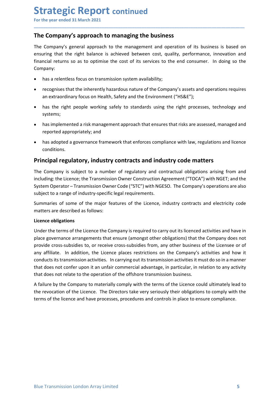**Strategic Report continued**<br>For the year ended 31 March 2021<br>The Company's approach to managing the business<br>The Company's general approach to the management and operation of its business is based on<br>ensuring that the rig **Strategic Report continued**<br>For the year ended 31 March 2021<br>The Company's approach to managing the business<br>The Company's general approach to the management and operation of its business is based on<br>ensuring that the rig **Strategic Report continued**<br>For the year ended 31 March 2021<br>The Company's approach to managing the business<br>The Company's general approach to the management and operation of its business is based on<br>ensuring that the rig **Strategic Report continued**<br>
For the year ended 31 March 2021<br> **The Company's approach to managing the business**<br>
The Company's general approach to the management and operation of its business is based on<br>
ensuring that t **Strategic Report continued**<br>For the year ended 31 March 2021<br>**The Company's approach to managing the business**<br>The Company's general approach to the management and operation of its business is based on<br>ensuring that the r Company: **Example 3 A Figure 11 Constituted**<br> **Example 3 A March 2021**<br> **Example 3 A March 2021**<br> **Example 3 a pyroach to managing the business**<br>
Company's general approach to the management and operation of its business is based o **rategic Report continued**<br> **Example 31 March 2021**<br> **Example 31 March 2021**<br> **Example 31 March 2021**<br> **Example 31 March 2021**<br> **Example 32 Approach to the management and operation of its business is based on<br>
prany:<br>
that Example 2018 CONTRIG (SCOPUT CONT CONT ASSET)**<br> **Example 3** and the version and approach to the management and operation of its business is based on<br>
tring that the right balance is achieved between cost, quality, perform **Example 1.1**<br> **Example 1998 Supproach to managing the business**<br> **Example working safely and the right balance is achieved between cost, quality, performance, innovation and<br>
pring that the right balance is achieved betwe Tract explore the Sigmon Continued**<br>
the year ended 31 March 2021<br> **Examplery's approach to management and operation** of its business is based on<br>
company's approach to the management and operation of its business is base reported 31 March 2021<br>
He year ended 31 March 2021<br>
Le Company's approach to managing the business<br>
Company's general approach to the management and operation of its business is based on<br>
uring that the right balance is a **Example a governance framework to managing the business**<br>
Compan**y's general approach to the management and operation** of its business is based on<br>
uring that the right balance is achieved between cost, quality, performan The Company's general approach to the management and operation of its business is based on<br>ensuring that the right balance is achieved between cost, quality, performance, innovation and<br>financial returns so as to optimise

\_\_\_\_\_\_\_\_\_\_\_\_\_\_\_\_\_\_\_\_\_\_\_\_\_\_\_\_\_\_\_\_\_\_\_\_\_\_\_\_\_\_\_\_\_\_\_\_\_\_\_\_\_\_\_\_\_\_\_\_\_\_\_\_\_\_\_\_\_\_\_\_\_\_\_\_\_\_\_\_\_\_\_\_\_\_\_\_\_\_

- 
- 
- systems;
- 
- conditions.

ensuring that the right balance is achieved between cost, quality, performance, innovation and<br>
financial returns so as to optimise the cost of its services to the end consumer. In doing so the<br>
Company:<br>
• has a relentles Inancial returns so as to optimise the cost of its services to the end consumer. In doing so the<br>
• has a relentless focus on transmission system availability;<br>
• recognises that the inherently hazardous nature of the Comp Company:<br>
• has arelentless focus on transmission system availability;<br>
• recognises that the inherently hazardous nature of the Company's assets and operations requires<br>
an extraordinary focus on Health, Safety and the En • has a relentless focus on transmission system availability;<br>• recognises that the inherently hazardous nature of the Company's assets and operations requires<br>• an extraordinary focus on Health, Safety and the Environment • recognises that the inherently hazardous nature of the Company's assets and operations requires<br>
• has in eight people working safely to standards using the right processes, technology and<br>
systems;<br>
• has implemented a an extraordinary focus on Health, Safety and the Environment ("HS&E");<br>
• has the right people working safely to standards using the right processes, technology a<br>
systems;<br>
• has implemented a risk management approach tha

• has the right people working safely to standards using the right process<br>systems;<br>
• has implemented a risk management approach that ensures that risks are asse<br>
reported appropriately; and<br>
• has adopted a governance fr systems;<br>
• has implemented a risk management approach that ensures that risks are assessed, managed and<br>
reported appropriately; and<br>
• has adopted a governance framework that enforces compliance with law, regulations and • has implemented a risk management approach that ensures that risks are assessed, managed and<br>• has adopted a governance framework that enforces compliance with law, regulations and licence<br>conditions.<br>**Principal regulato Provided appropriately; and**<br> **•** has adopted a governance framework that enforces compliance with law, regulations and licence<br>
conditions.<br> **Principal regulatory, industry contracts and industry code matters**<br>
The Compa • has adopted a governance framework that enforces compliance with law, regulations and licence<br>conditions.<br> **Principal regulatory, industry contracts and industry code matters**<br>
The Company is subject to a number of regul • mas approved a governance trannework that entorces compliance with law, regulations and licence<br> **Principal regulatory, industry contracts and industry code matters**<br>
The Company is subject to a number of regulatory and conditions.<br>The Company is subject to a number of regulatory and contractual obligations arising from and<br>the including: the licence; the Transmission Owner Construction Agreement ("TOCA") with NGET; and the<br>including: the **Principal regulatory, industry contracts and industry code matters**<br>The Company is subject to a number of regulatory and contractual obligations arising from and<br>including: the Licence; the Transmission Owner Construction The Company is subject to a number of regulatory and contractual obligations arising from and<br>including: the Licence; the Transmission Owner Construction Agreement ("TOCA") with NGET; and the<br>System Operator – Transmission including: the Licence; the Transmission Owner Construction Agreement ("TOCA") with NGET; and the System Operator – Transmission Owner Code ("STC") with NGESO. The Company's operations are also subject to a range of indust System Operator – Transmission Owner Code ("STC") with NGESO. The Company's operations are also subject to a range of industry-specific legal requirements.<br>
Summaries of some of the major features of the Licence, industry

ment occaring the operation of the offshore transmission business.<br>
A failure by the Company to materially comply with the terms of the Licence could ultimately lead to<br>
A failure by the Company to materially comply with t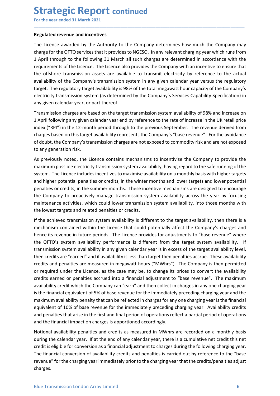**Strategic Report continued**<br>
For the year ended 31 March 2021<br>
Regulated revenue and incentives<br>
The Licence awarded by the Authority to the Company determines how much the Compar **Strategic Report continued**<br>For the year ended 31 March 2021<br>Regulated revenue and incentives<br>The Licence awarded by the Authority to the Company determines how much the Company may<br>charge for the OFTO services that it pr **Strategic Report continued**<br>For the year ended 31 March 2021<br>Regulated revenue and incentives<br>The Licence awarded by the Authority to the Company determines how much the Company r<br>charge for the OFTO services that it prov **Strategic Report continued**<br>For the year ended 31 March 2021<br>Regulated revenue and incentives<br>The Licence awarded by the Authority to the Company determines how much the Company may<br>charge for the OFTO services that it pr **Strategic Report continued**<br>For the year ended 31 March 2021<br>The Licence awarded by the Authority to the Company determines how much the Company may<br>charge for the OFTO services that it provides to NGESO. In any relevant **Strategic Report continued**<br>For the year ended 31 March 2021<br>Regulated revenue and incentives<br>The Licence awarded by the Authority to the Company determines how much the Company may<br>charge for the OFTO services that it pr **Strategic Report continued**<br>For the year ended 31 March 2021<br>The Licence awarded by the Authority to the Company determines how much the Company may<br>charge for the OFTO services that it provides to NGESO. In any relevant **Strategic Report continued**<br>For the year ended 31 March 2021<br>The Licence awarded by the Authority to the Company determines how much the Company may<br>charge for the OFTO services that it provides to NGESO. In any relevant **Strategic Report continued**<br>For the year ended 31 March 2021<br>The Licence awarded by the Authority to the Company determines how much the Company may<br>charge for the OFTO services that it provides to NGESO. In any relevant **Strategic Report continued**<br> **For the year ended 31 March 2021**<br> **Regulated revenue and incentives**<br>
The Licence awarded by the Authority to the Company determines how much the Company may<br>
charge for the OFTO services th **Strategic Report continued**<br>For the year ended 31 March 2021<br>Regulated revenue and incentives<br>The Licence awarded by the Authority to the Company determines how much the Company may<br>charge for the OFTO services that it pr **Strategic Report continued**<br>For the year ended 31 March 2021<br>Regulated revenue and incentives<br>The Licence awarded by the Authority to the Company determines how much the Company may<br>charge for the OFTO services that it pr **Strategic Report continued**<br>For the year ended 31 March 2021<br>Regulated revenue and incentives<br>The Licence awarded by the Authority to the Company determines how much the Company may<br>charge for the OFTO services that it pr **Strategic Report continued**<br>For the year ended 31 March 2021<br>Regulated revenue and incentives<br>The Licence awarded by the Authority to the Company determines how much the Company may<br>that parafor the OFTO services that it index (RPI) in the 12 month period through to the previous September. The revenue derived from For the year ended 31 March 2021<br> **Regulated revenue and incentives**<br>
The Licence awarded by the Authority to the Company determines how much the Company may<br>
charge for the OFTO services that it provides to NGESO. In any **Regulated revenue and incentives**<br>The Licence awarded by the Authority to the Company determines how much the Company may<br>charge for the OFTO services that it provides to NGESO. In any relevant charging year which runs fr **Regulated revenue and incentives**<br>The Licence awarded by the Authority to the Company determines how much the Company charge for the OFTO services that it provides to NGESO. In any relevant charging year which 1 April thr The Licence awarded by the Authority to the Company determines how much the Company may<br>charge for the OFTO services that it provides to NGESO. In any relevant charging year which runs from<br>thapef or the OFTO services that charge for the OFTO services that it provides to NGESO. In any relevant charging year which runs from<br>1 April through to the following 31 March all such charges are determined in accordance with the<br>1 April through to the

\_\_\_\_\_\_\_\_\_\_\_\_\_\_\_\_\_\_\_\_\_\_\_\_\_\_\_\_\_\_\_\_\_\_\_\_\_\_\_\_\_\_\_\_\_\_\_\_\_\_\_\_\_\_\_\_\_\_\_\_\_\_\_\_\_\_\_\_\_\_\_\_\_\_\_\_\_\_\_\_\_\_\_\_\_\_\_\_\_\_

1 April through to the following 31 March all such charges are determined in accordance with the requirements of the Licence is to percone abso provides the Company with an incentive to ensure that the difshore transmissio requirements of the Licence. The Licence also provides the Company with an incentive to ensure that<br>the offshore transmission assets are available to transmit electricity by reference to the actual<br>availability of the Comp the offshore transmission assets are available to transmit electricity by reference to the actual<br>availability of the Company's transmission system in any given calendar year errasus the regulatory<br>target. The regulatory t availability of the Company's transmission system in any given calendar year versus the regulatory<br>
atraget. The regulatory target availability is 98% of the total megawatt hour capacity of the Company's<br>
electricity trans target. The regulatory target availability is 98% of the total megawatt hour capacity of the Company's any given calendricity transmission system availability Specification) in electricity transmission system availability electricity transmission system (as determined by the Company's Services Capability Specification) in<br>any given calendar year, or part thereof.<br>Transmission charges are based on the target transmission system availability any given calendar year, or part thereot.<br>Transmission system availability of 98% and increase on<br>Tapmission charges are based on the target transmission system availability of 98% and increase on<br>1 April following any giv Transmission charges are based on the target transmission system availability of 98% and increase on April following any given calendar year end by reference to the rate of increase in the UK retail price the Company's "ha 1 April following any given calendar year end by reference to the rate of increase in the UK retail price<br>
index ("RBP") in the 12-month period through to the previous September. The revenue derived from<br>
charges based on

or required under the Licence, as the case may be, to change its prices to convert the availability credits secreand or penalties accrued into a financial adjustment to "base revenue". The maximum availability recalit whic index ("RPP") in the 12-month period through to the previous September. The revenue derived from<br>endages based on this target availability represents the Company's "base revenue". For the avoidance<br>of doubt, the Company's charges based on this target availability represents the Company's "base revenue". For the avoidance of doubt, the Company is transmission charges are not exposed to commodity risk and are not exposed to compressed to comp of doubt, the Company's transmission charges are not exposed to commodity risk and are not exposed<br>ot any generation risk.<br>As previously noted, the Licence contains mechanisms to incentivise the Company to provide the<br>maxi to any generation risk.<br>As previously noted, the lience contains mechanisms to incentivise the Company to provide the maximum possible electricity transmission system availability, having regard to the safer numing of the As previously noted, the Licence contains mechanisms to incentivise the Company to provide the maximum possible electricity transmission system availability, having regard to the safe running of the same implement impleme sy perotoxy mote, the cate contrains in the mathemation of the mediately preceding charging year. Availability constrained into the safe running of the system. The Licence includes incentives to maximise availability, havi msum possible electionty orisinialsion system availability on a monthly basis with higher targets<br>and higher potential penalties or credits, in the winter months and lower targets and lower potential<br>and higher potential p system: The tecne motousal members of meanimise availably or ambitiony was with mean higher potential penalties or credits, in the winter months and lower targets and lower repetial<br>penalties or credits, in the summer mont and mignet potentials perflected and the simulation of the simulation and over the simulation and the Company to proactively manage transmission system availability across the year by focusing the Company to proactively ma penators or cocoursy. The summer information as: "nete incentre incocoursay are designed or encoursing maintenance activities, which could lower transmission system availability across the year by focusing maintenance acti the compary or phoationery mannes and instinuisation system availability, into those months with<br>the lowest targets and related penalties or credits.<br>If the achieved transmission system availability is different to the tar mentement extertions, which count of the state and the closes the reading the financial impact the forest targets and related penalties or credits.<br>
If the achieved transmission system availability is different to the targ If the achieved transmission system availability is different to the target availability, then there is a<br>mechanism contained within the Licence that could potentially affect the Company's charges and<br>thence its revenue in net enteriver unranismon system availaby solution the calendar of the calendar of the company's charges and hence its revenue in future periods. The Licence provides for adjustments to "base revenue" where OFFO's system av metaniani convented whim the tructure that count potentially antect the complany strates the product of the OFTO's system availability performance is different from the target system availability. If the OFTO's system avai ience as even one manal period of operations. The currence period solution of outer the CFTO's system availability in any given calendar year is in excess of the target availability is f<br>transmission system availability in revent of a system somalized in any given calcular year is in excess of the target availability evel, then credits are "earned" and if availability is less than target then penalties accrue. These availability is the charg

charges.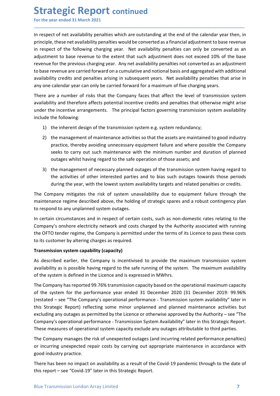**Strategic Report continued**<br>
For the year ended 31 March 2021<br>
In respect of net availability penalties which are outstanding at the end of the calendar year t<br>
principle, these net availability penalties would be convert **Strategic Report continued**<br>For the year ended 31 March 2021<br>In respect of net availability penalties which are outstanding at the end of the calendar year then, in<br>principle, these net availability penalties would be con **Strategic Report continued**<br>
For the year ended 31 March 2021<br>
In respect of net availability penalties which are outstanding at the end of the calendar year then, in<br>
principle, these net availability penalties would be **Strategic Report continued**<br>For the year ended 31 March 2021<br>In respect of net availability penalties which are outstanding at the end of the calendar year then, in<br>principle, these net availability penalties would be con **Strategic Report continued**<br>For the year ended 31 March 2021<br>In respect of net availability penalties which are outstanding at the end of the calendar year then, in<br>principle, these net availability penalties would be con **Strategic Report continued**<br>For the year ended 31 March 2021<br>In respect of net availability penalties which are outstanding at the end of the calendar year then, in<br>principle, these net availability penalties would be con **Strategic Report continued**<br>For the year ended 31 March 2021<br>In respect of net availability penalties which are outstanding at the end of the calendar year then, in<br>principle, these net availability penalties would be con **Strategic Report continued**<br>In respect of net availability penalties which are outstanding at the end of the calendar year then, in<br>principle, these net availability penalties which are outstanding at the end of the calen **Strategic Report continued**<br>For the year ended 31 March 2021<br>In respect of net availability penalties which are outstanding at the end of the calendar year then, in<br>principle, these net availability penalties which are ou **Strategic Report continued**<br>For the year ended 31 March 2021<br>In respect of net availability penalties which are outstanding at the end of the calendar year then, in<br>principle, these net availability penalties would be con **Strategic Report continued**<br>For the year ended 31 March 2021<br>In respect of net availability penalties which are outstanding at the end of the calendar year then, in<br>principle, these net availability penalties would be con **Strategic Report continued**<br>
In respect of net availability penalties which are outstanding at the end of the calendar year then, in<br>
principle, these net availability penalties which are outstanding at the end of the cal **Strategic Report continued**<br>
In respect of net availability penalties which are outstanding at the end of the calendar year then, in<br>
principle, these net availability penalties would be converted as a financial adjustmen **Strategic Report continued**<br>For the year ended 31 March 2021<br>In respect of net availability penalties which are outstanding at the end of the calen<br>principle, these net availability penalties which are outstanding at the Trance the interation and the transmission system e.g. where the state of the state of plane of the set of the following charge in the state inciple, these net availability penalties would be converted as a finical adjustm The year ended 31 March 2021<br>
2021 the readiability penalties which are outstanding at the end of the calendar year then, in<br>
ciple, these net availability penalties would be converted as a financial adjustment to base rev ct of net availability penalties which are outstanding at the end of the calendar year then, in<br>the set the following charging year. Net availability penalties can only be converted as a<br>centre of the following charging ye to der a walarability penalties which are outstanding at the end of the calendar year then, in the transformation are to the carry then, in the carry then to these revenue of the following charging year. Net availability these ret availability penalties would be converted as a financial adjustment to base revenue<br>of the following charging year. Net availability penalties can only be converted as an<br>ent to base revenue to the extent that su strument to base revenue to the extent that such adjustment does not exceed 10% of the base<br>the method processe even the previous charging year. Any net availability penalties not converted as an adjustment<br>asse revenue ar for the previous charging year. Any net availability penalties not converted as an adjustment evenue are carried forward on a cumulative and ontional basis and aggregated with additional vevenue are carried forward on a cu

\_\_\_\_\_\_\_\_\_\_\_\_\_\_\_\_\_\_\_\_\_\_\_\_\_\_\_\_\_\_\_\_\_\_\_\_\_\_\_\_\_\_\_\_\_\_\_\_\_\_\_\_\_\_\_\_\_\_\_\_\_\_\_\_\_\_\_\_\_\_\_\_\_\_\_\_\_\_\_\_\_\_\_\_\_\_\_\_\_\_

evenue are carried forward on a cumulative and ontotonal basis and aggregated with additional<br>tity credits and penalties arising in subsequent years. Net availability penalties that arise in<br>calendar year can only be carri availability credits and penalties arising in subsequent years. Net availability penalties that arise in<br>There are a number of risk that the Company faces that affect the level of ransmission system<br>There are a number of r any one calendar year can only be carried forward for a maximum of five charging years.<br>
There are a number of risks that the Company faces that affect the level of transmission system<br>
availability and therefore affects p

- 
- 
- 

There are a number of risks that the Company faces that affect the level of transmission system<br>availability and therefore affects potential incentive credits and penalties that otherwise might arise<br>under the incentive ar availability and therefore affects potential incentive credits and penalties that otherwise might arise<br>
uncude the incentive arrangements. The principal factors governing transmission system availability<br>
include the foll under the incentive arrangements. The principal factors governing transmission system availability<br>
include the following:<br>
2) the inherent design of the transmission system e.g. system redundancy;<br>
2) the management of ma include the following:<br>
1) the inherent design of the transmission system e.g. system redundancy;<br>
2) the management of maintenance activities so that the assets are maintained to good industry<br>
preactice, thereby avoiding 1) the inherent design of the transmission system e.g. system redundancy;<br>
2) the management of maintenance activities so that the assets are maintained to good industry<br>
practice, thereby avoiding unnecessary equipment fa 2) the management of maintenance activities so that the assets are maintained to good industry<br>practice, thereby avoiding unnecessary equipment failure and where possible the Company<br>seeks to carry out such maintenance wi practice, thereby avoiding unnecessary equipment failure and where possible the Company<br>seeks to carry out such maintenance with the minimum number and duration of planned<br>outages whilst having regard to the safe operation seeks to carry out such maintenance with the minimum number and duration of planned<br>
outages whilst having regard to the safe operation of those assets; and<br>
3) the management of necessary planned outages of the transmissi

availability as is possible largely in the sare numling of the systemi. The maximum avariability as of the system is defined in the Licence and is expressed in MWhrs.<br>The Company has reported 99.76% transmission capacity b outages whilst having regard to the safe operation of those assets; and<br>3) the management of necessary planned outages of the transmission system having regard to<br>the activities of other interested parties and to bias such 3) the management of necessary planned outages of the transmission system having regard to<br>the activities of other interested parties and to bias such outages towards those periods<br>during the year, with the lowest system a the activities of other interested parties and to bias such outages towards those periods<br>during the year, with the lowest system availability targets and related penalties or credits.<br>The Company mitigates the risk of sys during the year, with the lowest system availability targets and related penalties or credits.<br>The Company mitigates the risk of system unavailability due to equipment failure through the<br>maintenance regime described above The Company mitigates the risk of system unavailability due to equipment failure through the<br>maintenance regime described above, the holding of strategic spares and a robust contingency plan<br>to respond to any unplanned sys maintenance regime described above, the holding of strategic spares and a robust contingency plan<br>to respond to any unplanned system outages.<br>In certain circumstances and in respect of certain costs, such as non-domestic r to respond to any unplanned system outages.<br>
In certain circumstances and in respect of certain costs, such as non-domestic rates relating to the Company's onshore electricity network and costs charged by the Authority ass In certain circumstances and in respect of certain costs, such as non-domestic rates relating to the Company's onshore electricity network and costs charged by the Authority associated with running<br>the OFTO tender regime, Company's onshore electricity network and costs charged by the Authority associated with running<br>the OFTO tender regime, the Company is permitted under the terms of its Licence to pass these costs<br>ot its customer by alteri the OFTO tender regime, the Company is permitted under the terms of its Licence to pass these costs<br>or its customer by altering charges as required.<br> **Transmission system capability (capacity)**<br>
As described earlier, the C In this statement with the comparison system and the covid-19 pandemic function of Statement Presentation system capability (capacity)<br>As described earlier, the Company is incentivised to provide the maximum transmit<br>avail Transmission system capability (capacity)<br>As described earlier, the Company is incentivised to provide the maximum transmission system<br>availability as is possible having regard to the safe running of the system. The maximu As described earlier, the Company incentivised to provide the maximum transmission system<br>availability as is possible having regard to the safe running of the system. The maximum availability<br>of the system is defined in th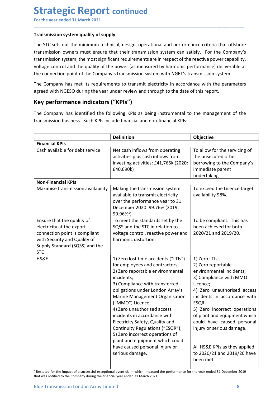**Strategic Report continued**<br>
For the year ended 31 March 2021<br>
Transmission system quality of supply<br>
The STC sets out the minimum technical, design, operational and performance criteria that of **Strategic Report continued**<br>For the year ended 31 March 2021<br>Transmission system quality of supply<br>The STC sets out the minimum technical, design, operational and performance criteria that offshore<br>transmission owners mus **Strategic Report continued**<br>For the year ended 31 March 2021<br>Transmission system quality of supply<br>The STC sets out the minimum technical, design, operational and performance criteria that offshore<br>transmission owners mus **Strategic Report continued**<br>For the year ended 31 March 2021<br>Transmission system quality of supply<br>The STC sets out the minimum technical, design, operational and performance criteria that offshore<br>transmission owners mus **Strategic Report continued**<br>For the year ended 31 March 2021<br>Transmission system quality of supply<br>The STC sets out the minimum technical, design, operational and performance criteria that offshore<br>transmission owners mus **Strategic Report continued**<br>For the year ended 31 March 2021<br>Transmission system quality of supply<br>The STC sets out the minimum technical, design, operational and performance criteria that offshore<br>transmission owners mus **Strategic Report continued**<br>
For the year ended 31 March 2021<br> **Transmission system quality of supply**<br>
The STC sets out the minimum technical, design, operational and performance criteria that offshore<br>
transmission syst **Strategic Report continued**<br>For the year ended 31 March 2021<br>Transmission system quality of supply<br>The STC sets out the minimum technical, design, operational and performance criteria that offshore<br>transmission owners mus **Strategic Report continued**<br>
For the year ended 31 March 2021<br> **Transmission system quality of supply**<br>
The STC sets out the minimum technical, design, operational and performance criteria that offshore<br>
transmission owne **Strategic Report continued**<br>For the year ended 31 March 2021<br>Transmission system quality of supply<br>The STC sets out the minimum technical, design, operational and performance criteria that offshore<br>transmission owners mus **Strategic Report continued**<br>For the year ended 31 March 2021<br>Transmission system quality of supply<br>The STC sets out the minimum technical, design, operational and performance criteria that offs<br>transmission owners must re **Strategic Report continued**<br>
Transmission system quality of supply<br>
Transmission system quality of supply<br>
The STC sets out the minimum technical, design, operational and performance criteria that offshore<br>
transmission s **Strategic Report continued**<br>
For the year ended 31 March 2021<br> **Transmission system quality of supply**<br>
The STC sets out the minimum technical, design, operational and performance criteria that offshore<br>
transmission sove

| Transmission system quality of supply<br>The STC sets out the minimum technical, design, operational and performance criteria that offshore<br>transmission owners must ensure that their transmission system can satisfy. For the Company's<br>transmission system, the most significant requirements are in respect of the reactive power capability,<br>voltage control and the quality of the power (as measured by harmonic performance) deliverable at<br>the connection point of the Company's transmission system with NGET's transmission system.<br>The Company has met its requirements to transmit electricity in accordance with the parameters<br>agreed with NGESO during the year under review and through to the date of this report.<br>Key performance indicators ("KPIs")<br>The Company has identified the following KPIs as being instrumental to the management of the<br>transmission business. Such KPIs include financial and non-financial KPIs:<br><b>Definition</b><br>Objective<br><b>Financial KPIs</b><br>Cash available for debt service<br>Net cash inflows from operating<br>To allow for the servicing of<br>activities plus cash inflows from<br>the unsecured other<br>investing activities: £41,765k (2020:<br>borrowing to the Company's<br>£40,690k)<br>immediate parent<br>undertaking<br><b>Non-Financial KPIs</b><br>Making the transmission system<br>To exceed the Licence target<br>Maximise transmission availability<br>available to transmit electricity<br>availability 98%.<br>over the performance year to 31<br>December 2020: 99.76% (2019:<br>$99.96\%$ <sup>1</sup> )<br>Ensure that the quality of<br>To be compliant. This has<br>To meet the standards set by the<br>SQSS and the STC in relation to<br>electricity at the export<br>been achieved for both<br>2020/21 and 2019/20.<br>connection point is compliant<br>voltage control, reactive power and<br>with Security and Quality of<br>harmonic distortion.<br>Supply Standard (SQSS) and the<br><b>STC</b><br>HS&E<br>1) Zero lost time accidents ("LTIs")<br>1) Zero LTIs;<br>for employees and contractors;<br>2) Zero reportable<br>2) Zero reportable environmental<br>environmental incidents;<br>incidents;<br>3) Compliance with MMO<br>3) Compliance with transferred<br>Licence;<br>4) Zero unauthorised access<br>obligations under London Array's<br>Marine Management Organisation<br>incidents in accordance with<br>("MMO") Licence;<br>ESQR.<br>4) Zero unauthorised access<br>5) Zero incorrect operations<br>incidents in accordance with<br>of plant and equipment which<br>Electricity Safety, Quality and<br>could have caused personal<br>Continuity Regulations ("ESQR");<br>injury or serious damage.<br>5) Zero incorrect operations of<br>plant and equipment which could<br>have caused personal injury or<br>All HS&E KPIs as they applied<br>to 2020/21 and 2019/20 have<br>serious damage.<br>been met.<br>Restated for the impact of a successful exceptional event claim which impacted the performance for the year ended 31 December 2019 |
|-------------------------------------------------------------------------------------------------------------------------------------------------------------------------------------------------------------------------------------------------------------------------------------------------------------------------------------------------------------------------------------------------------------------------------------------------------------------------------------------------------------------------------------------------------------------------------------------------------------------------------------------------------------------------------------------------------------------------------------------------------------------------------------------------------------------------------------------------------------------------------------------------------------------------------------------------------------------------------------------------------------------------------------------------------------------------------------------------------------------------------------------------------------------------------------------------------------------------------------------------------------------------------------------------------------------------------------------------------------------------------------------------------------------------------------------------------------------------------------------------------------------------------------------------------------------------------------------------------------------------------------------------------------------------------------------------------------------------------------------------------------------------------------------------------------------------------------------------------------------------------------------------------------------------------------------------------------------------------------------------------------------------------------------------------------------------------------------------------------------------------------------------------------------------------------------------------------------------------------------------------------------------------------------------------------------------------------------------------------------------------------------------------------------------------------------------------------------------------------------------------------------------------------------------------------------------------------------------------------------------------------------------------------------------------------------------------------------------------------------------------------------------------------------------------------------------------------------------------------------------------------------------------------------------------------------------------------------------------------------------------------------------------------------------------------------------------------------------|
|                                                                                                                                                                                                                                                                                                                                                                                                                                                                                                                                                                                                                                                                                                                                                                                                                                                                                                                                                                                                                                                                                                                                                                                                                                                                                                                                                                                                                                                                                                                                                                                                                                                                                                                                                                                                                                                                                                                                                                                                                                                                                                                                                                                                                                                                                                                                                                                                                                                                                                                                                                                                                                                                                                                                                                                                                                                                                                                                                                                                                                                                                                 |
|                                                                                                                                                                                                                                                                                                                                                                                                                                                                                                                                                                                                                                                                                                                                                                                                                                                                                                                                                                                                                                                                                                                                                                                                                                                                                                                                                                                                                                                                                                                                                                                                                                                                                                                                                                                                                                                                                                                                                                                                                                                                                                                                                                                                                                                                                                                                                                                                                                                                                                                                                                                                                                                                                                                                                                                                                                                                                                                                                                                                                                                                                                 |
|                                                                                                                                                                                                                                                                                                                                                                                                                                                                                                                                                                                                                                                                                                                                                                                                                                                                                                                                                                                                                                                                                                                                                                                                                                                                                                                                                                                                                                                                                                                                                                                                                                                                                                                                                                                                                                                                                                                                                                                                                                                                                                                                                                                                                                                                                                                                                                                                                                                                                                                                                                                                                                                                                                                                                                                                                                                                                                                                                                                                                                                                                                 |
|                                                                                                                                                                                                                                                                                                                                                                                                                                                                                                                                                                                                                                                                                                                                                                                                                                                                                                                                                                                                                                                                                                                                                                                                                                                                                                                                                                                                                                                                                                                                                                                                                                                                                                                                                                                                                                                                                                                                                                                                                                                                                                                                                                                                                                                                                                                                                                                                                                                                                                                                                                                                                                                                                                                                                                                                                                                                                                                                                                                                                                                                                                 |
|                                                                                                                                                                                                                                                                                                                                                                                                                                                                                                                                                                                                                                                                                                                                                                                                                                                                                                                                                                                                                                                                                                                                                                                                                                                                                                                                                                                                                                                                                                                                                                                                                                                                                                                                                                                                                                                                                                                                                                                                                                                                                                                                                                                                                                                                                                                                                                                                                                                                                                                                                                                                                                                                                                                                                                                                                                                                                                                                                                                                                                                                                                 |
|                                                                                                                                                                                                                                                                                                                                                                                                                                                                                                                                                                                                                                                                                                                                                                                                                                                                                                                                                                                                                                                                                                                                                                                                                                                                                                                                                                                                                                                                                                                                                                                                                                                                                                                                                                                                                                                                                                                                                                                                                                                                                                                                                                                                                                                                                                                                                                                                                                                                                                                                                                                                                                                                                                                                                                                                                                                                                                                                                                                                                                                                                                 |
|                                                                                                                                                                                                                                                                                                                                                                                                                                                                                                                                                                                                                                                                                                                                                                                                                                                                                                                                                                                                                                                                                                                                                                                                                                                                                                                                                                                                                                                                                                                                                                                                                                                                                                                                                                                                                                                                                                                                                                                                                                                                                                                                                                                                                                                                                                                                                                                                                                                                                                                                                                                                                                                                                                                                                                                                                                                                                                                                                                                                                                                                                                 |
|                                                                                                                                                                                                                                                                                                                                                                                                                                                                                                                                                                                                                                                                                                                                                                                                                                                                                                                                                                                                                                                                                                                                                                                                                                                                                                                                                                                                                                                                                                                                                                                                                                                                                                                                                                                                                                                                                                                                                                                                                                                                                                                                                                                                                                                                                                                                                                                                                                                                                                                                                                                                                                                                                                                                                                                                                                                                                                                                                                                                                                                                                                 |
|                                                                                                                                                                                                                                                                                                                                                                                                                                                                                                                                                                                                                                                                                                                                                                                                                                                                                                                                                                                                                                                                                                                                                                                                                                                                                                                                                                                                                                                                                                                                                                                                                                                                                                                                                                                                                                                                                                                                                                                                                                                                                                                                                                                                                                                                                                                                                                                                                                                                                                                                                                                                                                                                                                                                                                                                                                                                                                                                                                                                                                                                                                 |
|                                                                                                                                                                                                                                                                                                                                                                                                                                                                                                                                                                                                                                                                                                                                                                                                                                                                                                                                                                                                                                                                                                                                                                                                                                                                                                                                                                                                                                                                                                                                                                                                                                                                                                                                                                                                                                                                                                                                                                                                                                                                                                                                                                                                                                                                                                                                                                                                                                                                                                                                                                                                                                                                                                                                                                                                                                                                                                                                                                                                                                                                                                 |
|                                                                                                                                                                                                                                                                                                                                                                                                                                                                                                                                                                                                                                                                                                                                                                                                                                                                                                                                                                                                                                                                                                                                                                                                                                                                                                                                                                                                                                                                                                                                                                                                                                                                                                                                                                                                                                                                                                                                                                                                                                                                                                                                                                                                                                                                                                                                                                                                                                                                                                                                                                                                                                                                                                                                                                                                                                                                                                                                                                                                                                                                                                 |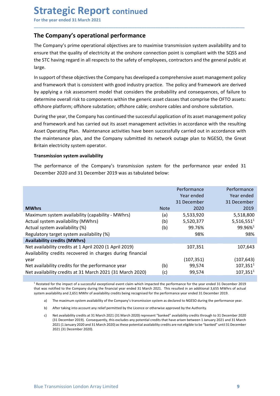# **Strategic Report continued**<br>
For the year ended 31 March 2021<br>
The Company's operational performance<br>
The Company's prime operational objectives are to maximise transmission system availability

**Strategic Report continued**<br>For the year ended 31 March 2021<br>The Company's operational performance<br>The Company's prime operational objectives are to maximise transmission system availability and to<br>ensure that the quality **Strategic Report continued**<br>For the year ended 31 March 2021<br>The Company's operational performance<br>The Company's prime operational objectives are to maximise transmission system availability and to<br>ensure that the quality **Strategic Report continued**<br>For the year ended 31 March 2021<br>The Company's operational performance<br>The Company's prime operational objectives are to maximise transmission system availability and to<br>ensure that the quality **Strategic Report continued**<br>For the year ended 31 March 2021<br>The Company's operational performance<br>The Company's prime operational objectives are to maximise transmission system availability and to<br>ensure that the quality **Strategic Report continued**<br>For the year ended 31 March 2021<br>The Company's operational performance<br>The Company's prime operational objectives are to maximise transmission system availability and to<br>ensure that the quality large.

\_\_\_\_\_\_\_\_\_\_\_\_\_\_\_\_\_\_\_\_\_\_\_\_\_\_\_\_\_\_\_\_\_\_\_\_\_\_\_\_\_\_\_\_\_\_\_\_\_\_\_\_\_\_\_\_\_\_\_\_\_\_\_\_\_\_\_\_\_\_\_\_\_\_\_\_\_\_\_\_\_\_\_\_\_\_\_\_\_\_

**Strategic Report continued**<br>
For the year ended 31 March 2021<br> **The Company's operational performance**<br>
The Company's prime operational objectives are to maximise transmission system availability and to<br>
the sTC having re **Strategic Report continued**<br>The **Company's operational performance**<br>The Company's operational objectives are to maximise transmission system availability and to<br>ensure that the quality of electricity at the onshore connec **Strategic Report continued**<br>For the year ended 31 March 2021<br>The Company's operational objectives are to maximise transmission system availability and to<br>The Company's prime operational objectives are to maximise transmis **Strategic Report continued**<br>The **Company's operational performance**<br>The **Company's prime operational objectives** are to maximise transmission system availability and to<br>ensure that the quality of electricity at the onshor **Strategic Report continued**<br>The **Company's operational performance**<br>The **Company's prime operational objectives** are to maximise transmission system availability and to<br>ensure that the quality of electricity at the onshor **Strategic Report continued**<br>For the year ended 31 March 2021<br>The **Company's operational performance**<br>The **Company's prime operational objectives** are to maximise transmission system availability and to<br>ensure that the qua **Strategic Report continued**<br>For the year ended 31 March 2021<br>The Company's operational performance<br>The Company's prime operational objectives are to maximise transmission system availability and to<br>ensure that the quality **Example 18 and 19 and 19 and 19 and 19 and 19 and 19 and 19 and 19 and 19 and 19 and 19 and 19 and 19 and 19 and 19 and 19 and 19 and 19 and 19 and 19 and 19 and 19 and 19 and 19 and 19 and 19 and 19 and 19 and 19 and 19** The Company's operational performance<br>The Company's prime operational objectives are to maximise transmission system availability and to<br>ensure that the quality of electricity at the oshere connection point is compliant wi The Company's operational performance<br>The Company's prime operational objectives are to maximise transmission system availability and<br>ensure that the quality of electricity at the onshore connection point is compliant with The Company's previewed to maximize to maximise transmission system availability ather Company's prime operational objectives are to maximise transmission system availability ensure that the quality of electricity at the o ensure that the quality of electricity at the onshore connection point is complant with the SQSS and<br>the STC having regard in all respects to the safety of employees, contractors and the general public at<br>large.<br>In support the STC having regard in all respects to the safety of employees, contractors and the general public at large.<br>
large.<br>
In support of these objectives the Company has developed a comprehensive asset management policy<br>
In s

|                | in support or these objectives the Company has developed a comprehensive asset management policy<br>and framework that is consistent with good industry practice. The policy and framework are derived<br>by applying a risk assessment model that considers the probability and consequences, of failure to<br>determine overall risk to components within the generic asset classes that comprise the OFTO assets:<br>offshore platform; offshore substation; offshore cable; onshore cables and onshore substation.                                                                                                                                                                                                                                                                                                                                                                                                                                                                                                                                                                     |             |                                          |                                          |
|----------------|--------------------------------------------------------------------------------------------------------------------------------------------------------------------------------------------------------------------------------------------------------------------------------------------------------------------------------------------------------------------------------------------------------------------------------------------------------------------------------------------------------------------------------------------------------------------------------------------------------------------------------------------------------------------------------------------------------------------------------------------------------------------------------------------------------------------------------------------------------------------------------------------------------------------------------------------------------------------------------------------------------------------------------------------------------------------------------------------|-------------|------------------------------------------|------------------------------------------|
|                | During the year, the Company has continued the successful application of its asset management policy<br>and framework and has carried out its asset management activities in accordance with the resulting<br>Asset Operating Plan. Maintenance activities have been successfully carried out in accordance with<br>the maintenance plan, and the Company submitted its network outage plan to NGESO, the Great<br>Britain electricity system operator.                                                                                                                                                                                                                                                                                                                                                                                                                                                                                                                                                                                                                                    |             |                                          |                                          |
|                | <b>Transmission system availability</b>                                                                                                                                                                                                                                                                                                                                                                                                                                                                                                                                                                                                                                                                                                                                                                                                                                                                                                                                                                                                                                                    |             |                                          |                                          |
|                | The performance of the Company's transmission system for the performance year ended 31<br>December 2020 and 31 December 2019 was as tabulated below:                                                                                                                                                                                                                                                                                                                                                                                                                                                                                                                                                                                                                                                                                                                                                                                                                                                                                                                                       |             |                                          |                                          |
|                |                                                                                                                                                                                                                                                                                                                                                                                                                                                                                                                                                                                                                                                                                                                                                                                                                                                                                                                                                                                                                                                                                            |             | Performance<br>Year ended<br>31 December | Performance<br>Year ended<br>31 December |
| <b>MWhrs</b>   |                                                                                                                                                                                                                                                                                                                                                                                                                                                                                                                                                                                                                                                                                                                                                                                                                                                                                                                                                                                                                                                                                            | <b>Note</b> | 2020                                     | 2019<br>5,518,800                        |
|                | Maximum system availability (capability - MWhrs)<br>Actual system availability (MWhrs)                                                                                                                                                                                                                                                                                                                                                                                                                                                                                                                                                                                                                                                                                                                                                                                                                                                                                                                                                                                                     | (a)<br>(b)  | 5,533,920<br>5,520,377                   | $5,516,551^1$                            |
|                | Actual system availability (%)                                                                                                                                                                                                                                                                                                                                                                                                                                                                                                                                                                                                                                                                                                                                                                                                                                                                                                                                                                                                                                                             | (b)         | 99.76%                                   | 99.96% <sup>1</sup>                      |
|                | Regulatory target system availability (%)                                                                                                                                                                                                                                                                                                                                                                                                                                                                                                                                                                                                                                                                                                                                                                                                                                                                                                                                                                                                                                                  |             | 98%                                      | 98%                                      |
|                | <b>Availability credits (MWhrs)</b>                                                                                                                                                                                                                                                                                                                                                                                                                                                                                                                                                                                                                                                                                                                                                                                                                                                                                                                                                                                                                                                        |             |                                          |                                          |
|                | Net availability credits at 1 April 2020 (1 April 2019)<br>Availability credits recovered in charges during financial                                                                                                                                                                                                                                                                                                                                                                                                                                                                                                                                                                                                                                                                                                                                                                                                                                                                                                                                                                      |             | 107,351                                  | 107,643                                  |
| year           |                                                                                                                                                                                                                                                                                                                                                                                                                                                                                                                                                                                                                                                                                                                                                                                                                                                                                                                                                                                                                                                                                            |             | (107, 351)                               | (107, 643)                               |
|                | Net availability credits for the performance year                                                                                                                                                                                                                                                                                                                                                                                                                                                                                                                                                                                                                                                                                                                                                                                                                                                                                                                                                                                                                                          | (b)         | 99,574                                   | $107,351^1$                              |
|                | Net availability credits at 31 March 2021 (31 March 2020)                                                                                                                                                                                                                                                                                                                                                                                                                                                                                                                                                                                                                                                                                                                                                                                                                                                                                                                                                                                                                                  | (c)         | 99,574                                   | $107,351^1$                              |
| a)<br>b)<br>c) | <sup>1</sup> Restated for the impact of a successful exceptional event claim which impacted the performance for the year ended 31 December 2019<br>that was notified to the Company during the financial year ended 31 March 2021. This resulted in an additional 3,655 MWhrs of actual<br>system availability and 2,651 MWhr of availability credits being recognised for the performance year ended 31 December 2019.<br>The maximum system availability of the Company's transmission system as declared to NGESO during the performance year.<br>After taking into account any relief permitted by the Licence or otherwise approved by the Authority.<br>Net availability credits at 31 March 2021 (31 March 2020) represent "banked" availability credits through to 31 December 2020<br>(31 December 2019). Consequently, this excludes any potential credits that have arisen between 1 January 2021 and 31 March<br>2021 (1 January 2020 and 31 March 2020) as these potential availability credits are not eligible to be "banked" until 31 December<br>2021 (31 December 2020). |             |                                          |                                          |

- 
- 
- availability credits at 31 March 2021 (31 March 2020) (c)<br>
<sup>4</sup> Restated for the impact of a successful exceptional event claim which impacted the performance for the year ended 31 December 2019<br>
Hextated for the impact of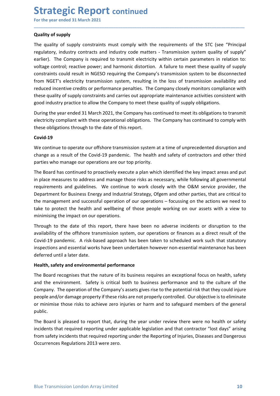# **Strategic Report continued**<br>
For the year ended 31 March 2021<br>
Quality of supply<br>
The quality of supply constraints must comply with the requirements of the STC (see "Pi

**Strategic Report continued**<br>For the year ended 31 March 2021<br>Quality of supply<br>The quality of supply constraints must comply with the requirements of the STC (see "Principa<br>regulatory, industry contracts and industry code **Strategic Report continued**<br>For the year ended 31 March 2021<br>Quality of supply<br>The quality of supply constraints must comply with the requirements of the ST<br>regulatory, industry contracts and industry code matters - Trans **Strategic Report continued**<br>For the year ended 31 March 2021<br>Quality of supply<br>The quality of supply constraints must comply with the requirements of the STC (see "Principal<br>regulatory, industry contracts and industry cod **Strategic Report continued**<br>For the year ended 31 March 2021<br>Quality of supply<br>The quality of supply constraints must comply with the requirements of the STC (see "Principal<br>regulatory, industry contracts and industry cod **Strategic Report continued**<br>For the year ended 31 March 2021<br>Quality of supply<br>The quality of supply constraints must comply with the requirements of the STC (see "Principal<br>regulatory, industry contracts and industry cod **Strategic Report continued**<br>
For the year ended 31 March 2021<br>
Quality of supply<br>
The quality of supply<br>
The quality of supply<br>
reactive power; and industry code matters - Transmission system quality of supply"<br>
voltage c **Strategic Report continued**<br>For the year ended 31 March 2021<br>Quality of supply<br>The quality of supply constraints must comply with the requirements of the STC (see "Principal<br>regulatory, industry contracts and industry cod **Strategic Report continued**<br>
For the year ended 31 March 2021<br> **Quality of supply**<br>
The quality of supply constraints must comply with the requirements of the STC (see "Principal<br>
regulatory, industry contracts and indust **Strategic Report continued**<br>For the year ended 31 March 2021<br>Quality of supply<br>The quality of supply<br>The quality of supply<br>The quality of supply<br>The quality of supply<br>Constraints control; reactive power; and hardstry code **Strategic Report continued**<br>For the year ended 31 March 2021<br>Quality of supply<br>The quality of supply<br>The quality of supply constraints must comply with the requirements of the STC (see "Principal<br>regulatory, industry cont **Strategic Report continued**<br>For the year ended 31 March 2021<br>Quality of supply<br>The quality of supply<br>The quality of supply<br>regulatory, industry contracts and industry code matters - Transmission system quality of supply<br>" **Strategic Report continued**<br>
For the year ended 31 March 2021<br>
Quality of supply<br>
The quality of supply<br>
The quality of supply<br>
The quality of supply<br>
The quality of supply<br>
Ire Company is requirent to transmit electricit **Strategic Report** continued<br>
For the year ended 31 March 2021<br>
Quality of supply<br>
The quality of supply constraints must comply with the requirements of the STC (see "Principal<br>
regulatory, industry contares and industry **STITATEGUS IC REPOTT CONTINUED**<br>
Tor the year ended 31 March 2021<br>
Quality of supply<br>
The quality of supply<br>
The quality of supply<br>
The quality of supply<br>
The quality of supply constraints must comply with the requirement Quality of supply<br>The quality of supply constraints must comply with the requirements of the STC (see "Principal<br>regulatory, industry contracts and industry code matters - Transmission system quality of supply<br>eralier). Th The quality of supply constraints must comply with the requirements of the STC (see "Principal<br>regulatory, industry contracts and industry code matters - Transmission system quality of supply"<br>voltage control; reactive pow The quality of supply constrants must comply with the requirements of the C (see "Principal<br>regulatory, industry contrasts must correlate the constrant electricity within certain parameters in relation to:<br>Voltage control; earlier). The Company is required to transmit electricity within certain parameters in relation to:<br>voltage control; reactive power; and harmonic distortion. A failure to meet these quality of supply<br>constraints could resu

\_\_\_\_\_\_\_\_\_\_\_\_\_\_\_\_\_\_\_\_\_\_\_\_\_\_\_\_\_\_\_\_\_\_\_\_\_\_\_\_\_\_\_\_\_\_\_\_\_\_\_\_\_\_\_\_\_\_\_\_\_\_\_\_\_\_\_\_\_\_\_\_\_\_\_\_\_\_\_\_\_\_\_\_\_\_\_\_\_\_

### Covid-19

voltage control; reactive power; and harmonic distortion. A failure to meet these quality of supply<br>constraints could result in NGESO requiring the Company's transmission system to be disconnected<br>from NGET's electricity t constraints could result in NGESO requiring the Company's transmission system to be disconnected<br>from NGET's electricity transmission system, resulting in the loss of transmission availability and<br>reduced incentive redits from NGET's electricity transmission system, resulting in the loss of transmission availability and<br>reduced incentive credits or performance penalties. The Company closely monitors compliance with<br>these quality of supply c reduced incentive credits or performance penalties. The Company closely monitors compliance with<br>these quality of supply constraints and carries out appropriate maintenance activities consistent with<br>good industry practice these quality of supply constraints and carries out appropriate maintenance activities consistent with<br>good industry practice to allow the Company to meet these quality of supply obligations.<br>During the year ended 31 March move in the the management and successful operation of our operations - focusing on our season and conditions of Supply obligations.<br>The impact of the impact on our operations of the impact on our of the impact on our of t During the year ended 31 March 2021, the Company has continued to meet its obligations to transmit<br>electricity compliant with these operational obligations. The Company has continued to comply with<br>these obligations throug electricity compliant with these operational obligations. The Company has continued to comply with<br>these obligations through to the date of this report.<br>**Covid-19**<br>We continue to operate our offshore transmission system at these obligations through to the date of this report.<br> **Covid-19**<br>
We continue to operate our offshore transmission system at a time of unprecedented disruption and<br>
phange as a result of the Covid-19 pandemic. The healt a **Covid-19**<br>We continue to operate our offshore transmission system at a time of unprecedented disruption and<br>change as a result of the Covid-19 pandemic. The health and safety of contractors and other third<br>parties who man Covid-19<br>We continue to operate our offshore transmission system at a time of unprecedented disruptioned change as a result of the Covid-19 pandemic. The health and safety of contractors and othe parties who manage our ope We continue to operate our offshore transmission system at a time of unprecedented disruption and<br>change as a result of the Covid-19 pandemic. The health and safety of contractors and other third<br>parties who manage our ope mattes who manage our operations are our top priority.<br>The Board has continued to proactively execute a plan which identified the key impact areas and put<br>in place measures to address and manage those risks as necessary, w The Board has continued to proactively execute a plan which identified the key impact areas and put<br>in place measures to address and manage those risks as necessary, while following all governmental<br>requirements and guidel The Board has continued to proactively execute a plan which identified the key impact areas and put<br>In place measures to address and manage those risks as necessary, while following all governmental<br>requirements and guidel

The Board recognises that the nature of its business requires an exceptional focus on health, safety<br>and the environment. Safety is critical both to business performance and to the culture of the<br>Company. The operation of In place measures to address and manage those rasks are necessary, while following all governmental<br>requirements and guidelines. We continue to work closely with the O&M service provider, the<br>Department for Business Energy requirements and guidelines. We continue to work closely with the O&M service provider, the paragement and successful operation of our operations - focussing on the actions we need to take to protect the health and wellbei public. take to protect the health and wellbeing of those people working on our assets with a view to minimising the impact on our operations.<br>Through to the date of this report, there have been no adverse incidents or disruption minimising the impact on our operations.<br>Through to the date of this report, there have been no adverse incidents or disruption to the<br>availability of the offshore transmission system, our operations or finances as a direc Through to the date of this report, there have been no adverse incidents or disruption to the availability of the offshore transmission system, our operations or finances as a direct result of the Covid-19 pandemic. A risk Through to the date of this report, there have been no adverse incidents or disruption to the<br>availability of the offshore transmission system, our operations or finances as a direct result of the<br>Covid-19 pandemic. A risk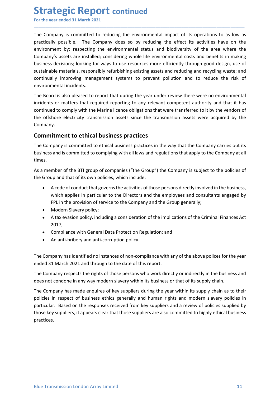**Strategic Report continued**<br>
For the year ended 31 March 2021<br>
The Company is committed to reducing the environmental impact of its operations to as<br>
practically possible. The Company does so by reducing the effect its ac **Strategic Report continued**<br>For the year ended 31 March 2021<br>The Company is committed to reducing the environmental impact of its operations to as low as<br>practically possible. The Company does so by reducing the effect it **Strategic Report continued**<br>For the year ended 31 March 2021<br>The Company is committed to reducing the environmental impact of its operations to as low as<br>practically possible. The Company does so by reducing the effect it **Strategic Report continued**<br>For the year ended 31 March 2021<br>The Company is committed to reducing the environmental impact of its operations to as low as<br>practically possible. The Company does so by reducing the effect it **Strategic Report continued**<br>For the year ended 31 March 2021<br>The Company is committed to reducing the environmental impact of its operations to as low as<br>practically possible. The Company does so by reducing the effect it **Strategic Report continued**<br>For the year ended 31 March 2021<br>The Company is committed to reducing the environmental impact of its operations to as low as<br>practically possible. The Company does so by reducing the effect it **Strategic Report continued**<br>For the year ended 31 March 2021<br>The Company is committed to reducing the environmental impact of its operations to as low as<br>practically possible. The Company does so by reducing the effect it **Strategic Report continued**<br>For the year ended 31 March 2021<br>The Company is committed to reducing the environmental impact of its operations to as low as<br>practically possible. The Company does oo by reducing the effect it **Strategic Report continued**<br>For the year ended 31 March 2021<br>The Company is committed to reducing the environmental impact of its operations to as low as<br>practically possible. The Company does so by reducing the effect it **Strategic Report continued**<br>For the year ended 31 March 2021<br>The Company is committed to reducing the environmental impact of its operations t<br>practically possible. The Company does so by reducing the effect its activitie **Strategic Report continued**<br>For the year ended 31 March 2021<br>The Company is committed to reducing the environmental impact of its operations to as low as<br>practically possible. The Company does so by reducing the effect it **Strategic Report continued**<br>For the year ended 31 March 2021<br>The Company is committed to reducing the environmental impact of its operations to as low as<br>practically possible. The Company does so by reducing the effect it **Strategic Report continued**<br>The Company is committed to reducing the environmental impact of its operations to as low as<br>practically possible. The Company does so by reducing the effect its activities have on the<br>environm **Strategic Report continued**<br>
For the year ended 31 March 2021<br>
The Company is committed to reducing the environmental impact of its operations to as low as<br>
practically possible. The Company does so by reducing the effect For the year ended 31 March 2021<br>The Company is committed to reducing the environmental impact of its operations to as low as<br>practically possible. The Company does so by reducing the effect its activities have on the<br>envi The Company is committed to reducing the environmental impact of its operations to as low as<br>practically possible. The Company does so by reducing the effect its activities have on the<br>environment by: respecting the enviro Ine company is committed to ethical business practices in the company is subjections to as low as looking the effect its activities have on the environment by: respecting the environmental status and biodiversity of the ar Company's assets are installed; considering whole life environmental costs and benefits in making<br>business decisions; looking for ways to use resources more efficiently through good design, use of<br>sustianhele materials, re

\_\_\_\_\_\_\_\_\_\_\_\_\_\_\_\_\_\_\_\_\_\_\_\_\_\_\_\_\_\_\_\_\_\_\_\_\_\_\_\_\_\_\_\_\_\_\_\_\_\_\_\_\_\_\_\_\_\_\_\_\_\_\_\_\_\_\_\_\_\_\_\_\_\_\_\_\_\_\_\_\_\_\_\_\_\_\_\_\_\_

Company. business decisions; looking for ways to use resources more efficiently through good design, use of<br>sustainable materials, responsibly refurbishing existing assets and reducing and recycling waste; and<br>continually improving ble materials, responsibly refurbishing existing assets and reducing and recycling waste; and<br>illy improving management systems to prevent pollution and to reduce the risk of<br>mental incidents.<br>The material or persons direc ally improving management systems to prevent pollution and to reduce the risk of<br>mental incidents.<br>The instead to report that during the year under review there were no environmental<br>sor matters that required reporting to mental incidents.<br>For is also pleased to report that during the year under review there were no environmental<br>For so for matters that required reporting to any relevant competent authority and that it has<br>For comply with t rd is also pleased to report that during the year under review there were no environment or or matters that required reporting to any relevant competent authority and that it ded to comply with the Marine licence obligatio s or matters that required reporting to any relevant competent authority and that it has<br>do to comply with the Marine licence obligations that were transferred to it by the vendors of<br>hore electricity transmission assets s

times. The Company is committed to ethical business practices in the way that the Company carries out its<br>business and is committed to complying with all laws and regulations that apply to the Company at all<br>times.<br>As a member of

- More electricity transmission assets since the transmission assets were acquired by the<br>
W.<br>
W.<br>
W.<br>
The samply sommitted to ethical business practices<br>
Impany is committed to ethical business practices the way that the Co W.<br> **itment to ethical business practices**<br>
Impany is committed to ethical business practices in the way that the Company carries out its<br>
is and is committed to complying with all laws and regulations that apply to the Co Ine Company is committed to ethical business practices in the way that the Company carries out its<br>business and is committed to complying with all laws and regulations that apply to the Company at all<br>times.<br>As a member of
	-
	- 2017;
	-
	-

The Company respects the rights of those persons who work directly or indirectly in the business and<br>does not condone in any way modern slavery within its business or that of its supply chain.<br>The Company has made enquires The Company is state that and the rights of the rights of the rights of the rights of the rights of the rights of the Group and that of its own policies, which include:<br>
• A code of conduct that governs the activities of t As a member of the BTI group of companies ("the Group") the Company is subject to the policies of<br>
the Group and that of its own policies, which include:<br>
• A code of conduct that governs the activities of those persons di the Group and that of its own policies, which include:<br>
• A code of conduct that governs the activities of those persons directly involved in the business,<br>
which applies in particular to the Directors and the employees an • A code of conduct that governs the activities of those persons directly involved in the business,<br>which applies in particular to the Directors and the employees and consultants engaged by<br>FPL in the provision of service • Acode or conduct that governs the activites of those persons directly involved in the business,<br>which applies in particular to the Directors and the employees and consultants engaged by<br>FPL in the provision of service to Which appliers in particular to the Directors and the employees and consultants engaged by<br>Fig. in the provision of service to the Company and the Group generally;<br>A tax evasion policy, including a consideration of the imp practices.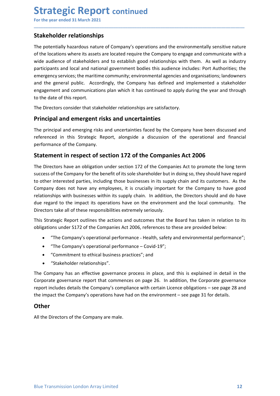# Strategic Report continued<br>
For the year ended 31 March 2021<br>
Stakeholder relationships<br>
The notentially hazardous nature of Company's operations and the environmentally sensitive

**Strategic Report continued**<br>For the year ended 31 March 2021<br>**Stakeholder relationships**<br>The potentially hazardous nature of Company's operations and the environmentally sensitive nature<br>of the locations where its assets **Strategic Report continued**<br>For the year ended 31 March 2021<br>**Stakeholder relationships**<br>The potentially hazardous nature of Company's operations and the environmentally sens<br>of the locations where its assets are located **Strategic Report continued**<br>For the year ended 31 March 2021<br>**Stakeholder relationships**<br>The potentially hazardous nature of Company's operations and the environmentally sensitive nature<br>of the locations where its assets **Strategic Report continued**<br>For the year ended 31 March 2021<br>**Stakeholder relationships**<br>The potentially hazardous nature of Company's operations and the environmentally sensitive nature<br>of the locations where its assets **Strategic Report continued**<br>For the year ended 31 March 2021<br>**Stakeholder relationships**<br>The potentially hazardous nature of Company's operations and the environmentally sensitive nature<br>of the locations where its assets **Strategic Report continued**<br>
For the year ended 31 March 2021<br> **Stakeholder relationships**<br>
The potentially hazardous nature of Company's operations and the environmentally sensitive nature<br>
of the locations where its ass **Strategic Report continued**<br>For the year ended 31 March 2021<br>The potentially hazardous nature of Company's operations and the environmentally sensitive nature<br>of the locations where its assets are located require the Comp **Strategic Report continued**<br>For the year ended 31 March 2021<br>**Stakeholder relationships**<br>The potentially hazardous nature of Company's operations and the environmentally sensitive nature<br>of the locations where its assets **Strategic Report continued**<br>For the year ended 31 March 2021<br>The potentially hazardous nature of Company's operations and the environmentally sensitive nature<br>of the locations where its assets are located require the Comp **Strategic Report continued**<br>For the year ended 31 March 2021<br>**Stakeholder relationships**<br>The potentially hazardous nature of Company's operations and the environmentally sensitive<br>of the locations where its assets are loc **Strategic Report continued**<br>For the year ended 31 March 2021<br>Stakeholder relationships<br>The potentially hazardous nature of Company's operations and the environmentally sensitive nature<br>of the locations where its assets ar **Strategic Report continued**<br>For the year ended 31 March 2021<br>Stakeholder relationships<br>The potentially hazardous nature of company's operations and the environmentally sensitive nature<br>of the locations where its assets ar **Stakeholder relationships**<br>The potentially hazardous nature of Company's operations and the environmentally sensitive nature<br>of the locations where its assets are located require the Company to engage and communicate with For the year ended 31 March 2021<br>
Stakeholder relationships<br>
The potentially hazardous nature of Company's operations and the environmentally sensitive nature<br>
of the locations where its assets are located require the Comp **Stakeholder relationships**<br> **Stakeholder relationships**<br>
The potentially hazardous nature of Company's operations and the environmentally sensitive<br>
or of the locations where its assets are located require the Company to **Example 12**<br> **Example the potentially hazardoss nature of Company's operations and the environmentally sensitive nature<br>
of the locations where its assets are located require the Company to engage and communicate with a<br>** The locations where its assets are located require the Company to engage and communicate with a<br>wide audience of stakeholders and to establish good relationships with them. As well as industry<br>aparticipants and local and n

\_\_\_\_\_\_\_\_\_\_\_\_\_\_\_\_\_\_\_\_\_\_\_\_\_\_\_\_\_\_\_\_\_\_\_\_\_\_\_\_\_\_\_\_\_\_\_\_\_\_\_\_\_\_\_\_\_\_\_\_\_\_\_\_\_\_\_\_\_\_\_\_\_\_\_\_\_\_\_\_\_\_\_\_\_\_\_\_\_\_

stime and the and the Company for the company for the Companisher of the Company of the Company success the mattern community; environmental agences of the Company shareholders and the general public. Accordingly, the Comp metricipants and local and national government bodies this audience includes: Port Authorities; the<br>emergency services; the maritime community; environmental agencies and organisations; landowners<br>and the general public. A Entergency services; the matter community, environmental agencies and organisations; landowners<br>and the general public. Accordingly, the Company has defined and implemented a stakeholder<br>engagement and communications plan relationships with businesses within its supply chain. In addition, the Domay of the Company has defined and implemented a stakeholder engagement and communications plan which it has continued to apply during the year and and the gatern beat is the impact in the impact of the companished and substitute the impact increasement and communications plan which it has continued to apply during the year and through<br>to the date of this report.<br>The From the directors the directors that stakeholder relationships are satisfactory.<br>
The Directors consider that stakeholder relationships are satisfactory.<br> **Principal and emergent risks and uncertainties**<br>
The principal an The Directors consider that stakeholder relationships are satisfactory.<br> **Principal and emerging** risks a**nd uncertainties**<br>
The principal and emerging risks and uncertainties faced by the Company have been discussed and<br> **Principal and emergent risks and uncertainties**<br> **The principal and emerging risks and uncertainties**<br> **The principal and emerging risks and uncertainties faced by the Company have been discussed and<br>
referenced in this S** or and entergent risks and uncertainties<br>
ficiplial and emerging risks and uncertainties faced by the Company have been discussed and<br>
riced in this Strategic Report, alongside a discussion of the operational and financial oripal and emerging risks and uncertainties faced by the Company have been discussed and<br>nance of the Company.<br>Strategic Report, alongside a discussion of the operational and financial<br>ance of the Company.<br>**nent in respect** ied in this strategic Report, alongiside a discussion of the operational and financial<br>ance of the Company.<br> **nent in respect of section 172 of the Companies Act 2006**<br>
rectors have an obligation under section 172 of the C ment in respect of section 172 of the Companies Act 2006<br>
relationships are an obligation under section 172 of the Companies Act to promote the long<br>
of the Company for the benefit of its sole shareholder but in doing so, Statement in respect or section 172 or the Companies Act 2006<br>The Directors have an obligation under section 172 of the Companies Act to promote the long term<br>success of the Company for the benefit of its sole shareholder The Directors have an obligation under section 172 of the Companies Act to promote the long term<br>success of the Company for the benefit of its sole shareholder but in doing so, they should have regard<br>to other interested p success of the Company for the benefit of its sole shareholder but in doing so, they should have regard<br>to other interested partics, including those businesses in its supply chain and its customers. As the<br>Company does not to other interested parties, including those businesses in its supply chain and its customers. As the Company does not have any employees, it is crucially important for the Company to have good<br>crelationships with business

- 
- 
- 
- 

The Company has an effective governance process in place, and this is explained in detail in the<br>Corporate governance report that commences on page 26. In addition, the Corporate governance<br>report includes details the Comp due regard to the impact its operations have on the environment and the local community. The Directors take all of these responsibilities extremely seriously.<br>This Strategic Report outlines the actions and outcomes that th

### **Other**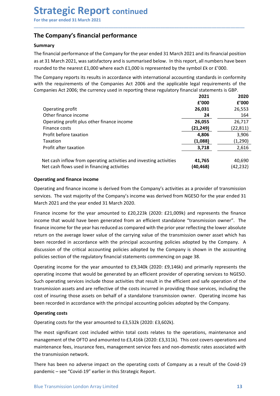### Summary

**Strategic Report continued**<br>For the year ended 31 March 2021<br>The Company's financial performance<br>Summary<br>The financial performance of the Company for the year ended 31 March 2021 and its financial position<br>as at 31 March **Strategic Report continued**<br>
For the year ended 31 March 2021<br> **The Company's financial performance**<br> **Summary**<br>
The financial performance of the Company for the year ended 31 March 2021 and its financial position<br>
as at **Strategic Report continued**<br>For the year ended 31 March 2021<br>The Company's financial performance<br>The financial performance of the Company for the year ended 31 March 2021 and its financial position<br>as at 31 March 2021, wa **Strategic Report continued**<br>
For the year ended 31 March 2021<br> **The Company's financial performance**<br> **Summary**<br>
The financial performance of the Company for the year ended 31 March 2021 and its financial position<br>
as at **Strategic Report continued**<br>
For the year ended 31 March 2021<br> **The Company's financial performance**<br>
Summary<br>
The financial performance of the Company for the year ended 31 March 2021 and its financial position<br>
row as a

| For the year ended 31 March 2021                                                                                                                                                                                                                                                                                                                                                                                                                                                                                                                                                                                                                                                                 |                  |                   |
|--------------------------------------------------------------------------------------------------------------------------------------------------------------------------------------------------------------------------------------------------------------------------------------------------------------------------------------------------------------------------------------------------------------------------------------------------------------------------------------------------------------------------------------------------------------------------------------------------------------------------------------------------------------------------------------------------|------------------|-------------------|
| The Company's financial performance                                                                                                                                                                                                                                                                                                                                                                                                                                                                                                                                                                                                                                                              |                  |                   |
| <b>Summary</b>                                                                                                                                                                                                                                                                                                                                                                                                                                                                                                                                                                                                                                                                                   |                  |                   |
| The financial performance of the Company for the year ended 31 March 2021 and its financial position                                                                                                                                                                                                                                                                                                                                                                                                                                                                                                                                                                                             |                  |                   |
| as at 31 March 2021, was satisfactory and is summarised below. In this report, all numbers have been                                                                                                                                                                                                                                                                                                                                                                                                                                                                                                                                                                                             |                  |                   |
| rounded to the nearest $£1,000$ where each $£1,000$ is represented by the symbol $£k$ or $£'000$ .                                                                                                                                                                                                                                                                                                                                                                                                                                                                                                                                                                                               |                  |                   |
| The Company reports its results in accordance with international accounting standards in conformity<br>with the requirements of the Companies Act 2006 and the applicable legal requirements of the<br>Companies Act 2006; the currency used in reporting these regulatory financial statements is GBP.                                                                                                                                                                                                                                                                                                                                                                                          |                  |                   |
|                                                                                                                                                                                                                                                                                                                                                                                                                                                                                                                                                                                                                                                                                                  | 2021             | 2020              |
|                                                                                                                                                                                                                                                                                                                                                                                                                                                                                                                                                                                                                                                                                                  | £'000            | £'000             |
| Operating profit                                                                                                                                                                                                                                                                                                                                                                                                                                                                                                                                                                                                                                                                                 | 26,031           | 26,553            |
| Other finance income                                                                                                                                                                                                                                                                                                                                                                                                                                                                                                                                                                                                                                                                             | 24               | 164               |
| Operating profit plus other finance income                                                                                                                                                                                                                                                                                                                                                                                                                                                                                                                                                                                                                                                       | 26,055           | 26,717            |
| Finance costs                                                                                                                                                                                                                                                                                                                                                                                                                                                                                                                                                                                                                                                                                    | (21, 249)        | (22, 811)         |
| Profit before taxation                                                                                                                                                                                                                                                                                                                                                                                                                                                                                                                                                                                                                                                                           | 4,806            | 3,906             |
| Taxation<br>Profit after taxation                                                                                                                                                                                                                                                                                                                                                                                                                                                                                                                                                                                                                                                                | (1,088)<br>3,718 | (1, 290)<br>2,616 |
|                                                                                                                                                                                                                                                                                                                                                                                                                                                                                                                                                                                                                                                                                                  |                  |                   |
| Net cash inflow from operating activities and investing activities                                                                                                                                                                                                                                                                                                                                                                                                                                                                                                                                                                                                                               | 41,765           | 40,690            |
| Net cash flows used in financing activities                                                                                                                                                                                                                                                                                                                                                                                                                                                                                                                                                                                                                                                      | (40, 468)        | (42, 232)         |
| <b>Operating and finance income</b>                                                                                                                                                                                                                                                                                                                                                                                                                                                                                                                                                                                                                                                              |                  |                   |
| Operating and finance income is derived from the Company's activities as a provider of transmission<br>services. The vast majority of the Company's income was derived from NGESO for the year ended 31<br>March 2021 and the year ended 31 March 2020.                                                                                                                                                                                                                                                                                                                                                                                                                                          |                  |                   |
| Finance income for the year amounted to £20,223k (2020: £21,009k) and represents the finance<br>income that would have been generated from an efficient standalone "transmission owner". The<br>finance income for the year has reduced as compared with the prior year reflecting the lower absolute<br>return on the average lower value of the carrying value of the transmission owner asset which has<br>been recorded in accordance with the principal accounting policies adopted by the Company. A<br>discussion of the critical accounting policies adopted by the Company is shown in the accounting<br>policies section of the regulatory financial statements commencing on page 38. |                  |                   |

Finance costs<br>
Front before taxation<br>
Taxation<br>
Taxation<br>
Taxation<br>
For the detation<br>
Porfit after taxation<br>
Net cash inflow from operating activities and investing activities<br>
(a0.468)<br>
Net cash flows used in financing a Profit before taxation **4,806**<br>
Traxition  $\frac{4,806}{3,908}$ <br>
Totis after taxation  $\frac{1,0888}{2,616}$ <br>
Net cash inflow from operating activities and investing activities  $\frac{4,765}{40,468}$   $\frac{2,616}{42,232}$ <br>
Operating and Taxation<br>
Profit after taxation<br>
Net cash findow from operating activities and investing activities<br>
(a0,468) (42,232)<br>
Operating and finance income<br>
Dereating and finance income<br>
Dereating and finance income<br>
Secreting a The matter that the moment in the station of the station of the contains and investing activities and financial particles and finance income the stars of the year amounted to the year amounted to the Company's activities a Net cash inflow from operating activities and investing activities **41,765** 40,690<br>
Operating and finance income is derived from the Company's activities as a provider of transmission<br>
Operating and finance income is deriv Net cash flows used in financing activities (40,468) (42,232)<br>
Operating and finance income is derived from the Company's activities as a provider of transmission<br>
services. The vast majority of the Company's income was d **Operating and finance income**<br>Operating and finance income is derived from the Company's activities as a provider of transmission<br>services. The vast majority of the Company's income was derived from NGESO for the year end **Operating and finance income**<br>
coperating and finance income is derived from the Company's activities as a provider of transmission<br>
Derevires. The vast ranjority of the Company's income was derived from NGESO for the yea Operating and finance income is derived from the Company's activities as a provider of transmission services. The wast majority of the Company's income was derived from NGESO for the year ended 31 March 2020.<br>
March 2021 a services. The vast majority of the Company's income was derived from NGESO for th<br>March 2021 and the year ended 31 March 2020.<br>
Finance income for the year amounted to £20,223k (2020: £21,009k) and represent<br>
income that w mucuri current unity evant unity currence arrowing trace and interact costs for the year amounted to £20,223k (2020: £21,009k) and represents the finance income for the year amounted to £20,223k (2020: £21,009k) and repres mincme that would have been generated from an efficient standalone "transmission owner". The finance income for the year has reduced as compared with the prior year reflecting the lower absolute of the compare over value o

operating income that would be generated by an efficient provider of operating services to NGESO.<br>Such operating services include those activities that result in the efficient and safe operation of the<br>transmission assets misment end wour locating the metallical moniture in current standarolic communismon womer. This there absolute return on the average lower value of the carrying value of the transmission owner asset which has been recorde mance meant of the correlation and management with the principal comparison owner asset which has been recorded in accordance with the principal accounting policies adopted by the Company. A discussion of the errital accou Exernioristics incording to the control of the principal accounting policies adopted by the Control control control control control control control control control control control control control control control of the reg discussion of the critical accounting policies adopted by the Company is shown in the accounting<br>policies section of the regalatory financial statements commencing on page 38.<br>Operating income for the year amounted to £9,3 policies section of the regulatory financial statements commencing on page 38.<br>Operating income for the year amounted to £9,340k (2020: £9,146k) and primarily represents the<br>operating income that would be generated by an e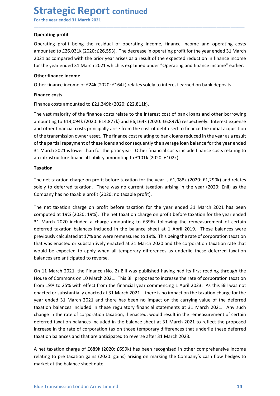**Strategic Report continued**<br>
For the year ended 31 March 2021<br>
Operating profit<br>
Operating profit being the residual of operating income, finance income and operating Strategic Report continued<br>
For the year ended 31 March 2021<br>
Operating profit<br>
Operating profit being the residual of operating income, finance income and operating costs<br>
amounted to £26,031k (2020: £26,553). The decreas **Strategic Report continued**<br>For the year ended 31 March 2021<br>Operating profit<br>Operating profit being the residual of operating income, finance income and<br>amounted to £26,031k (2020: £26,553). The decrease in operating pro **Strategic Report continued**<br>For the year ended 31 March 2021<br>Operating profit<br>Operating profit being the residual of operating income, finance income and operating costs<br>amounted to £26,031k (2020: £26,553). The decrease **Strategic Report continued**<br>For the year ended 31 March 2021<br>Operating profit<br>Operating profit<br>amounted to £26,031k (2020: £26,553). The decrease in operating profit for the year ended 31 March<br>2021 as compared with the p **Strategic Report continued**<br>
For the year ended 31 March 2021<br> **Operating profit**<br>
Operating profit being the residual of operating income, finance income and operating costs<br>
amounted to £26,031k (2020: £26,553). The dec **Strategic Report continued**<br>For the year ended 31 March 2021<br>Operating profit<br>amounted to £26,031k (2020:£26,553). The decrease in operating profit for the year ended 31 March<br>2021 as compared with the prior year arises a **Strategic Report continued**<br>For the year ended 31 March 2021<br>Operating profit<br>Operating profit<br>Operating profit<br>and the residual of operating income, finance income and op<br>amounted to £26,031k (2020:£26,553). The decrease **Strategic Report continued**<br>
For the year ended 31 March 2021<br> **Operating profit**<br>
Operating profit<br>
Operating profit<br>
Aperating to fit<br>
amounted to £26,031k (2020: £26,553). The decrease in operating profit for the year **Strategic Report continued**<br>For the year ended 31 March 2021<br> **Operating profit**<br>
Operating profit<br>
Operating profit<br>
Operating profit<br>
Operating profit<br>
operating profit<br>
amounted to  $\epsilon$ 26,031k (2020:  $\epsilon$ 26,553). The

\_\_\_\_\_\_\_\_\_\_\_\_\_\_\_\_\_\_\_\_\_\_\_\_\_\_\_\_\_\_\_\_\_\_\_\_\_\_\_\_\_\_\_\_\_\_\_\_\_\_\_\_\_\_\_\_\_\_\_\_\_\_\_\_\_\_\_\_\_\_\_\_\_\_\_\_\_\_\_\_\_\_\_\_\_\_\_\_\_\_

**Strategic Report continued**<br>For the year ended 31 March 2021<br>Operating profit<br>Operating profit<br>defines a mounted to £26,031k (2020: £26,553). The decrease in operating profit for the year ended 31 Mai<br>2021 as compared wit **Strategic Report continued**<br>
The vear ended 31 March 2021<br> **Operating profit**<br>
Operating profit<br>
Operating profit<br>
Consider to 25,031k (2020: E26,553). The decrease in operating profit for the year ended 31 March<br>
2021 as **Strategic Report continued**<br>For the year ended 31 March 2021<br>Operating profit<br>converting to form the residual of operating income, finance income and operating costs<br>amounted to £26,031k (2020: £26,553). The decrease in o **BUT CHE PUT CONTINUED**<br> **Operating profit**<br> **Operating profit**<br> **Operating profit**<br> **Operating costs**<br> **Choology** arise from the prior year arises as a result of the expected reduction in finance income<br> **2021** as compare For the year ended 31 March 2021<br>
Operating profit<br>
Operating profit<br>
Operating profit<br>
Operating profit<br>
aromounted to £26,031k (2020:£26,553). The decrease in operating profit for the year ended 31 March<br>
2021 as compare **Operating profit**<br> **Operating profit** being the residual of operating income, finance income and operating costs<br>
amounted to £26,031k (2020:£26,553). The decrease in operating profit for the year ended 31 March<br>
2021 as Operating profit<br>
Operating profit being the residual of operating income, finance income and operating costs<br>
2021 as compared with the prior year arises as a result of the expected reduction in finance income<br>
2021 as co Operating profit being the residual of operating income, finance income and operating costs<br>amounted to E26,031k (2020: £16,553). The decrease in operating profit for the year ended 31 March<br>2021 as compared with the prior for the year ended 31 March 2021 which is explained under "Operating and finance income" earlier.<br>
Other finance income<br>
Other finance income of £24k (2020: £164k) relates solely to interest carned on bank deposits.<br>
Finan Other finance income<br>
Other finance costs<br>
Finance costs<br>
Finance costs<br>
Finance costs<br>
Finance costs<br>
Finance costs<br>
Finance costs<br>
amounting to  $\pm 1.4248$ <br>
(2020: £12,429k (2020: £22,811k).<br>
The vast majority of the fin Other finance intome<br>
Finance income of £24k (2020: £164k) relates solely to interest earned on bank deposits.<br>
Finance costs<br>
Finance costs amounted to £21,249k (2020: £22,811k).<br>
The vast majority of the finance costs re Finance costs<br>
Finance costs amounted to £21,249k (2020: £22,811k).<br>
The vast majority of the finance costs relate to the interest cost of bank loans and other borrowing<br>
amounting to £14,094k (2020: £14,877k) and £6,164k Finance costs amounted to £21,249k (2020: £22,811k).<br>
Finance costs amounted to £21,249k (2020: £14,877k) and £6,164k (2020: £6,897k) respectively. Interest expense<br>
amounting to £14,094k (2020: £14,877k) and £6,164k (2020

### Taxation

Finance costs amounted to £21,249k (2020: £22,311k).<br>The wast majority of the finance costs relate to the interest cost of bank loans and other borrowing<br>amounting to £14,094k (2020: £14,877k) and £6,164k (2020: £6,897k) The vast majority of the finance costs relate to the interest cost of bank loans and other borrowing<br>amounting to £14,094k (2020: £14,877k) and £6,164k (2020: £6,897k) respectively. Interest expense<br>and other financial cos amounting to £14,094k (2020: £14,877k) and £6,164k (2020: £6,897k) respectively. Interest expense<br>and other financial costs principally arise from the cost of debt used to finance the initial acquisition<br>of the transmissio and other financial costs principally arise from the cost of debt used to finance the initial acquisition<br>of the transmission owen asset. The finance cost relating to bank loans reduced in the year as a result<br>of the parti of the transmission owner asset. The finance cost relating to bank loans reduced in the year as a result<br>of the partial repayment of these loans and consequently the average loan balance for the year ended<br>of the partial r of the partial repayment of these loans and consequently the average loan balance for the year ended<br>31 March 2021 is lower than for the prior year. Other financial costs include finance costs relating to<br>an infrastructure an infrastructure financial liability amounting to £101k (2020: £102k).<br>
Taxation<br>
The net taxation charge on profit before taxation for the year is £1,088k (2020: £1,290k) and relates<br>
solely to deferred taxation. There w Taxation<br>The net taxation charge on profit before taxation for the year is £1,088k (2020: £1,290k) and relates<br>solely to deferred taxation. There was no current taxation arising in the year (2020: £nil) as the<br>Company has **Iaxation**<br>The net taxation charge on profit before taxation for the year is £1,088k (2020: £1,290k) and relates<br>solely to deferred taxation. There was no current taxation arising in the year (2020: £mil) as the<br>Scompany h

On 11 March 2021, the Finance (No. 2) Bill was published having had its first reading through the<br>House of Commons on 10 March 2021. This Bill proposes to increase the rate of corporation taxation<br>House of Commons on 10 Ma The net taxation charge on profit before taxation for the year is £1,088k (2020: £1,290k) and relates<br>solely to deferred taxation. There was no current taxation arising in the year (2020: £nil) as the<br>Company has no taxabl solely to deferred taxation. There was no current taxation arising in the year (2020: Enil) as the Company has no taxable profit (2020: no taxable profit).<br>The net taxation charge on profit before taxation for the year end Company has no taxable profit (2020: no taxable profit).<br>The net taxation charge on profit before taxation for the year ended 31 March 2021 has been<br>computed at 19% (2020: 19%). The net taxation charge on profit before tax The net taxation charge on profit before taxation for the year ended 31 March 2021 has been<br>computed at 19% (2020: 19%). The net taxation charge on profit before taxation for the year ended<br>31 March 2020 included a charge The net taxation charge on profit before taxation for the year ended 31 March 2021 has been<br>computed at 19% (2020: 19%). The net taxation charge on profit before taxation for the year ended<br>31 March 2020 included a charge computed at 19% (2020: 19%). The net taxation charge on profit before taxation for the year ended<br>31 March 2020 included a charge amounting to E396k following the remeasurement of certain<br>deferred taxation balances include 31 March 2020 included a charge amounting to £396k following the remeasurement of certain<br>deferred taxation balances included in the balance sheet a t 1 April 2013. These balances were<br>previously calculated at 17% and wer previously calculated at 17% and were remeasured to 19%. This being the rate of corporation taxation that was enacted or substantively enacted at 31 March 2020 and the corporation taxation rate that that was enacted or sub relatively emacted or substantively emacted at 31 March 2020 and the corporation taxation rate that would be expected to apply when all temporary differences as underlie these deferred taxation balances are anticipated to would be expected to apply when all temporary differences as underlie these deferred taxation<br>balances are anticipated to reverse.<br>On 11 March 2021, the Finance (No. 2) Bill was published having had its first reading throu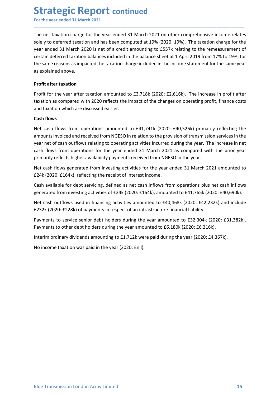Strategic Report continued<br>
For the year ended 31 March 2021<br>
The net taxation charge for the year ended 31 March 2021 on other comprehensive income<br>
solely to deferred taxation and has been computed at 19% (2020: 19%). Th **Strategic Report continued**<br>For the year ended 31 March 2021<br>The net taxation charge for the year ended 31 March 2021 on other comprehensive income relates<br>solely to deferred taxation and has been computed at 19% (2020: 1 **Strategic Report continued**<br>For the year ended 31 March 2021<br>The net taxation charge for the year ended 31 March 2021 on other comprehensive income relates<br>solely to deferred taxation and has been computed at 19% (2020: 1 **Strategic Report continued**<br>For the year ended 31 March 2021<br>The net taxation charge for the year ended 31 March 2021 on other comprehensive income relates<br>solely to deferred taxation and has been computed at 19% (2020: 1 **Strategic Report continued**<br>For the year ended 31 March 2021<br>The net taxation charge for the year ended 31 March 2021 on other comprehensive income relates<br>solely to deferred taxation and has been computed at 19% (2020: 1 **Strategic Report continued**<br>For the year ended 31 March 2021<br>The net taxation charge for the year ended 31 March 2021 on other comprehensive income relates<br>solely to deferred taxation and has been computed at 19% (2020: 1 **Strategic Report continued**<br>For the year ended 31 March 2021<br>The net taxation charge for the year ended 31 March 2021 on other comprehensive income relates<br>solely to deferred taxation and has been computed at 19% (2020: 1 **Strategic Report continued**<br>For the year ended 31 March 2021<br>The net taxation charge for the year ended 31 March 2021 on other comprehensive<br>solely to deferred taxation and has been computed at 19% (2020: 19%). The taxati **Strategic Report continued**<br>For the year ended 31 March 2021<br>The net taxation charge for the year ended 31 March 2021 on other comprehensive<br>solely to deferred taxation and has been computed at 19% (2020: 19%). The taxati **Strategic Report continued**<br>For the year ended 31 March 2021<br>The net taxation charge for the year ended 31 March 2021 on other comprehensive income relates<br>solely to deferred taxation and has been computed at 19% (2020: 1 **Strategic Report continued**<br>The net taxation charge for the year ended 31 March 2021 on other comprehensive income relates<br>Solely to deferred taxation and has been computed at 19% (2020: 19%). The taxation charge for the<br> **Strategic Report continued**<br>For the year ended 31 March 2021<br>The net taxation charge for the year ended 31 March 2021 on other comprehensive income relates<br>solely to deferred taxation and has been computed at 19% (2020: 1 **Strategic Report continued**<br>For the year ended 31 March 2021<br>The net taxation charge for the year ended 31 March 2021 on other comprehense<br>solely to deferred taxation and has been computed at 19% (2020: 19%). The tyear en **SLT GLUBJIC REPOTL CONTINUEG**<br>The net taxation charge for the year ended 31 March 2021 on other comprehensive income relates<br>Solely to deferred taxation and has been computed at 19% (2020: 19%). The taxation charge for th For the year ended 31 March 2021<br>
The net taxation charge for the year ended 31 March 2021 on other comprehensive income relates<br>
solely to deferred taxation and has been computed at 19% (2020: 19%). The taxation charge fo The net taxation charge for the year ended 31 March 2021 on other comprehensive income relates<br>solely to deferred taxation and has been computed at 19% (2020: 19%). The taxation charge for the<br>year ended 31 March 2020 is n The net taxation charge for the year ended 31 March 2021 on other comprehensive income relates<br>solely to deferred taxtion and has been computed at 19% (2020: 19%). The taxtion charge for the<br>year ended 31 March 2020 is net solely to deferred taxation and has been computed at 19% (2020: 19%). The taxation charge for the<br>year ended 31 March 2020 is net of a credit amounting to £557x relation deferred taxation balances included in the balance s

\_\_\_\_\_\_\_\_\_\_\_\_\_\_\_\_\_\_\_\_\_\_\_\_\_\_\_\_\_\_\_\_\_\_\_\_\_\_\_\_\_\_\_\_\_\_\_\_\_\_\_\_\_\_\_\_\_\_\_\_\_\_\_\_\_\_\_\_\_\_\_\_\_\_\_\_\_\_\_\_\_\_\_\_\_\_\_\_\_\_

year enters as transmission serverated from investing to the temesare through the same reasons as impacted the taxation charge included in the income statement for the same year as explained above.<br> **Profit after taxation** Everall userelity candation brainters included in the brainter silect at 1 Aplin 2013 Holm 17% to 13%, rot<br>the same reasons as impacted the taxation charge included in the income statement for the same year<br>**Profit after t** as explained above.<br> **Profit after taxation**<br> **Profit after taxation**<br> **Profit for the year after taxation amounted to £3,718k (2020: £2,616k). The increase in profit after<br>
<b>Cash flows**<br> **Cash flows**<br> **Cash flows**<br> **Cash Profit after taxation**<br>**Profit for the year after taxation amounted to £3,718k (2020: £2,616k).** The increase in profit after<br>taxation as compared with 2020 reflects the impact of the changes on operating profit, finance **From aries teadator**<br> **Profit for the year after taxation amounted to £3,718k (2020: £2,616k). The increase in profit after trakation as compared with 2020 reflects the impact of the changes on operating profit, finance** Profit for the year after taxation amounted to £3,718k (2020: £2,616k). The increase in profit after taxation as compared with 2020 reflects the impact of the changes on operating profit, finance costs taxation which are d axaator as compared with zozo renets the mipsect of the changes of operating pront, mance costs<br> **Cash flows**<br> **Cash flows**<br> **Ret cash flows** from operations amounted to £41,741k (2020: £40,526k) primarily reflecting the<br> chash flows<br>
Cash flows from operations amounted to £41,741k (2020: £40,526k) primarily reflecting the<br>
Net cash flows from operations amounted to £41,741k (2020: £40,526k) primarily reflecting the<br>
pramounts invoiced and Least nows<br>
Net cash flows from operations amounted to £41,741k (2020: £40,526k) primarily reflecting the<br>
Ner amounts invoiced and received from NGESO in relation to the provision of transmission services in the<br>
year net Net cast in lows in only belations almoutined to the 1/4-14 (2020, the 1/2020, through principly energy and the year net of cash outflows relating to operating activities incurred during the year. The increase in net year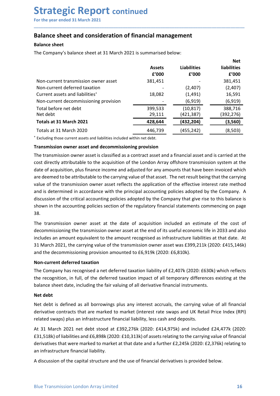## Strategic Report continued<br>
For the year ended 31 March 2021<br>
Balance sheet and consideration of financial management<br>
Balance sheet **Strategic Report continued**<br>
For the year ended 31 March 2021<br> **Balance sheet and consideration of financial management**<br> **Balance sheet**<br>
The Company's balance sheet at 31 March 2021 is summarised below:

| <b>Strategic Report continued</b><br>For the year ended 31 March 2021<br><b>Balance sheet and consideration of financial management</b>                                                                                                                                                                                                                                                                                                                                                                                                                                                                                                                                                                                                                                                                                                                                                                                                                                                                           |                              |                                       |                                          |
|-------------------------------------------------------------------------------------------------------------------------------------------------------------------------------------------------------------------------------------------------------------------------------------------------------------------------------------------------------------------------------------------------------------------------------------------------------------------------------------------------------------------------------------------------------------------------------------------------------------------------------------------------------------------------------------------------------------------------------------------------------------------------------------------------------------------------------------------------------------------------------------------------------------------------------------------------------------------------------------------------------------------|------------------------------|---------------------------------------|------------------------------------------|
|                                                                                                                                                                                                                                                                                                                                                                                                                                                                                                                                                                                                                                                                                                                                                                                                                                                                                                                                                                                                                   |                              |                                       |                                          |
| <b>Balance sheet</b>                                                                                                                                                                                                                                                                                                                                                                                                                                                                                                                                                                                                                                                                                                                                                                                                                                                                                                                                                                                              |                              |                                       |                                          |
| The Company's balance sheet at 31 March 2021 is summarised below:                                                                                                                                                                                                                                                                                                                                                                                                                                                                                                                                                                                                                                                                                                                                                                                                                                                                                                                                                 |                              |                                       |                                          |
|                                                                                                                                                                                                                                                                                                                                                                                                                                                                                                                                                                                                                                                                                                                                                                                                                                                                                                                                                                                                                   | <b>Assets</b><br>f'000       | <b>Liabilities</b><br>f'000           | <b>Net</b><br>liabilities<br>f'000       |
| Non-current transmission owner asset<br>Non-current deferred taxation<br>Current assets and liabilities <sup>+</sup><br>Non-current decommissioning provision                                                                                                                                                                                                                                                                                                                                                                                                                                                                                                                                                                                                                                                                                                                                                                                                                                                     | 381,451<br>18,082            | (2,407)<br>(1, 491)<br>(6, 919)       | 381,451<br>(2,407)<br>16,591<br>(6, 919) |
| Total before net debt<br>Net debt<br>Totals at 31 March 2021                                                                                                                                                                                                                                                                                                                                                                                                                                                                                                                                                                                                                                                                                                                                                                                                                                                                                                                                                      | 399,533<br>29,111<br>428,644 | (10, 817)<br>(421, 387)<br>(432, 204) | 388,716<br>(392, 276)<br>(3,560)         |
| Totals at 31 March 2020                                                                                                                                                                                                                                                                                                                                                                                                                                                                                                                                                                                                                                                                                                                                                                                                                                                                                                                                                                                           | 446,739                      | (455, 242)                            | (8,503)                                  |
| Excluding those current assets and liabilities included within net debt.<br>Transmission owner asset and decommissioning provision<br>The transmission owner asset is classified as a contract asset and a financial asset and is carried at the<br>cost directly attributable to the acquisition of the London Array offshore transmission system at the<br>date of acquisition, plus finance income and adjusted for any amounts that have been invoiced which<br>are deemed to be attributable to the carrying value of that asset. The net result being that the carrying<br>value of the transmission owner asset reflects the application of the effective interest rate method<br>and is determined in accordance with the principal accounting policies adopted by the Company. A<br>discussion of the critical accounting policies adopted by the Company that give rise to this balance is<br>shown in the accounting policies section of the regulatory financial statements commencing on page<br>38. |                              |                                       |                                          |

Non-current transmission owner asset<br> **EVOOD** COMP COMP COMP CALC 381,451<br>
CALC CHEC accordance asset and liabilities<sup>1</sup> to the Company of the Company of the Company of the Company of the determined in accordance with the Non-current transmission owner asset<br>
Non-current deferred taxation (2,407) (2,407)<br>
Current assets and liabilities<sup>\*</sup> 18,082 (1,491) 16,591<br>
Total before net deth<br>
Total action experimed decommissioning provision (6,919) Non-current determination of the statement of the regulator of the regulator of the regulator of the regulator of the regulator of the regulator of the regulator of the regulator of the regulator of the regulator of the c 38. Total before net debt<br>
Net debt<br>
Totals at 31 March 2021<br>
Totals at 31 March 2021<br>
Totals at 31 March 2020<br>
Totals at 31 March 2020<br>
Totals at 31 March 2020<br>
Totals at 31 March 2020<br>
Totals at 31 March 2020<br>
Totals at 31 Net debt<br>
Totals at 31 March 2021<br>
Totals at 31 March 2020<br>
Totals at 31 March 2020<br>
Totals at 31 March 2020<br>
Textuding those current assets and liabilities included within net debt.<br> **Transmission owner asset and decommi Totals at 31 March 2021 COLUME 12020 COLUME 12020 COLUME 12021 COLUME 12021 COLUME 12021 COLUME 12020 COLUME 146,739 COLUME 12020 COLUME 12020 COLUME 12020 COLUME 12020 COLUME 12021 COLUME 12021** Totals at 31 March 2020<br>
<sup>1</sup>Excluding those current assets and liabilities included within net debt.<br> **The ransmission owere asset and decommissioning provision**<br> **The transmission owere asset is classified as a contract** <sup>1</sup> Excluding those current assets and liabilities included within net debt.<br> **Transmission owner asset is clossified** as a contract asset and diffinancial asset and is carried at the<br>
The transmission sover asset is clos **Transmission owner asset and decommissioning provision**<br>The transmission owner asset is classified as a contract asset and a financial asset and is carried a<br>cost directly atributable to the acquisition of the London Arr The transmission owner asset is classified as a contract asset and a financial asset and is carried at the cost directly atributable to the acquisition of the London Array offshore transmission system at the date of acquis cost directly attributable to the acquisition of the London Array offshore transmission system at the<br>date of acquisition, plus finance income and adjusted for any amounts that have been invoiced which<br>are deemed to be att date of acquisition, plus finance income and adjusted for any amounts that have been invoiced which<br>are deemed to be attributable to the carrying value of that asset. The net result being that the carrying<br>value of the tra are deemed to be attributable to the carrying value of that asset. The interestical<br>value of the transmission owner asset reflects the application of the effectivand is determined in accordance with the principal accountin

and is determined in accordance with the principal accounting policies adopted by the Company. A discussion of the ritical accounting policies adopted by the Company that give rise to this balance is shown in the accountin discussion of the critical accounting policies adopted by the Company that give rise to this balance is<br>shown in the accounting policies section of the regulatory financial statements commencing on page<br>38.<br>The transmissio shown in the accounting policies section of the regulatory financial statements commencing on page<br>38.<br>The transmission owner asset at the date of acquisition included an estimate of the cost of<br>decommissioning the transmi 38.<br>
The transmission owner asset at the date of acquisition included an estimate of the cost of<br>
decommissioning the transmission owner asset at the end of its useful economic life in 2033 and also<br>
includes an amount equ The transmission owner asset at the date of acquisition included an estimate of the cost of<br>elecommissioning the transmission owner asset at the end of its useful economic life in 2033 and also<br>includes an amount equivalen decommissioning the transmission owner asset at the end of its useful economic life in 2033 and also<br>includes an amount equivalent to the amount recognised as infrastructure liabilities at that date. At<br>includes an amount

The Company has recognised a net deferred taxation liability of  $\pounds$ 2,407k (2020:  $\pounds$ 630k) which reflects<br>the recognition, in full, of the deferred taxation impact of all temporary differences existing at the<br>balance s includes an amount equivalent to the amount recognised as infrastructure liabilities at that date. A<br>
31 March 2021, the carrying value of the transmission owner asset was £399,211k (2020: £415,146i<br>
and the decommissionin 31 March 2021, the carrying value of the transmission owner asset was £399,211k (2020: £4.15,146k)<br>
No No-current deferred daxation<br>
No-current deferred daxation<br>
No-current deferred taxation illustriky of £2,407k (2020: £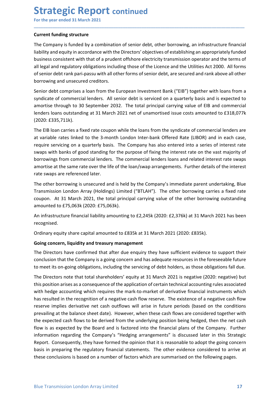**Strategic Report continued**<br>
For the year ended 31 March 2021<br>
Current funding structure<br>
The Company is funded by a combination of senior debt, other borrowing, an infrastructure fi Strategic Report continued<br>
For the year ended 31 March 2021<br>
Current funding structure<br>
The Company is funded by a combination of senior debt, other borrowing, an infrastructure financia<br>
liability and equity in accordanc **Strategic Report continued**<br>For the year ended 31 March 2021<br>Current funding structure<br>The Company is funded by a combination of senior debt, other borrowing, an infrastructu<br>liability and equity in accordance with the Di **Strategic Report continued**<br>For the year ended 31 March 2021<br>Current funding structure<br>The Company is funded by a combination of senior debt, other borrowing, an infrastructure financial<br>liability and equity in accordance **Strategic Report continued**<br>For the year ended 31 March 2021<br>The Company is funded by a combination of senior debt, other borrowing, an infrastructure financial<br>liability and equity in accordance with the Directors' objec **Strategic Report continued**<br>For the year ended 31 March 2021<br>Current funding structure<br>The Company is funded by a combination of senior debt, other borrowing, an infrastructure financial<br>liability and equity in accordance **Strategic Report continued**<br>
For the year ended 31 March 2021<br> **Current funding structure**<br>
The Company is funded by a combination of senior debt, other borrowing, an infrastructure financial<br>
liability and equity in acco **Strategic Report continued**<br>For the year ended 31 March 2021<br>The Company is funded by a combination of senior debt, other borrowing, an infrastructure financial<br>liability and equity in accordance with the Directors' objec **Strategic Report continued**<br>For the year ended 31 March 2021<br>Current funding structure<br>The Company is funded by a combination of senior debt, other borrowing, an infrastructure financial<br>ilability and equity in accordance **Strategic Report continued**<br>For the year ended 31 March 2021<br>Turrent funding structure<br>The Company is funded by a combination of senior debt, other borrowing, an infrastructure financial<br>Ilability and equity in accordance **Strategic Report continued**<br>For the year ended 31 March 2021<br>Current funding structure<br>The Company is funded by a combination of senior debt, other borrowing, an infrastructure financial<br>liability and equity in accordance **Strategic Report continued**<br>
For the year ended 31 March 2021<br> **Current funding structure**<br>
The Company is funded by a combination of senior debt, other borrowing, an infrastructure financial<br>
Ilability and equiviy in acc **Strategic Report continued**<br>
For the year ended 31 March 2021<br>
Current funding structure<br>
The Company is funded by a combination of senior debt, other borrowing, an infrastructure financial<br>
ilability and equity in accord **Solid Control in the Control of the Solicity of Control and The Control and The Control and The Control and The Control and The Control and The Control and The Control and The United business consistent with that of a pru** 

\_\_\_\_\_\_\_\_\_\_\_\_\_\_\_\_\_\_\_\_\_\_\_\_\_\_\_\_\_\_\_\_\_\_\_\_\_\_\_\_\_\_\_\_\_\_\_\_\_\_\_\_\_\_\_\_\_\_\_\_\_\_\_\_\_\_\_\_\_\_\_\_\_\_\_\_\_\_\_\_\_\_\_\_\_\_\_\_\_\_

(2020: £335,711k).

For the year ended 31 March 2021<br>
Current funding structure<br>
The Company is funded by a combination of senior debt, other borrowing, an infrastructure financial<br>
liability and equity in accordance with the Directors' objec Current funding structure<br>The Company is funded by a combination of senior debt, other borrowing, an infrastructure financial<br>liability and equity in accordance with the Directors' objectives of establishing an appropriate Current tunding structure<br>
The Company is funded by a combination of senior debt, other borrowing, an infrastructure financial<br>
The Company is funded by a combination of senior debt, there borrowing, an appropriately funde The Company is funded by a combination of senior debt, other borrowing, an infrastructure financial liability and equity in accordance with the Directors' objectives of establishing an appropriately funded businest consist liability and equity in accordance with the Directors' objectives of establishing an appropriately funded<br>business consistent with that of a prudent offshore electricity transmission operator and the terms of<br>samic of sell business consistent with that of a prudent offshore electricity transmission operator and the terms call legal and regulatory obligations including those of the Licence and the Utilities Act 2000. All form<br>of senior debt r all legal and regulatory obligations including those of the Licence and the Utilities Act 2000. All forms<br>of senior debt cank pari-passu with all other forms of senior debt, are secured and rank above all other<br>borrowing a of senior debt rank pari-passu with all other forms of senior debt, are secured and rank above all other<br>oborrowing and unsecured creditors.<br>Senior debt comprises a loan from the European Investment Bank ("EIB") together w borrowing and unsecured creditors.<br>
Syndicate of commercial lenders. All senior debt is serviced on a quarterly basis and is expected to<br>
anyndicate of commercial lenders. All senior debt is serviced on a quarterly basis a Senior debt comprises a loan from the European Investment Bank ("EIB") together v<br>syndicate of commercial lenders. All senior debt is serviced on a quarterly basis ar<br>amortise through to 30 September 2032. The total princi syndicate of commercial lenares. All senior debt is serviced on a quarterly basis and is expected to<br>amortise through to 30 September 2032. The total principal carrying value of EIB and commercial<br>lenders loans outstanding (2020: £335,711k).<br>The EIB loan carries a fixed rate coupon while the loans from the syndicate of commercial lenders are<br>at variable rates linked to the 3-month London Inter-bank Offered Rate (LIBOR) and in each case,<br>ereq The EIB loan carries a fixed rate coupon while the loans from the syndicate of commercial lenders are<br>at variable rates linked to the 3-month London Inter-bank Offered Rate (LIBOR) and in each case,<br>equive eservicing on a at variable rates linked to the 3-month London Inter-bank Offered Rate (LIBOR) and in each case,<br>require servicing on a quarterly basis. The Company has also entered into a series of interest rate<br>swaps with banks of good require servicing on a quarterly basis. The Company has also entered into a series of interest rate<br>swaps with banks of good standing for the purpose of fixing the interest rate on the vast majority of<br>borrowings from comm swaps with banks of good standing for the purpose of fixing the interest rate on the vast majority of<br>bororowings from commercial lenders. The commercial lenders loans and related interest rate swaps<br>amortise at the same r

recognised.

Blue Transmission London Array Limited<br>Blue Transmission London Array Limited and March 2021 is negative Clong this term of the Directors note that both the position arises as a consequence of the application of certain te norrowings Trom commercial lenders. In e commercial lenders loans and related interest rate swaps<br>amortise at the same rate over the life of the loan/swap arrangements. Further details of the interest<br>rate swaps are refere amortise at the same rate over the list of the loan/swap arrangements. Further details of the interest<br>The other borrowing is unsecured and is held by the Company's immediate parent undertaking, Blue<br>Transmission London Ar rate swaps are reterenced tater.<br>Transmission London Array (Holdings) Limited ("BTLAH"). The other borrowing carries a fixed rate<br>Transmission London Array (Holdings) Limited ("BTLAH"). The other borrowing carries a fixed The other borrowing is unsecured and is held by the Company's immediate parent undertaking, Blue<br>Transmission London Array (Holdings) limited ("BTLAH"). The other borrowing carries a fixed rate<br>coupon. At 31 March 2021, th Transmission London Array (Holdings) Limited ("BTLAH"). The other borrowing carries a fixed rate coupon. At 31 March 2021, the total principal carrying value of the other borrowing outstanding canounted to £75,063k (2020: coupon. At 31 March 2021, the total principal carrying value of the other borrowing outstanding<br>amounted to £75,063k (2020: £75,063k).<br>An infrastructure financial liability amounting to £2,245k (2020: £2,376k) at 31 March amounted to £75,063k (2020: £75,063k).<br>An infrastructure financial liability amounting to £2,245k (2020: £2,376k) at 31 March 2021 has been<br>recognised.<br>Ordinary equity share capital amounted to £835k at 31 March 2021 (2020 An infrastructure financial liability amounting to £2,245k (2020: £2,376k) at 31 March 2021 has been recognised.<br>Ordinary equity share capital amounted to £835k at 31 March 2021 (2020: £835k).<br>**Going concern, liquidity and** Friedly and the manned indomly shownthing to  $L223-2\pi$  ( $L2623-22\pi$ ) ( $L2623-22\pi$ )) or  $3\pi$  but an alterator of Company and the Company is a going concern and has adequate resources in the foreseeable future Company is ecognine...<br>
Groinary equity share capital amounted to £835k at 31 March 2021 (2020:£635k).<br>
Groing concern, liquidity and treasury management<br>
The Directors have confirmed that after due enquiry they have sufficient evide Ordinary equity share capital amounted to £835k at 31 March 2021 (2020: £835k).<br> **Going concern, liquidity and treasury management**<br>
The Directors have confirmed that after due enquiry they have sufficient evidence to supp **Going concern, liquidity and treasury management**<br>The Directors have confirmed that after due enquiry they have sufficient evidence to support their<br>conclusion that the Company is a going concern and has adequate resource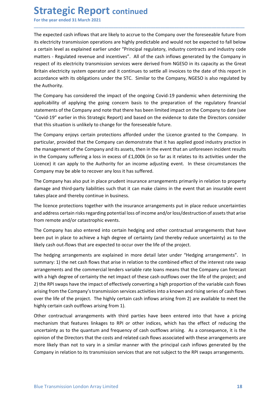**Strategic Report continued**<br>
For the year ended 31 March 2021<br>
The expected cash inflows that are likely to accrue to the Company over the foreseeable futur<br>
its electricity transmission operations are highly predictable **Strategic Report continued**<br>For the year ended 31 March 2021<br>The expected cash inflows that are likely to accrue to the Company over the foreseeable future from<br>its electricity transmission operations are highly predictab **Strategic Report continued**<br>For the year ended 31 March 2021<br>The expected cash inflows that are likely to accrue to the Company over the foreseeable future from<br>its electricity transmission operations are highly predictab **Strategic Report continued**<br>For the year ended 31 March 2021<br>The expected cash inflows that are likely to accrue to the Company over the foreseeable future from<br>its electricity transmission operations are highly predictab **Strategic Report continued**<br>For the year ended 31 March 2021<br>The expected cash inflows that are likely to accrue to the Company over the foreseeable future from<br>its electricity transmission operations are highly predictab **Strategic Report continued**<br>For the year ended 31 March 2021<br>The expected cash inflows that are likely to accrue to the Company over the foreseeable future from<br>its electricity transmission operations are highly predictab **Strategic Report continued**<br>For the year ended 31 March 2021<br>The expected cash inflows that are likely to accrue to the Company over the foreseeable future from<br>its electricity transmission operations are highly predictab **Strategic Report continued**<br>For the year ended 31 March 2021<br>The expected cash inflows that are likely to accrue to the Company over the foreseeable future from<br>Its electricity transmission operations are highly predictab **Strategic Report continued**<br>For the year ended 31 March 2021<br>The expected cash inflows that are likely to accrue to the Company over the foreseeable future from<br>its electricity transmission operations are highly predictab **Strategic Report continued**<br>For the year ended 31 March 2021<br>The expected cash inflows that are likely to accrue to the Company over the its electricity transmission operations are highly predictable and would not b<br>a cer **Strategic Report continued**<br>For the year ended 31 March 2021<br>The expected cash inflows that are likely to accrue to the Company over the foreseeable future from<br>its electricity transmission operations are highly predictab **Strategic Report continued**<br>The expected cash inflows that are likely to accrue to the Company over the foreseeable future from<br>The expected cash inflows that are likely to accrue to the Company over the foreseeable futur **Strategic Report continued**<br>The expected cash inflows that are likely to accrue to the Company over the foreseeable future from<br>The expected cash inflows that are likely to accrue to the Company over the foreseeable futur **Strategic Report continued**<br>
The expected cash inflows that are likely to accrue to the Company over the foreseeable future from<br>
tis electricity transmission operations are highly predictable and would not be expected to **Strategic Report continued**<br>The expected cash inflows that are likely to accrue to the Company over the foreseeable future from<br>its electricity transmission operations are highly predictable and would not be expected to f For the year ended 31 March 2021<br>The expected cash inflows that are likely to accrue to the Company over the foreseeable future from<br>its electricity transmission operations are highly predictable and would not be expected The expected cash inflows that are likely to accrue to the Company over the foreseeable future from<br>Its electricity transmission operations are highly predictable and would not be expected to fall below<br>a certain level as The expected cash inflows that are likely to accrue to the Company over the foreseeable future from<br>its electricity transmission operations are highly predictable and would not be expected to fall below<br>a certain level as its electricity transmission operations are highly predictable and would not be expected to fall below<br>a certain level as explained eraiter under "Principal regulatedry, industry contractss and industry code<br>matters - Regu a certain level as explained earlier under "Principal regulatory, industry contracts and industry code<br>matters - Regulated revenue and incentives". All off the cash influovs generated by the Company in<br>respect of its elect

\_\_\_\_\_\_\_\_\_\_\_\_\_\_\_\_\_\_\_\_\_\_\_\_\_\_\_\_\_\_\_\_\_\_\_\_\_\_\_\_\_\_\_\_\_\_\_\_\_\_\_\_\_\_\_\_\_\_\_\_\_\_\_\_\_\_\_\_\_\_\_\_\_\_\_\_\_\_\_\_\_\_\_\_\_\_\_\_\_\_

matters - Regulated revenue and incentives". All of the cash inflows generated by the Company in<br>respect of its electricity transmission services were derived from MGESO in its capacity as the Great<br>Britain electricity sys respect of Its electricity transmission services were derived from MGESD in Its capacity as the Great<br>Britain electricity system operator and it continues to settle all invoices to the date of this report in<br>accordance wit Britain electricity system operator and it continues to settle all invoices to the date of this report in accordance with its obligations under the STC. Similar to the Company, NGESO is also regulated by the Authority.<br>The accordance with its obligations under the STC. Similar to the Company, NGESO is also regulated by<br>the Authority.<br>The Company has considered the impact of the ongoing Covid-19 pandemic when determining the<br>applicability of The Company has considered the impact of the ongoing Covid-19 pandemic when determining the applicability of applying the going concern basis to the preparation of the regulatory financial statements of the Company and not The Company has aconsidered the impact of the ongoing Covid-19 pandemic when determining the applicability of applying the going concern basis to the peparation of the regulatory financial statements of the Company and not applicability of applying the going concern basis to the preparation of the regulatory financial<br>statements of the Company and note that there has been limited impact on the Company to date (see<br>"Covid-19" earlier in this "Covid-19" earlier in this Strategic Report) and based on the evidence to date the Directors consider<br>that this situation is unlikely to change for the foreseeable future.<br>The Company enjoys certain protections afforded un that this situation is unlikely to change for the foreseeable future.<br>The Company enjoys certain protections afforded under the Licence granted to the Company. In<br>particular, provided that the Company can demonstrate that The Company enjoys certain protections afforded under the Licence granted to the Company. In particular, provided that the Company can demonstrate that it has applied good industry practice in the management of the Company

particular, provided that the Company can demonstrate that it has applied good industry practice in<br>the management of the Company and its assets, then in the event that an unforeseen incident results<br>the he management of t From the management of the Company and its assets, then in the event that an unforeseen incident results<br>in the Company suffering a loss in excess of £1,000k (in so far as it relates to its activities under the<br>Licence) it in the Company suffering a loss in excess of £1,000k (in so far as it relates to its activities under the licence) it can apply to the Authority for an income adjusting event. In these circumstances the licence) it can app Licence) it can apply to the Authority for an income adjusting event. In these circumstances the Company may be able to recover any loss it has suffered.<br>The Company has also put in place prudent insurance arrangements pri Company may be able to recover any loss it has suffered.<br>The Company may be able to recover any loss it has suffered.<br>The Company has also put in place prudent insurance arrangements primarily in relation to property<br>damag The Company has also put in place prudent insurance arrangements primarily in relation to property damage and third-party liabilities such that it can make claims in the event that an insurable event takes place and thereb The Company has also put in place prudent insurance arrangements primarily in relation to property<br>the damage and third-party liabilities such that it can make claims in the event that an insurable event<br>takes place and th damage and third-party liablities such that it can make claims in the event that an insurable event<br>takes place and thereby continue in business.<br>The licence protections together with the insurance arrangements put in plac The licence protections together with the insurance arrangements put in place reduce uncertainties<br>and address certain risks regarding potential loss of income and/or loss/destruction of assets that arise<br>from remote and/o The licente protections together with the insurance arrangements put in piace reduce uncertainties<br>and address certain risks regarding potential loss of income and/or loss/destruction of assets that arise<br>from remote and/o and address certain risks regarding potentialloss of income and/or loss/destruction of assets that arise<br>from remote and/or catastrophic events.<br>The Company has also entered into certain hedging and other contractual arran If the Company has also enterted into ertation hedging and other contractual arrangements that have<br>The Company has also enterted into ertation hedging and other contractual arrangements that have<br>been put in place to sche The Company has also entered into certain hedging and other contractual arrangements that have<br>been put in place to achieve a high degree of certainty (and threety reduce uncertainty) as to the<br>likely cash out-flows that a been put in place to achieve a high degree of certainty (and thereby reduce uncertainty) as to the likely cash out-flows that are expected to occur over the life of the project.<br>The hedging arrangements are explained in mo

arrangements and the commercial lenders variable rate loans means that the Company can forecast<br>with a high degree of certainty the net limpat of these cash outflows over the life of the project; and<br>2) the RPI swaps have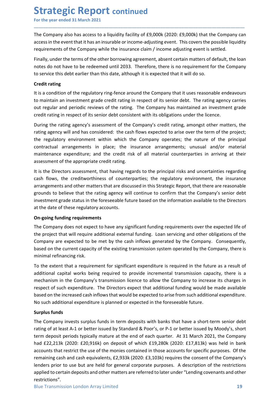Strategic Report continued<br>
For the year ended 31 March 2021<br>
The Company also has access to a liquidity facility of £9,000k (2020: £9,000k) that the Compa<br>
access in the event that it has an insurable or income-adjusting **Strategic Report continued**<br>For the year ended 31 March 2021<br>The Company also has access to a liquidity facility of £9,000k (2020: £9,000k) that the Company can<br>access in the event that it has an insurable or income-adjus **Strategic Report continued**<br>For the year ended 31 March 2021<br>The Company also has access to a liquidity facility of £9,000k (2020: £9,000k) that the Company can<br>access in the event that it has an insurable or income-adjus **Strategic Report continued**<br>For the year ended 31 March 2021<br>The Company also has access to a liquidity facility of £9,000k (2020: £9,000k) that the Company can<br>access in the event that it has an insurable or income-adjus **Strategic Report continued**<br>For the year ended 31 March 2021<br>The Company also has access to a liquidity facility of £9,000k (2020: £9,000k) that the Company can<br>access in the event that it has an insurable or income-adjus **Strategic Report continued**<br>For the year ended 31 March 2021<br>The Company also has access to a liquidity facility of £9,000k (2020: £9,000k) that the Company can<br>access in the event that it has an insurable or income-adjus **Strategic Report continued**<br>For the year ended 31 March 2021<br>The Company also has access to a liquidity facility of £9,000k (2020: £9,000k) that the Company can<br>access in the event that it has an insurable or income-adjus **Strategic Report continued**<br>For the year ended 31 March 2021<br>The Company also has access to a liquidity facility of £9,000k (2020: £9,000k) that the Company can<br>access in the event that it has an insurable or income-adjus

\_\_\_\_\_\_\_\_\_\_\_\_\_\_\_\_\_\_\_\_\_\_\_\_\_\_\_\_\_\_\_\_\_\_\_\_\_\_\_\_\_\_\_\_\_\_\_\_\_\_\_\_\_\_\_\_\_\_\_\_\_\_\_\_\_\_\_\_\_\_\_\_\_\_\_\_\_\_\_\_\_\_\_\_\_\_\_\_\_\_

**Strategic Report continued**<br>For the year ended 31 March 2021<br>The Company also has access to a liquidity facility of £9,000k (2020: £9,000k) th<br>access in the event that it has an insurable or income-adjusting event. This c **Strategic Report continued**<br>For the year ended 31 March 2021<br>The Company also has access to a liquidity facility of £9,000k (2020: £9,000k) that the Company can<br>access in the event that it has an insurable or income-adjus **Strategic Report continued**<br>For the year ended 31 March 2021<br>The Company also has access to a liquidity facility of £9,000k (2020: £9,000k) that the Company can<br>accessin the event that it has an insurable or income-adjust **Strategic Report continued**<br>
For the year ended 31 March 2021<br>
The Company also has access to a liquidity facility of £9,000k (2020: £9,000k) that the Company can<br>
access in the event that it has an invariable or income-a

**Strategic Report continued**<br>The Company also has access to a liquidity facility of £9,000k (2020: £9,000k) that the Company can<br>The Company also has access to a liquidity facility of £9,000k (2020: £9,000k) that the Compa **Strategic Report continued**<br>For the year ended 31 March 2021<br>The Company also has access to a liquidity facility of £9,000k (2020: £9,000k) that the Company can<br>access in the event that it has an insurable or income-adjus For the year ended 31 March 2021<br>The Company also has access to a liquidity facility of £9,000k (2020: £9,000k) that the Company can<br>access in the event that it has an insurable or income-adjusting event. This covers the p The company also has access to a liquidity facility of £9,000k (2020: £9,000k) that the Company can<br>access in the event that it has an insurable or income-adjusting event. This covers the possible liquidity<br>requirements of The Company also has access to a liquidity facility of £9,000k (2020: £9,000k) that the Company can<br>eccess in the event that it has an insurable or income-adjusting event. This covers the possible liquidity<br>requirements of me Compary so the credit rating in expendition and the credit risk of all material contenance can from the compary while the insurance claim/ income adjusting event. This covers the possible liquidity requirements of the C ency interestination and many and the insurance coincerned with the Company scenarion of the company while the insurance claim / income adjusting event is estited.<br>
Finally, under the terms of the other borrowing agreement Finally, under the terms of the other borrowing agreement, absent certain matters of default, the loan<br>notes do not have to be redeemed until 2033. Therefore, there is no requirement for the Company<br>of o service this debt

munty, unce the credit of the endiversity and the credit of the compary of the company to service this debt earlier than his date, although it is expected that it will do so.<br>Credit rating<br>to service this debt earlier than not to the matter of the rest contents wind costs. Interesting, which is the discussed in the Company that the societies that it will do so.<br>
Credit rating<br>
this a condition of the regulatory ring-fence around the Company of coefficial that the regulatory intervals that the rating agency correct that the rating agency carries to maintain an investment grade credit rating in respect of its senior debt. The rating agency carries to the rating Credit rating<br>
tit is a condition of the regulatory ring-fence around the Company that it uses reasonable endeavours<br>
tio maintain an investment grade credit rating in respect of its senior debt. The rating agency carries<br> It is a condition of the regulatory ring-fence around the Company that it uses reasonable endeavours<br>to maintain an investment grade credit rating in respect of its senior debt. The rating agency carries<br>out regular and pe to mantain an investment grade credit rating in respect of its senior debt. The rating agene<br>
out regular and periodic reviews of the rating. The Company has maintained an investment<br>
credit rating in respect of its senior Everticant of the method of the company in the company is introduced or the company's converting in respect of its senior debt consistent with its obligations under the licence.<br>
During the rating agency's assessment of th External many respect to the company's external for the Company's credit rating, amongs to the matters, the During agency will and has considered: the cash flows expected to arise over the term of the project; the regulato During the rating agency's assessment of the Company's credit rating, amongst other matters, the tegulatory will and has considered: the cash flows expected to raise over the term of the pripiet; the regulatory environment rating agency will and has considered: the cash flows expected to arise over the term of the project;<br>the regulatory environment within which the Company operates; the nature of the principal<br>contractual arrangements in pl the regulatory environment within which the Company operates; the nature of the prontractual arrangements in place; the insurance arrangements; unusual and/or notractual arrangements in place; the insurance arrangements; u contuctional mangements and the redit risk of all material counterparties in arriving at their<br>ansientence expenditure, and the redit risk of all material counterparties in arriving at their<br>assessment of the appropriate c

municulant expendints, that is the court is a court is a considerated to the principal states and uncertainties regarding<br>assessment of the appropriate credit rating.<br>The required variance cash flows, the credit<br>variance c suscession of the Company stransmission is the principal risks and uncertainties regarding<br>It is the Directors assessment, that having regards to the principal risks and uncertainties regarding<br>arrangements and other matte It is the Directors assessment, that having regards to the principal risks and uncertainties regarding<br>cash flows, the creditworthiness of counterparties; the regulatory environment, the insurance<br>arrangements and other ma rash flows, the creditworthiness of counterparties; the regulatory environment, the insurance<br>arrangements and other matters that are discussed in this Strategic Report, that there are reasonable<br>grounds to believe that th arrangements and other matters that are discussed in this Strategic Report, that there are reasonable<br>grounds to believe that the rating agency will continue to confirm that the Company's senior debt<br>investment grade statu groams to denote that than is getty wim continue to commin that the continues<br>timestrine grade status in the foreseeable future based on the information availa<br>at the date of these regulatory accounts.<br>**On-going funding re** at the date of these regulatory accounts.<br>
On-going funding requirements<br>
The Company does not expect to have any significant funding requirements over the expected life of<br>
the propert that will require additional externa

additional capital works being required to provide incremental transmission capacity, there is a<br>mechanism in the Company's transmission licence to allow the Company to increase its charges in<br>respect of such expenditure. **On-going funding requirements**<br>The Company does not expect to have any significant funding requirements over the expected life of<br>the project that will require additional external funding. Loan servicing and other obligat Ore gong tinump requirements<br>The Company does not expect to have any significant funding requirements over the expected life of<br>The Company are expected to be met by the cash inflows generated by the Company. Consequently, The Company does not expect to have any significant funding requirements over the expected life of<br>the project that will require additional external funding. Loan servicing and other obligations of the<br>Company are expected the project that will require additional external funding. Loan servicing and other obligations of the based on the current capacity of the existing transmission system operated by the Company. Consequently, based on the c Company are expected to be met by the cash inflows generated by the Company. Consequently,<br>based on the current capacity of the existing transmission system operated by the Company, there is<br>minimal refinancing risk.<br>To th based on the current capacity of the existing transmission system operated by the Company, there is<br>
minimal refinancing risk.<br>
To the extent that a requirement for significant expenditure is required in the future as a re minimal refinancing risk.<br>To the extent that a requirement for significant expenditure is required in the future as a result of<br>additional capital works being required to provide incremental transmission capacity, there is restrictions".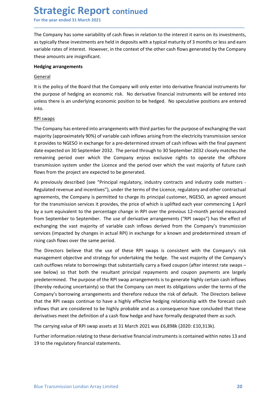**Strategic Report continued**<br>
For the year ended 31 March 2021<br>
The Company has some variability of cash flows in relation to the interest it earns on its invest<br>
as typically these investments are held in deposits with a **Strategic Report continued**<br>For the year ended 31 March 2021<br>The Company has some variability of cash flows in relation to the interest it earns on its investments,<br>as typically these investments are held in deposits with **Strategic Report continued**<br>For the year ended 31 March 2021<br>The Company has some variability of cash flows in relation to the interest it earns on its investments,<br>as typically these investments are held in deposits with **Strategic Report continued**<br>For the year ended 31 March 2021<br>The Company has some variability of cash flows in relation to the interest it earns on its investments,<br>as typically these investments are held in deposits with **Strategic Report continued**<br>For the year ended 31 March 2021<br>The Company has some variability of cash flows in relation to the interest it earns on its investments,<br>as typically these investments are held in deposits with **Strategic Report continued**<br>For the year ended 31 March 2021<br>The Company has some variability of cash flows in relation to the interest it earns on its inve<br>as typically these investments are held in deposits with a typic **Strategic Report continued**<br>For the year ended 31 March 2021<br>The Company has some variability of cash flows in relation to the interest it earns<br>as typically these investments are held in deposits with a typical maturity **Strategic Report continued**<br>For the year ended 31 March 2021<br>The Company has some variability of cash flows in relation to the interest it earns on its investments,<br>as typically these investments are held in deposits with **Strategic Report continued**<br>For the year ended 31 March 2021<br>The Company has some variability of cash flows in relation to the interest it earns on its investments,<br>as typically these investments are held in deposits with **Strategic Report continued**<br>
For the year ended 31 March 2021<br>
The Company has some variability of cash flows in relation to the interest it earns on its investments,<br>
as typically these investments are held in deposits w

\_\_\_\_\_\_\_\_\_\_\_\_\_\_\_\_\_\_\_\_\_\_\_\_\_\_\_\_\_\_\_\_\_\_\_\_\_\_\_\_\_\_\_\_\_\_\_\_\_\_\_\_\_\_\_\_\_\_\_\_\_\_\_\_\_\_\_\_\_\_\_\_\_\_\_\_\_\_\_\_\_\_\_\_\_\_\_\_\_\_

### General

into.

**Strategic Report continued**<br>For the year ended 31 March 2021<br>The Company has some variability of cash flows in relation to the interest it es<br>as typically these investments are held in deposits with a typical maturity of **THE COMPRON CONTINUE CONTINUE CONTINUE CONTINUE CONTINUE TO THE COMPRON THE COMPRON THE COMPRON THE COMPRON ST<br>
The Company has some variability of cash flows in relation to the interest it earns on its investments,<br>
as t** For the year ended 31 March 2021<br>The Company has some variability of cash flows in relation to the interest it earns on its investments,<br>as typically these invertex. However, in the context of the other cash flows generate The Company has some variability of cash flows in relation to the interest it earns on its investments,<br>as typically these investments are held in deposits with a typical maturity of 3 months or less and earn<br>variable rate The Company has some variability of cash flows in relation to the interest it earns on its investments,<br>as typically these investments are held in deposits with a typical maturity of 3 months or less and earn<br>variable rate as typically these investments are held in deposits with a typical maturity of 3 months or less and earn<br>variable rates of interest. However, in the context of the other cash flows generated by the Company<br>these amounts ar variable rates of interest. However, in the context of the other cash flows generated by the Company<br>these amounts are insignificant.<br>
Hedging arrangements<br>
(Eris the policy of the Board that the Company will only enter in these amounts are insignificant.<br> **Hedging arrangements**<br> **General**<br>
tit is the policy of the Board that the Company will only enter into derivative financial instruments for<br>
the purpose of hedging an economic position to **Hedging arrangements**<br> **General**<br> **Estimate policy of the Board that the Company will only enter into derivative financial instruments for<br>
the puricy of the Board that the Company risk. No derivative financial instrument** General<br>
Reflexence of hedging an economic risk. No derivative financial instruments for<br>
the purpose of hedging an economic risk. No derivative financial instruments will be entered into<br>
unless there is an underlying eco

it is the policy of the Board that the Company will only enter into derivative financial instruments for<br>the purpose of hedging an economic risk. No derivative financial instruments will be entered into<br>unless there is an It is the policy of the Board that the Company will only enter into derivative financial instruments or<br>The Company has entered into arrangements with third parties for the purpose of exchanging the vast<br>incomes sterve is the purpose of hedging an economic risk. No derivative financial instruments will be entered into<br>unless there is an underlying economic position to be hedged. No speculative positions are entered<br>into.<br>
RPI swaps<br>
The Com unless there is an underlying economic position to be hedged. No speculative positions are entered<br>into.<br>
Into.<br>
Into Company has entered into arrangements with third parties for the purpose of exchanging the vast<br>
majorit into.<br>
<u>RPIs wapps</u><br>
R<u>PIs company</u> has entered into arrangements with third parties for the purpose of exchanging the vast<br>
majority (approximately 90%) of variable cash inflows arising from the electricity transmission s RPI swaps<br>The Company has entered into arrangements with third parties for the purpose of exchanging the vast<br>majority (approximately 90%) of variable cash inflows arising from the electricity transmission service<br>it provi The Company has entered into arrangements with third parties for the purpose of exchanging the vast<br>majority (approximately 90%) of variable cash inflows arising from the electricity transmission service<br>it provides to NGE majority (approximately 90%) of variable cash inflows arising from the electricity transmission service<br>the varoises to NGESO in exchange for a pre-determined steram of cash inflows with the final payment<br>date expected on it provides to NGESO in exchange for a pre-determined stream of cash inflows with the final payment<br>date expected on 30 September 2032. The period through to 30 September 2032 closely matches the<br>remaining period over whic date expected on 30 September 2032. The period through to 30 September 2032 closely matches the remaning period over which the Company enjoys exclusive rights to operate the offshore transmission system under the Licence a remaining period over which the Company enjoys exclusive rights to operate the offshore<br>thomsission system under the Licence and the period over which the vast majority of future cash<br>flows from the project are expected to

see below) so that both the resultant principal repayments and coupon payments are largely<br>predetermined. The purpose of the RPI swap arrangements is to generate highly certain cash inflows<br>(thereby reducing uncertainty) s transmission system under the Licence and the period over which the vast majority of future cash<br>As previously described (see "Pirincipal regulatory, industry contracts and industry code matters-<br>As previously described (s flows from the project are expected to be generated.<br>As previously described (see "Principal regulatory, industry contracts and industry code matters-<br>Regulated revenue and incentives"), under the terms of the Lience, regu As previously described (see "Principal regulatory, industry contracts and industry code matters-<br>Regulated revenue and incentives"), under the terms of the Licence, regulatory and other contractual<br>agreements, the Company sy perotosy uses the relingion "egotatoly, mistary continue to the licence, regulatory and other contractual<br>agreements, the Company is permitted to charge its principal customer, NGESO, an agreed amount<br>afor the transmiss inguature enter the enter the proposes is that the consider that are conclusted to that are company is permitted to charge its principal customer, NGESO, an agreed amount<br>for the transmission services it provides, the pric egetments, ree company is perminated to that the definition of the definition of the regularity in the regularity of the price of which is uplified each year commencing 1 April<br>by a sum equivalent to the percentage change by a sum equivalent to the percentage change in RPI over the previous 12-month period measured<br>from September to September. The use of derivative arrangements ("RPI swaps") has the effect of<br>exchanging the vast majority of from September to September. The use of derivative arrangements ("RPI swaps") has the effect of the company's transmission services (impacted by changes in actual RPI) in exchange for a known and predetermined stream of ri exchanging the vast majority of variable cash inflows derived from the Company's transmission<br>services (impacted by changes in actual RPI) in exchange for a known and predetermined stream of<br>string cash flows over the same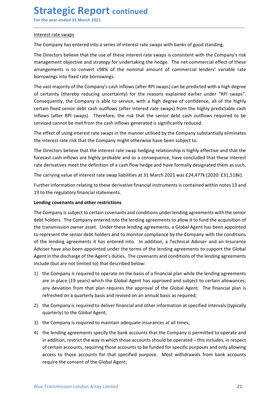## **Strategic Report continued**<br>
For the year ended 31 March 2021<br>
Interest rate swaps<br>
The Company has entered into a series of interest rate swaps with banks of good standing. **Strategic Report continued**<br>
For the year ended 31 March 2021<br>
Interest rate swaps<br>
The Company has entered into a series of interest rate swaps with banks of good standing.<br>
The Directors helieve that the use of these in

**Strategic Report continued**<br>For the year ended 31 March 2021<br>Interest rate swaps<br>The Company has entered into a series of interest rate swaps with banks of good stand<br>The Directors believe that the use of these interest r **Strategic Report continued**<br>For the year ended 31 March 2021<br>Interest rate swaps<br>The Company has entered into a series of interest rate swaps with banks of good standing.<br>The Directors believe that the use of these intere **Strategic Report continued**<br>For the year ended 31 March 2021<br>Interest rate swaps<br>The Company has entered into a series of interest rate swaps with banks of good standing.<br>The Directors believe that the use of these intere **Strategic Report continued**<br>For the year ended 31 March 2021<br>Interest rate swaps<br>The Company has entered into a series of interest rate swaps with banks of good standing.<br>The Directors believe that the use of these intere **Strategic Report continued**<br>
For the year ended 31 March 2021<br>
Interest rate swaps<br>
The Company has entered into a series of interest rate swaps with banks of good standing.<br>
The Directors believe that the use of these in

\_\_\_\_\_\_\_\_\_\_\_\_\_\_\_\_\_\_\_\_\_\_\_\_\_\_\_\_\_\_\_\_\_\_\_\_\_\_\_\_\_\_\_\_\_\_\_\_\_\_\_\_\_\_\_\_\_\_\_\_\_\_\_\_\_\_\_\_\_\_\_\_\_\_\_\_\_\_\_\_\_\_\_\_\_\_\_\_\_\_

**Strategic Report continued**<br>For the year ended 31 March 2021<br>Interest rate swaps<br>The Company has entered into a series of interest rate swaps with banks of good standing.<br>The Directors believe that the use of these intere **Strategic Report continued**<br>
For the year ended 31 March 2021<br>
Interest rate swaps<br>
The Company has entered into a series of interest rate swaps with banks of good standing.<br>
The Directors believe that the use of these in **Strategic Report continued**<br>For the year ended 31 March 2021<br>Interest rate swaps<br>The Company has entered into a series of interest rate swaps with banks of good standing.<br>The Directors believe that the use of these intere **Strategic Report continued**<br>
Interest rate swaps<br>
The Company has entered into a series of interest rate swaps with banks of good standing.<br>
The Directors believe that the use of these interest rate swaps is consistent wi **Strategic Report continued**<br>For the year ended 31 March 2021<br>Interest rate swaps<br>The Company has entered into a series of interest rate swaps with banks of good standing.<br>The Directors believe that the use of these intere **Strategic Report continued**<br>
Interest rate swaps<br>
The Company has entered into a series of interest rate swaps with banks of good standing.<br>
The Directors believe that the use of these interest rate swaps is consistent wi **Strategic Report continued**<br>
For the year ended 31 March 2021<br>
Interest rate swaps<br>
The Company has entered into a series of interest rate swaps with banks of good standing.<br>
The Directors believe that the use of these in For the year ended 31 March 2021<br>
Interest rate swaps<br>
The Company has entered into a series of interest rate swaps with banks of good standing.<br>
The Directors believe that the use of these interest rate swaps is consisten Interest rate swaps<br>The Company has entered into a series of interest rate swaps with banks of good standing.<br>The Directors believe that the use of these interest rate swaps is consistent with the Company's risk<br>meangement Interest rate swaps<br>The Company has entered into a series of interest rate swaps is consistent with the Company's risk<br>The Directors believe that the use of these interest rate swaps is consistent with the Company's risk<br>m The Company has entered into a series of interest rate swaps with banks of good standing.<br>The Directors believe that the use of these interest rate swaps is consistent with the Company's risk<br>management objective and strat The Directors believe that the use of these interest rate swaps is consistent with the Company's risk management objective and strategy for undertaking the hedge. The net commercial effect of these arrangements is to conve management objective and strategy for undertaking the hedge. The net commercial effect of these<br>arrangements is to convert c98% of the nominal amount of commercial lenders' variable rate<br>bororowings into fixed rate borrowi arrangements is to convert c98% of the nominal amount of commercial lenders' variable rate<br>borrowings into fixed atte borrowings.<br>The wast majority of the Company's cashinflows (after RPI swaps) can be predicted with a hig borrowings into fixed rate borrowings.<br>
The vast majority of the Company's cash inflows (after RPI swaps) can be predicted with a high degree<br>
Or certainty (threeby reducing uncertainty) for the reasons explained earlier u The vast majority of the Company's cash inflows (after RPI swaps) can be predicted with a high degree<br>of certainty (thereby reducing uncertainty) for the reasons explained earlier under "RPI swaps".<br>Consequently, the Compa

or Lerianty (uneury lendot or sensor sensor expansion expansion expansion complement under hard to company is subject to service, with a high degree of confidence, all of the highly predictable cash outflows (after interes Consequently, the Company is able to conserve, which all mapplined to the lending agreements, and other the lending agreements and the lending agreements of the lending agreements of the lending agreement of the lending ag Letter in the transmission of the transmission of the members and these limitations (sider RPI swaps). Therefore, the risk that the senior debt cash outflows required to be serviced cannot be met from the cash inflows gene minuous select Fir Swaps). Therefore, the list that the senior dect cash other debtated including elements and the monitor of the senior defined to the sented is significantly reduced.<br>The effect of using interest rate swa serviced cannot be met nontride cash innows generated is signimizanty reduced.<br>The effect of using interest rist exwaps in the manner utiliead by the Company substantially eliminates<br>The linetest rate risk that the Company The effect of using interest rate swaps in the manner utilised by the Company substantially eliminates<br>the interests rate risk that the interest rate swap hedging relationship is highly profectors believe that the<br>The Dire the interest rate risk that the Company might otherwise have been subject to.<br>The Directors believe that the interest rate swap hedging relationship is highly effective and that the<br>forecast cash inflows are highly probabl The Directors believe that the interest rate swap hedging relationship is highly effective and that the forecast cash inflows are highly probable and as a consequence, have concluded that these interest<br>rate derivatives me forecast cash inflows are highly probable and as a consequence, have concluded that these interest<br>
rate derivatives meet the definition of a cash flow hedge and have formally designated them as such.<br>
The carrying value o derivatives meet the definition of a cash flow hedge and have formally designated them as such.<br>carrying value of interest rate swap liabilities at 31 March 2021 was £24,477k (2020: £31,518k).<br>Her information relating to t carrying value of interest rate swap liabilities at 31 March 2021 was £24,477k (2020: £31,518k).<br>
her information relating to these derivative financial instruments is contained within notes 13 and<br>
of the regulatory finan ther information relating to these derivative financial instruments is contained within notes 13 and<br>othe regulatory financial statements.<br> **Sing covenants and other restrictions**<br> **Company** is subject to certain covenants 19 to the regulatory financial statements.<br>
Lending covenants and other restrictions<br>
The Company is subject to certain covenants and conditions under lending agreements with the aninismic<br>
debt holders. The Company entere **Example 10**<br> **Example 10**<br> **Example 10**<br> **Example 10**<br> **Example 10**<br> **Example 10**<br> **Example 10**<br> **Example 10**<br> **Example 10**<br> **Example 10**<br> **Example 10**<br> **Example 10**<br> **Example 10**<br> **Example 10**<br> **Example 10**<br> **Example 10** The Company is subject to certain covenants and conditions under lending agreements with the senior<br>debt holders. The Company entered into the lending agreements to allow it to fund the acquisition of<br>the transmission owne debt holders. The Company entered into the lending agreements to allow it to fund the acquisition of<br>the transmission owner asset. Under these lending agreements, a Global Agent has been appointed<br>to represent the senior d transmission owner asset. Under these lending agreements, a Global Agent has been appointed<br>present the senior debt holders and to monitor compliance by the Company with the conditions<br>be lending agreements it has entered epresent the senior debt holders and to monitor compliance by the Company with the conditions<br>be lending agreements it has entered into. In addition, a Technical Adviser and an Insurance<br>bise have also been appointed under

- 
- 
- 
- 1) the Company is required to operate on the basis of a financial plan while the lending agreements<br>are in place (19 years) which the Global Agent has approved and subject to certain allowances;<br>any deviation from that pla From the ending agreements it has entered into. In addition, a Technical Adviser and an Insurance<br>sier have also been appointed under the terms of the lending agreements to support the Global<br>stri in the discharge of the A ready the discussion and the Global Agent;<br>there also been appointed under the terms of the lending agreements to support the Global<br>thin the discharge of the Agent's duties. The covenants and conditions of the lending agr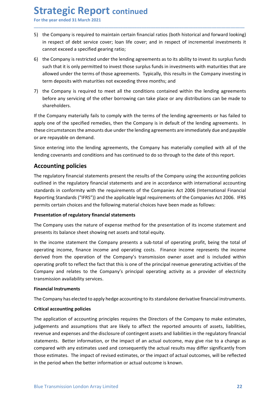Strategic Report continued<br>
For the year ended 31 March 2021<br>
5) the Company is required to maintain certain financial ratios (both historical and forward lo<br>
in respect of debt service cover; loan life cover; and in respe Strategic Report continued<br>For the year ended 31 March 2021<br>5) the Company is required to maintain certain financial ratios (both historical and forward looking)<br>in respect of debt service cover; loan life cover; and in re **Strategic Report continued**<br>
For the year ended 31 March 2021<br>
5) the Company is required to maintain certain financial ratios (both historical and forward looking)<br>
in respect of debt service cover; loan life cover; and

\_\_\_\_\_\_\_\_\_\_\_\_\_\_\_\_\_\_\_\_\_\_\_\_\_\_\_\_\_\_\_\_\_\_\_\_\_\_\_\_\_\_\_\_\_\_\_\_\_\_\_\_\_\_\_\_\_\_\_\_\_\_\_\_\_\_\_\_\_\_\_\_\_\_\_\_\_\_\_\_\_\_\_\_\_\_\_\_\_\_

- **Trategic Report continued**<br>the year ended 31 March 2021<br>the Company is required to maintain certain financial ratios (both historical and forward looking)<br>in respect of debt service cover; loan life cover; and in respect **COLO SECT ACT CONTIGE COLO SECUTE:**<br>The Company is required to maintain certain financial ratios (both historical and forward looking)<br>in respect of debt service cover; loan life cover; and in respect of incremental inves **Strategic Report continued**<br>For the year ended 31 March 2021<br>5) the Company is required to maintain certain financial ratios (both historical and forward looking)<br>in respect of debt service cover; loan life cover; and in **Such that it is only and the year ended 31 March 2021**<br>the Company is required to maintain certain financial ratios (both historical and forward looking)<br>in respect of debt service cover; loan life cover; and in respect o **Trategic Report continued**<br>the year ended 31 March 2021<br>the Company is required to maintain certain financial ratios (both historical and forward looking)<br>in respect of debt service cover; loan life cover; and in respect **The second of the sear and and the sear and and the sear and and the sear and a search of debt service cover; loan life cover; and in respect of incremental investments it cannot exceed a specified gearing ratio;<br>the Comp Strategic Report continued**<br>
For the year ended 31 March 2021<br> **5)** the Company is required to maintain certain financial ratios (both historical and forward looking)<br>
in respect of debt service cover; loan life cover; an **Example 1:**<br> **Example 1:**<br> **Example 1:**<br> **Example 1:**<br> **Example 1:**<br> **Example 1:**<br> **Example 1:**<br> **Example 1:**<br> **Example 1:**<br> **Example 1:**<br> **Example 1:**<br> **Example 1:**<br> **Example 1:**<br> **Example 1:**<br> **Example 1:**<br> **Example 1: Strategic Report continued**<br>
In the year ended 31 March 2021<br>
In the Company is required to maintain certain financial ratios (both historical and forward looking)<br>
in respect of debt service cover; loan life cover; and i **Strategic Report continued**<br>For the year ended 31 March 2021<br>3) the Company is required to maintain certain financial ratios (both historical and forward looking)<br>in respect of debt service cover; loan life cover; and in **Example 18 and the amounts of the amounts of the amounts of the amounts of the amounts of the amounts of the amount expect of the sender de a specified gearing ratio;<br>
So the Company is restricted under the lending agreem** For the year ended 31 March 2021<br>
5) the Company is required to maintain certain financial ratios (both historical and forward<br>
in respect of debt service cover; loan life cover; and in respect of incremental invest<br>
canno 5) the Company is required to maintain certain financial ratios (both historical and forward looking) in respect of debt service cover; loan life cover; and in respect of incremental investments it cannot exceed a specifie In respect of debt service cover; loan life cover; and in respect of incremental investments it<br>
cannot exceed a specified gearing ratio;<br>
6) the Company is restricted under the lending agreements as to its ability to inve
- shareholders.

cannot exceed a specified gearing ratio;<br>
6) the Company is restricted under the lending agreements as to its ability to invest its such that it is only permitted to invest those surplus funds in investments with matural<br> 6) the Company is restricted under the lending agreements as to its ability to invest its surplus funds such that it is only permitted to invest those surplus funds in investments with maturities that are allowed under th such that it is only permitted to invest those surplus funds in investments with maturities that are<br>allowed under the rerms of those agreements. Typically, this results in the Company investing in<br>The company is required allowed under the terms of those agreements. Typically, this results in the Company investing in<br>
term deposits with maturities not exceeding three months; and<br>
before any servicing of the other borrowing can take place or term deposits with maturities not exceeding three months; and<br>
27) the Company is required to meet all the conditions contained within the lending agreements<br>
to the apply one of the specified of the cher borrowing can tak 7) the Company is required to meet all the conditions contained within the lending agreements before any gievroicing of the other borrowing can take place or any distributions can be made to shareholders.<br>
If the Company m bare any servicing of the other borrowing can take place or any distributions can be made to<br>shareholders.<br>If the Company materially fails to comply with the terms of the lending agreements or has failed to<br>apply one of th If the Company materially fails to comply with the terms of the lending agreements or has failed to<br>apply one of the specified remedies, then the Company is in default of the lending agreements. In<br>these circumstances the If the Company materially fails to comply with the terms of the lending agreements or has failed to<br>apply one of the specified remedeis, then the Company is in default of the lending agreements. In<br>these circumstances the

Ethere circumstances the amounts due under the lending agreements are inmediately due and payable<br>or are repayable on demand.<br>Since entering into the lending agreements, the Company has materially complied with all of the<br> For exercution of eeration of elements are compared incomediate incomediate incomediate incomediate incomediate incomediate the ending covenants and conditions and has continued to do so through to the date of this report. of an entertion in the lending agreements, the Company has materially complied with all of the lending covenants and conditions and has continued to do so through to the date of this report.<br>Accounting policies<br>The regulat Since entering into the lending agreements, the Company has materially complied with all of the<br>
elending covenants and conditions and has continued to do so through to the date of this report.<br> **ACcounting policies**<br>
The lending covenants and conditions and has continued to do so through to the date of this report.<br> **Accounting policies**<br>
The regulatory financial statements present the results of the Company using the accounting policies<br> **Accounting policies**<br>The regulatory financial statements present the results of the Company using the accounting polic<br>outlined in the regulatory financial statements and are in accordance with international account<br>stand The regulatory financial statements present the results of the Company using the a<br>outlined in the regulatory financial statements and are in accordance with interna<br>standards in conformity with the requirements of the Com outlined in the regulatory financial statements and are in accordance with international accounting<br>standards in conformity with the requirements of the Companies Act 2006 (International Financial<br>Reporting Standards ("IFR Standards in contining with the requirements of the comparines of the Comparantial and a Reporting Standards ("IFRS")) and the applicable legal requirements of the Companies Act 20 of internation of regulatory financial st permits certain choices and the following material choices have been made as follows:<br>**Presentation of regulatory financial statements**<br>The Company uses the nature of expense method for the presentation of its income state

Company and relates to the Company's principal operating activity as a provider of electricity<br>transmission availability services.<br> **Financial Instruments**<br>
The Company has elected to apply hedge accounting to its standalo **Presentation of regulatory financial statements**<br>The Company uses the nature of expense method for the presentation of its income statement and<br>presents its balance sheet showing net assets and total equity.<br>In the income resentation or regulatory minitial statements<br>The Company uses the nature of expense method for the presentation of its income statement and<br>presents its balance sheet showing net assets and total equity.<br>In the income sta The Company uses the nature of expense method for the presentation of its income statement and<br>In the income statement the Company presents a sub-total of operating profit, being the total of<br>in the income statement the Co presents its balance sheet showing net assets and total equity.<br>In the income statement the Company presents a sub-total of operating profit, being the total of<br>operating income, finance income and operating costs. Finance In the income statement the Company presents a sub-total of operating profit, being the total of operating income, finance income and operating costs. Finance income represents the income operating activition depressed in in the period with any estimates is the formation or actual outcome is known.<br>
Better and the period of the company's transmission owner asset and is included within<br>
Company and relate the fact that this is one of the pri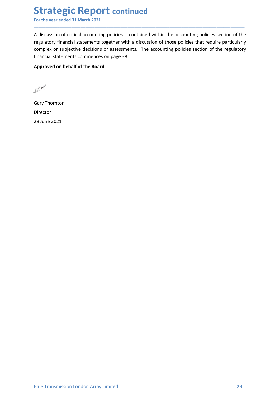Strategic Report continued<br>
For the year ended 31 March 2021<br>
A discussion of critical accounting policies is contained within the accounting policies section<br>
regulatory financial statements together with a discussion of **Strategic Report continued**<br>For the year ended 31 March 2021<br>A discussion of critical accounting policies is contained within the accounting policies section of the<br>regulatory financial statements together with a discussi **Strategic Report continued**<br>For the year ended 31 March 2021<br>A discussion of critical accounting policies is contained within the accounting policies section of the<br>regulatory financial statements together with a discussi **Strategic Report continued**<br>For the year ended 31 March 2021<br>A discussion of critical accounting policies is contained within the accounting policies section of the<br>regulatory financial statements together with a discussi **Strategic Report continued**<br>For the year ended 31 March 2021<br>A discussion of critical accounting policies is contained within the accounting policies section of the<br>regulatory financial statements together with a discussi **Strategic Report continued**<br>For the year ended 31 March 2021<br>A discussion of critical accounting policies is contained within the accounting policies section of the<br>regulatory financial statements together with a discussi **Strategic Report continued**<br>For the year ended 31 March 2021<br>A discussion of critical accounting policies is contained within the accounting policies section of the<br>regulatory financial statements together with a discussi **Strategic Report continued**<br>For the year ended 31 March 2021<br>A discussion of critical accounting policies is contained within the accounting<br>regulatory financial statements together with a discussion of those policies te<br> **Strategic Report continued**<br>For the year ended 31 March 2021<br>A discussion of critical accounting policies is contained within the accounting po<br>regulatory financial statements together with a discussion of those policies

\_\_\_\_\_\_\_\_\_\_\_\_\_\_\_\_\_\_\_\_\_\_\_\_\_\_\_\_\_\_\_\_\_\_\_\_\_\_\_\_\_\_\_\_\_\_\_\_\_\_\_\_\_\_\_\_\_\_\_\_\_\_\_\_\_\_\_\_\_\_\_\_\_\_\_\_\_\_\_\_\_\_\_\_\_\_\_\_\_\_

Director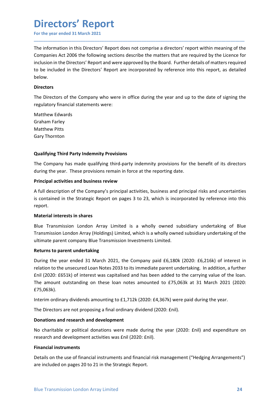### Directors' Report

**Directors' Report**<br>For the year ended 31 March 2021<br>The information in this Directors' Report does not comprise a directors' report within meaning of the<br>Companies Act 2006 the following sections describe the matters that **Directors' Report**<br>For the year ended 31 March 2021<br>The information in this Directors' Report does not comprise a directors' report within meaning of the<br>Companies Act 2006 the following sections describe the matters that For the year ended 31 March 2021<br>
For the year ended 31 March 2021<br>
The information in this Directors' Report does not comprise a directors' report within meaning of the<br>
Companies Act 2006 the following sections describe **included Standard Standard Standard Standard Standard Standard Standard Standard Standard Standard Standard Companies Act 2006 the following sections describe the matters that are required by the Licence for inclusion in Directors' Report**<br>For the year ended 31 March 2021<br>The information in this Directors' Report does not comprise a directors' report within meaning of the<br>Companies Act 2006 the following sections describe the matters that below. **Directors' Report**<br>The information in this Directors' Report does not comprise a directors' report within meaning of the<br>Companies Act 2006 the following sections describe the matters that are required by the Licence for<br> **Directors' Report**<br>For the year ended 31 March 2021<br>The information in this Directors' Report does not comprise a directors' report within meaning of the<br>Companies Act 2006 the following sections describe the matters that **Directors' Report**<br>For the year ended 31 March 2021<br>The information in this Directors' Report does not comprise a directors' report with<br>Companies Act 2006 the following sections describe the matters that are required<br>inc **Directors' Report**<br>For the year ended 31 March 2021<br>The information in this Directors' Report does not comprise a directors' report with<br>Companies Act 2006 the following sections describe the matters that are require<br>incl **Directors' Report**<br>For the year ended 31 March 2021<br>The information in this Directors' Report does not comprise a directors' report with<br>Companies Act 2006 the following sections describe the matters that are required<br>inc **Directors' Report**<br>For the year ended 31 March 2021<br>The information in this Directors' Report does not comprise a directors' report<br>Companies Act 2006 the following sections describe the matters that are required<br>inclusio The information in this Directors' Report does not comprise a directors' report within meaning of the Companies Act 2006 the following sections describe the matters that are required by the Licence for inclusion in the Dir The information in this Directors' Report does not comprise a directors' report within meaning of the Companies Act 2006 the following sections describe the matters that are required by the Licence for cinclusion in the Di Companies Act 2006 the following sections describe the matters that are required by the Licence for includion in the Directors' Report and were approved by the Board. Further details of matters required to be included in t

\_\_\_\_\_\_\_\_\_\_\_\_\_\_\_\_\_\_\_\_\_\_\_\_\_\_\_\_\_\_\_\_\_\_\_\_\_\_\_\_\_\_\_\_\_\_\_\_\_\_\_\_\_\_\_\_\_\_\_\_\_\_\_\_\_\_\_\_\_\_\_\_\_\_\_\_\_\_\_\_\_\_\_\_\_\_\_\_\_\_

### **Directors**

Inclusion<br>In the brincistor in the Directors' Report and were approved by the board. Further details of interest-equire<br>The Directors<br>The Directors<br>The Directors of the Company who were in office during the year and up to Directors<br>
The Directors<br>
The Directors of the Company who were in office during the year and up to the date of signing the<br>
Fealiatory financial statements were:<br>
Graham Farley<br>
Graham Farley<br>
Matthew Pitts<br>
Gary Thornton **Directors**<br>
The Directors of the Company who were in office during the year and up to the date of signing the<br>
regulatory financial statements were:<br>
Matthew Edwards<br>
Matthew Edwards<br>
Matthew Pitts<br>
Gary Thornton<br> **Qualif** report.

The Dietclors of the Company who were in office during the year and up to the date of significal<br>regulatory financial statements were:<br>
Matthew Edwards<br>
Gary Thornton<br> **Qualifying Third Party Indemnity Provisions**<br>
The Com Matthew Edwards<br>
Graham Farley<br>
Gary Thornton<br>
Gary Thornton<br>
Clary Thornton<br>
The Company has made qualifying third-party indemnity provisions for the benefit of its directors<br>
during the year. These provisions remain in f Watulew Pitts<br>
Gary Thornton<br>
Gary Thornton<br>
Qualifying Third Party Indemnity Provisions<br>
The Company has made qualifying third-party indemnity provisions for the benefit of its directors<br>
during the year. These provisions Unalifying Third Party Indemnity Provisions<br>
Cary Thornton<br>
Charlifying Third Party Indemnity Provisions<br>
Charlifying third party indemnity provisions for the benefit of its directors<br>
Charlifying the year. These provision

Enil (2020: E651k) of interest was capitalised and has been added to the carrying value of the loan.<br>The amount outstanding on these loan notes amounted to £75,063k at 31 March 2021 (2020:<br>E75,063k).<br>Interim ordinary divi Gary Thornton<br> **Qualifying Third Party Indemnity Provisions**<br>
The Company has made qualifying third-party indemnity provisions for the benefit of its<br>
during the year. These provisions remain in force at the reporting date Qualifying Third Party Indemnity Provisions<br>The Company has made qualifying third-party indemnity provisions for the benefit of its directors<br>during the year. These provisions remain in force at the reporting date.<br>Princip **Qualifying Third Party Indemnity Provisions**<br>The Company has made qualifying third-party indemnity provisions for the benefit of its directors<br>during the year. These provisions remain in force at the reporting date.<br>**Prin** The Company has made qualifying third-party indemnity provisions for the benefit of its directors<br>during the year. These provisions remain in force at the reporting date.<br>**Principal activities and business review**<br>A full d The Compary has indee quality print-party molecular of the people of the selective of the selective periodicity and principal activities and business review<br>
A full description of the Company's principal activities, busine £75,063k). Finicipal activities anti business review<br>
In discription of the Company's principal activities, business and principal risks and uncertainties<br>
Its contained in the Strategic Report on pages 3 to 23, which is incorporated N'in uses uption on the company symmicipal activities, business and principal riss and uncertainties<br>is contained in the Strategic Report on pages 3 to 23, which is incorporated by reference into this<br>report.<br>**Material int** report.<br> **Material interests in shares**<br>
Blue Transmission London Array Limited is a wholly owned subsidiary undertaking of Blue<br>
Transmission London Array (Holdings) Limited, which is a wholly owned subsidiary undertaking Material interests in shares<br>Blue Transmission London Array Limited is a wholly owned subsidiary undertaking of Blue<br>Transmission London Array (Holdings) Limited, which is a wholly owned subsidiary undertaking of the<br>Ultim Blue Transmission London Array Limited is a wholly owned subsidiary undertaking of Blue<br>Transmission London Array (Holdings) Limited, which is a wholly owned subsidiary undertaking of the<br>ultimate parent company Blue Trans Transmission London Array (Holdings) Limited, which is a wholly owned subsidiary ultimate parent company Blue Transmission Investments Limited.<br> **Returns to parent undertaking**<br>
During the year ended 31 March 2021, the Com ultimate parent company Blue Transmission Investments Limited.<br>
Returns to parent undertaking<br>
During the year ended 31 March 2021, the Company paid £6,180k (2020: £6,216k) of interest in<br>
trelation to the unsecured Loan N Returns to parent undertaking<br>
During the year ended 31 March 2021, the Company paid £6,180k (2020: £6,216k) of interest in<br>
relation to the unsecured Loan Notes 2033 to its immediate parent undertaking. In addition, a fur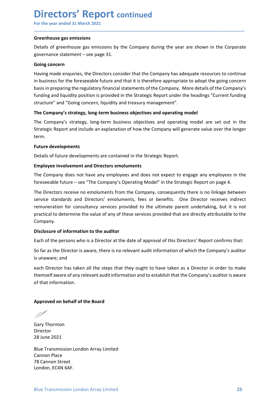### **Directors' Report continued**

**Directors' Report continued**<br>For the year ended 31 March 2021<br>Greenhouse gas emissions<br>Details of greenhouse gas emissions by the Company during the year are shown in the Corporate<br>governance statement – see page 31. **Directors' Report continued**<br>For the year ended 31 March 2021<br>Greenhouse gas emissions<br>Details of greenhouse gas emissions by the Company during the year are shown in the<br>governance statement – see page 31.<br>Having made en **Directors' Report continued**<br>
For the year ended 31 March 2021<br> **Greenhouse gas emissions**<br>
Details of greenhouse gas emissions by the Company during the year are shown in the Corporate<br>
governance statement – see page 31

\_\_\_\_\_\_\_\_\_\_\_\_\_\_\_\_\_\_\_\_\_\_\_\_\_\_\_\_\_\_\_\_\_\_\_\_\_\_\_\_\_\_\_\_\_\_\_\_\_\_\_\_\_\_\_\_\_\_\_\_\_\_\_\_\_\_\_\_\_\_\_\_\_\_\_\_\_\_\_\_\_\_\_\_\_\_\_\_\_\_

**Directors' Report continued**<br>For the year ended 31 March 2021<br>Greenhouse gas emissions<br>Details of greenhouse gas emissions by the Company during the year are shown in the Corporate<br>governance statement – see page 31.<br>Goin **Directors' Report continued**<br>For the year ended 31 March 2021<br>Greenhouse gas emissions<br>Details of greenhouse gas emissions by the Company during the year are sho<br>governance statement – see page 31.<br>Going concern<br>Having ma **Directors' Report continued**<br>For the year ended 31 March 2021<br>Greenhouse gas emissions<br>Details of greenhouse gas emissions by the Company during the year are shown in the Corporate<br>governance statement – see page 31.<br>Goin **Directors' Report continued**<br>For the year ended 31 March 2021<br>Greenhouse gas emissions<br>Details of greenhouse gas emissions by the Company during the year are shown in the Corporate<br>governance statement – see page 31.<br>Havi **Directors' Report continued**<br>
For the year ended 31 March 2021<br> **Occention** of greenhouse gas emissions<br>
governance statement – see page 31.<br> **Going concern**<br>
Having made enquiries, the Directors consider that the Company **Directors' Report continued**<br>For the year ended 31 March 2021<br>Greenhouse gas emissions<br>Details of greenhouse gas emissions by the Company during the year are shown in the Corporate<br>paramece statement – see page 31.<br>Going **Directors' Report continued**<br>For the year ended 31 March 2021<br> **Greenhouse gas emissions**<br>
Details of greenhouse gas emissions by the Company during the year are shown in the Corporate<br>
governance statement – see page 31. **Directors' Report** continued<br>For the year ended 31 March 2021<br> **Greenhouse gas emissions**<br>
Details of greenhouse gas emissions by the Company during the year are shown in the Corporate<br>
governance statement – see page 31. **Directors' Report** continued<br>For the year ended 31 March 2021<br>Greenhouse gas emissions<br>Details of greenhouse gas emissions by the Company during the year are shown in the Corporate<br>Rowmance statement – see page 31.<br>Having **Directors' Report continued**<br>For the year ended 31 March 2021<br>Greenhouse gas emissions<br>Details of greenhouse gas emissions by the Company during the year are shown in the Corporate<br>governance statement – see page 31.<br>Havi **Greenhouse gas emissions**<br>
Details of greenhouse gas emissions by the Company during the year are show<br>
governance statement – see page 31.<br> **Going concern**<br>
Having made enquiries, the Directors consider that the Company Greenhouse gas emissions<br>
Details of greenhouse as emissions by the Company during the year are shown in the Corporate<br>
governance statement – see page 31.<br>
Going concern<br>
Having made enquiries, the Directors consider that becaus or getentions gas emissions by the Company during the year are shown in the corporate governance statement – see page 31.<br>
Bovernance statement – see page 31.<br>
Having made enquiries, the Directors consider that the <sup>2</sup><br> **Going concern**<br>
Having made enquiries, the Directors consider that the Company has adequate resources to continue<br>
in business for the foreseeable future and that it is therefore appropriate to adopt the going concer Howing matern<br>Having made enquiries, the Directors consider that the Company has adequate resources to continue<br>In business for the foreseeable future and that it is therefore appropriate to adopt the going concern<br>Dasis i

term.

mowig made enquines, the toretous counser und the company has a sequence resources to community in business for the foreseeable future and that it is therefore appropriate to adopt the going concern<br>basis in preparing the III voussies to the follower and that is a the company. More details of the Company's basis in preparing the regulatory financial statements of the Company. More details of the Company's funding and liquidity position is p assimilited the metallation is provided in the Strategic Report under the headings "Current funding<br>structure" and "Going concern, liquidity and treasury management".<br>The Company's strategy, long-term business objectives a noting and nuclear the value of any ofference of any ofference of any ofference of any ofference of any ofference of any ofference of any ofference of any ofference of any ofference of any ofference of any ofference of any Company. The Company's strategy, fong-term business objectives and operating inforted<br>The Company's strategy, long-term business objectives and operating model<br>strategic Report and include an explanation of how the Company will gen The Company's suategy, iong-term ussiness objectives and operating model are set out in the<br>
Strategic Report and include an explanation of how the Company will generate value over the longer<br>
Ferm.<br> **Fruitre developments** Future developments<br>
Details of future developments are contained in the Strategic Report.<br> **Employee involvement and Directors emoluments**<br>
The Company does not have any employees and does not expect to engage any employe **Future developments**<br>Details of future developments are contained in the Strategic Report.<br>Employee involvement and Directors emoluments<br>The Company does not have any employees and does not expect to engage any er<br>foresee Details of future developments are contained in the Strategic Report.<br> **Employee involvement and Directors emoluments**<br>
The Company does not have any employees and does not expect to engage any employees in the<br>
foreseeabl Example involvement and Directors emoluments<br>The Company does not have any employees and does not expect to engage any employees in the<br>foreseeable future – see "The Company's Operating Model" in the Strategic Report on pa **Employee involvement and Directors emoluments**<br>The Company does not have any employees and does not expect to engage ar<br>foreseeable future – see "The Company's Operating Model" in the Strategic Repo<br>The Directors receive For Discussion can be the company 3 septenting instead. In the bandle protection replace the company consideration of the Company, consideration of consultancy services for the Discussion services in the Company consequent

themself aware of any relevant audit information and to establish that the Company's auditor is aware<br>of that information.<br> **Approved on behalf of the Board**<br> **Approved on behalf of the Board**<br>
Blue Transmission London Arr remuneration for consultancy services provided to the ultimate parent und<br>practical to determine the value of any of these services provided that are dire<br>Company.<br>Disclosure of information to the auditor<br>Each of the perso Company.<br>
Disclosure of information to the auditor<br>
Each of the persons who is a Director at the date of approval of this Directors' Rep<br>
So far as the Director is aware, there is no relevant audit information of which the Disclosure of information to the auditor<br>Bach of the persons who is a Director at the date of approval of this Directors' Report confirms that:<br>So far as the Director is aware, there is no relevant audit information of whi Each of the persons who is a Director at the date of approval of this Directors' Rep<br>So far as the Director is aware, there is no relevant audit information of which the<br>is unaware; and<br>each Director has taken all the step So far as the Director is aware, there is no relevant audit information of which the Co<br>is unaware; and<br>each Director has taken all the steps that they ought to have taken as a Director it<br>themself aware of any relevant au So far as the Director is aware, there is no relevant audit information of which the Comp<br>is unaware; and<br>each Director has taken all the steps that they ought to have taken as a Director in o<br>themself aware of any relevan

Director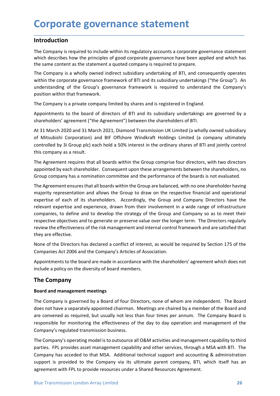### Introduction

**Corporate governance statement<br>
Introduction**<br>
The Company is required to include within its regulatory accounts a corporate governance statement<br>
which describes how the principles of good corporate governance have been **Corporate governance statement**<br>The Company is required to include within its regulatory accounts a corporate governance statement<br>which describes how the principles of good corporate governance have been applied and whic

**Corporate governance statement**<br>Introduction<br>The Company is required to include within its regulatory accounts a corporate governance statement<br>which describes how the principles of good corporate governance have been app **Corporate governance statement**<br> **Introduction**<br>
The Company is required to include within its regulatory accounts a corporate governance statement<br>
which describes how the principles of good corporate governance have bee **Corporate governance statement**<br> **Introduction**<br>
The Company is required to include within its regulatory accounts a corporate governance statement<br>
which describes how the principles of good corporate governance have bee **Corporate governance statement**<br>The Company is required to include within its regulatory accounts a corporate governance statement<br>which describes how the principles of good corporate governance have been applied and whic **Corporate governance statement**<br>The Company is required to include within its regulatory accounts a corporate governance statement<br>which describes how the principles of good corporate governance have been applied and whic **Corporate governance statement**<br> **Introduction**<br> **Introduction**<br> **Introduction**<br> **Introduction**<br> **Introduction**<br> **Interdeffectives how the principles of good corporate governance have been applied and wt<br>
the same content Corporate governance statement**<br> **Introduction**<br>
The Company is required to include within its regulatory accounts a corporate governance statement<br>
The Company is required to include within its regulatory accounts a corp **Corporate governance statement**<br> **Introduction**<br>
The Company is required to include within its regulatory accounts a corporate governance statement<br>
The Company is a wholly owned indirect subsidiary undertaking of BTI, an

**Corporate governance statement**<br> **Introduction**<br>
The Company is required to include within its regulatory accounts a corporate governance statement<br>
which describes how the principles of good corporate governance have bee **Corporate governance statement**<br>The Company is required to include within its regulatory accounts a corporate governance statement<br>which describes how the principles of good corporate governance have been applied and whic **Corporate governance statement**<br>Introduction<br>The Company is required to include within its regulatory accounts a corporate governance statement<br>which describes how the principles of good corporate governance have been app **Introduction**<br>The Company is required to include within its regulatory accounts a corporate governance statement<br>which describes how the principles of good corporate governance have been applied and which has<br>the same con **Introduction**<br>The Company is required to include within its regulatory accounts a corporate governance s<br>which describes how the principles of good corporate governance have been applied and v<br>the same content as the stat The Company is required to include within its regulatory accounts a corporate governance statement<br>which describes how the principles of good corporate governance have been applied and which has<br>the Same content as the sta Ine Company is requirest to inclue within its regulatory accounts a corporate governance statement<br>
which describes how the principles of good corporate governance have been applied and which has<br>
the same content as the s

which useshings how the principles of good comparation and allows the due of the company is required to prepare.<br>The Company is a wholly owned indirect subsidiary undertaking of BTI, and consequently operates<br>The Company i The Company is a wholly owned indirect subsidiary undertaking of BTI, and consequently operates<br>within the corporate governance framework of BTI and its subsidiary undertakings ("the Group"). An<br>understanding of the Group" me to the may be wrange member of the Group and standard and the Group of the Group is provided to the Group of the Group's governance framework of BTI and its subsidiary understanding ("the Group"). An understanding of th munier transports are the compter in the compter in the company is understanding of the Group's governance framework is required to understand the Company's position within that framework.<br>The Company is a private company relevant experience in the comparison of the comparity of the comparity and the compary is a private company limited by shares and is registered in England.<br>Appointments to the board of directors of BTI and its subsidiary process mannistic company imitted by shares and is registered in England.<br>The Company is a private company limited by shares and is registered in England.<br>Appointments to the board of directors of BTI and its subsidiary un The Company is a private company limited by shares and is registered in England.<br>Appointments to the board of directors of BTI and its subisdiary undertakings are governed by a<br>Shareholders' agreement ("the Agreement") bet Appointments to the board of directors of BTI and its subsidiary undertakings are governed by a<br>shareholders' agreement ("the Agreement") between the shareholders of BTI.<br>At 31 March 2020 and 31 March 2021, Diamond Transmi shareholders' agreement ("the Agreement") between the shareholders of BTI.<br>At 31 March 2020 and 31 March 2021, Diamond Transmission UK Limited (a wholl<br>of Mitsubishi Corporation) and BIF Offshore Windkraft Holdings Limited At 31 March 2020 and 31 March 2021, Diamond Transmission UK Limited (a wholly owned subsidiary<br>of Mitsubishi Corporation) and BIF Offshore Windkraft Holdings Limited (a company ultimately<br>ocntrolled by 3i Group plc) each h of Mitsubishi Corporation) and BIF Offshore Windkraft Holdings Limited (a company ultimately<br>controlled by 3i Group plc) each hold a 50% interest in the ordinary shares of BTI and jointly control<br>this company as a result.<br> controlled by 3i Group plc) each hold a 50% interest in the ordinary shares of BTI and jointly control<br>this company as a result.<br>The Agreement requires that all boards within the Group comprise four directors, with two dir this company as a result.<br>The Agreement requires that all boards within the Group comprise four directors, with two directors<br>appointed by each shareholder. Consequent upon these arrangements between the shareholders, no<br>G The Agreement requires that all boards within the Group compinse four direct<br>appointed by each shareholder. Consequent upon these arrangements betwee<br>Group company has a nomination committee and the performance of the boar Group company has a nomination committee and the performance of the boards is not evaluated.<br>The Agreement ensures that all boards within the Group are balanced, with no one shareholder having<br>originty representation and a The Agreement ensures that all boards within the Group are balanced, with no one shareholder having<br>majority representation and allows the Group to draw on the respective financial and operational<br>expertise of each of its majority representation and allows the Group to draw on the respective financial and operational<br>expertise of each of its shareholders. Accordingly, the Group and Company Directors have<br>relevant expertise and experience, d expertise of each of its shareholders. Accordingly, the Group and Company Directors have the relevant expertise and experience, drawn from their involvement in a wide range of infrastructure recompanies, to define and to d

include a policy on the diversity of board members.<br> **The Company**<br> **Board and management meetings**<br>
The Company is governed by a Board of four Directors, none of whom are independent. The Board<br>
does not have a separately relevant expertise and experience, drawn from their involvement in a wide range of infrastructure<br>companies, to define and to develop the stategy of the Group and Company so as to meet their<br>respective objectives and to ge companies, to define and to develop the strategy of the Group and Company so as to meet their<br>respective objectives and to generate or preserve value over the longer term. The Directors regularly<br>review the effectiveness o The Companistic for monitoring the effectiveness of the risk management and internal control framework and are satisfied that<br>they are effective.<br>None of the Directors has declared a conflict of interest, as would be requi they are effective.<br>
None of the Directors has declared a conflict of interest, as would be required by Section 175 of the<br>
Companies Act 2006 and the Company's Articles of Association.<br>
Appointments to the board are made Mone of the Directors has declared a conflict of interest, as would be required by Section 175 of the Companies Act 2006 and the Company's Articles of Association.<br>Appointments to the board are made in accordance with the None of the Directors insa cectare a contrict of interest, as would be required by section 1/5 of the Companies Act 2006 and the Company's Articles of Association.<br>Appointments to the board are made in accordance with the Companies Act 2006 and the Company's Articles or Association.<br>
Appointments to the board are made in accordance with the shareholders' agreement which does not<br>
include a policy on the diversity of board members.<br>
The Comp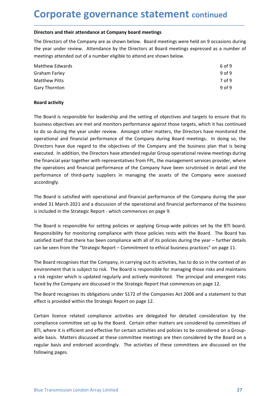**Corporate governance statement continued**<br>Directors and their attendance at Company board meetings<br>The Directors of the Company are as shown below. Board meetings were held on 9 occasions during<br>the year under review. Att **Corporate governance statement continued**<br>
Directors and their attendance at Company board meetings<br>
The Directors of the Company are as shown below. Board meetings were held on 9 occasions during<br>
the year under review. **Corporate governance statement continued**<br>
Directors and their attendance at Company board meetings<br>
The Directors of the Company are as shown below. Board meetings were held on 9 occasions during<br>
the year under review. **Corporate governance statement continued<br>
Directors and their attendance at Company board meetings<br>
The Directors of the Company are as shown below. Board meetings were held on 9 occasions during<br>
the year under review. A** 

| <b>Corporate governance statement continued</b>                                                      |                                                                                                    |  |  |  |  |  |  |
|------------------------------------------------------------------------------------------------------|----------------------------------------------------------------------------------------------------|--|--|--|--|--|--|
| Directors and their attendance at Company board meetings                                             |                                                                                                    |  |  |  |  |  |  |
| The Directors of the Company are as shown below. Board meetings were held on 9 occasions during      |                                                                                                    |  |  |  |  |  |  |
| the year under review. Attendance by the Directors at Board meetings expressed as a number of        |                                                                                                    |  |  |  |  |  |  |
| meetings attended out of a number eligible to attend are shown below.                                |                                                                                                    |  |  |  |  |  |  |
| <b>Matthew Edwards</b>                                                                               | 6 of 9                                                                                             |  |  |  |  |  |  |
| <b>Graham Farley</b>                                                                                 | 9 of 9                                                                                             |  |  |  |  |  |  |
| <b>Matthew Pitts</b>                                                                                 | 7 of 9                                                                                             |  |  |  |  |  |  |
| Gary Thornton                                                                                        | 9 of 9                                                                                             |  |  |  |  |  |  |
| <b>Board activity</b>                                                                                |                                                                                                    |  |  |  |  |  |  |
| The Board is responsible for leadership and the setting of objectives and targets to ensure that its |                                                                                                    |  |  |  |  |  |  |
|                                                                                                      | business objectives are met and monitors performance against those targets, which it has continued |  |  |  |  |  |  |
|                                                                                                      |                                                                                                    |  |  |  |  |  |  |
| to do so during the year under review. Amongst other matters, the Directors have monitored the       |                                                                                                    |  |  |  |  |  |  |

**Corporate governance statement continued**<br>Directors and their attendance at company board meetings<br>the piercetor of the Company are as shown below. Board meetings were held on 9 occasions during<br>the year under review. Att **Corporate governance statement continued**<br>
Directors and their attendance at Company board meetings<br>
The Directors of the Company are as shown below. Board meetings were held on 9 occasions during<br>
the year under review. **COPPOF THE SOVET THE STATEMENT CONTINUED**<br>
Directors and their attendance at Company board meetings<br>
The Directors of the Company are as shown below. Board meetings were held on 9 occasions during<br>
the year under review. Directors and their attendance at Company board meetings<br>
The Directors of the Company are as shown below. Board meetings were held on 9 occasions during<br>
the year under review. Attendance by the Directors at Board meeting Directors and their attendance at Company board meetings<br>
The Directors of the Company are as shown below. Board meetings were held on 9 occasions during<br>
the year under review. Attendance by the Directors at Board meeting The Directors of the Company are as shown below. Board meetings were held on 9 occasions during<br>the year under review. Attendance by the Directors at Board meetings expressed as a number of<br>meetings attended out of a numbe The Drectous of the Company presentatives from FPL, the management services from the spart of the spart of meetings attended out of a number eligible to attend are shown below.<br>
Matthew Edwards<br>
Sory Thornton Sobietity<br>
9 the year unture levews. Automated by the butchcost at board meetings expressed as a number of metings attended out of a number eligible to attend are shown below.<br>
Matthew Edwards<br>
Scriptan Farley 9019<br>
Board activity<br>
The metalling such that the Exploration of the Company and the Section of the Company of the Company Circuity of the Company Thomas Board activity<br> **Board activity**<br> **Board activity**<br> **The Board is responsible for leadership a** accordingly. Matthew Pitts<br>
The Board activity<br>
The Board is responsible for leadership and the setting of objectives and targets to ensure that its<br>
business objectives are met and monitors performance against those targets, which it 9 of 9<br>Board activity<br>The Board is responsible for leadership and the setting of objectives and targets to ensure that its<br>business objectives are met and monitors performance against those targets, which it has continued<br> **Board activity**<br>The Board is responsible for leadership and the setting of objectives and targets to ensure that its<br>business objectives are met and monitors performance against those targets, which it has continued<br>to do The Board is responsible for leadership and the setting of objectives and targets to ensure that its business objectives are met and monitors performance against those targets, which it has continued to do so during the ye The Board is responsible for leadership and the setting of objectives and targets to ensure that its<br>business objectives are met and monitors performance against those targets, which it has continued<br>to do so during the ye business objectives are met and monitors performance against those targets, which it has continued<br>to do so during the year under review. Amongst other matters, the Directors have monitored the<br>operational and financial pe to do so during the year under review. Amongst other matters, the Directors have monitored the Operational and financial performance of the Company during Board meetings. In doing so, the Directors have due regard to the o Directors have due regard to the objectives of the Company and the business plan that is being<br>executed. In addition, the Directors have attended regular Group operational review meetings during<br>the financial year together executed. In addition, the Directors have attended regular Group operational review meetings during<br>the financial year trogether with representatives from FPL, the management services provider, where<br>the operations and fin

the financial year together with representatives from FPL, the management services provider, where<br>the operations and financial performance of the Company have been scruttinised in detail and the<br>performance of third-party the operations and financial performance of the Company have been scrutinised in detail and the<br>performance of third-party suppliers in managing the assets of the Company were assessed<br>accordingly.<br>The Board is satisfied w personance of emmeplary suppress in managing the assess of the Company were assessed<br>accordingly.<br>The Board is satisfied with operational and financial performance of the Company during the year<br>ended 31 March 2021 and a d Ethe Board is satisfied with operational and financial performance of the Company during the year<br>ended 31 March 2021 and a discussion of the operational and financial performance of the business<br>is included in the Strateg

a risk register which is updated regularly and actively monitored. The principal and emergent risks faced by the Company are discussed in the Strategic Report that commences on page 12.<br>The Board recognises its obligations The board is stative of the perational and instance relations and instance of the Company duming the year<br>sis included in the Strategic Report - which commences on page 9.<br>The Board is responsible for setting policies or a Enter 3 17 water 2021 and sustained the eyeration and unanceal performance of the boards.<br>Is included in the Strategic Report - which commences on page 9,<br>The Board is responsible for setting policies or applying Group-wid Is included in the Shadegbi report • which commendes on page 5.<br>The Board is responsible for setting policies or applying Group-wide policies est by the BTI board.<br>Responsibility for monitoring compliance with those polici The Board is responsible for setting policies or applying Group-wide policies set by the BTI board.<br>Responsibility for monitoring compliance with those policies rests with the Board. The Board has<br>astisfied itself that the rne court of regulars and endorsed accordingly. The activities and these committees are one of the solution presentiality for monitoring compliance with those policies rests with the Board. The Board has satisfied itself t exposition it of momotomy computance with culos pointers rests rest with the coan be seen from the "Strategic Report – Commitment to ethical business practices can be seen from the "Strategic Report – Commitment to ethical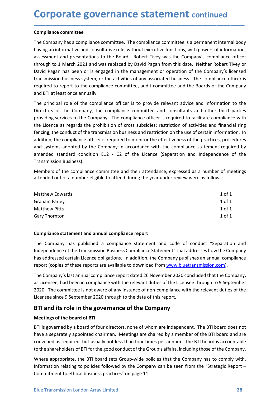**Corporate governance statement continued**<br> **Compliance committee**<br>
The Company has a compliance committee. The compliance committee is a permanent internal body<br>
having an informative and consultative role, without execut **Corporate governance statement contin<br>
Compliance committee**<br>
The Company has a compliance committee. The compliance committee is a permaner<br>
having an informative and consultative role, without executive functions, with **Corporate governance statement continued**<br>
The Company has a compliance committee. The compliance committee is a permanent internal body<br>
having an informative and consultative role, without executive functions, with powe **Corporate governance statement continued**<br>The Company has a compliance committee. The compliance committee is a permanent internal body<br>having an informative and consultative role, without executive functions, with powers **Corporate governance statement continued**<br>The Company has a compliance committee. The compliance committee is a permanent internal body<br>having an informative and consultative role, without executive functions, with powers **Corporate governance statement continued**<br>The Company has a compliance committee. The compliance committee is a permanent internal body<br>having an informative and consultative role, without executive functions, with powers **Corporate governance statement** continued<br>The Company has a compliance committee. The compliance committee is a permanent internal body<br>having an informative and consultative role, without executive functions, with powers **Corporate governance statement continued**<br>The Company has a compliance committee. The compliance committee is a permanent internal body<br>having an informative and consultative role, without executive functions, with powers **Corporate governance statement continued**<br>The Company has a compliance committee. The compliance committee is a permanent internal body<br>having an informative and consultative role, without executive functions, with powers **Corporate governance statement continued**<br> **Compliance committee**<br>
The Company has a compliance committee. The compliance committee is a permanent interna<br>
having an informative and consultative role, without executive fu **Corporate governance statement** continued<br>The Compainne committee<br>The Company has a compliance committee. The compliance committee is a permanent internal body<br>having an informative and consultative role, without executiv **Corporate governance statement continued**<br>The Company has a compliance committee. The compliance committee is a permanent internal body<br>having an informative and consultative role, without executive functions, with powers **Corporate governance statement** continued<br>
compliance committee<br>
The Company has a compliance committee. The compliance committee is a permanent internal body<br>
The Company is a compliance compliance officer is required to

\_\_\_\_\_\_\_\_\_\_\_\_\_\_\_\_\_\_\_\_\_\_\_\_\_\_\_\_\_\_\_\_\_\_\_\_\_\_\_\_\_\_\_\_\_\_\_\_\_\_\_\_\_\_\_\_\_\_\_\_\_\_\_\_\_\_\_\_\_\_\_\_\_\_\_\_\_\_\_\_\_\_\_\_\_\_\_\_\_\_

**Corporate governance statement** continued<br>
Tompliance committee<br>
The Company has a compliance committee. The compliance committee is a permanent internal body<br>
having an informative and consultative role, without executiv **COT POUT ALCE BOVETTIATILE SLATETTETTL CONTINUED**<br> **Compliance committee**<br>
The Company has a compliance committee. The compliance committee is a permanent internal body<br>
having an informative and consultative role, withou **Compliance committee**<br>The Company has a compliance committee. The compliance committee is a permanent internal body<br>having an informative and consultative role, without executive functions, with powers of information,<br>ass **Compliance committee**<br>The Company has a compliance committee. The compliance committee is a permanent internal body<br>having an informative and consultative role, without executive functions, with powers of information,<br>ass The Company has a compliance committee. The compliance committee is a permanent internal body<br>having an informative and consultative role, without executive functions, with powers of information,<br>assessment and presentatio Intercultuanty was a computante committee. The computante committee is a permunal changing an informative and consultative role, without executive functions, with powers cassessment and presentations to the Board. Robert T assessment and presentations to the Board. Robert Tivey was the Company's compliance officer<br>through to 1 March 2021 and was replaced by Dovid Pagan from this date. Neither Robert Tivey or<br>David Pagan has been or is engage through to 1 March 2021 and was replaced by David Pagan from this date. Neither Robert Tivey or<br>David Pagan has been or is engaged in the management or operation of the Company's licensed<br>ratmsmission business system, or t transmission business system, or the activities of any associated business. The compliance officer is<br>required to report to the compliance committee, audit committee and the Boards of the Company<br>and BT at least once annua required to report to the compliance committee, audit committee and the Boards of the Company<br>
and BTI at least once annually.<br>
The principal role of the compliance officer is to provide relevant advice and information to and BTI at least once annually.<br>The principal role of the compliance officer is to provide relevant advice and information to the<br>Directors of the Company, the compliance officer is required to facilitate compliance with<br>p The principal role of the compliance officer is to provide relevant advice and information to the<br>Directors of the Company, the compliance committee and consultants and other third parties<br>providing services to the Company providing services to the Company. The compliance officer is required to facilitate compliance with<br>the Licence as regards the prohibition of cross subsidies; restriction of activities and financial ring<br>fencing; the condu Enerice as regarats the promution of closs solutions, restriction on activities and information. In addition, the compliance officer is required to monitor the effectiveness of the practices, procedures addition, the compl Finance, the compliance of the criminission business and restriction on the velocit of the practices, procedures<br>and systems adopted by the Company in accordance with the empliance statement required by<br>annehded standard c

| Matthew Edwards      | $1$ of $1$ |
|----------------------|------------|
| Graham Farley        | $1$ of $1$ |
| <b>Matthew Pitts</b> | $1$ of $1$ |
| Gary Thornton        | $1$ of $1$ |

aduction, the company in a ccordance with the compliance statement required by<br>and systems adopted by the Company in accordance with the compliance statement required by<br>amended standard condition E12 - C2 of the Licence (

The Company's last annual compliance report dated 26 November 2020 concluded that the Company,<br>as Licensee, had been in compliance with the relevant duties of the Licensee through to 9 September<br>2020. The committee is not and systems adopted of the Comparty m activitation with the Complance statement required or<br>amended standard condition E12 - C2 of the Licence (Separation and Independence of the<br>Transmission Business).<br>Members of the comp Transmission Business).<br>
Members of the compliance committee and their attendance, expressed as a number of meetings<br>
attended out of a number eligible to attend during the year under review were as follows:<br>
Matthew Edwar Members of the compliance committee and their attendance, expressed as a number of meetings<br>attended out of a number eligible to attend during the year under review were as follows:<br>
Matthew Edwards<br>
1 of 1<br>
Graham Farley<br> Werners of the compliance committee and their attendantle, expressed as a indimetrior inteetings<br>
attended out of a number eligible to attend during the year under review were as follows:<br>
Any Thornton<br>
10 of 1<br>
Grapy Thor Licensee out of a hannoet engine to dicente daring the year under restrict were as sonows.<br>
Matthew Edwards<br>
1 of 1<br>
Matthew Pitts<br>
1 of 1<br>
1 of 1<br>
CGNT The Company has apublished a compliance report<br>
Independence of the T Matthew Edwards<br>
1 of 1<br>
1 of 1<br>
1 of 1<br>
1 of 1<br>
1 of 1<br>
1 of 1<br>
1 of 1<br>
1 of 1<br>
1 of 1<br>
1 of 1<br>
1 of 1<br>
1 of 1<br>
1 of 1<br>
1 of 1<br>
1 of 1<br>
1 of 1<br>
1 of 1<br>
1 of 1<br>
1 of 1<br>
1 of 1<br>
1 of 1<br>
1 of 1<br>
1 of 1<br>
1 of 1<br>
1 of 1<br>
1 of Graham Farley<br>
1011<br>
1011<br>
1011<br>
1011<br>
1011<br>
1011<br>
1011<br>
1011<br>
1011<br>
1011<br>
1011<br>
1011<br>
1011<br>
1011<br>
1011<br>
1011<br>
1011<br>
1011<br>
1011<br>
1011<br>
Intermediate obly<br>
2020 a compliance statement and compliance statement and code of con Mature Tritish<br>
Compliance statement and annual compliance report<br>
The Company has published a compliance statement and code of conduct "Separation and<br>
the Company has abdiresed of Faramsission Business Compliance Stateme Compliance statement and annual compliance report<br>The Company has published a compliance statement and code of conduct "Separation and<br>Independence of the Transmission Business Compliance Statement" that addresses how the **Compliance statement and annual compliance report**<br>The Company has published a compliance statement and code of conduct "Separation and<br>Independence of the Transmission Business Compliance Statement" that addresses how th **Compliance statement and annual compliance report**<br>The Company has published a compliance statement and code of conduct "Separation and<br>Independence of the Transmission Business Compliance Statement" that addresses how th The Company has published a compliance statement and code of conduct "Separation and<br>Independence of the Transmission Business Compliance Statement" that addresses how the Company<br>Inas addressed certain Licence obligations Independence of the Transmission Business Compliance Statement" that addresses how the Company<br>The Company's last annual compliance. In addition, the Company publishes an annual compliance<br>report (copies of these reports a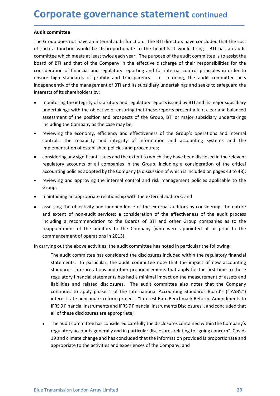**Corporate governance statement continued**<br>Audit committee<br>The Group does not have an internal audit function. The BTI directors have concluded that the cost<br>of such a function would be disproportionate to the benefits it **Corporate governance statement con-**<br>Audit committee<br>The Group does not have an internal audit function. The BTI directors have co<br>of such a function would be disproportionate to the benefits it would brin<br>committee which **Corporate governance statement continued**<br> **Audit committee**<br>
The Group does not have an internal audit function. The BTI directors have concluded that the cost<br>
of such a function would be disproportionate to the benefit **Corporate governance statement continued**<br>The Group does not have an internal audit function. The BTI directors have concluded that the cost<br>of such a function would be disproportionate to the benefits it would bring. BTI **Corporate governance statement continued**<br>The Group does not have an internal audit function. The BTI directors have concluded that the cost<br>of such a function would be disproportionate to the benefits it would bring. BTI **Corporate governance statement continued**<br>The Group does not have an internal audit function. The BTI directors have concluded that the cost<br>of such a function would be disproportionate to the benefits it would bring. BTI **Corporate governance statement continued**<br> **Audit committee**<br>
The Group does not have an internal audit function. The BTI directors have concluded that the cost<br>
of such a function would be disproportionate to the benefit **Corporate governance statement continued**<br> **Audit committee**<br>
The Group does not have an internal audit function. The BTI directors have concluded that the cost<br>
of such a function would be disproportionate to the benefit **Corporate governance statement continued**<br>The Group does not have an internal audit function. The BTI directors have concluded that the cost<br>of such a function would be disproportionate to the benefits it would bring. BTI **Corporate governance statement continued**<br> **Audit committee**<br>
The Group does not have an internal audit function. The BTI directors have concluded that the cost<br>
of such a function would be disproportionate to the benefit **DIPOOTATE GOVETNANCE STATEMENT C** continued<br>
The integrity of some and the disproportionate to the benefits it would bring. BTI alter thich mets at least twice each year. The purpose of the audit committee which mets at l **DIFOOTATE GOVET CONTERNATE STATEMENT CONTERNATE CONTERNATE COMPUT ACCOMPT AND A function would be disproportionate to the benefits it would bring. BTI has an audit untite which meets at least twice each year. The purpose DIFORT THE SOVET THATE STATEM CONTROM CONTROM CONTROM CONTROM (SCOND 10000** and interval and form of the proposition and provide the cost of the proposition and provide the and provide the and the cost of the and the comp **DIFIDENT SOVET TRANCE STATEMENT CONTINUES**<br> **In the Company discussed Scale Scale Scale Scale Scale Scale Scale Scale in the Company of the Company intermediate with a function would be disproportionate to the benefits it** The provident and the economy and the economic state of the economic state of the control of the control of the economic state of of BTI alternative which a function would be disproportionate to the benefits it would bring **it committee**<br>Group does not have an internal audit function. The BTI directors have concluded that the cost<br>uch a function would be disproportionate to the benefits it would bring. BTI has an audit<br>imittee which meets at it committee<br>
Group does not have an internal audit function. The BTI directors have concluded that the cost<br>
Group does not have an internal audit function. The BTI directors have concluded that the cost<br>
uch a function w Group does not have an internal audit function. The BTI directors have concluded that the cost<br>uch a function would be disproportionate to the benefits it would bring. BTI has an audit<br>unitee which meets at least twice eac uch a function would be disproportionate to the benefits it would bring. BTI has an audit<br>mitter which metes at least twice each year. The purpose of the audit committee is to assist the<br>ide of BTI and that of the Company mittee which meets at least twice each year. The purpose of the audit committee is to assist the<br>doff BTI and that of the Company in the effective discharge of their responsibilities for the<br>dislectation of financial and r of of BTI and that of the Company in the eftective discharge of their responsibilities for the company in the editor of independently of the management of BTI and its subsidiary undertakings and seeks to safeguard the pred

\_\_\_\_\_\_\_\_\_\_\_\_\_\_\_\_\_\_\_\_\_\_\_\_\_\_\_\_\_\_\_\_\_\_\_\_\_\_\_\_\_\_\_\_\_\_\_\_\_\_\_\_\_\_\_\_\_\_\_\_\_\_\_\_\_\_\_\_\_\_\_\_\_\_\_\_\_\_\_\_\_\_\_\_\_\_\_\_\_\_

- 
- 
- 
- Group;
- 
- ine may sammatos or prototy and unasperancy. Thi so uoring, the stout communicate acts<br>peperdently of the management of BTI and its subsidiary undertakings and seeks to safeguard the<br>rests of its shareholders by:<br>monitorin rests of its shareholders by:<br>monitoring the integrity of statutory and regulatory reports issued by BTI and its major subsidiary<br>undertakings with the objective of ensuring that these reports present a fair, clear and bal monitoring the integrity of statutory and regulatory reports issued by BTI and its major subsidiary<br>undertakings with the objective of ensuring that these reports present a fair, clear and balanced<br>assessment of the positi invincular unerinces in the plactive of ensuring that these reports present a fair, clear and balanced<br>ansessment of the position and prospects of the Group, BTI or major subsidiary undertakings<br>including the Company as th and the mead to the positive of entaining was the company and the company and the company as the company as the case may be;<br>
reviewing the company as the case may be;<br>
reviewing the company as the case may be;<br>
reviewing sossimum or the position and plotsplaces of the Groupy, Bir of inaylor substituty directantings<br>including the Company as the case may be;<br>reviewing the economy, efficiency and effectiveness of the Group's operations and in • reviewing the economy, efficiency and effectiveness of the Group's operations and internal<br>controls, the reliability and integrity of information and accounting systems and the<br>implementation of established policies and

regulatory financial statements has had a minimal impact on the measurement of assets and<br>liabilities and related disclosures. The audit committee also notes that the Company<br>continues to apply phase 1 of the international Irols, the reliability and integrity of information and accounting systems and the<br>
elementation of established policies and procedures;<br>
didering any significant issues and the extent to which they have been disclosed in lementation of established policies and procedures;<br>isdering any significant issues and the extent to which they have been disclosed in the relevant<br>allatory accounts of all companies in the Group, including a consideratio sidering any significant issues and the extent to which they have been disclosed in the relevant<br>alatory accounts of all companies in the Group, including a consideration of the critical<br>ounting policies adopted by the Com relation of all companies in the Group, including a consideration of the critical bulating policies adopted by the Company (a discussion of which is included on pages 43 to 48); ewing and approving the internal control and inuming policies adopted by the Company (a discussion of which is included on pages 43 to 48);<br>ewing and approving the internal control and risk management policies applicable to the<br>pyrig and approving the internal contro ewing and approving the internal control and risk management policies applicable to the<br>pup;<br>wiving and approving the internal control and risk management policies applicable to the<br>postsing the objectivity and independenc interior and approving the interial control and risk management pointers applicate to the<br>stratining an appropriate relationship with the external auditors by considering: the nature<br>extent of non-audit services; a conside UP:<br>
Instraining an appropriate relationship with the external auditors; and<br>
Instrigting the objectivity and independence of the external auditors by considering: the nature<br>
extent of non-audit services; a consideration ntaining an appropriate relationship with the external auditors; and<br>ssing the objectivity and independence of the external auditors by considering: the nature<br>extent of non-audit services; a consideration of the effective issing the objectivity and independence of the external auditors by considering: the nature<br>extent of non-audit revices; a consideration of the effectiveness of the audit pocess<br>uding a recommendation to the Boards of BTI extent of non-audit services; a consideration of the effectiveness of the audit process<br>uding a recommendation to the Boards of BTI and other Group companies as to the<br>popintment of the auditors to the Company (who were ap uding a recommendation to the Boards of BTI and other Group companies as to the popintment of the auditors to the Company (who were appointed at or prior to the mencement of operations in 2013).<br>
Ing out the above activiti ppointment of the auditors to the Company (who were appointed at or prior to the mencement of operations in 2013).<br>Ing out the above activities, the audit committee has noted in particular the following:<br>The audit committe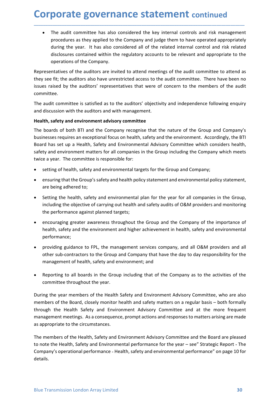**Corporate governance statement continued**<br>• The audit committee has also considered the key internal controls and risk management<br>procedures as they applied to the Company and judge them to have operated appropriately<br>dur **porate governance statement continued**<br>The audit committee has also considered the key internal controls and risk management<br>procedures as they applied to the Company and judge them to have operated appropriately<br>during t porate governance statement continued<br>The audit committee has also considered the key internal controls and risk management<br>procedures as they applied to the Company and judge them to have operated appropriately<br>during the **porate governance statement continued**<br>The audit committee has also considered the key internal controls and risk management<br>procedures as they applied to the Company and judge them to have operated appropriately<br>during t **porate governance statement continued**<br>The audit committee has also considered the key internal controls and risk management<br>procedures as they applied to the Company and judge them to have operated appropriately<br>during t **porate governance statement continued**<br>The audit committee has also considered the key internal controls and risk manageme<br>procedures as they applied to the Company and judge them to have operated appropriate<br>during the y **Corporate governance statement continued**<br>
• The audit committee has also considered the key internal controls and risk management<br>
procedures as they applied to the Company and judge them to have operated appropriately<br> **Corporate governance statement continued**<br> **•** The audit committee has also considered the key internal controls and risk management<br>
procedures as they applied to the Company and judge them to have operated appropriately **Corporate governance statement continued**<br> **•** The audit committee has also considered the key internal controls and risk management<br>
procedures as they applied to the Company and judge them to have operated appropriately **Corporate governance statement continued**<br>
• The audit committee has also considered the key internal controls and risk management<br>
procedures as they applied to the Company and judge them to have operated appropriately<br> **Corporate governance statement continued**<br>
• The audit committee has also considered the key internal controls and risk management<br>
procedures as they applied to the Company and judge them to have operated appropriately<br> **Corporate governance statement continued**<br>
• The audit committee has also considered the key internal controls and risk management<br>
procedures as they applied to the Company and judge them to have operated appropriately<br>

\_\_\_\_\_\_\_\_\_\_\_\_\_\_\_\_\_\_\_\_\_\_\_\_\_\_\_\_\_\_\_\_\_\_\_\_\_\_\_\_\_\_\_\_\_\_\_\_\_\_\_\_\_\_\_\_\_\_\_\_\_\_\_\_\_\_\_\_\_\_\_\_\_\_\_\_\_\_\_\_\_\_\_\_\_\_\_\_\_\_

committee.

**COPY COT ATE SOVEM SITE STATE THE COMPONE STATE AND AND THE SURVER THE SURVER THE SURVERT THE SURVERT SURVERT THE SURVERT THE SURVERT THE SURVERT ON THE REPORT ON THE REPORT ON THE REPORT ON THE REPORT ON THE REPORT ON TH** The audit committee has also considered the key internal controls and risk management<br>procedures as they applied to the Company and judge them to have operated appropriately<br>during the year. It has also considered all of t • The audit committee has also considered the key internal controls and risk management<br>procedures as they applied to the Company and judge them to have operated appropriately<br>during the year. It has also considered all of Free taster contributed to the Company and judge them to have operated appropriately<br>procedures as they applied to the Company and judge them to have operated appropriately<br>during the year. It has also considered all of th procedure of sometime of the compary and protect of the related internal control and risk related<br>diring the year. It has also considered all of the related internal control and risk related<br>disclosures contained within th disclosures contained within the regulatory accounts to be relevant and appropriate to the<br>operations of the company.<br>Setting to a denotions are invited to attend meetings of the audit committee to attend as<br>see fit, the a operations or the company.<br>
seensitives of the auditions are invited to attend meetings of the audit committee. There have been no<br>
see fit, the auditors also have unrestricted access to the audit committee. There have bee resentatives of the auditors are invited to attend meetings of the audit committee to atter<br>see fit; the auditors also have unrestricted access to the audit committee. There have been<br>servated by the auditors' representati Set in, the auditors are interesting of the and columninties. There have been into the set in the members of the audit ormittee.<br>Set raised by the auditors' representatives that were of concern to the members of the audit<br> is nases uy the autotos representatives strat were of content to the internets of the autotomy and and and and<br>and it committee.<br>
and it committee observed and with management.<br>
Ith, safety and environment advisory committ mutee.<br>
ematter committee is satisfied as to the auditors' objectivity and independence following enquiry<br>
discussion with the auditors and with management.<br>
th, safety and environment advisory committee<br>
boards of both BT abut Communitere is sacistated on the authors objectively and intepertient company singlestsion with the auditors and with management.<br>
Ith, safety and environment advisory committee<br>
boards of both BTI and the Company rec uscussion with the authors and with indiagement.<br>
the, safety and environment advisory committee<br>
boards of both BTI and the Company recognise that the nature of the Group and Company's<br>
nesses requires an exceptional focu boards of both BTI and the Company recognise that the nature of the Group and Company<br>enesses requires an exceptional focus on health, safety and the unvironment. Accordingly, the BTI<br>of has set up a Health, Safety and Env neses requires an exceptional focus on health, safety and the environment. Accordingly, the BTI<br>th das set up a Health, Safety and Environmental Advisory Committee which considers health,<br>ty and environment matters for all

- 
- 
- rd has set up a Health, safety and Environmential Advisory Committee which considers health, and environment matters for all compositions in the Group including the Company which meets e a year. The committee is responsibl e a year. The committee is responsible for:<br>
setting of health, safety and environmental targets for the Group and Company;<br>
ensuring that the Group's safety and health policy statement and environmental policy statement,<br>
- performance;
- 
- 

• Reporting to all boards in the Group including that of the Company as to the activities of the committee throughout the year.<br>
During the year members of the Health Safety and Environment Advisory Committee, who are also setting of health, safety and environmental targets for the Group and Company;<br>ensuring that the Group's safety and health policy statement and environmental policy statement,<br>are being adhered to;<br>are being adhered to;<br>Se • ensuring that the Group's safety and health policy statement and environmental policy statement,<br>
• Setting the health, safety and environmental plan for the year for all companies in the Group,<br>
including the belpettive are being adhered to:<br>
• Setting the health, safety and environmental plan for the year for all companies in the Group,<br>
including the objective of carrying out health and safety audits of O&M providers and monitoring<br>
the • Setting the health, safety and environmental plan for the year for all companies in the Group,<br>
including the objective of carrying out health and safety audits of O&M providers and monitoring<br>
• encororating greater including the bleat to carrying out health and safety audits of O&M providers and monitoring<br>the performance against planned targets;<br>
• encouraging greater awareness throughout the Group and the Company of the importance incouraging credit of the Hendith Safety and Environment Advisory Committee and the Berformance against planned targets;<br>
• encouraging greater awareness throughout the Group and the Company of the importanelith, safety an • encouraging greater awareness throughout the Group and the Company of the importance of<br>health, safety and the environment and higher achievement in health, safety and environmental<br>enformance;<br>• providing guidance to F the safety and the environment and higher achievement in health, safety and environmental<br>
performance;<br>
• providing guidance to FPL, the management services company, and all O&M providers and all<br>
other sub-contractors to performance;<br>
• providing guidance to FPL, the management services company, and all O&M providers and all<br>
other sub-contractors to the Group and Company that have the day to day responsibility for the<br>
management of healt

details.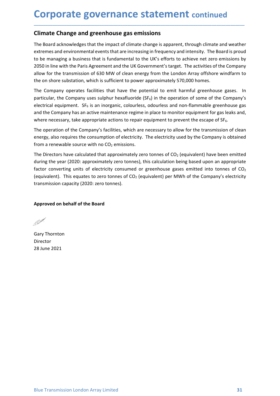# **Corporate governance statement continued<br>
Climate Change and greenhouse gas emissions**<br>
The Board acknowledges that the impact of climate change is apparent, through climate and weather<br>
actrographs on the second on the s

**Corporate governance statement continued**<br>
Climate Change and greenhouse gas emissions<br>
The Board acknowledges that the impact of climate change is apparent, through climate and weather<br>
extremes and environmental events **Corporate governance statement continued**<br> **Climate Change and greenhouse gas emissions**<br>
The Board acknowledges that the impact of climate change is apparent, through climate and weather<br>
extremes and environmental event **Corporate governance statement continued<br>
Climate Change and greenhouse gas emissions**<br>
The Board acknowledges that the impact of climate change is apparent, through climate and weather<br>
extremes and environmental events **Corporate governance statement continued**<br>
The Board acknowledges that the impact of climate change is apparent, through climate and weather<br>
extremes and environmental events that are increasing in frequency and intensit **Corporate governance statement** continued<br>
Climate Change and greenhouse gas emissions<br>
The Board acknowledges that the impact of climate change is apparent, through climate and weather<br>
extremes and environmental events **Corporate governance statement continued**<br>The Board acknowledges that the impact of climate change is apparent, through climate and weather<br>extremes and environmental events that are increasing in frequency and intensity. **Corporate governance statement** continued<br>
Climate Change and greenhouse gas emissions<br>
The Board acknowledges that the impact of climate change is apparent, through climate and weather<br>
extremes and environmental events **Corporate governance statement continued**<br> **Climate Change and greenhouse gas emissions**<br>
The Board acknowledges that the impact of climate change is apparent, through climate and weather<br>
extremes and environmental event **Corporate governance statement** continued<br>
Climate Change and greenhouse gas emissions<br>
The Board acknowledges that the impact of climate change is apparent, through climate and weather<br>
extremes and environmental events **Corporate governance statement** continued<br> **Climate Change and greenhouse gas emissions**<br>
The Board acknowledges that the impact of climate change is apparent, through climate and weather<br>
extremes and environmental event **Corporate governance statement** continued<br> **Climate Change and greenhouse gas emissions**<br>
The Board acknowledges that the impact of climate change is apparent, through climate and weather<br>
extremes and environmental event **COPPOTATE gOVET CONTERNATE STATEM CONTERNATE CONTERNATE TO EXECUTE SOMET THE BOAT ACTIONS THE BOAT ACTIONS THE BOAT ACTIONS THE BOAT ACTIONS THE BOAT ACTIONS THE BOAT ACTIONS THE ROTH EXECUTE EXECUTENT EXECUTE EXECTIONS Climate Change and greenhouse gas emissions**<br>The Board acknowledges that the impact of climate change is apparent, through climate and weather<br>extremes and environmental events that are increasing in frequency and intensi **Climate Change and greenhouse gas emissions**<br>The Board acknowledges that the impact of climate change is apparent, through climate and weather<br>extremes and environmental events that are increasing in frequency and intens The Board acknowledges that the impact of climate change is apparent, through climate and weather<br>extremes and environmental events that are increasing in frequency and intensity. The Board is proud<br>to be managing a busine The Board achrowetedges that the impact of climiate change is apparent, through climate and weather the soard is productorentral tree that are increasing in frequency and intensity. The Board is proud to be managing a busi

\_\_\_\_\_\_\_\_\_\_\_\_\_\_\_\_\_\_\_\_\_\_\_\_\_\_\_\_\_\_\_\_\_\_\_\_\_\_\_\_\_\_\_\_\_\_\_\_\_\_\_\_\_\_\_\_\_\_\_\_\_\_\_\_\_\_\_\_\_\_\_\_\_\_\_\_\_\_\_\_\_\_\_\_\_\_\_\_\_\_

The Company operates facilities that have the potential to emit harmful greenhouse gases. In<br>particular, the Company uses sulphur hexafluoride (SF<sub>8</sub>) in the operation of some of the Company's<br>electrical equipment. SF<sub>6</sub>

extremes and environmental events that are increasing in frequency and intensity. The Board is provided to be managing a business that is fundamental to the UK's efforts to achieve net zero emissions by 2050 in line with t to be managing a business that is fundamental to the UK's efforts to achieve net zero emissions by a 2050 in line with the Paris Agreement and the UK Government's target. The activities of the Company allow for the transmi 2050 in line with the Paris Agreement and the UK Government's target. The activities of the Company<br>allow for the transmission of 630 MW of clean energy from the London Array offshore windfarm to<br>dive on shore substation, where necessary, take appropriate actions to repair equipment to prevent the<br>The operation of the Company's facilities, which are necessary to allow for the<br>energy, also requires the consumption of electricity. The electri The operation of the Company stantines, which are hetecticity. The electricity used by the C<br>energy, also requires the consumption of electricity. The electricity used by the C<br>from a renewable source with no CO<sub>2</sub> emissio

Director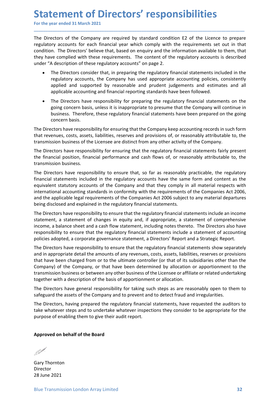Statement of Directors' responsibilities<br>
For the year ended 31 March 2021<br>
The Directors of the Company are required by standard condition E2 of the Licence to prepare<br>
regulatory accounts for each financial year which co **Statement of Directors' responsibilities**<br>
For the year ended 31 March 2021<br>
The Directors of the Company are required by standard condition E2 of the Licence to prepare<br>
regulatory accounts for each financial year which **Statement of Directors' responsibilities**<br>For the year ended 31 March 2021<br>The Directors of the Company are required by standard condition E2 of the Licence to prepare<br>regulatory accounts for each financial year which com **Statement of Directors' responsibilities**<br>For the year ended 31 March 2021<br>The Directors of the Company are required by standard condition E2 of the Licence to prepare<br>regulatory accounts for each financial year which com **Statement of Directors' responsibilities**<br>
For the year ended 31 March 2021<br>
The Directors of the Company are required by standard condition E2 of the Licence to prepare<br>
regulatory accounts for each financial year which **Statement of Directors' responsibilities**<br>
For the year ended 31 March 2021<br>
The Directors of the Company are required by standard condition E2 of the Licence to prepare<br>
regulatory accounts for each financial year which **Statement of Directors' responsibilities**<br>For the year ended 31 March 2021<br>The Directors of the Company are required by standard condition E2 of the Licence to prepare<br>regulatory accounts for each financial year which com **CHIT CONTROM CONTROM CONTS**<br> **Example that**<br> **Example that**<br> **Example to the Company are required by standard condition E2 of the Licence to prepare**<br>
The Directors' believe that, based on enquiry and the information avai **rememberish of Directors' responsibilities**<br>
rear ended 31 March 2021<br>
rectors of the Company are required by standard condition E2 of the Licence to prepare<br>
in . The Directors' believe that, based on enquiry and the inf **Ement of Directors' responsibilities**<br>
ear ended 31 March 2021<br>
ectors of the Company are required by standard condition E2 of the Licence to prepare<br>
pry accounts for each financial year which comply with the requirement **Ement of Directors' responsibilities**<br>ear ended 31 March 2021<br>ectors of the Company are required by standard condition E2 of the Licence to prepare<br>invy accounts for each financial year which comply with the requirements **Ement of Directors' responsibilities**<br>
ear ended 31 March 2021<br>
ectors of the Company are required by standard condition E2 of the Licence to prepare<br>
revy accounts for each financial year which comply with the requiremen **Emeral of Directors' responsibilities**<br>
reast and 31 March 2021<br>
retors of the Company are required by standard condition E2 of the Licence to prepare<br>
rey accounts for each financial year which comply with the requiremen **CEMENT OF DIFECTOTS' PESPONSIBILITIES**<br>ear ended 31 March 2021<br>ectors of the Company are required by standard condition E2 of the Licence to prepare<br>erry accounts for each financial year which comply with the requirements **COMPT ANT ACT DIFECTOTS' PESPONSIBILITIES**<br>
ear ended 31 March 2021<br>
ectors of the Company are required by standard condition E2 of the Licence<br>
ectors for each financial year which comply with the requirements set<br>
in. T **Statement of Directors' responsibilities**<br>
For the year ended 31 March 2021<br>
The Directors of the Company are required by standard condition E2 of the licence to prepare<br>
regulatory accounts for each financial year which For the year ended 31 March 2021<br>
The Directors of the Company are required by standard condition E2 of the Licence to prepare<br>
regulatory accounts for each financial year which comply with the requirements set out in that The Directors of the Company are required by standard condition E2 of the licence to prepare<br>regulatory accounts for each financial year which comply with the requirements set out in that<br>condition. The Directors' believe The Directors of the Company are required by standard condition E2 of the Licence to prepare<br>
regulatory accounts for each financial year which comply with the requirements set est ut in that<br>
condition. The Directors' bel The Directors have responsibility for ensuring that the findmatic state is the financial state of the production. The Directors' believe that be the production of the regulatory accounts is described under "A description o

\_\_\_\_\_\_\_\_\_\_\_\_\_\_\_\_\_\_\_\_\_\_\_\_\_\_\_\_\_\_\_\_\_\_\_\_\_\_\_\_\_\_\_\_\_\_\_\_\_\_\_\_\_\_\_\_\_\_\_\_\_\_\_\_\_\_\_\_\_\_\_\_\_\_\_\_\_\_\_\_\_\_\_\_\_\_\_\_\_\_

- 
- 

Countries are the minimal of the minimal of the minimal of the comparison of the minimal of the minimal of the minimal of the predictory accounts" on page 2.<br>
• The Directors' believe that, based on enquiry and the informa they have complied with these requirements. The content of the regulatory accounts is described<br>
"A description of these regulatory accounts" on page 2.<br>
"The Directors consider that, in preparing the regulatory financial **••** The Directs consists that, in preparing the regulatory accounts and the regulatory financial statements included in the regulatory accounts, the Company has used appropriate accounting policies, consistently applied a Fite Directors consider that, in preparing the regulatory financial statements included in the regulatory accounting policies, consistently applied and supported by reasonable and prudent judgements and estimates and all a international accounting, the lignational standards in conforming the explanation standards in a suppose the applicable accounting policies, consistently applicable accounting and financial reporting standards have been fo regunatory excusions, the company mas used exprehents and expansional angle and supported by peasonable and prudent judgements and estimates and all applicable accounting and financial reporting standards have been followe sypted and supported of the company and that being the regulatory financial statements and explained accounting and financial reporting standards have been followed.<br>
• The Directors have responsibility for preparing the r • The Directors have responsibility for preparing the regulatory financial statements on the going toncern basis, unless it is inappropriate to presume that the Company will continue in business. Therefore, these regulator From the there there to the comparistic of the comparistic in the regulatory interest and a statement of changes. The Directors have responsibility for ensuring that the Company keep accounting records in such form<br>that re is united to the statement specific measure in the interaction of the properties. Therefore, these regulatory financial statements have been prepared on the going<br>concern basis.<br>The Directors have responsibility for ensuri concern basis.<br>
concern basis.<br>
The Directors have responsibility for ensuring that the Company keep accounting records in such form<br>
that revenues, costs, assets, liabilities, reserves and provisions of, or reasonably att Concern uses assesses in the company keep accounting records in such form<br>that cevenues, costs, assets, liabilities, reserves and provisions of, or reasonably attributable to, the<br>transmission business of the Licensee are

The Directors have responsibility of ensuring viatcine Controllary exerces or preasonably attributable to, the<br>transmission business of the licensee are distinct from any other activity of the Company.<br>
The Directors have Inta reventase, toose, assets, inaunites, reserves and provisions or, or leasonably activened to, the company.<br>The Directors have responsibility for ensuring that the regulatory financial statements fairly present<br>The Dire transmission to united to the cherister as in using the activity or its compary. The Directors have responsibility for ensuring that the regulatory financial statements fairly present the financial position, financial perf The Directors have responsibility for ensuring that the regulatory financial statements fairly present<br>the financial position, financial performance and cash flows of, or reasonably attributable to, the<br>transmission busine the financial position, financial performance and cash flows of, or reasonably attributable to, the transmission business.<br>The Directors have responsibility to ensure that, so far as reasonably practicable, the regulatory<br> transmission business.<br>The Directors have responsibility to ensure that, so far as reasonably practicable, the regulatory<br>financial statements included in the regulatory accounts have the same form and content as the<br>equiv The Directors have responsibility to ensure that, so far as reasonably practicable, the regulatory<br>diriancial statements included in the regulatory accounts have the same form and content as the<br>equivalent statutory accoun financial statements included in the regulatory accounts have the same form and content as the equivalent statutory accounts of the Company and that they compay in all material respects with international accounting standa equorient statutory actounins or the Company and that they tounly in an interation associate which the requirements of the Companies Act 2006, and the applicable legal requirements of the Companies Act 2006, being disclose meantoura accounting standards in the mediator of the comparation of the comparation and the applicable legal requirements of the Companies Act 2006 subject to any material departures<br>being disclosed and explained in the r and the approace regar equivalent to the Comparison of the Construction subset to any instehend the purpose of enable of enable of enable of enable of the pureof of the Directors have responsibility to ensure that the regu statement, a statement of changes in equity and, if appropriate, a statement of comprehensive<br>income, a balance sheet and a cash flow statement, including notes thereto. The Directors also have<br>iresponsibility to ensure th The Directors have responsibility to ensure that the regulatory financial statement of a my revenues, costs, assets, liabilities, that have been charged from or to the ultimate controller (or that of its substantine Compan that have been charged from or to the ultimate controller (or that of its subsidic<br>Company) of the Company, or that have been determined by allocation or approximations of the company, or that have been determined by alloc

transmission business or between any other business of the Licensee or affiliate or related undertaking<br>together with a description of the basis of apportionment or allocation.<br>The Directors have general responsibility for

Director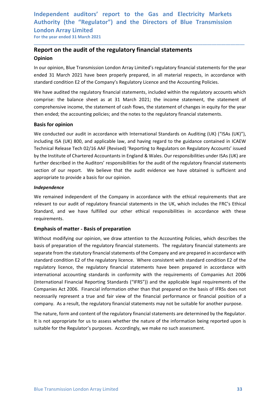### Independent auditors' report to the Gas and Electricity Markets<br>Authority (the "Regulator") and the Directors of Blue Transmission<br>London Array Limited<br>For the year ended 31 March 2021 Independent auditors' report to the Gas and Electricity Markets<br>Authority (the "Regulator") and the Directors of Blue Transmission<br>London Array Limited<br>For the year ended 31 March 2021<br>Report on the audit of the regulatory Independent auditors' report to the Gas and Electricity Marke<br>Authority (the "Regulator") and the Directors of Blue Transmissic<br>London Array Limited<br>For the year ended 31 March 2021<br>Report on the audit of the regulatory fi Independent auditors' report to the Gas and Electricity Markets<br>Authority (the "Regulator") and the Directors of Blue Transmission<br>London Array Limited<br>For the year ended 31 March 2021<br>**Report on the audit of the regulator** Independent auditors' report to the Gas and Electricity Markets<br>Authority (the "Regulator") and the Directors of Blue Transmission<br>London Array Limited<br>For the year ended 31 March 2021<br>**Report on the audit of the regulator** Independent auditors' report to the Gas and Electricity Markets<br>
Authority (the "Regulator") and the Directors of Blue Transmission<br>
London Array Limited<br>
For the year ended 31 March 2021<br> **Report on the audit of the regul** Independent auditors' report to the Gas and Electricity Markets<br>Authority (the "Regulator") and the Directors of Blue Transmission<br>London Array Limited<br>For the year ended 31 March 2021<br>**Report on the audit of the regulator**

### Opinion

\_\_\_\_\_\_\_\_\_\_\_\_\_\_\_\_\_\_\_\_\_\_\_\_\_\_\_\_\_\_\_\_\_\_\_\_\_\_\_\_\_\_\_\_\_\_\_\_\_\_\_\_\_\_\_\_\_\_\_\_\_\_\_\_\_\_\_\_\_\_\_\_\_\_\_\_\_\_\_\_\_\_\_\_\_\_\_\_\_\_

Independent auditors' report to the Gas and Electricity Markets<br>Authority (the "Regulator") and the Directors of Blue Transmission<br>London Array Limited<br>For the year ended 31 March 2021<br>**Report on the audit of the regulator** Independent auditors' report to the Gas and Electricity Markets<br>Authority (the "Regulator") and the Directors of Blue Transmission<br>London Array Limited<br>For the vear ended 31 March 2021<br>**Report on the audit of the regulator** Independent auditors' report to the Gas and Electricity Markets<br>
Authority (the "Regulator") and the Directors of Blue Transmission<br>
For the vear ended 31 March 2021<br> **Report on the audit of the regulatory financial statem** Independent auditors' report to the Gas and Electricity Markets<br>Authority (the "Regulator") and the Directors of Blue Transmission<br>London Array Limited<br>For the year ended 31 March 2021<br>**Report on the audit of the regulator** Independent auditors' report to the Gas and Electricity Markets<br>Authority (the "Regulator") and the Directors of Blue Transmission<br>London Array Limited<br>For the year ended 31 March 2021<br>**Report on the audit of the regulator** 

Independent auditors' report to the Gas and Electricity<br>Authority (the "Regulator") and the Directors of Blue Tran:<br>London Array Limited<br>For the year ended 31 March 2021<br>**Report on the audit of the regulatory financial sta** Museumont Conducted our and the **Conducted our Conducted Conducted Conducted** Statements<br>
Muthority (the "Regulator") and the Directors of Blue Transmission<br> **Report on the audit of the regulatory financial statements**<br> **R** Examplering (the "regardion") and the "birectors" of "bire Transmission London Array Limited<br>For the year ended 31 March 2021<br>**Report on the audit of the regulatory financial statements**<br>**Opinion**<br>In our opinion, Blue Tran LOTIOUD ATTAY LITTLE TO THE RELEASE THE RELEASE THE RELEASE THE REPORTED THE REPORTED IN APPOPTED IN APPOPTED IN APPOPTED IN A PROPORTED IN THE RELEASE THE RELEASE THE RELEASE THE RELEASE THE RELEASE THE RELEASE THE RELEAS From the year enticle of the **regulatory financial statements**<br> **Opinion**, Blue Transmission London Array Limited's regulatory financial statements for the year<br>
In our opinion, Blue Transmission London Array Limited's reg **Report on the audit of the regulatory financial statements**<br> **Opinion**<br>
In our opinion, Blue Transmission London Array Limited's regulatory financial statements for the year<br>
standard a 11 March 2021 have been properly pr **Community** of the Transmission London Array Limiansian extractional statements for the year<br>
ended 31 March 2021 have been properly prepared, in all material respects, in accordance with<br>
standard condition E2 of the Comp **Lymon**<br>In our opinion, Blue Transmission London Array Limited's regulatory financial statements for the year<br>ended 31 March 2021 have been properly prepared, in all material respects, in accordance with<br>standard condition standard condition E2 of the Company's Regulatory Licence and the Accounting Policies.<br>We have audited the regulatory financial statements, included within the regulatory accounts which<br>comprise: the balance sheet as at 31 We have audited the regulatory financial statements, included within the regulatory accounts which<br>comprise: the balance sheet as at 31 March 2021; the income statement, the statement of<br>comprehensive income, the statement ve have duricular energoinary imminary associates that is the promotion of compresion the responsive of comprehensive income, the statement of sconprehensive income, the statement of scanding policies; and the notes to the then ended; the accounting policies; and the notes to the regulatory financial statements.<br>**Basis for opinion**<br>We conducted our audit in accordance with International Standards on Auditing (UK) ("ISAs (UK)"),<br>including ISA **Basis for opinion**<br>We conducted our audit in accordance with International Standards on Auditing (UK) ("ISAs (UK)"),<br>Including ISA (UK) 800, and applicable law, and having regard to the guidance contained in ICKV<br>Technica We conducted our audit in accordance with International Standards on Auditing (UK) ("ISAs (UK)"),<br>including ISA (UK) 800, and applicable law, and having regard to the guidance contained in ICAEW<br>Technical Release Tech 02/1

### Independence

requirements.

international accounting standards in conformity with the requirements of Companies Act 2006<br>(International Financial Reporting Standards ("IFRS")) and the applicable legal requirements of the<br>companies Act 2006. Financial We conducted our autur in accounting that alternation is valuating (ow) rise (including ISA (UK) 800, and applicable law, and having regard to the guiatory Accounts' issued<br>Technical Release Tech 02/16 AAF (Revised) 'Repor mcleum<sub>ing</sub> is a (bot) and spinted are regulator and isomige regard to the guidal condition Coronation in Charletter of Chartered Accountation in England & Wales. Our regonsibilities under ISAs (UK) are by the Institute of regulatory licence, the regulatory financial statements have been prepared in accordance with by the institute of contenter who conforming in the Auditors' responsibilities for the audit of the regulatory financial statements<br>section of our report. We believe that the audit evidence we have obtained is sufficient a muter tessues of the Patternation responsant the valuation in the endepth of the regulator in the selection of our report. We believe that the adit evidence we have obtained is sufficient and appropriate to provide a basis execution<br>appropriate to provide a basis for our opinion.<br>Andependence<br>We remained independent of the Company in accordance with the ethical requirements that are<br>relevant to our audit of regulatory financial statements in mappendiate to provide a basis for our opmion).<br> *Independence with the ethical requirements that are*<br> *We remained independent of the Company in accordance with the UK, which includes the FRC's Ethical<br>
Standard, and we Independence*<br>We remained independent of the Company in accordance with the ethical requirements that are<br>relevant to our audit of regulatory financial statements in the UK, which includes the FRC's Ethical<br>Standard, and We remained independent of the Company in accordance with the ethical requirements that are<br>elevant to our audit of regulatory financial statements in the UK, which includes the FRC's Ethical<br>Standard, and we have fulfille relevant to our audit of regulatory financial statements in the UK, which includes the FRC's Ethical<br>Standard, and we have fulfilled our other ethical responsibilities in accordance with these<br>Emphasis of matter - Basis of Standard, and we have fulfilled our other ethical responsibilities in accordance with these<br>erequirements.<br>Emphasis of matter - Basis of preparation<br>Without modifying our opinion, we draw attention to the Accounting Polici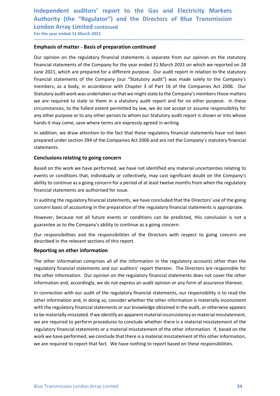### Independent auditors' report to the Gas and Electricity Markets<br>Authority (the "Regulator") and the Directors of Blue Transmission<br>London Array Limited continued<br>For the year ended 31 March 2021 Independent auditors' report to the Gas and Electricity Markets<br>Authority (the "Regulator") and the Directors of Blue Transmission<br>London Array Limited continued<br>For the year ended 31 March 2021<br>Emphasis of matter - Basis Independent auditors' report to the Gas and Electricity Marke<br>Authority (the "Regulator") and the Directors of Blue Transmissic<br>London Array Limited continued<br>For the year ended 31 March 2021<br>Emphasis of matter - Basis of Independent auditors' report to the Gas and Electricity Markets<br>Authority (the "Regulator") and the Directors of Blue Transmission<br>London Array Limited continued<br>For the year ended 31 March 2021<br>Emphasis of matter - Basis

\_\_\_\_\_\_\_\_\_\_\_\_\_\_\_\_\_\_\_\_\_\_\_\_\_\_\_\_\_\_\_\_\_\_\_\_\_\_\_\_\_\_\_\_\_\_\_\_\_\_\_\_\_\_\_\_\_\_\_\_\_\_\_\_\_\_\_\_\_\_\_\_\_\_\_\_\_\_\_\_\_\_\_\_\_\_\_\_\_\_

Independent auditors' report to the Gas and Electricity Markets<br>
Authority (the "Regulator") and the Directors of Blue Transmission<br>
London Array Limited continued<br>
For the year ended 31 March 2021<br> **Emphasis of matter - B** Independent auditors' report to the Gas and Electricity Markets<br>
Authority (the "Regulator") and the Directors of Blue Transmission<br>
London Array Limited continued<br>
For the year ended 31 March 2021<br>
Emphasis of matter - Ba Independent auditors' report to the Gas and Electricity Markets<br>Authority (the "Regulator") and the Directors of Blue Transmission<br>London Array Limited continued<br>For the year ended 31 March 2021<br>**Emphasis of matter - Basis** Independent auditors' report to the Gas and Electricity Markets<br>Authority (the "Regulator") and the Directors of Blue Transmission<br>London Array Limited continued<br>For the year ended 31 March 2021<br>Emphasis of matter - Basis Independent auditors' report to the Gas and Electricity Markets<br>Authority (the "Regulator") and the Directors of Blue Transmission<br>For the year ended 31 March 2021<br>The phasis of matter - Basis of preparation continued<br>Our Independent auditors' report to the Gas and Electricity Markets<br>Authority (the "Regulator") and the Directors of Blue Transmission<br>London Array Limited continued<br>For the year ended 31 March 2021<br>**Emphasis of matter - Basis** Independent auditors' report to the Gas and Electricity Markets<br>Authority (the "Regulator") and the Directors of Blue Transmission<br>London Array Limited continued<br>For the year ended 31 March 2021<br>**Emphasis of matter - Basis** Independent auditors' report to the Gas and Electricity Markets<br>Authority (the "Regulator") and the Directors of Blue Transmission<br>London Array Limited continued<br>For the year ended 31 March 2021<br>**Emphasis of matter - Basis** Independent auditors' report to the Gas and Electricity Markets<br>Authority (the "Regulator") and the Directors of Blue Transmission<br>London Array Limited continued<br>For the year ended 31 March 2021<br>**Emphasis of matter - Basis** Independent auditors' report to the Gas and Electricity Markets<br>Authority (the "Regulator") and the Directors of Blue Transmission<br>London Array Limited continued<br>For the year ended 31 March 2021<br>**Emphasis of matter - Basis** Independent auditors' report to the Gas and Electricity Markets<br>Authority (the "Regulator") and the Directors of Blue Transmission<br>London Array Limited continued<br>For the vear ended 31 March 2021<br>**Emphasis of matter - Basis** Authority (the "Regulator") and the Directors of Blue Transmission<br>
London Array Limited continued<br>
For the year ended 31 March 2021<br> **Emphasis of matter - Basis of preparation continued**<br>
Our opinion on the regulatory fin London Array Limited continued<br>
For the year ended 31 March 2021<br> **Emphasis of matter - Basis of preparation continued**<br>
Our opinion on the regulatory financial statements is separate from our opinion on the statutory<br>
fin **Emphasis of matter - Basis of preparation continued**<br>Our opinion on the regulatory financial statements is separate from our opinion on the statutory<br>financial statements of the Company for the year ended 31 March 2021 on Our opinion on the regulatory financial statements is separate from our opinion on the statutory<br>financial statements of the Company for the year ended 31 March 2021 on which we reported on 28<br>thancial statements of the Co Our opinion on the regulatory infrancial statements is separate from our opinino on the statutory<br>financial statements of the Company for the year ended 31 March 2021 on which we reported on 28<br>June 2021, which are prepare mindicular statements on the Company for the year ended as 1 world 1.021 on which we epopted on zo<br>then 2021, which are prepared for a different purpose. Our audit report in relation to the statutory<br>financial statements o unnel 20021, winn'na re prepared or a dimerent purpose. Un'audit report in relation to the statutory<br>financial statements of the Company (our "Statutory audit") was made solely to the Company's<br>members, as a body, in accor members, as a body, in accordance with Chapter 3 of Part 16 of the Companies Act 2006. Our<br>Statutory audit work was undertaken so that we might state to the Company's members those matters<br>vec are required to state to them Statutory audit work was undertaken so that we might state to the Company's members those matters<br>we are required to state to them in a statutory audit report and for no other purpose. In these<br>circumstances, to the fulles

statements.

we are required to state to them in a statutory audit report and for no other purpose. In these circumstances, to the fullest extent permitted by law, we do not accept or assume responsibility for cinva other purpose or to circumstances, to the fullest extent permitted by law, we do not accept or assume responsibility for<br>any other purpose or to any other person to whom our Statutory audit report is shown or into whose<br>hands it may come, sav any oncer purpose or compromise parameterize and the responsible and the responsible for responsible and the responsible and the responsible and the Company's statutory financial statements.<br>
In addition, we draw attention manus it may come, save where terms are expressiv agreed in whiting.<br>In addition, we draw attention to the fact that these regulatory financial statements have not been<br>prepared under section 394 of the Companies Act 2006 In addition, we draw attention to the fact that these regulatory financial statements have not<br>prepared under section 394 of the Companies Act 2006 and are not the Company's statutory fin<br>statements.<br>**Conclusions relating** statements.<br> **Conclusions relating to going concern**<br>
Based on the work we have performed, we have not identified any material uncertainties relating to<br>
events or conditions that, individually or collectively, may cast si **Conclusions relating to going concern**<br>Based on the work we have performed, we have not identified any material uncertainties relating to<br>events or conditions that, individually or collectively, may cast significant doubt **Conclusions relating to going concern**<br>
Based on the work we have not identified any material uncertainties relating to<br>
events or conditions that, individually or collectively, may cast significant doubt on the Company's

regulatory Imancial statements and our audators report timecon. The Unitectors are responsible for<br>the other information and, accordingly, we do not explestany financial statements does not cover the other<br>information and, Based on the work we have performed, we have not identified any material uncertainties relating to events or conditions that, individually or collectively, may cast significant doubt on the Company's ability to continue as events or conditions that, individually or collectively, may cast significant doubt on the Company's<br>ability to continue as a going concern for a period of a tleast twelve months from when the regulatory<br>financial statemen ability to continue as a going concern for a period of at least twelve months from when the regulatory<br>financial statements are authorised for issue.<br>In auditing the regulatory financial statements, we have concluded that Inancial statements are authorised for issue.<br>In auditing the regulatory financial statements, we have concluded that the Directors' use of the going<br>concern basis of accounting in the preparation of the regulatory financi In auditing the regulatory financial statements, we have concluded that the Directors' use of the going<br>concern basis of accounting in the preparation of the regulatory financial statements is appropriate.<br>However, because concern basis of accounting in the preparation of the regulatory financial statements is appropriate.<br>However, because not all future events or conditions can be predicted, this conclusion is not a<br>guarantee as to the Comp However, because not all future events or conditions can be predicted, this conclusion is not a guarantee as to the Company's ability to continue as a going concern.<br>Our responsibilities and the reeponsibilities of the Dir nowever, because not an into the events of contourous can be preformed, mis conclusion is not a<br>guarantee as to the Company's ability to continue as a going concern.<br>Our responsibilities and the responsibilities of the Dir guarance as to the company samury to contunte as a going concern.<br>Our responsibilities and the responsibilities of the Directors with respect to going concern are<br>described in the reformation comprises all of the informati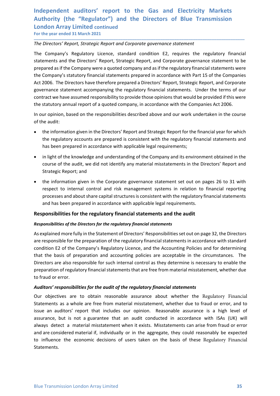### Independent auditors' report to the Gas and Electricity Markets<br>Authority (the "Regulator") and the Directors of Blue Transmission<br>London Array Limited continued<br>For the year ended 31 March 2021<br>The Directors' Report, Stra Independent auditors' report to the Gas and Electricity Markets<br>Authority (the "Regulator") and the Directors of Blue Transmission<br>London Array Limited continued<br>For the year ended 31 March 2021<br>The Directors' Report, Stra Independent auditors' report to the Gas and Electricity Marke<br>Authority (the "Regulator") and the Directors of Blue Transmissic<br>London Array Limited continued<br>For the year ended 31 March 2021<br>The Directors' Report, Strateg Independent auditors' report to the Gas and Electricity Markets<br>Authority (the "Regulator") and the Directors of Blue Transmission<br>London Array Limited continued<br>For the year ended 31 March 2021<br>The Directors' Report, Stra

\_\_\_\_\_\_\_\_\_\_\_\_\_\_\_\_\_\_\_\_\_\_\_\_\_\_\_\_\_\_\_\_\_\_\_\_\_\_\_\_\_\_\_\_\_\_\_\_\_\_\_\_\_\_\_\_\_\_\_\_\_\_\_\_\_\_\_\_\_\_\_\_\_\_\_\_\_\_\_\_\_\_\_\_\_\_\_\_\_\_

Independent auditors' report to the Gas and Electricity Markets<br>Authority (the "Regulator") and the Directors of Blue Transmission<br>London Array Limited continued<br>For the year ended 31 March 2021<br>The Directors' Report, Stra Independent auditors' report to the Gas and Electricity Markets<br>Authority (the "Regulator") and the Directors of Blue Transmission<br>London Array Limited continued<br>For the year ended 31 March 2021<br>The Directors' Report, Stra Independent auditors' report to the Gas and Electricity Markets<br>Authority (the "Regulator") and the Directors of Blue Transmission<br>London Array Limited continued<br>The Directors' Report, Strategic Report and Corporate govern Independent auditors' report to the Gas and Electricity Markets<br>Authority (the "Regulator") and the Directors of Blue Transmission<br>London Array Limited continued<br>For the year ended 31 March 2021<br>The Directors' Report, Stra Independent auditors' report to the Gas and Electricity Markets<br>Authority (the "Regulator") and the Directors of Blue Transmission<br>London Array Limited continued<br>The Directors' Report, Strategic Report and Corporate govern Independent auditors' report to the Gas and Electricity Markets<br>Authority (the "Regulator") and the Directors of Blue Transmission<br>London Array Limited continued<br>For the year ended 31 March 2021<br>The Directors' Report, Stra Independent auditors' report to the Gas and Electricity Markets<br>Authority (the "Regulator") and the Directors of Blue Transmission<br>London Array Limited continued<br>For the year ended 31 March 2021<br>The Directors' Report, Stra Independent auditors' report to the Gas and Electricity Markets<br>Authority (the "Regulator") and the Directors of Blue Transmission<br>London Array Limited continued<br>For the year ended 31 March 2021<br>The Directors' Report, Stra Independent auditors' report to the Gas and Electricity Markets<br>Authority (the "Regulator") and the Directors of Blue Transmission<br>London Array Limited continued<br>For the year ended 31 March 2021<br>The Directors' Report, Stra Independent auditors' report to the Gas and Electricity Markets<br>Authority (the "Regulator") and the Directors of Blue Transmission<br>London Array Limited continued<br>For the vear ended 31 March 2021<br>The Directors' Report, Stra Independent auditors' report to the Gas and Electricit<br>
Authority (the "Regulator") and the Directors of Blue Tr<br>
London Array Limited continued<br>
For the year ended 31 March 2021<br>
The Directors' Report, Strategic Report an thority (the "Regulator") and the Directors of Blue Transmission<br>
on Array Limited continued<br>
the year ended 31 March 2021<br>
Directors' Report, Strategic Report and Corporate governance statement<br>
company's Regulatory Lieen ndon Array Limited continued<br>
are vare anded 31 March 2021<br>
Directors' Report, Strategic Report and Corporate governance statement<br>
Company's Regulatory Licence, standard condition E2, requires the regulatory financial<br>
co However and the University Chemical Comparison Comparison Fig. 21 Directors' Report, Strategic Report and Corporate governance statement<br>
Company's Regulatory Licence, standard condition E2, requires the regulatory financi Directors' Report, Strategic Report and Corporate governance statement<br>
Company's Regulatory Licence, standard condition E2, requires the regulatory financial<br>
ements and the Directors' Report, Strategic Report, and Corpor Company's Regulatory Licence, standard condition E2, requires the regulatory financial<br>ements and the Directors' Report, Strategic Report, and Corporate governance statement to be<br>orared as if the Company were a quoted com Company's Regulatory Licence, standard condition Ez, requires the regulatory firements and the Directors' Report, Strategic Report, and Corporate governance statement Company's statutory financial statements company and as ared as if the Company were a quoted company and as if the regulatory financial statements were<br>Company's statutory financial statements prepared in accordance with Part 15 of the Companies<br>2006. The Directors have therefo Company's statutory financial statements prepared in accordance with Part 15 of the Companies<br>2006. The Directors have therefore prepared a Directors' Report, Strategic Report, and Corporate<br>remanne estatement accompanying 2006. The Directors have therefore prepared a Directors' Report, Strategic Report, and Corporate<br>errance statement accompanying the regulatory financial statements. Under the terms of our<br>practive have assumed responsibili

- 
- 
- ernance statement accompanying the regulatory financial statements. Under the terms of our arract we have assumed responsibility to provide those opinions that would be provided if this were assumed responsibility to provi

### Responsibilities for the regulatory financial statements and the audit

### Responsibilities of the Directors for the regulatory financial statements

As explained more fully in the Statement of Directors' Responsibilities set out on page 32, the Directors are responsible for the preparation of the regulatory financial statements in accordance with standard condition E2 of the Company's Regulatory Licence, and the Accounting Policies and for determining that the basis of preparation and accounting policies are acceptable in the circumstances. The Directors are also responsible for such internal control as they determine is necessary to enable the preparation of regulatory financial statements that are free from material misstatement, whether due to fraud or error.

### Auditors' responsibilities for the audit of the regulatory financial statements

preparation of regulatory financial statements that are free from material misstatement, whether due<br>to fraud or error.<br>Auditors' responsibilities for the audit of the regulatory financial statements<br>Our objectives are to Our objectives are to obtain reasonable assurance about whether the Regulatory Financial Statements as a whole are free from material misstatement, whether due to fraud or error, and to issue an auditors' report that includes our opinion. Reasonable assurance is a high level of assurance, but is not a guarantee that an audit conducted in accordance with ISAs (UK) will always detect a material misstatement when it exists. Misstatements can arise from fraud or error and are considered material if, individually or in the aggregate, they could reasonably be expected to influence the economic decisions of users taken on the basis of these Regulatory Financial Statements.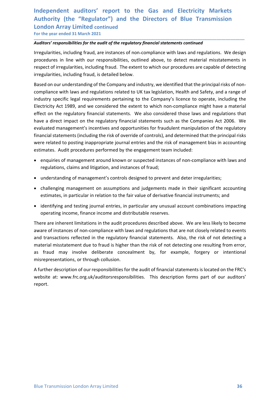## Independent auditors' report to the Gas and Electricity Markets<br>Authority (the "Regulator") and the Directors of Blue Transmission<br>London Array Limited continued<br>For the year ended 31 March 2021<br>Auditors' responsibilities Independent auditors' report to the Gas and Electricity Markets<br>Authority (the "Regulator") and the Directors of Blue Transmission<br>London Array Limited continued<br>For the year ended 31 March 2021<br>Auditors' responsibilities Independent auditors' report to the Gas and Electricity Marke<br>Authority (the "Regulator") and the Directors of Blue Transmissic<br>London Array Limited continued<br>For the year ended 31 March 2021<br>Auditors' responsibilities for Independent auditors' report to the Gas and Electricity Markets<br>Authority (the "Regulator") and the Directors of Blue Transmission<br>London Array Limited continued<br>For the year ended 31 March 2021<br>Auditors' responsibilities

\_\_\_\_\_\_\_\_\_\_\_\_\_\_\_\_\_\_\_\_\_\_\_\_\_\_\_\_\_\_\_\_\_\_\_\_\_\_\_\_\_\_\_\_\_\_\_\_\_\_\_\_\_\_\_\_\_\_\_\_\_\_\_\_\_\_\_\_\_\_\_\_\_\_\_\_\_\_\_\_\_\_\_\_\_\_\_\_\_\_

Independent auditors' report to the Gas and Electricity Markets<br>Authority (the "Regulator") and the Directors of Blue Transmission<br>London Array Limited continued<br>For the year ended 31 March 2021<br>Auditors' responsibilities Independent auditors' report to the Gas and Electricity Markets<br>Authority (the "Regulator") and the Directors of Blue Transmission<br>London Array Limited continued<br>For the year ended 31 March 2021<br>Auditors' responsibilities Independent auditors' report to the Gas and Electricity Markets<br>Authority (the "Regulator") and the Directors of Blue Transmission<br>London Array Limited continued<br>For the year ended 31 March 2021<br>Auditors' responsibilities Independent auditors' report to the Gas and Electricity Markets<br>Authority (the "Regulator") and the Directors of Blue Transmission<br>London Array Limited continued<br>Tor the year ended 31 March 2021<br>Auditors' responsibilities

Independent auditors' report to the Gas and Electricity Markets<br>Authority (the "Regulator") and the Directors of Blue Transmission<br>London Array Limited continued<br>For the year ended 31 March 2021<br>Auditors' responsibilities Independent auditors' report to the Gas and Electricity Markets<br>Authority (the "Regulator") and the Directors of Blue Transmission<br>London Array Limited continued<br>For the year ended 31 March 2021<br>Auditors' responsibilities Independent auditors' report to the Gas and Electricity Markets<br>Authority (the "Regulator") and the Directors of Blue Transmission<br>London Array Limited continued<br>For the year ended 31 March 2021<br>Auditors' responsibilities Independent auditors' report to the Gas and Electricity Markets<br>Authority (the "Regulator") and the Directors of Blue Transmission<br>London Array Limited continued<br>For the year ended 31 March 2021<br>Auditors' responsibilities Independent auditors' report to the Gas and Electricity Markets<br>Authority (the "Regulator") and the Directors of Blue Transmission<br>London Array Limited continued<br>For the year ended 31 March 2021<br>Auditors' responsibilities Independent auditors' report to the Gas and Electricity Markets<br>Authority (the "Regulator") and the Directors of Blue Transmission<br>London Array Limited continued<br>For the year ended 31 March 2021<br>Auditors' responsibilities Independent auditors' report to the Gas and Electricity Markets<br>Authority (the "Regulator") and the Directors of Blue Transmission<br>London Array Limited continued<br>Mardfor free ware neded 31 March 2021<br>The verse meaked in Ma Independent autitors" report to the Gas and Electricity Markets<br>Authority (the "Regulator") and the Directors of Blue Transmission<br>London Array Limited continued<br>For the year ended 31 March 2021<br>Auditors' responsibilities Authority (the "Regulator") and the Directors of Blue Transmission<br>
London Array Limited continued<br>
For the year ended 31 March 2021<br>
Auditors' responsibilities for the audit of the regulatory financial statements continue London Array Limited continued<br>For the year ended 31 March 2021<br>Auditors' responsibilities for the audit of the regulatory financial statements continued<br>Irregularities, including fraud, are instances of non-compliance wit For the year ended 31 March 2021<br>**Auditors' responsibilities for the audit of the regulatory financial statements continued**<br>Irregularities, including fratal, are instances of non-compliance with laws and regulations. We d entions' responsibilities for the audit of the regulatory financial statements continued<br>gualarities, including fraud, are instances of non-compliance with laws and regulations. We design<br>exceluse in line with our responsi regularities, including fraud, are instances of non-compliance with laws and regulations. We design<br>cecutures in line with our responsibilities, outlined above, to detect material misstatements in<br>epect of irregularities, receures in ine warn our responsionities, bounded above, to detect material misstatements in epect of irregularities, including fraud, is detailed below.<br>
Elect of irregularities, including fraud, is detailed below.<br>
Elect igularities, including fraud, is detailed below.<br>
Equalities, including fraud, is detailed below.<br>
Equalitions and regulations related to UK tax legislation, Health and Safety, and a range of<br>
purplince with laws and regul eed on our understanding of the Company and industry, we identified that the principal risks of non-<br>ppliance with laws and regulations related to UK tax legislation, Health and Safety, and a range of<br>ustry specific legal mpliance with laws and regulations related to UK tax legislation, Health and Safety, and a range of<br>ustry specific legal requirements pertaining to the Company's licence to operate, including the<br>ustrictly Act 1989, and we ustry specific legal requirements pertaining to the Company's licence to operate, including the<br>criticly Act 1989, and we considered the extent to which non-compliance might have a material<br>ect on the regulatory financial Electricity Act 1989, and we considered the extent to which non-compliance might have a material<br>effect on the regulatory financial statements such as the companies Act 2006. We<br>evaluated management's incentives and opport

- 
- 
- 
- 

effect on the regulatory financial statements. We also considered those laws and regulations that<br>have a direct impact on the regulatory financial statements such as the Companies Azt 2006. We<br>evaluated management's incent have a direct impact on the regulatory financial statements such as the Companies Act 2006. We<br>thandied statements (including the risk of override of crotrolis), and determined that the principal risks<br>twere related to pos evaluated management's incentives and opportunities for fraudulent manipulation of the regulatory<br>financial statements (including the risk of override of controls), and determined that the principal risks<br>were related to p financial statements (including the risk of override of controls), and determined that the principal risks<br>were related to posting inappropriate journal entrities and the risk of management bias in accounting<br>estimates. Au were related to posting inappropriate journal entries and the risk of management bias in accounting<br>estimates. Audit procedures performed by the engagement team included:<br>
• enquires of management around known or suspected Examples of management around known or suspectivel increasing and regulations, claims and literation, and instances of fraud;<br>
• understanding of management's controls designed to prevent and deter irregularities;<br>
• chall e enquiries of management around known or suspected instances of non-compliance with laws and<br>regulations, claims and litigation, and instances of fraud;<br>understring is of management is controls designed to prevent and det

A further description of our responsibilities for the audit of financial statements is located on the FRC's<br>website at: www.frc.org.uk/auditorsresponsibilities. This description forms part of our auditors'<br>report.<br>Blue Tra report.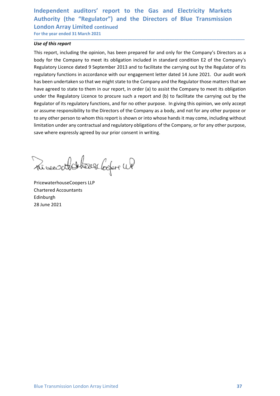## Independent auditors' report to the Gas and Electricity Markets<br>Authority (the "Regulator") and the Directors of Blue Transmission<br>London Array Limited continued<br>For the year ended 31 March 2021<br>Use of this report Independent auditors' report to the Gas and Electricity Markets<br>Authority (the "Regulator") and the Directors of Blue Transmission<br>London Array Limited continued<br>For the year ended 31 March 2021<br>Use of this report<br>This rep Independent auditors' report to the Gas and Electricity Marke<br>
Authority (the "Regulator") and the Directors of Blue Transmissic<br>
London Array Limited continued<br>
For the year ended 31 March 2021<br>
Use of this report<br>
This r Independent auditors' report to the Gas and Electricity Markets<br>Authority (the "Regulator") and the Directors of Blue Transmission<br>London Array Limited continued<br>For the year ended 31 March 2021<br>Use of this report<br>This rep

\_\_\_\_\_\_\_\_\_\_\_\_\_\_\_\_\_\_\_\_\_\_\_\_\_\_\_\_\_\_\_\_\_\_\_\_\_\_\_\_\_\_\_\_\_\_\_\_\_\_\_\_\_\_\_\_\_\_\_\_\_\_\_\_\_\_\_\_\_\_\_\_\_\_\_\_\_\_\_\_\_\_\_\_\_\_\_\_\_\_

Independent auditors' report to the Gas and Electricity M<br>
Authority (the "Regulator") and the Directors of Blue Trans<br>
London Array Limited continued<br>
For the year ended 31 March 2021<br>
Use of this report<br>
This report, inc Independent auditors' report to the Gas and Electricity Markets<br>
Authority (the "Regulator") and the Directors of Blue Transmission<br>
London Array Limited continued<br>
For the year ended 31 March 2021<br>
Use of this report<br>
Thi Independent auditors' report to the Gas and Electricity Markets<br>Authority (the "Regulator") and the Directors of Blue Transmission<br>London Array Limited continued<br>Tor the year ended 31 March 2021<br>This report<br>This report<br>Thi Independent auditors' report to the Gas and Electricity Markets<br>Authority (the "Regulator") and the Directors of Blue Transmission<br>London Array Limited continued<br>of the year ended 31 March 2021<br>Dose of this report<br>This rep Independent auditors' report to the Gas and Electricity Markets<br>Authority (the "Regulator") and the Directors of Blue Transmission<br>London Array Limited continued<br>To the year ended 31 March 2021<br>This report, including the o Independent auditors' report to the Gas and Electricity Markets<br>Authority (the "Regulator") and the Directors of Blue Transmission<br>London Array Limited continued<br>For the year ended 31 March 2021<br>This report, including the Independent auditors' report to the Gas and Electricity Markets<br>Authority (the "Regulator") and the Directors of Blue Transmission<br>London Array Limited continued<br>Tor the year ended 31 March 2021<br>Use of this report<br>This rep Independent auditors' report to the Gas and Electricity Markets<br>Authority (the "Regulator") and the Directors of Blue Transmission<br>London Array Limited continued<br>For the year ended 31 March 2021<br>This report, including the Independent auditors' report to the Gas and Electricity Markets<br>Authority (the "Regulator") and the Directors of Blue Transmission<br>London Array Limited continued<br>This report, including the opinion, has been prepared for an Independent auditors' report to the Gas and Electricity Markets<br>Authority (the "Regulator") and the Directors of Blue Transmission<br>London Array Limited continued<br>For the year ended 31 March 2021<br>Use of this report<br>This rep Independent auditors' report to the Gas and Electricity Markets<br>Authority (the "Regulator") and the Directors of Blue Transmission<br>London Array Limited continued<br>of the vear ended 31 March 2021<br>We of this report<br>the vear e Independent auditors' report to the Gas and Electricity Markets<br>
Authority (the "Regulator") and the Directors of Blue Transmission<br>
Ion the year anded 31 March 2021<br>
This report, including the opinion, has been prepared Authority (the "Regulator") and the Directors of Blue Transmission<br>
London Array Limited continued<br>
Use of this report<br>
Use of this report<br>
This report, including the opinion, has been prepared for and only for the Compan Regulatory Licence dated 9 September 2013 and to facilitate the carrying out by the Regulator of regulatory functions in accordance with our engagement letter dated 14 June 2021. Our audit woo has been undertaken so that w regulatory functions in accordance with our engagement letter dated 14 June 2021<br>has been undertaken so that we might state to the Company and the Regulator those<br>have agreed to state to them in our report, in order (a) to have agreed to state to them in our report, in order (a) to assist the Company to<br>under the Regulatory Licence to procure such a report and (b) to facilitate the<br>Regulator of its regulatory functions, and for no other purp

Edinburgh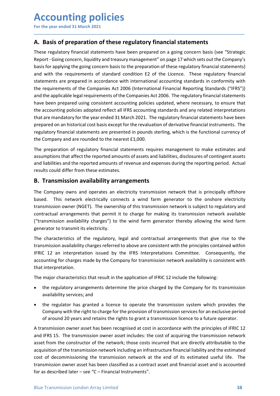# **Accounting policies**<br>
For the year ended 31 March 2021<br> **A. Basis of preparation of these regulatory financial statements**<br>
These regulatory financial statements have been prepared on a going concern basis (see "Strategi

**Accounting policies**<br>
For the year ended 31 March 2021<br> **A. Basis of preparation of these regulatory financial statements<br>
These regulatory financial statements have been prepared on a going concern basis (see "Strategic<br> ACCOUNTING POLICIES**<br>For the year ended 31 March 2021<br>**A. Basis of preparation of these regulatory financial statements**<br>These regulatory financial statements have been prepared on a going concern basis (see "Strategic<br>Re Accounting policies<br>
For the year ended 31 March 2021<br>
A. Basis of preparation of these regulatory financial statements<br>
These regulatory financial statements have been prepared on a going concern basis (see "Strategic<br>
Re Accounting policies<br>
For the year ended 31 March 2021<br>
A. Basis of preparation of these regulatory financial statements<br>
These regulatory financial statements have been prepared on a going concern basis (see "Strategic<br>
Re **Accounting policies**<br>
For the year ended 31 March 2021<br> **A. Basis of preparation of these regulatory financial statements**<br>
These regulatory financial statements have been prepared on a going concern basis (see "Strategic Accounting policies<br>
For the year ended 31 March 2021<br>
A. Basis of preparation of these regulatory financial statements<br>
These regulatory financial statements have been prepared on a going concern basis (see "Strategic<br>
Re **Accounting policies**<br>For the year ended 31 March 2021<br>**A. Basis of preparation of these regulatory financial statements**<br>These regulatory financial statements have been prepared on a going concern basis (see "Strategic<br>Re For the year ended 31 March 2021<br>
For the year ended 31 March 2021<br> **A. Basis of preparation of these regulatory financial statements**<br>
These regulatory financial statements have been prepared on a going concern basis (see **Accounting policies**<br>For the year ended 31 March 2021<br>**A.** Basis of preparation of these regulatory financial statements<br>These regulatory financial statements have been prepared on a going concern basis (see "Strategic<br>Re For the year ended 31 March 2021<br>For the year ended 31 March 2021<br>These regulatory financial statements have been prepared on a going concern basis (see "Strategic<br>Report - Coing concern, liquidity and treasury management For the year ended 31 March 2021<br>The the year ended 31 March 2021<br>These regulatory financial statements have been prepared on a going concern basis (see "Strategic<br>These regulatory financial statements have been prepared o **Accounting policies**<br>For the year ended 31 March 2021.<br>**A. Basis of preparation of these regulatory financial statements**<br>These regulatory financial statements have been prepared on a going concern basis (see "Strategic<br>R **ACCOUNTIME POLICIES**<br>For the year ended 31 March 2021<br>**A.** Basis of preparation of these regulatory financial statements<br>These regulatory financial statements have been prepared on a going concern basis (see "Strategic<br>Re **ACCOUNTIME POLICIES**<br>For the year ended 31 March 2021<br>**A.** Basis of preparation of these regulatory financial statements<br>These regulatory financial statements have been prepared on a going concern basis (see "Strategic<br>Re For the year ended 31 March 2021<br> **A. Basis of preparation of these regulatory financial statements**<br>
These regulatory financial statements have been prepared on a going concern basis (see "Strategic<br>
Report - Going concer **A. Basis of preparation of these regulatory financial statements**<br>These regulatory financial statements have been prepared on a going concern basis (see "Strategic<br>Report - Going concern, liquidity and treasury management **A. Basis of preparation of these regulatory financial statements**<br>These regulatory financial statements have been prepared on a going concern basis (see "Strategic" sciencer", inquidity and treasury management" on page 17 These regulatory financial statements have been prepared on a going concern basis (see "Strategic<br>Report - Going concern, liquidity and treasury management" on page 17 which sets out the Company's<br>basis for applying the gi Ineer regulatory imancial statements nave been prepared on a going concern oasts (see Stratege)<br>Report - Going concern, liquidity and treasury management" on page 17 which sets out the Company's<br>basis for applying the goin basis for applying the going concern basis to the preparation of these regulatory financial statements)<br>and with the requirements of standard condition E2 of the Licence. These regulatory financial<br>statements are prepared and with the requirements or standard conduction at 20 or the Lucence. These regularony mandare to the statements are prepared in accordance with international accounting standards in conformity with<br>the requirements of th statemens are prepare in accordance win international accolunity standards in comformity winterequirements of the Companies Act 2006 (International Financial Reporting Standards ("iFRS")) and the applicable legal requireme the requirements or the Companies Act 2006. Ithere requires and a peptrump as variable and the populations in the Companies Act 2006. The regulatory financial statements have been prepared using consistent accounting polic and the application elegat requirements of the Compannes Att 2000. The regulation yimlands is attements of the accounting policies adopted reflect all IFRS accounting standards and any related interpretations that are mand

\_\_\_\_\_\_\_\_\_\_\_\_\_\_\_\_\_\_\_\_\_\_\_\_\_\_\_\_\_\_\_\_\_\_\_\_\_\_\_\_\_\_\_\_\_\_\_\_\_\_\_\_\_\_\_\_\_\_\_\_\_\_\_\_\_\_\_\_\_\_\_\_\_\_\_\_\_\_\_\_\_\_\_\_\_\_\_\_\_\_

may been prepared using Constatent accounting poincels uppared where necessary, to onstate the accounting policies adopted reflect all IFRS accounting standards and any related interpretations<br>that are mandatory for the ye me accounting pointes another ail in sect all instances accopiently standards and any related interpretations and the change the consideration and the company of the vear ended 31 March 2021. The regulatory financial state prepared on an historical cost basis except for the revaluation of derivative financial instruments. The regulatory financial statements are presented in pounds sterling, which is the functional currency of the company and regulatory financial statements are presented in pounds sterling, which is the functional currency of<br>the Company and are rounded to the nearest £1,000.<br>The preparation of regulatory financial statements requires managemen The Company and are rounded to the nearest £1,000.<br>
The preparation of regulatory financial statements requires management to make estimates and<br>
and liabilities and the reported amounts of assets and liabilities, disclosu The preparation of regulatory financial statements requires management to make estimates and<br>assumptions that affect the reported amounts of assets and liabilities, disclosures of contingent assets<br>rand liabilities and the The preparation or regulatory innatial statements requires management to<br>assumptions that affect the reported amounts of assets and liabilities, disclosur<br>and liabilities and the reported amounts of revenue and expenses du and liabilities and the reported amounts of revenue and expenses during the reporting period. Actual<br> **B. Transmission availability arrangements**<br> **The Company owns and operates an electricity transmission network that is** Its could differ from these estimates.<br> **Transmission availability arrangements**<br> **Company owens and operates an electricty transmission network that is principally offshore**<br>
d. This network electrically connects a wind f **Transmission availability arrangements**<br>Company owns and operates an electricity transmission network that is principally offshed. This network electrically connects a wind farm generator to the onshore electric<br>smission Company owns and operates an electricity transmission network that is principally offshore<br>ed. This network electrically connects a wind farm generator to the onshore electricity<br>smission ower (NGET). The ownership of this Company or the right of the right of the right of the right to charge of the provision of the provision of the provision of the charge electricity smission owner (NGET). The ownership of this transmission network is subjec

<sup>22</sup>. "Instructural consults are wind retains and winding summation of the risiston ower (NGET). The ownership of this transmission network is subject to regulatory and ratactual arrangements that permit it to charge for m

- 
- 

The major characteristics that result in the application of IFRIC 12 include the following:<br>
• the regulatory arrangements determine the price charged by the Company for its transmission<br>
• with regulator has granted a lic contractual arrangements that permit it to charge for making its transmission network available<br>("cransmission availability charges") to the wind farm generator thereby allowing the wind farm<br>generator to transmit its elec ("transmission availability charges") to the wind farm generator thereby allowing the wind farm<br>generator to transmit its electricity.<br>The characteristics of the regulatory, legal and contractual arrangements that give ris generator to transmit its electricity.<br>
The characteristics of the regulatory, legal and contractual arrangements that give rise to the<br>
framsmission availability charges referred to above are consistent with the principle The characteristics of the regulatory, legal and contractual arrangements that give rise to the<br>transmission availability charges referred to above are consistent with the principles contained within<br>FIFRIC 12 an interpret The Constrained The regional of a constrained the principles contained within<br>transmission availability charges referred to above are consistent with the principles contained within<br>FRIC 12 an interpretation issued by the unsumour availanty unages releared to above are consistent whil the pimples Consequently, the<br>accounting for charges made by the Company for transmission network availability is consistent with<br>that interpretation.<br>The maj metrical and metripleation instant and the principleation solution and accounting for charges made by the Company for transmission network availability is consistent with that interpretation.<br>The major characteristics that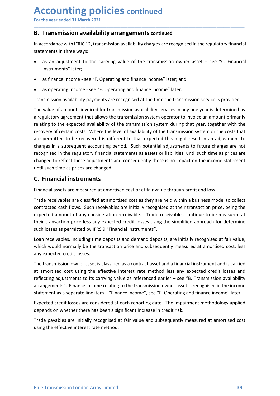**Accounting policies continued**<br>For the year ended 31 March 2021<br>**B. Transmission availability arrangements continued**<br>In accordance with IFRIC 12, transmission availability charges are recognised in the regulatory financi Accounting policies continued<br>For the year ended 31 March 2021<br>B. Transmission availability arrangements continued<br>In accordance with IFRIC 12, transmission availability charges are recognised in the regulatory financia<br>st Accounting policies continued<br>
For the year ended 31 March 2021<br>
B. Transmission availability arrangements continued<br>
In accordance with IFRIC 12, transmission availability charges are recognised in the regulatory financia **ACCOUNTING POLICIES continued<br>
For the year ended 31 March 2021**<br> **B. Transmission availability arrangements continued**<br>
In accordance with IFRIC 12, transmission availability charges are recognised in the regulatory fina Accounting policies continued<br>
For the year ended 31 March 2021<br> **B. Transmission availability arrangements continued**<br>
In accordance with IFRIC 12, transmission availability charges are recognised in the regulatory f<br>
sta **ECOUNTIME POLICIES continued**<br>
Transmission availability arrangements continued<br>
ccordance with IFRIC 12, transmission availability charges are recognised in the regulatory financial<br>
ements in three ways:<br>
as an adjustme **CCOUNTIME POLICIES continued**<br>
Transmission availability arrangements continued<br>
ccordance with IFRIC 12, transmission availability charges are recognised in the regulatory financial<br>
ements in three ways:<br>
as an adjustme

\_\_\_\_\_\_\_\_\_\_\_\_\_\_\_\_\_\_\_\_\_\_\_\_\_\_\_\_\_\_\_\_\_\_\_\_\_\_\_\_\_\_\_\_\_\_\_\_\_\_\_\_\_\_\_\_\_\_\_\_\_\_\_\_\_\_\_\_\_\_\_\_\_\_\_\_\_\_\_\_\_\_\_\_\_\_\_\_\_\_

- Instruments" later;
- 
- 

**CCOUNTIME POLICIES continued**<br>
Transmission availability arrangements continued<br>
ccordance with IFRIC 12, transmission availability charges are recognised in the regulatory financial<br>
ements in three ways:<br>
as an adjustme **ACCOUNTIME POLICIES continued**<br> **B. Transmission availability arrangements continued**<br>
In accordance with IFRIC 12, transmission availability charges are recognised in the regulatory financial<br>
statements in three ways:<br> **ACCOUNTIME POLICIES** continued<br> **B. Transmission availability arrangements** continued<br>
In accordance with IFRIC 12, transmission availability charges are recognised in the regulatory financial<br>
statements in three ways:<br> **ACCOUNTIME POLICIES continued**<br> **B. Transmission availability arrangements continued**<br> **In accordance with IFRIC 12, transmission availability charges are recognised in the regulatory financial<br>
statements in three ways:<br> ACCOUNTIME POLICIES continued**<br> **B. Transmission availability arrangements continued**<br>
In accordance with IFRIC 12, transmission availability charges are recognised in the regulatory financial<br>
statements in three ways:<br> For the year ended 31 March 2021<br> **B. Transmission availability arrangements continued**<br>
In accordance with IFRIC 12, transmission availability charges are recognised in the regulatory financial<br>
statements in three ways:<br> **B. Transmission availability arrangements continued**<br>
In accordance with IFRIC 12, transmission availability charges are recognised in the regulatory financial<br>
statements in three ways:<br> **All and adjustment** to the carry **B. Transmission availability arrangements continued**<br>
In accordance with IFRIC 12, transmission availability charges are recognised in the regulatory financial<br>
statements in three ways:<br>
• as an adjustment to the carryin recognised in the regulatory financial statements as assets or liabilities, the regulatory financial statements in three ways:<br>
• as an adjustment to the carrying value of the transmission owner asset – see "C. Financial I In accordance with IFRIC 12, transmission availability charges are recognised in the regulatory financial<br>
statements in three ways:<br>
Instruments " later;<br> **e** as madjustment to the carrying value of the transmission owner statements in three ways:<br>
• as an adjustment to the carrying value of the transmission owner asset – see "C. Financial<br>
Instruments" later;<br>
• as finance income - see "F. Operating and finance income" later; and<br>
• as ope • as an adjustment to the carrying value of the transmission owner asset – see "<br>Instruments" later;<br>• as finance income - see "F. Operating and finance income" later; and<br>• as operating income - see "F. Operating and fina • as finance income - see "F. Operating and finance income" later; and<br>• as operating income - see "F. Operating and finance income" later.<br>
Transmission availability payments are recognised at the time the transmission se • as operating income - see "F. Operating and finance income" later.<br>
Transmission availability payments are recognised at the time the transmission service is provided.<br>
The value of amounts invoiced for transmission avai • as operating income - see "+. Uperating and innance income 'later.<br>
Transmission availability payments are recognised at the time the transmission service is provided.<br>
The value of a mounts invoided for transmission ava Transmission availability payments are recognised at the time the transmission service is provided.<br>The value of amounts invoiced for transmission availability services in any one year is determined by<br>a regulatory agreeme The value of amounts invoiced for transmission availability services in any one year is determined by<br>a regulatory agreement that allows the transmission system operator to invoice an amount primarily<br>relating to the expec Interval consults are the the transmission system operator to invoice an amount primarily<br>are gulatory agreement that allows the transmission system operator to invoice an amount primarily<br>relating to the expected availabi relating to the expected availability of the transmission system during that year, together with the recevorery of certain costs. Where the level of availability of the transmission system or the costs that are permitted t recovery of certain costs. Where the level of availability of the transmission system or the costs that<br>are permitted to be recovered is different to that expected this might result in an adjustments to<br>charges in a subseq are permitted to be recovered is different to that expected this might result in an adjust<br>oharges in a subsequent accounting period. Such potential adjustments to future charges<br>recognised in the regulatory financial stat

renges in a subsequent accounting period. Such potential agustments to tulture charges are not<br>recognised in the regulatory financial statements as assets or labilities, until such time as prices are<br>changed to reflect the recognised in the regulatory funnacial statements as assets or liabilities, until such time as prices are<br>changed to reflect these adjustments and consequently there is no impact on the incrome statement<br>until such time as rannege to reflect these agustments and consequently there is no impact on the income statement<br>cuntil such time as prices are changed.<br>**C. Financial instruments**<br>**Financial assets are measured at amortised** cost or at f Until such time as prices are changed.<br> **C. Financial instruments**<br>
Financial assets are measured at amortised cost or at fair value through profit and loss.<br>
Trade receivables are classified at amortised cost as they ar **C. Financial instruments**<br>Financial assets are measured at amortised cost or at fair value through profit and loss.<br>Trade receivables are classified at amortised cost as they are held within a business model to collect<br>co Financial assets are measured at amortised cost or at fair value through profit and loss.<br>Trade receivables are classified at amortised cost as they are held within a business model to collect<br>contracted cash flows. Such r Trade receivables are classified at amortised cost as they are held within a business model to collect contracted cash flows. Such receivables are initially recognised at their transaction price, being the expected amount

at amortised cost using the effective interest rate method less any expected credit losses and<br>reflecting adjustments to its carrying value as referenced earlier – see "B. Transmission availability<br>arrangements". Finance i contracted cash flows. Such receivables are initially recognised at their transaction price, being the expected amount of any consideration receivable. Trade receivables continue to be measured at their transaction price, expected amount of any consideration receivable. Trade receivables continue to be measured at their transaction price less any expected credit losses using the simplified approach for determine such losses as permitted by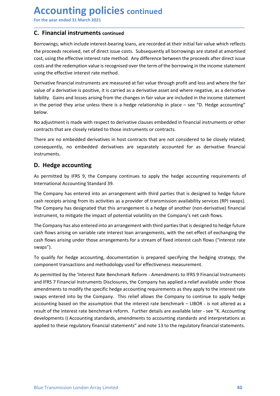Accounting policies continued<br>
For the year ended 31 March 2021<br>
C. Financial instruments continued<br>
Borrowings, which include interest-bearing loans, are recorded at their initial fair value which reflect Accounting policies continued<br>
For the year ended 31 March 2021<br>
C. Financial instruments continued<br>
Borrowings, which include interest-bearing loans, are recorded at their initial fair value which reflects<br>
the proceeds r **Accounting policies continued**<br>
For the year ended 31 March 2021<br> **C. Financial instruments continued**<br>
Borrowings, which include interest-bearing loans, are recorded at their initial fair value where<br>
the proceeds receiv **ACCOUNTIME POLICIES continued**<br>For the year ended 31 March 2021<br>**C.** Financial instruments continued<br>Borrowings, which include interest-bearing loans, are recorded at their initial fair value which reflects<br>the proceeds r **Accounting policies continued**<br>For the year ended 31 March 2021<br>**C. Financial instruments continued**<br>Borrowings, which include interest-bearing loans, are recorded at their initial fair value which reflects<br>the proceeds r **Accounting policies continued**<br>For the year ended 31 March 2021<br>**C. Financial instruments continued**<br>Borrowings, which include interest-bearing loans, are recorded at their initial fair value which reflects<br>the proceeds r **Accounting policies continued**<br>
For the year ended 31 March 2021<br> **C.** Financial instruments continued<br>
Borrowings, which include interest-bearing loans, are recorded at their initial fair value which reflects<br>
to the pro **Accounting policies continued**<br>
For the year ended 31 March 2021<br> **C. Financial instruments continued**<br>
Borrowings, which include interest-bearing loans, are recorded at their initial fair value which reflects<br>
the procee

\_\_\_\_\_\_\_\_\_\_\_\_\_\_\_\_\_\_\_\_\_\_\_\_\_\_\_\_\_\_\_\_\_\_\_\_\_\_\_\_\_\_\_\_\_\_\_\_\_\_\_\_\_\_\_\_\_\_\_\_\_\_\_\_\_\_\_\_\_\_\_\_\_\_\_\_\_\_\_\_\_\_\_\_\_\_\_\_\_\_

**Accounting policies continued**<br>
For the year ended 31 March 2021<br> **C. Financial instruments continued**<br>
Borrowings, which include interest-bearing loans, are recorded at their initial fair value which reflects<br>
the procee **Accounting policies continued**<br>
For the year ended 31 March 2021<br> **C. Financial instruments continued**<br>
Borrowings, which include interest-bearing loans, are recorded at their initial fair value which reflects<br>
the procee **ACCOUNTIME POLICIES continued**<br> **C. Financial instruments continued**<br> **C. Financial instruments continued**<br>
Borrowings, which include interest-bearing loans, are recorded at their initial fair value which reflects<br>
the pr **ACCOUNTIME POLICIES continued**<br> **C. Financial instruments continued**<br> **E. Financial instruments continued**<br>
Borrowings, which include interest-bearing loans, are recorded at their initial fair value which reflects<br>
cost, below. For the year ended 31 March 2021<br>
C. Financial instruments continued<br>
Borrowings, which include interest-bearing loans, are recorded at their initial fair value which reflects<br>
Borrowings, which include interest-bearing lo **Contracts that are interest in the model of the model of the server of the Control Control Control Control Control Control Control Control Control Control Control Control Control Control Control Control Control Control Co C. Financial instruments continued**<br>Bornowings, which include interest-bearing loans, are recorded at their initial fair value which reflects<br>the proceeds received, net of direct issue costs. Subsequently all borrowings a **C. Financial instruments continued**<br>Borrowings, which include interest-bearing loans, are recorded at their initial fair value which reflects<br>the proceeds received, net of direct issue costs. Subsequently all borrowings a the proceeds received, net of direct issue costs. Subsequently all borrowings are state<br>cost, using the effective interest rate method. Any difference between the proceeds aff<br>costs and the redemption value is recognised o cost, using the enective interest are mentoo. Any uniference between the proceeds arter direct sisue<br>costs and the redemption value is recognised over the term of the borrowing in the income statement<br>using the effective i costs and the recemption value is recognised over the term of the oborrowing in the income statement<br>
susing the effective interest rate method.<br>
Derivative financial instruments are measured at fair value through profit a Derivative financial instruments are measured at fair value through profit and loss and where the fair<br>value of a derivative is positive, it is carried as a derivative asset and where negative, as a derivative<br>liability. G Deviate mannical instruments are measured at tair value through point and loos and where neptive<br>value of a derivative is positive, it is carried as a derivative asset and where negative, as a derivative<br>liability. Gains a

instruments.

walle or a derivative is positive, it is carried as a derivative asset and where negative, as a derivative sching from the changes in fair value are included in the income statement<br>in the period they arise unless there is instruments.<br>In the period they arise unless there is a hedge relationship in place – see "D. Hedge accounting"<br>below.<br>No adjustment is made with respect to derivative clauses embedded in financial instruments or other<br>con below.<br>No adjustment is made with respect to derivative clauses embedded in financial instruments or other<br>contracts that are closely related to those instruments or contracts.<br>There are no embedded derivatives in host con No adjustment is made with respect to derivative clauses embedded in financial instruments or other contracts that are closely related to those instruments or contracts.<br>There are no embedded derivatives in host contracts No agustment is made with respect to derivative clauses embedded in financial instruments or other<br>contracts that are closely related to those instruments or contracts.<br>There are no embedded derivatives in host contracts t Inere are no emneedoe derivatives in nost contracts that are not considered to be closely related;<br>consequently, no embedded derivatives are separately accounted for as derivative financial<br>instruments.<br>**D. Hedge accountin** 

swaps").

As permitted by the 'Interest Rate Benchmark Reform - Amendments to IFRS 9 Financial Instruments<br>and IFRS 7 Financial Instruments Disclosures, the Company has applied a relief available under those<br>amendments to modify the consequently, no embedoed derivatives are separately accounted for as derivative inhandal<br>cinstruments.<br>**D. Hedge accounting**<br>As permitted by IFRS 9, the Company continues to apply the hedge accounting requirements of<br>inte **D. Hedge accounting**<br>As permitted by IFRS 9, the Company continues to apply the hedge accounting requirements of<br>International Accounting Standard 39.<br>The Company has entered into an arrangement with third parties that is **D. Hedge accounting**<br>As permitted by IFRS 9, the Company continues to apply the hedge accounting requirements of<br>International Accounting Standard 39.<br>The Company has dentered into an arrangement with third parties that i As permitted by IFRS 9, the Company continues to apply the hedge accounting requirements of<br>International Accounting Standard 39.<br>The Company has entered into an arrangement with third parties that is designed to hedge fut International Accounting Standard 39.<br>The Company has entered into an arrangement with third parties that is designed to hedge future<br>cash receipts arising from its activities as a provider of transmission availability ser The Company has entered into an arrangement with third parties that is designed to hedge future<br>cash receipts arising from its activities as a provider of transmission availability services (RPI swaps).<br>The Company has des Ine Company has entered into an arrangement with third parties that is designed to hedge tuture<br>cash receipts arising from its activities as a provider of transmission availability services (RPI swaps).<br>The Company has des cash receipts arising from its activuties as a provider of transmission availability services (RPI swaps).<br>The Company has designated that this arrangement is a hedge of another (non-derivative) financial<br>instrument, to mi The Company has designated that this arrangement is a hedge of another (non-derivative) financial instrument, to mitigate the impact of potential volatility on the Company's net cash flows.<br>The Company has also entered int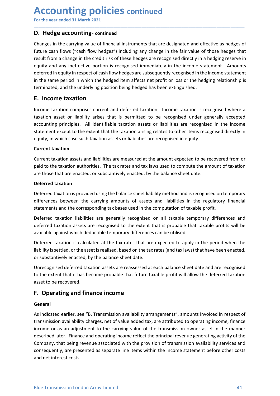**Accounting policies continued**<br>
For the year ended 31 March 2021<br> **D. Hedge accounting-continued**<br>
Changes in the carrying value of financial instruments that are designated and effective as hedges of Accounting policies continued<br>
For the year ended 31 March 2021<br>
D. Hedge accounting-continued<br>
Changes in the carrying value of financial instruments that are designated and effective as hedges of<br>
future cash flows ("cas **Accounting policies continued**<br>
For the year ended 31 March 2021<br> **D. Hedge accounting-continued**<br>
Changes in the carrying value of financial instruments that are designated and effective<br>
future cash flows ("cash flow he **ACCOUNTING POLICIES continued<br>
For the year ended 31 March 2021**<br> **D. Hedge accounting-continued**<br>
Changes in the carrying value of financial instruments that are designated and effective as hedges of<br>
future cash flows ( **Accounting policies continued**<br>For the year ended 31 March 2021<br>D. Hedge accounting-continued<br>Changes in the carrying value of financial instruments that are designated and effective as hedges of<br>future cash flows ("cash **Accounting policies continued**<br>For the year ended 31 March 2021<br>D. Hedge accounting-continued<br>Changes in the carrying value of financial instruments that are designated and effective as hedges of<br>future cash flows ("cash **Accounting policies continued**<br>
For the year ended 31 March 2021<br> **D. Hedge accounting-continued**<br> **Changes** in the carrying value of financial instruments that are designated and effective as hedges of<br>
future cash flows **Accounting policies continued**<br>
For the year ended 31 March 2021<br> **D. Hedge accounting-continued**<br>
Changes in the carrying value of financial instruments that are designated and effective as hedges of<br>
fluture cash flows **Accounting policies continued**<br>
For the year ended 31 March 2021<br> **D. Hedge accounting-continued**<br>
Changes in the carrying value of financial instruments that are designated and effective as hedges of<br>
future cash flows ( **ACCOUNTIME POLICIES continued**<br> **D. Hedge accounting-continued**<br> **D. Hedge accounting-continued**<br> **Changes in the carrying value of financial instruments that are designated and effective as hedges of<br>
thure cash flows (" Accounting policies continued**<br>
For the year ended 31 March 2021<br> **D. Hedge accounting-continued**<br> **Changes in the carrying value of financial instruments that are designated and effective<br>
future cash flows ("cash flow h ACCOUNTIME POLICIES** continued<br> **D. Hedge accounting-continued**<br> **Changes** in the carrying value of financial instruments that are designated and effective as hedges of<br>
future cash flows ("cash flow hedges") including an **ACCOUNTIME POLICIES** continued<br>
D. Hedge accounting-continued<br>
D. Hedge accounting-continued<br>
Changes in the carrying value of financial instruments that are designated and effective as hedges of<br>
future cash flow ("cash **ACCOUNTIME POLICIES continued**<br> **D. Hedge accounting-continued**<br> **D. Hedge accounting-continued**<br> **Changes in the carrying value of financial instruments that are designated and effective as hedges of<br>
future cash flows ( For the year ended 31 March 2021**<br> **D. Hedge accounting-continued**<br> **Changes in the carrying value of financial instruments that are designated and effective as hedges of<br>
future cash flows ("cash flow hedges") including D. Hedge accounting-continued**<br> **Changes in the carrying value of financial instruments that are designated and effective as hedges of<br>
fruture cash flows ("cash flow hedges") including any change in the fair value of tho D. Hedge accounting-continued**<br> **Changes in the carrying value of financial instruments that are designated and effuture cash flows ("cash flow hedges") including any change in the fair value of<br>
result from a change in t** Changes in the carrying value of financial instruments that are designated and effective as hedges of<br>truent cash flows ("cash flow hedges") including any change in the fair value of those hedges that<br>treut the man shange future cash flows ("cash flow hedges") including any change in the fair value of those hedges that result from a schare leven in escapinsed inferenchies are recognised interchies and required directly in a hedging reserves result from a change in the credit risk of these hedges are recognised directly in a hedging reserve in<br>equity and any ineffective portion is recognised immediately in the income statement. Amounts<br>deferred in equity in re

\_\_\_\_\_\_\_\_\_\_\_\_\_\_\_\_\_\_\_\_\_\_\_\_\_\_\_\_\_\_\_\_\_\_\_\_\_\_\_\_\_\_\_\_\_\_\_\_\_\_\_\_\_\_\_\_\_\_\_\_\_\_\_\_\_\_\_\_\_\_\_\_\_\_\_\_\_\_\_\_\_\_\_\_\_\_\_\_\_\_

equity and any inerrective portion is recognised immediately in the income state<br>deferred in equity in respect of cash flow hedges are subsequently recognised in the<br>terminated, and the underlying position being hedged has in the same period in which the hedged item affects net profit or loss or the hedging relationship is<br>terminated, and the underlying position being hedged has been extinguished.<br> **E. Income taxation**<br>
Income taxation asset terminated, and the underlying position being hedged has been extinguished.<br> **E. Income taxation**<br>
Income taxation comprises current and deferred taxation. Income taxation is recognised where a<br>
taxation asset or liability **E. Income taxation**<br>Income taxation comprises current and deferred taxation. Income taxation is recognised where a<br>taxation asset or liability arises that is permitted to be recognised under generally accepted<br>accounting **Example 12**<br>In come taxation comprises current and deferred taxation. Income taxation is recognised where a<br>latxation asset or liability arises that is permitted to be recognised under generally accepted<br>accounting princi Income taxation comprises current and deferred taxation. Income taxation is recognised where a<br>taxation asset or liability arises that is permitted to be recognised under generally accepted<br>eaccounting principles. All iden taxation asset or liablitly arises that is permitted to be recognised under generally accepted<br>accounting principles. All identifiable taxation assists or liablilities are recognised in the income<br>statement except to the e

actualining principles. A in the minimale taxation arisis of in alloting elates to cher items recognised directly in<br>equity, in which case such taxation assets or liabilities are recognised in equity.<br>Current taxation asse station the except to the extent that the taxation ansing relates to other items recognised unectry in<br> **Current taxation** assets and liabilities are measured at the amount expected to be recovered from or<br>
paid to the tax equity, in which cases such taxation assets or nabilities are recugnised in equity.<br>Current taxation assets and liabilities are measured at the amount expected to be recovered from or<br>Current taxation authorities. The tax Current taxation assets and liabilities are measured at the amount expected to be recovered from or<br>Current taxation authorities. The tax rates and tax laws used to compute the amount of taxation<br>are those that are enacted Current taxation assets and liabilities are measured at the amount expected to be recovered from or<br>paid to the taxation authorities. The tax rates and tax laws used to compute the amount of taxation<br>are those that are ena paid to the taxation authorities. The tax rates and tax laws used to compute the am<br>are those that are enacted, or substantively enacted, by the balance sheet date.<br>Deferred taxation is provided using the balance sheet lia **Deferred taxation**<br> **Deferred taxation**<br> **Deferred taxation**<br> **Deferred taxation**<br> **Deferred taxation** is provided using the balance sheet liability method and is recognised on temporary<br>
differences between the carrying

### General

to the extent that it has become probable that future taxable profit will allow the deferred taxation<br>saset to be recovered.<br>**F. Operating and finance income**<br>**General**<br>As indicated earlier, see "B. Transmission availabili differences between the carrying amounts of assets and liabilities in the regulatory financial<br>statements and the corresponding tax bases used in the computation of taxable profit.<br>Deferred taxation iasoitisties are genera statements and the corresponding tax bases used in the computation of taxable profit.<br>Deferred taxation aiselisties are generally recognised on all taxable temporary differences and<br>deferred taxation assets are recognised Deferred taxation liabilities are generally recognised on all taxable temporary differences and<br>deferred taxation assets are recognised to the extent that is probable that taxable profits will be<br>available against which de Deterred taxation iasolities are generally recognised on all taxable tendered taxable profits will be available against which deductible temporary differences can be utilised.<br>Deferred taxation is calculated at the tax rat derered transmission assiests are recognised to the extent that is probable that a subjectively against which deductlible temporary differences can be utilised.<br>Deferred taxation is calculated at the tax rates that are exp available against winch deductible temporary dimerences can be utilised.<br>Deferred taxation is calculated at the tax rates that are expected to apply in the period when the<br>liability is settled, or the asset is realised, ba Deferred taxation is calculated at the tax rates that are expected to apply in the perioc<br>liability is settled, or the asset is realised, based on the tax rates (and tax laws) that have been substantively enacted, by the b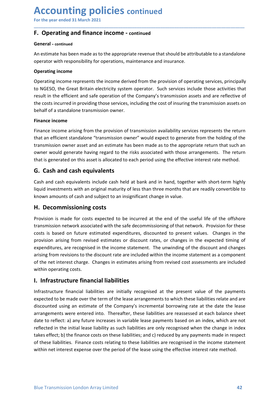# Accounting policies continued<br>For the year ended 31 March 2021<br>F. Operating and finance income - continued<br>General - continued Accounting policies continued<br>
For the year ended 31 March 2021<br>
F. Operating and finance income - continued<br>
General - continued<br>
An estimate has been made as to the appropriate revenue that should be attributable to a st

### General - continued

**ACCOUNTING POLICIES continued**<br>For the year ended 31 March 2021<br>**F. Operating and finance income - continued**<br>General - continued<br>An estimate has been made as to the appropriate revenue that should be attributable to a st **ACCOUNTING POLICIES continued**<br>
For the year ended 31 March 2021<br> **F. Operating and finance income - continued**<br>
An estimate has been made as to the appropriate revenue that should be attributable to a standalone<br>
operati

\_\_\_\_\_\_\_\_\_\_\_\_\_\_\_\_\_\_\_\_\_\_\_\_\_\_\_\_\_\_\_\_\_\_\_\_\_\_\_\_\_\_\_\_\_\_\_\_\_\_\_\_\_\_\_\_\_\_\_\_\_\_\_\_\_\_\_\_\_\_\_\_\_\_\_\_\_\_\_\_\_\_\_\_\_\_\_\_\_\_

**ACCOUNTING POLICIES continued**<br>
For the year ended 31 March 2021<br> **F. Operating and finance income - continued**<br>
An estimate has been made as to the appropriate revenue that should be attributable to a standalone<br>
operato **ACCOUNTING POLICIES continued**<br>
For the year ended 31 March 2021<br> **F. Operating and finance income - continued**<br>
An estimate has been made as to the appropriate revenue that should be attributable<br>
operator with responsib **Accounting policies continued**<br>
For the year ended 31 March 2021<br> **F. Operating and finance income - continued**<br>
An estimate has been made as to the appropriate revenue that should be attributable to a standalone<br>
operati **ACCOUNTIME POLICIES continued**<br>
F. Operating and finance income - continued<br>
An estimate has been made as to the appropriate revenue that should be attributable to a standalone<br>
operator with responsibility for operations **ACCOUNTIME POLICIES continued**<br> **F. Operating and finance income - continued**<br> **F. Operating and finance income - continued**<br>
An estimate has been made as to the appropriate revenue that should be attributable to a standa **ACCOUNTIME POLICIES continued**<br> **F. Operating and finance income - continued**<br> **An estimate has been made as to the appropriate revenue that should be attributable to a standalone**<br>
operating income<br> **Operating income**<br>
O **ACCOUNTIME POLICIES continued**<br> **F. Operating and finance income - continued**<br> **F. Operating and finance income - continued**<br>
An estimate has been made as to the appropriate revenue that should be attributable to a standa **ACCOUNTIME POLICIES continued**<br>For the year ended 31 March 2021<br>F. Operating and finance income - continued<br>General - continued<br>An estimate has been made as to the appropriate revenue that should be attributa<br>operator wit For the year ended 31 March 2021<br> **F. Operating and finance income - continued**<br> **Eneral - continued**<br> **Contrarie has been made as to the appropriate revenue that should be attributable to a standalone<br>
anestime has been** F. Operating and finance income – continued<br>
F. Operating and finance income – continued<br>
An estimate has been made as to the appropriate revenue that should be attributable to a standalone<br>
operating income<br>
operating inc **F. Operating and finance income - continued**<br> **Seneral - continued**<br>
An estimate has been made as to the appropriate revenue that should be attributable to a standalone<br>
operating income<br> **Operating income**<br> **Operating in Constrained Solution** and interactive commisted that should be attributable to a standalone<br>An estimate has been made as to the appropriate revenue that should be attributable to a standalone<br>operator with responsibility General - continued<br>An estimate has been made as to the appropriate revenue that should be attributable to a standalone<br>operating income<br>Coperating income<br>Coperating income<br>coloreating income<br>contains in the efficient and An estimate has been made as to the appropriate revenue that should be attributable to a standa<br>operator with responsibility for operations, maintenance and insurance.<br>Operating income<br>represents the income derived from th **Operating income**<br> **Operating income**<br> **Conception**<br> **CoNGESO**, the Great Britain electricity system operator. Such services include those activities that<br>
the CoSESO, the Great Britain electricity system operator. Such s **Operating income**<br>
Operating income represents the income derived from the provision of operating services, principally<br>
bto NGESO, the Great Britain electricity system operator. Such services include those activities tha Operating income represents the income derived from the provision of operating services, principally<br>to NGESO, the Great Birtain electricity system operator. Such services include those activities that<br>tresult in the effic

or vocuso, une or user unturn electurity system operator. Jours Jerusal reading the dependent of the Company's transmission assets and are reflective of the costs incurred in providing those services, including the cost of

the costs incurred in providing those services, including the cost of insuring the transmission assets on<br>
behalf of a standalone transmission owner.<br> **Finance income**<br> **Finance income arising from the provision of transmi** Ethalf of a standalone transmission owner.<br> **Einance income**<br> **Einance income**<br> **Einance income**<br> **Einance income**<br> **Einance incomeeration**<br> **Cinculated with the safe decommission owner"**<br> **Conformation**<br> **Conformation**<br> Finance income<br>
Finance income arising from the provision of transmission availability services represents the return<br>
that an efficient standione "transmission ower" would expect to generate from the holding of the<br>
trans <sup>1</sup><br> **Elinance income arising from the provision of transmission availability services represents the return**<br>
that an efficient standalone "transmission owner" would expect to generate from the holding of the<br>
transmissio Finance income arising from the provision of transmission availability services represents the return<br>that an efficient statedlone "transmission owner" would expect to generate from the holding of the<br>transmission owner as that an efficient standalone "transmission owner" would expect to generate from the holding of the<br>transmission owner axest and an estimate has been made as to the appropriate erturn that such an<br>owner would generate havin transmission owner asset and an estimate has been made as to the appropriate return that such an<br>that is generated on this asset is allocated to each period using the effective interest rate method.<br>**G.** Cash and cash equi owner would generate having regard to the risks associated with those arrangements. That is generated on this asset is allocated to each period using the effective interest rate resp. Cash and cash equivalents cash held at G. Cash and cash equivalents<br>Cash and cash equivalents<br>Cash and cash equivalents include cash held at bank and in hand, together with short-term highly<br>liquid investments with an original maturity of less than three months Cash and cash equivalents include cash held at bank and in hand, together with short-term highly<br>liquid investments with an original maturity of less than three months that are readily convertible to<br>known amounts of cash Cash and cash equivalents include cash held at bank and in hand, together with short-term highly<br>liquid investments with an original maturity of less than three months that are readily convertible to<br>thowon amounts of cash liquid investments with an original maturity of less than three months that are readily convertible to<br> **H. Decommissioning costs**<br> **H. Decommission in stange in value.**<br> **H. Decommission is made for costs expected to be i** 

**II. Infrastructure financial liabilities**<br> **II. Infrastructure financial liabilities** are initially recognised at the present value of the payments<br>
expected to be made over the term of the lease arrangements to which th known amounts of cash and subject to an insignificant change in value.<br> **H. Decommissionning costs**<br>
Provision is made for costs expected to be incurred at the end of the useful life of the offshore<br>
transmission network a **H. Decommissioning costs**<br>Provision is made for costs expected to be incurred at the end of the useful life of the offshore<br>transmission network associated with the safe decommissioning of that network. Provision for thes Provision is made for costs expected to be incurred at the end of the useful life of the offshore<br>transmission network associated with the safe decommissioning of that network. Provision for these<br>costs is based on future Provision is made for costs expected to be incurred at the end of the useful life of the offshore<br>transmission network associated with the safe decommissioning of that network. Provision for these<br>costs is based on future transmission network associated with the safe decommissioning of that network. Provision for these<br>costs is based on future estimated expenditures, discounted to present values. Changes in the<br>provision arising from revise costs is based on future estimated expenditures, discounted to present values. Changes in the provision arising from revised estimates or discount rates, or changes in the expected thining of expenditures, are recognised i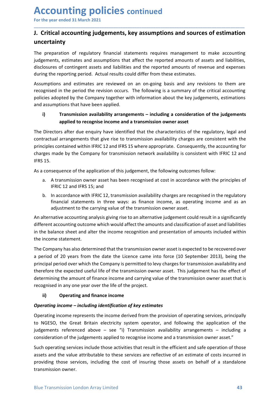# Accounting policies continued<br>For the year ended 31 March 2021<br>J. Critical accounting judgements, key assumptions and sources of estimation<br>uncertainty **Accounting policies continued**<br>For the year ended 31 March 2021<br>J. Critical accounting judgements, key assumptions and sources of estimation<br>uncertainty<br>The preparation of regulatory financial statements requires manageme uncertainty

\_\_\_\_\_\_\_\_\_\_\_\_\_\_\_\_\_\_\_\_\_\_\_\_\_\_\_\_\_\_\_\_\_\_\_\_\_\_\_\_\_\_\_\_\_\_\_\_\_\_\_\_\_\_\_\_\_\_\_\_\_\_\_\_\_\_\_\_\_\_\_\_\_\_\_\_\_\_\_\_\_\_\_\_\_\_\_\_\_\_

**Accounting policies continued**<br>
For the year ended 31 March 2021<br> **J. Critical accounting judgements, key assumptions and sources of estimation**<br>
uncertainty<br>
The preparation of regulatory financial statements requires ma **ACCOUNTIME POLICIES continued**<br>For the year ended 31 March 2021<br>J. Critical accounting judgements, key assumptions and sources of estimation<br>uncertainty<br>The preparation of regulatory financial statements requires manageme **Accounting policies continued**<br>For the year ended 31 March 2021<br>J. Critical accounting judgements, key assumptions and sources of estimation<br>uncertainty<br>The preparation of regulatory financial statements requires manageme **Accounting policies continued**<br> **J. Critical accounting judgements, key assumptions and sources of estimation**<br> **I. Critical accounting judgements, key assumptions and sources of estimation**<br>
indepentnity<br>
The preparation **Accounting policies continued**<br>
For the year ended 31 March 2021<br> **J. Critical accounting judgements, key assumptions and sources of estimation**<br>
IThe preparation of regulatory financial statements requires management to **Accounting policies continued**<br>
For the year ended 31 March 2021<br> **J. Critical accounting judgements, key assumptions and sources of estimation**<br>
uncertainty<br>
The preparation of regulatory financial statements requires ma **Accounting policies continued**<br>
For the year ended 31 March 2021<br> **J. Critical accounting judgements, key assumptions and sources of estimation**<br>
uncertainty<br>
The preparation of regulatory financial statements requires ma **ACCOUNTIME POLICIES continued**<br> **J. Critical accounting judgements, key assumptions and sources of estimation**<br>
I. Critical accounting judgements, key assumptions and sources of estimation<br>
directed mounts of contingent a **Accounting policies continued**<br>
For the year ended 31 March 2021<br> **J. Critical accounting judgements, key assumptions and sources of estimation**<br>
uncertainty<br>
The preparation of regulatory financial statements requires ma **CCOUNTIME POLICIES continued**<br>
the year ended 31 March 2021<br> **Critical accounting judgements, key assumptions and sources of estimation**<br> **Critical accounting judgements, key assumptions and sources of estimation**<br>
certai

**Example 20**<br> **All And Anath 2021**<br> **Accounting judgements, key assumptions and sources of estimation<br>
ty<br>
accounting judgements, key assumptions and sources of estimation<br>
estimates and assumptions that affect the reporte** For the year ended 31 March 2021<br> **J. Critical accounting judgements, key assumptions and sources of estimation**<br>
uncertainty<br>
The preparation of regulatory financial statements requires management to make accounting<br>
Iudg **1). Critical accounting judgements, key assumptions and sources of estimation**<br>
Incertainty<br>
incertainty<br>
incertainty indicatory financial statements requires management to make accounting<br>
iudgements, estimates and assum **J. Critical accounting judgements, key assumptions and sources of estimation**<br>The preparation of regulatory financial statements requires management to make accounting<br>judgements, estimates and assumptions that affect the **uncertainty**<br>
The preparation of regulatory financial statements requires management to make accounting<br>
idgements, estimates and assumptions that affect the reported amounts of assets and liabilities,<br>
discributing the r The preparation of regulatory financial statements requires management<br>Judgements, estimates and assumptions that affect the reported amounts of<br>disclosures of contingent assets and liabilities and the reported amounts of<br> The preparation or regulatory innancial statements requires management to make accounting<br>indepenents, estimates and assumptions that affect the reported amounts of assets and liabilities,<br>disclosures of contingent assets Experiment and estimate the state and the reported amounts of revenue and expenses<br>are reporting period. Actual results could differ from these estimates.<br>The reporting period. Actual results could differ from these estima The reporting period. Actual results could differ from these estimates.<br>The reporting period. Actual results could differ from these estimates.<br>The peroting period the revision occurs. The following is a summary of the cri mptions and estimates are reviewed on an on-going basis and any revisions to them are<br>gristed in the period the revision occurs. The following is a summary of the critical accounting<br>its assomptions that have been applied. tons and estimates are reviewed on an on-geong basis and any revisions to them are<br>ided in the period the revision occurs. The following is a summary of the critical accounting<br>adopted by the Company together with informat ed in the period the revision occurs. The following is a summary of the critical accounting<br>adopted by the Company together with information about the key judgements, estimations<br>imptions that have been applied.<br>**Transmiss** Fractistic accounting particles accounting and the income state of the comparison of the independent and assumptions that have been applied.<br>
i) Transmission availability arrangements – including a consideration of the jud in Transmission availability arrangements – including a consideration of the judgements<br>
applied to recognise income and a transmission owner asset<br>
The Directors after due enquiry have identified that the characteristics **The Different accounting and alter the income which was a constant of the judgements**<br> **The Directors after due enquiry have identified that the characteristics of the regulatory, legal and<br>
contractual arrangements that The Directors after due enquiry have identified that the characteristics of the regule<br>contractual arangements that give rise to transmission availability charges are contracted arangements that give rise to transmission** 

- 
- 

The Directors after due enquiry have identified that the characteristics of the regulatory, legal and<br>contractual arrangements that give rise to transmission availability charges are consistent with the<br>principles containe contractual arrangements that gue rise to transmission availability charges are consistent with the<br>principles contained by the Company for transmission network availability is consistent with IFRIC 12 and<br>IFRS 15.<br>As a co principles contained within IFRIC 12 and IFRS 15 where appropriate. Consequently, the accounting for<br>
FRS 15.<br>
As a consequence of the application of this judgement, the following outcomes follow:<br>
a. A transmission owner charges made by the Company for transmission network availability is consistent with IFRIC 12 and<br>
As a consequence of the application of this judgement, the following outcomes follow:<br>
a. A transmission owner asset has be H+S 15.<br>
as a consequence of the application of this judgement, the following outcomes follow:<br>
a. A transmission owner asset has been recognised at cost in accordance with the principles of<br>
IFRIC 12 and IFRS 15; and<br>
b. As a consequence of the application of this judgement, the following outcomes follow:<br>
a. A transmission ower asset has been recognised at cost in accordance with the principles of<br>
IFRIC 12 and IFRS 15; and<br>
b. In accorda a. A transmission owner asset has been recognised at cost in accordance with the principles of<br>
IFRIC 12 and IFRS 15; and<br>
In accordance with the recognised in the regulatory<br>
In accordance with IFRIC 12, transmission ava In the case in the samples of the reading income and as a material income and as a madjustment to the carrying value of the transmission owner asset.<br>
An alternative accounting analysis giving rise ways: as finance income, financial statements in three ways: as finance income, as operating income and as an adjustment to the carrying value of the transmission owner asset.<br>
An alternative accounting analysis giving rise to an alternative judge adjustment to the carrying value of the transmission owner asset.<br>An alternative accounting analysis giving rise to an alternative judgement could result in a significantly<br>different accounting outcome which would affect t An alternative accounting analysis giving rise to an alternative judgement could result in a significantly<br>different accounting outcome which would affect the amounts and classification of asset and liabilities<br>in the bala different accounting outcome which would affect the amounts and classification of asset and liabilities<br>in the balance sheere and alter the income recognition and presentation of amounts included within<br>the income statemen in the balance sheet and alter the income recognition and presentation of amounts included within<br>the incompary has also determined that the transmission owner asset is expected to be recovered over<br>a period of 20 years fr the income statement.<br>The Company has also determined that the transmission owner asset is expected to be recovered over<br>principal period 20 years from the date the Licence came into force (10 September 2013), being the<br>pr The Company has also determined that the transmission owner asset is expected to be recovered over<br>
a period of 20 years from the date the Licence came into force (10 September 2013), being the<br>
principal period over which a period of 20 years from the date the Licence came into force (10 September 20<br>principal period over which the Company is permitted to levy charges for transmission a<br>therefore the expected useful life of the transmission

therefore the expected useful life of the transmission owner asset. This judgement has the effect of determining the amount of finance income and carrying value of the transmission owner asset that is recognised in any one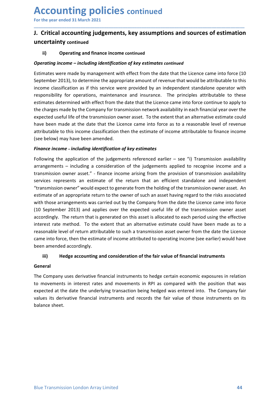# Accounting policies continued<br>For the year ended 31 March 2021<br>J. Critical accounting judgements, key assumptions and sources of estimation<br>uncertainty continued Accounting policies continued<br>
For the year ended 31 March 2021<br>
J. Critical accounting judgements, key assumptions and sources of estimation<br>
uncertainty continued<br>
ii) Operating and finance income continued **ACCOUNTING POLICIES continued**<br>
For the year ended 31 March 2021<br>
J. Critical accounting judgements, key assumptions and sources of estimation<br>
uncertainty continued<br>
(i) Operating and finance income continued<br>
Operating

\_\_\_\_\_\_\_\_\_\_\_\_\_\_\_\_\_\_\_\_\_\_\_\_\_\_\_\_\_\_\_\_\_\_\_\_\_\_\_\_\_\_\_\_\_\_\_\_\_\_\_\_\_\_\_\_\_\_\_\_\_\_\_\_\_\_\_\_\_\_\_\_\_\_\_\_\_\_\_\_\_\_\_\_\_\_\_\_\_\_

### uncertainty continued

**CCOUNTING POLICIES continued**<br>
the year ended 31 March 2021<br> **Critical accounting judgements, key assumptions and sources of estimation**<br> **Continued**<br> **Continued**<br> **Continued**<br> **Continued**<br> **Continued**<br> **Continued**<br> **Cont Accounting policies continued**<br>
For the year ended 31 March 2021<br> **J. Critical accounting judgements, key assumptions and sources of estimation**<br>
uncertainty continued<br>
(ii) Operating and finance income continued<br>
Deprati **Accounting policies continued**<br> **Entimate of the vear ended 31 March 2021**<br> **J. Critical accounting judgements, key assumptions and sources of estimation**<br>
uncertainty continued<br>
(a) Operating and finance income continued **Accounting policies continued**<br>
September 2021<br> **J.** Critical accounting judgements, key assumptions and sources of estimation<br>
uncertainty continued<br>
(i) operating and finance income continued<br>
Estimates were made by man **ACCOUNTIME POLICIES continued**<br> **J. Critical accounting judgements, key assumptions and sources of estimation**<br> **uncertainty** continued<br>
ii) Operating and finance income continued<br>
timates were made by management with eff **Accounting policies continued**<br>For the year ended 31 March 2021<br>J. Critical accounting judgements, key assumptions and sources of estimation<br>uncertainty continued<br>ii) operating and finance income continued<br>Estimates were **ACCOUNTIME POLICIES continued**<br>
For the year ended 31 March 2021<br> **J. Critical accounting judgements, key assumptions and sources of estimation**<br> **uncertainty continued**<br> **ii)** Operating and finance income continued<br>
Esti **ACCOUNTIME POLICIES continued**<br> **J. Critical accounting judgements, key assumptions and sources of estimation**<br> **U. Critical accounting judgements, key assumptions and sources of estimation**<br> **Operating income – including ACCOUNTIME POICIES continued**<br>
For the year ended 31 March 2021<br> **J. Critical accounting judgements, key assumptions and sources of estimation**<br> **uncertainty continued**<br>
(a) Operating income – including identification of **ACCOUNTIME POLICIES continued**<br> **J. Critical accounting judgements, key assumptions and sources of estimation**<br> **U. Critical accounting judgements, key assumptions and sources of estimation**<br> **Operating income – including** For the year ended 31 Match 2021<br> **J.** Critical accounting judgements, key assumptions and sources of estimation<br>
ii) operating and finance income continued<br>
eignification of key estimates continued<br>
Estimates were made b (see the continuous) the product of the independent of the production of the production of term and transmission come and transmission come rate amended transmission over a transmission of the production of term of the co **J. Critical accounting judgements, key assumptions and sources of estimation**<br>
uncertainty continued<br>
(i) Operating income – including identification of key estimates continued<br>
Estimates were made by management with eff **uncertainty continued**<br> **Operating income – including identification of key estimates continued**<br> **Estimates were made by management with effect from the date that the Licence came into force (10<br>
September 2013), to dete** ii) Operating and finance income continued<br>Operating income – including identification of key estimates continued<br>Estimates were made by management with effect from the date that the Licence came into force (10<br>September **Operating income - including identification of key estimates continued**<br>Estimates were made by management with effect from the date that the Licence came into force (10<br>September 2013), to determine the appropriate amount Operating income – including dentification of key estimates continued<br>Estimates were made by management with effect from the date that the licence came into force (10<br>September 2013), to determine the appropriate amount o Estimates were made by management with effect from the date that the Licence came into force (10<br>Sieptember 2013), to determine the appropriate amount of revenue that would be attributable to this<br>income classification as

September 2013), to determine the appropriate amount of revenue that would be attributable to this income classification as if this service were provided by an independent standalone operator with income distance. The prin income classification as if this service were provided by an independent standalone operator with<br>responsibility for operations, maintenance and insurance. The principles attributable to these<br>estimates determined with eff responsibility for operations, maintenance and insurance. The principles attributable to these estimates determined with effect from the date that the Licence canne into force continue to apply to the charges made by the C estimates determined with effect from the date that the Licence came into force continue to apply to<br>the charges made by the Company for transmission neuronals wasulability in each financial year over the<br>expected useful l the charges made by the Company for transmission network availability in each financial year over the expected useful life of the transmission owere asset. To the extent that an alternative estimate could have been made at expected useful life of the transmission owner asset. To the extent that an alternative estimate could<br>attributable to this income classification then the estimate of income attributable to finis income<br>dattributable to th have been made at the date that the Licence came into force as to a reasonable level of revenue<br>stributible to this income classification then the estimate of income attributable to finance income<br>(see below) may have been attributable to this income classification then the estimate of income attributable to fina<br>(see below) may have been amended.<br> **Finance income - including identification of key estimates**<br> **Following the application of th** below) may have been amended.<br>
Inceriation of the application of fergestimates<br>
inceriation of the judgements referenced earlier – see "i) Transmission availability<br>
ingements – including a consideration of the judgements Following the application of the juagements referenced earier - see "1) Transmission availability<br>arrangements – including a consideration of the judgements applied to recognise income and a<br>transmission owner asset." - fi arrangements – including a consideration of the judgements applied to recognise income and a<br>transmission owner asset." - finance income arising from the provision of transmission availability<br>services represents an estima transmission owner asset." - tinance income arising from the provision or transmission availability<br>eservices represents an estimate of the return that an efficient standalone and independent<br>"transmission owner" would exp services represents an estimate of the return that an eltricent standalone and independent<br>"transmission owner" would expect to generate from the holding of the transmission owner asset. An<br>estimate of an appropriate retur "transmission owner" would expect to generate from the holding of the transmission<br>estimate of an appropriate return to the owener of such an asset having regard to<br>with those arrangements was carried out by the Company fr

### General

The Company uses derivative financial instruments to hedge certain economic exposures in relation<br>to movements in interest rates and movements in RPI as compared with the position that was<br>expected at the date the underlyi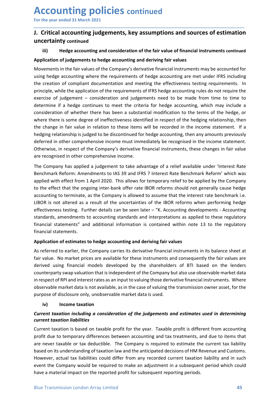## Accounting policies continued<br>For the year ended 31 March 2021<br>J. Critical accounting judgements, key assumptions and sources of estimatio<br>uncertainty continued Accounting policies continued<br>
For the year ended 31 March 2021<br>
J. Critical accounting judgements, key assumptions and sources of estimation<br>
uncertainty continued<br>
iii) Hedge accounting and consideration of the fair valu **Accounting policies continued**<br>
For the year ended 31 March 2021<br>
J. Critical accounting judgements, key assumptions and sources of estimation<br>
uncertainty continued<br>
iii) Hedge accounting and consideration of the fair va uncertainty continued

\_\_\_\_\_\_\_\_\_\_\_\_\_\_\_\_\_\_\_\_\_\_\_\_\_\_\_\_\_\_\_\_\_\_\_\_\_\_\_\_\_\_\_\_\_\_\_\_\_\_\_\_\_\_\_\_\_\_\_\_\_\_\_\_\_\_\_\_\_\_\_\_\_\_\_\_\_\_\_\_\_\_\_\_\_\_\_\_\_\_

**CCOUNTIME POLICIES continued**<br>
Solution of the year ended 31 March 2021<br>
Critical accounting judgements, key assumptions and sources of estimation<br>
iii) Hedge accounting and consideration of the fair value of financial in **Accounting policies continued**<br>
For the year ended 31 March 2021<br> **J. Critical accounting judgements, key assumptions and sources of estimation**<br>
uncertainty continued<br>
iii) Hedge accounting and consideration of the fair **Accounting policies continued**<br> **J. Critical accounting judgements, key assumptions and sources of estimation**<br>
uncertainty continued<br>
iii) Hedge accounting and consideration of the fair values<br>
Application of judgements **Accounting policies continued**<br> **J. Critical accounting judgements, key assumptions and sources of estimation**<br>
uncertainty continued<br>
iii) Hedge accounting and consideration of the fair value of financial instruments con **Accounting policies continued**<br>
I. Critical accounting judgements, key assumptions and sources of estimation<br>
uncertainty continued<br>
iii) Hedge accounting and consideration of the fair value of financial instruments conti **Accounting policies continued**<br>
For the year ended 31 March 2021<br> **J. Critical accounting judgements, key assumptions and sources of estimation**<br>
uncertainty continued<br>
iii) Hedge accounting and consideration of the fair For the year ended 31 March 2021<br> **J. Critical accounting judgements, key assumptions and sources of estimation**<br> **U. Critical accounting judgements, key assumptions and sources of estimation**<br>
uncertainty continued<br>
iii) **Accounting policies continued**<br>
I. Critical accounting judgements, key assumptions and sources of estimation<br>
uncertainty continued<br>
iii) Hedge accounting and consideration of the fair value of financial instruments conti **ACCOUNTIME POLICIES continued**<br>
For the year ended 31 March 2021<br>
1. **Critical accounting judgements, key assumptions and sources of estimation**<br>
uncertainty continued<br>
iii) Hedge accounting and consideration of the fair **ACCOUNTIME POLICIES continued**<br>
For the year ended 31 March 2021<br> **J. Critical accounting judgements, key assumptions and sources of estimation**<br>
uncertainty continued<br> **THEON THEON THEON THEON CONTINENT CONTINENT C** For the year ended 31 March 2021<br> **J.** Critical accounting judgements, key assumptions and sources of estimation<br>
uncertainty continued<br>
iii) Hedge accounting and consideration of the fair value of financial instruments co For the year ended 31 March 2021<br> **J. Critical accounting judgements, key assumptions and sources of estimation**<br>
uncertrainty continued<br>
iii) Hedge accounting and consideration of the fair value of financial instruments c **J. Critical accounting judgements, key assumptions and sources of estimation**<br>
uncertainty continued<br>
iii) Hedge accounting and consideration of the fair value of financial instruments continued<br>
Application of judgements **J. Critical accounting judgements, key assumptions and sources of estimation**<br>
iii) Hedge accounting and consideration of the fair value of financial instruments continued<br>
iii) Hedge accounting and consideration of the **uncertainty continued**<br> **iii)** Hedge accounting and consideration of the fair value of financial instruments continued<br>
Application of judgements to hedge accounting and deriving fair values<br>
Movements in the fair values iii) Hedge accounting and consideration of the fair value of financial instruments continued<br>Application of judgements to hedge accounting and deriving fair values<br>Movements in the fair values of the Company's derivative f Application of judgements to hedge accounting and deriving fair values<br>Movements in the fair values of the Company's derivative financial instruments may be accounted for<br>using hedge accounting whire the requirements of he Movements in the fair values of the Company's derivative financial instruments may be accounted for<br>using hedge accounting where the requirements of hedge accounting are met under IFRS including<br>the creation of compliant d movements on the more of the comparity sterious of matten interactions and the creation of compliant documentation and meeting the effectiveness testing requirements. In principle, while the prediction of the requirements as me recognised in other completes that requirements of interest rise of  $m$ . The complements is the terminical of complements of the requirements of IFRS hedge accounting rules do not require the principle, while the app Even traction of computer on a computeration and metallig the metallig or proteines an substantial and the require the exercise of judgement – consideration and judgements of JFRS hedge accounting rules do not require the

phriculture the eppincation of the retreation and judgements of this determine is to the to determine if a hedge continues to meet the criteria for hedge accounting, which may include a determine if a hedge continues to me extense to detect that the original information and value and the interpretations are the criteria for heldge accounting, which may include a consideration of whether there has been a substantial modification to the terms ecosimite a laction of the method in the method of the method of the range and addition to the terms of the hedge, or where there is some degree of ineffectiveness identified in respect of the hedging relationship, then th consument our wincher enter inso usera a soussantial information to the cerminate that value. Nowhere there is some degree of ineflectiveness identified in respect of the hedging the change in fair value in relation to the the change in fair value in relation to these items will be recorded in the income statement. If a between the diget of be discontinued for hedge accounting, then any amounts previously beferred in other comprehensive inco hedging relationship is judged to be discontinued for hedge accounting, then any amounts previously<br>deferred in other compenhensive income must inmediately be recognised in the income statement.<br>Otherwise, in respect of th deferred in other comprehensive income must immediately be recognised in the income statement.<br>Otherwise, in respect of the Company's derivative financial instruments, these changes in fair value<br>are recognised in other co Otherwise, in respect of the Company's derivative financial instruments, these changes in fair value<br>are recognised in other comprehensive income.<br>Benchmark Reform: Amendments to IAS 39 and IFRS 7 Interest Rate Benchmark R The Company has applied a judgement to take advantage of a relief available under 'interest Rate<br>Benchmark Reform: Amendments to lake 30 and IFRS 7 Interest Rate Benchmark Reform' which was<br>Beplied with effect from 1 April The Company has applied a judgement to take advantage of a relief available under 'Interest Rate<br>Benchmark Reform: Amendments to IAS 39 and IFRS 7 Interest Rate Benchmark Reform' which was<br>applied with effect from 1 April Benchmark Reform: Amendments to IAS 39 and IFRS 7 Interest Rate Benchmark Reform' which was<br>applied with effect from 1 April 2020. This allows for temporary relief to be applied by the Company<br>to the effect that the ongoin applied with effect from 1 April 2020. This allows for temporary relief to be applied by the Company<br>to the effect that the ongoing inter-bank offer rate IBOR reforms should not generally cause hedge<br>accounting to terminat

The effect that the ongoing inter-bank offer rate IBOR reforms should not generally causs<br>
ununting to terminate, as the Company is allowed to assume that the interest rate benchm<br>
R is not altered as a result of the uncer action and the member, as the company is allowed to assume that the interest rate tenturinals rest.<br>LIBOR is not altered as a result of the uncertainties of the IBOR reforms when performing hedge<br>effectiveness testing. Fur LIBOR is not altered as a result of the uncertainties of the IBOR reforms when perform<br>effectiveness testing. Further details can be seen later – "K. Accounting developments -<br>standards, amendments to accounting standards encurrent taxation is the vector of the independent of the secretive in the secretive standards, amendments to accounting standards and interpretations as applied to these regulatory financial statements.<br>
Application of e solution of the more than in the more in the more profit and the account in the company financial statements" and additional information is contained within note 13 to the regulatory financial statements.<br>Application of es

counterparty swap valuation that is independent of the Company but also use observable market data<br>in respect of RPI and interest rates as an input to valuing those derivative financial instruments. Where<br>observable market mincular statements.<br> **Application of estimates to hedge accounting and deriving fair values**<br>
Application of estimates to hedge accounting and deriving fair values<br>
As referred to earlier, the Company carries its derivati mometon scattering.<br>Application of estimates to hedge accounting and deriving fair values<br>As referred to earlier, the Company carries its derivative financial instruments in its balance sheet at<br>fair value. No market price Application of estimates to hedge accounting and deriving fair values<br>As referred to earlier, the Company carries its derivative financial instruments in its balance sheet at<br>As referred to earlier, the Company carries its As referred to earlier, the Company carries its derivative financial instruments in its balance sheet at fair value. No market prios are available for these instruments and consequently the fair values are derived using fi fair value. No market prices are available for these instruments and consequently the fair values are derived using financial models developed by the shareholders of ETI based on the lenders counterparty swap valuation tha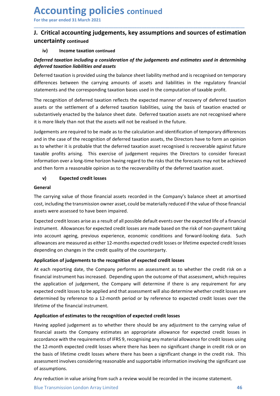### Accounting policies continued<br>For the year ended 31 March 2021<br>J. Critical accounting judgements, key assumptions and sources of estimatio<br>uncertainty continued Accounting policies continued<br>For the year ended 31 March 2021<br>J. Critical accounting judgements, key assumptions and sources of estimation<br>uncertainty continued<br>iv) Income taxation continued **ACCOUNTING POLICIES continued**<br>For the year ended 31 March 2021<br>J. Critical accounting judgements, key assumptions and sources of estimation<br>uncertainty continued<br>Deferred taxation including a consideration of the judgeme uncertainty continued **CCOUNTING POLICIES continued**<br>
the year ended 31 March 2021<br>
Critical accounting judgements, key assumptions and sources of estim<br>
certainty continued<br>
iv) Income taxation continued<br>
tivered taxation including a considera

\_\_\_\_\_\_\_\_\_\_\_\_\_\_\_\_\_\_\_\_\_\_\_\_\_\_\_\_\_\_\_\_\_\_\_\_\_\_\_\_\_\_\_\_\_\_\_\_\_\_\_\_\_\_\_\_\_\_\_\_\_\_\_\_\_\_\_\_\_\_\_\_\_\_\_\_\_\_\_\_\_\_\_\_\_\_\_\_\_\_

**ACCOUNTIME POLICIES continued**<br>
For the year ended 31 March 2021<br> **J. Critical accounting judgements, key assumptions and sources of estimation**<br>
uncertainty continued<br>
iv) Income taxation continued<br>
Deferred taxation inc **ACCOUNTIME POLICIES continued**<br>
For the year ended 31 March 2021<br> **J. Critical accounting judgements, key assumptions and sources of estimation**<br>
uncertainty continued<br>
iv) Income taxation continued<br>
Deferred taxation inc **Accounting policies continued**<br> **J. Critical accounting judgements, key assumptions and sources of estimation**<br> **uncertainty** continued<br>  $\omega$  income taxation continued<br>  $\omega$ <br>  $\omega$  income taxation continued<br>  $\omega$ <br>  $\omega$  inc

**Accounting policies continued**<br>
For the year ended 31 March 2021<br> **J. Critical accounting judgements, key assumptions and sources of estimation**<br>
uncertainty continued<br>
iv) Income taxation including a consideration of the **Accounting policies continued**<br>
For the year ended 31 March 2021<br> **J. Critical accounting judgements, key assumptions and sources of estimation**<br>
uncertainty continued<br>
iv) Income taxation including a consideration of the **ACCOUNTIME POLICIES continued**<br> **J.** Critical accounting judgements, key assumptions and sources of estimation<br>
uncertainty continued<br>
iv) Income taxation incollige a consideration of the judgements and estimates used in **ACCOUNTIME POICIES continued**<br>
I. Critical accounting judgements, key assumptions and sources of estimation<br>
iv) Income taxation continued<br>
iv) Income taxation including a consideration of the judgements and estimates use **ACCOUNTIME POLICIES continued**<br> **J.** Critical accounting judgements, key assumptions and sources of estimation<br>
uncertainty continued<br>
iv) Income taxation including a consideration of the judgements and estimates used in

**ACCOUNTIME POLICIES continued**<br>
For the year ended 31 March 2021<br> **J.** Critical accounting judgements, key assumptions and sources of estimation<br>
uncertainty continued<br>
iv) Income taxation continued<br>
iv) Income taxation c For the year ended 31 March 2021<br> **J.** Critical accounting judgements, key assumptions and sources of estimation<br>
uncertainty continued<br>
iv) Income taxation ontinued<br>
to the calculation ontinued<br>
contered taxation includin **J. Critical accounting judgements, key assumptions and sources of estimation**<br> **uncertainty continued**<br> **iv)** Income taxation continued<br> *Deferred taxation including a consideration of the judgements and estimates used i* **J. Critical accounting judgements, key assumptions and sources of estimation uncertainty continued<br>
beforred taxation including a consideration of the judgements and estimates used in determining<br>
deferred taxation inclu Uncertainty continued**<br> **Leperred taxation including a consideration of the judgements and estimates used in determining<br>
deferred taxation including a consideration of the judgements and estimates used in determining<br>
de** iv information continued<br>
in the preferred taxation including a consideration of the judgements and estimates used in determining<br>
deferred taxation is provided using the balance sheet liability method and is recognised on **IV**<br> **Deferred taxation including a consideration of the judgements and estimates used in determining<br>
<b>Deferred taxation** including a consideration of assets and liabilities in the regulatory financial<br>
differences betwe rired traxation liabilities and assets<br>are tractation liabilities and assets<br>are developed to an increase the computation of the regulatory financial<br>renet traxation is provided using the balance sheet liability method and differences between the carrying amounts of assets and liabilities in the regulatory financial<br>statements and the corresponding taxation nesies used in the computation of taxable profit.<br>The recognition of deferred taxatio statements and the corresponding taxation bases used in the computation of taxable profit.<br>The recognition of deferred taxation reflects the expected manner of recovery of deferred taxation<br>sasses or the settlement of a de The recognition of deferred taxation reflects the expected manner of recovery of deferred taxation<br>assets or the settlement of a deferred taxation liabilities, using the basis of taxation enacted or<br>substantively enacted b assets or the settlement of a deferred taxation liabilities, using the basis of taxation enacted or<br>substratively enacted by the balance sheet date. Deferred taxation assets are not recognised where<br>it is more likely than substantively enacted by the balance sheet date. Deferred taxation assets are not recognised where<br>tit is more likely than not that the assets will not be realised in the future.<br>Indeferments are required to be made as to it is more likely than not that the assets will not be realised in the future.<br>
Uudgements are required to be made as to the calculation and identification of temporary differences<br>
and in the case of the recognition of de Judgements are required to be made as to the calculation and identification of temporary differences<br>
and in the case of the recognition of deferred taxation assets, the Directors have to form an opinion<br>
as to whether it unugements are required to be missed as the technological and the changes in the credit counterplarity interests<br>and in the crease of the recognition of deferred taxation assets, the Directors have to form an opinion<br>as to

### General

as to whether it is probable that the deferred taxation asset recognised is recoverable against future<br>taxable profits arising. This exercise of judgement requires the Directors to consider forecast<br>information ore a long-

taxable profits arising. This exercise of judgement requires the Directors to consider forecast<br>information over along-time horizon having regard to the risks that the forecasts may not be achieved<br>and then form a reasonab information over a long-time horizon having regard to the risks that the forecasts may not be achieved<br>
and then form a reasonable opinion as to the recoverability of the deferred taxation asset.<br>
Conneral<br>
The carrying va and then form a reasonable opinion as to the recoverability of the deferred taxation asset.<br> **General**<br> **Graphication**<br> **The carrying value of those financial assets recorded in the Company's balance sheet at amortised<br>
Th** v) Expected credit losses<br>
General<br>
The carrying value of those financial assets recorded in the Company's balance sheet at amortised<br>
cost, including the transmission owner asset, could be materially reduced if the value **General**<br>The carrying value of those financial assets recorded in the Company's balance sheet at amortised<br>cost, including the transmission owner asset, could be materially reduced if the value of those financial<br>assets w The carrying value of those financial assets recorded in the Company's balance sheet at amort<br>The carrying value of those financial assets recorded in the Company's balance sheet at amort<br>cost, including the transmission o Inctraining untare of incoses intractational cosetal frecolorula in computery source. Since the recombinate and<br>cost, including the transmission owner asset, could be materially reduced if the value of those financial<br>asse assets were assessed to have been impaired.<br>
Expected credit losses arise as a result of all possible default events over the expected life of a financial<br>
into account ageing, previous experience, economic conditions and

At each reporting date, the Company performs an assessment as to whener the creatr instead<br>thandlal instrument has increased. Depending upon the outcome of that assessment, which requires<br>the application of judgement, the Expected credit losses arise as a result of all possible default events over the expected life of a financial<br>instrument. Allowances for expected credit losses are made based on the risk of non-payment taking<br>into account Expected credit losses are as a resturn of an possible eleating events over the expected credit leading into account ageing, previous experience, economic conditions and forward-looking data. Such allowances are measured a Instrument. Anawarices or expected credit losses are made awase or in the fisival rolan-payment vasing data. Such<br>allowances are measured as either 12-months expected credit losses or lifetime expected credit losses<br>depend mto accuunt germ, previous experiente, economic conductors and toward-odouring data. Such<br>allowances are measured as either 12-months expected credit losses or lifetime expected credit losses<br>depending on changes in the cr and depending on changes in the credit 12-minutus expected credit tossess or ineturie expected credit rosses of inetal depending on changes in the credit duality of the counterparty.<br> **Application of judgements to the reco** depending on changes in the credit quality or the counterparty.<br> **Application of judgements to the recognition of expected credit losses**<br>
At each reporting date, the Company performs an assessment as to whe<br>
financial ins Application or Juagements to the recognition or expected creati tosses<br>At each reporting date, the Company performs an assessment as to whether the credit risk on a<br>Afinancial instrument has increased. Depending upon the o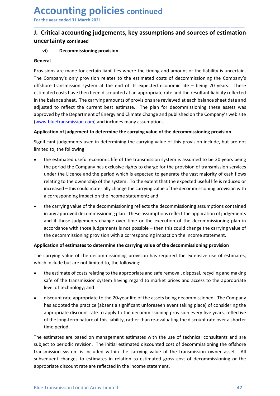## Accounting policies continued<br>For the year ended 31 March 2021<br>J. Critical accounting judgements, key assumptions and sources of estimatio<br>uncertainty continued Accounting policies continued<br>
For the year ended 31 March 2021<br>
J. Critical accounting judgements, key assumptions and sources of estimation<br>
uncertainty continued<br>
vi) Decommissioning provision Accounting policies continued<br>
For the year ended 31 March 2021<br>
J. Critical accounting judgements, key assumptions and sources of estimation<br>
uncertainty continued<br>
vi) Decommissioning provision<br>
General uncertainty continued

\_\_\_\_\_\_\_\_\_\_\_\_\_\_\_\_\_\_\_\_\_\_\_\_\_\_\_\_\_\_\_\_\_\_\_\_\_\_\_\_\_\_\_\_\_\_\_\_\_\_\_\_\_\_\_\_\_\_\_\_\_\_\_\_\_\_\_\_\_\_\_\_\_\_\_\_\_\_\_\_\_\_\_\_\_\_\_\_\_\_

### General

**CCOUNTING POLICIES continued**<br>
the year ended 31 March 2021<br>
Critical accounting judgements, key assumptions and sources of estimation<br>
vi) Decommissioning provision<br>
eral<br>
visions are made for certain liabilities where t **Accounting policies continued**<br> **J. Critical accounting judgements, key assumptions and sources of estimation**<br> **uncertainty** continued<br>
vi) Decommissioning provision<br>
General<br>
Provisions are made for certain liabilities **Accounting policies continued**<br> **J. Critical accounting judgements, key assumptions and sources of estimation**<br>
uncertainty continued<br>
vi) Decommissioning provision<br>
General<br>
Provisions are made for certain liabilities wh **Accounting policies continued**<br> **J. Critical accounting judgements, key assumptions and sources of estimation**<br> **uncertainty** continued<br> **vi**) Decommissioning provision<br> **General**<br>
Provisions are made for certain liabilit **Accounting policies continued**<br>
For the year ended 31 March 2021<br> **J. Critical accounting judgements, key assumptions and sources of estimation**<br>
uncertainty continued<br>
vi) Decommissioning provision<br>
General<br>
Provisions a **ACCOUNTIME POLICIES continued**<br>
For the year ended 3.1 March 2021<br> **J. Critical accounting judgements, key assumptions and sources of estimation**<br>
uncertainty continued<br>
(vi) Decommissioning provision<br>
General<br>
Provisions **ACCOUNTIME POICES continued**<br>
For the year ended 31 March 2021<br> **J. Critical accounting judgements, key assumptions and sources of estimation**<br>
uncertainty continued<br>
General<br>
Frovisions are made for certain liabilities w **ACCOUNTIME POLICIES continued**<br> **J. Critical accounting judgements, key assumptions and sources of estimation**<br> **uncertainty continued**<br> **vi**) Decommissioning provision<br>
Provisions are made for certain liabilities where t For the year ended 31 March 2021<br> **J.** Critical accounting judgements, key assumptions and sources of estimation<br>
uncertainty continued<br>
vi) Decommissioning provision<br>
General<br>
Provisions are made for certain liabilities w For the year ended 31 March 2021<br> **J.** Critical accounting judgements, key assumptions and sources of estimation<br>
uncertainty continued<br>
(vi) Decommissioning provision<br>
General<br>
Provisions are made for certain liabilities **J. Critical accounting judgements, key assumptions and sources of estimation**<br>
uncertainty continued<br>
(vi) Decommissioning provision<br>
General<br>
Provisions are made for certain liabilities where the timing and amount of the **J. Critical accounting judgements, key assumptions and sources of**  $\epsilon$ **<br>
uncertainty continued<br>
(vi)** Decommissioning provision<br>
General<br>
Provisions are made for certain liabilities where the timing and amount of the liabi **The estimate of the estimate of the estimate act is assumed to the transmission is a serial efforemently conner stands company's only provision relates to the estimated costs of decommissioning the Company's only provisio** *is*) Decommissioning provision<br>
Fiscins are made for certain liabilities where the timing and amount of the liability is uncertain.<br>
ECompany's only provision relates to the estimated costs of decommissioning the Company' isions are made for certain liabilities where the timing and amount of the liability is uncertain.<br>Company's only provision relates to the estimated costs of decommissioning the Company's<br>Company's only provision relates t isions are made for certain liabilities where the timing and amount of the liability is uncertain.<br>Company's only provision relates to the estimated costs of decommissioning the Company's<br>core transmission system at the en isions are made for certain liabilities where the timing and amount of the liability is uncertain.<br>Company's only provision relates to the estimated costs of decommissioning the Company's<br>ore transmission system at the end Company's only provision relates to the estimated costs of coecommissioning the Company's contro transmission system at the end of its expected economic life – being 20 years. These anted costs have then been discounted at

- ated costs have then been discounted at an appropriate rate and the resultant liability reflected<br>be balance sheet. The carrying amounts of provisions are reviewed at each balance sheet date and<br>to reflect the current best is balance sheet. The carrying amounts of provisions are reviewed at each balance sheet date and<br>tied to reflect the current best estimate. The plan for decommissioning these assets was<br>overably the Department of forengy a sted to reflect the current best estimate. The plan for decommissioning these assets was<br>
word by the Department of Energy and Climate Change and published on the Company's web site<br>
worbluetamsmission.com) and includes ma oved by the Department of Energy and Climate Change and published on the Company's web site<br>
<u>whbletransmission.com</u>) and includes many assumptions.<br>
Eication of Judgement to determine the carrying value of the decommissio **Example 12** and includes many assumptions.<br> **Contain of judgement to determine the carrying value of the decommissioning provision**<br> **Contained incoments** used in determining the carrying value of this provision include, **Application of judgement to determine the carrying value of the decommissioning provision**<br>
Significant judgements used in determining the carrying value of this provision include, but are not<br>
limited to, the following:<br> Significant judgements used in determining the carrying value of this provision include, but are not<br>limited to, the following:<br>
• the estimated useful economic life of the transmission system is assumed to be 20 years be limited to, the following:<br>
• the estimated useful economic life of the transmission system is assumed to be 20 years being<br>
the period the Company has exclusive rights to charge for the provision of transmission services<br> the estimated useful economic life of the transmission system is assumed to be 20 years being<br>the period the Company has exclusive rights to charge for the provision of transmission services<br>under the Licence and the perio the period the Company has exclusive rights to charge for the provision of transmission services<br>under the Licence and the period which is expected to generate the vast majority of cash flows<br>releating to the owereship of
- under the Licence and the period which is expected to generate the vast majority of cash flocality to the ownership of the system. To the extent that the expected useful life is reduced increased this could materially ch relating to the ownership of the system. To the extent that the expected useful life is reduced or<br>increased – this could materally change the carrying value of the decommissioning provision with<br>a corresponding impact on increased – this could materially change the carrying value of the decommissioning provision with<br>a corresponding impact on the income statement; and<br>the carrying value of the practice (absent a significant in any approved a corresponding impact on the income statement; and<br>the carrying value of the decommissioning reflects the decommissioning assumptions contained<br>in any approved decommissioning plan. These assumptions reflect the applicati the carrying value of the decommissioning reflects the decommissioning assumptions contained<br>in any approved decommissioning plan. These assumptions reflect the application of judgements<br>and if those judgements change over

- 
- the estimate of costs relating to the appropriate and safe removal, disposal, recycling and making<br>safe of the transmission system having regard to market prices and access to the appropriate<br>level of technology; and<br>• d in any approved decommissioning plan. These assumptions reflect the applicat<br>and if those judgements change over time or the execution of the decomm<br>accordance with those judgements is not possible – then this could change and if those judgements change over time or the execution of the decommissioning plan in<br>accordance with those judgements is not possible – then this could change the carrying value of<br>the decommissioning provision with a accordance with those judgements is not possible – then this could change the carrying value of<br>
the decommissioning provision with a corresponding impact on the income statement.<br> **Application of estimates to determine th** the decommissioning provision with a corresponding impact on the income statement.<br> **Application of estimates to determine the carrying value of the decommissioning provision**<br>
The carrying value of the decommissioning pro **Application of estimates to determine the carrying value of the decommissioning provision**<br>The carrying value of the decommissioning provision has required the extensive use of estimates,<br>which include but are not limited The carrying value of the decommissioning provision has required the extensive use of estimates,<br>which include but are not limited to, the following:<br>
• the estimate of costs relating to the appropriate and safe removal, d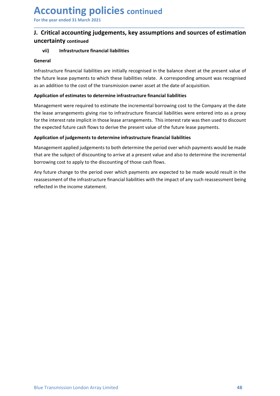## Accounting policies continued<br>For the year ended 31 March 2021<br>J. Critical accounting judgements, key assumptions and sources of estimatio<br>uncertainty continued Accounting policies continued<br>
For the year ended 31 March 2021<br>
J. Critical accounting judgements, key assumptions and sources of estimation<br>
uncertainty continued<br>
vii) Infrastructure financial liabilities Accounting policies continued<br>
For the year ended 31 March 2021<br>
J. Critical accounting judgements, key assumptions and sources of estimation<br>
uncertainty continued<br>
vii) Infrastructure financial liabilities<br>
General uncertainty continued

\_\_\_\_\_\_\_\_\_\_\_\_\_\_\_\_\_\_\_\_\_\_\_\_\_\_\_\_\_\_\_\_\_\_\_\_\_\_\_\_\_\_\_\_\_\_\_\_\_\_\_\_\_\_\_\_\_\_\_\_\_\_\_\_\_\_\_\_\_\_\_\_\_\_\_\_\_\_\_\_\_\_\_\_\_\_\_\_\_\_

### General

**CCOUNTING POLICIES continued**<br>
the year ended 31 March 2021<br>
Critical accounting judgements, key assumptions and sources of estimation<br>
vii) Infrastructure financial liabilities<br>
eral<br>
astructure financial liabilities are **Accounting policies continued**<br> **J. Critical accounting judgements, key assumptions and sources of estimation**<br>
uncertainty continued<br>
vii) Infrastructure financial liabilities<br>
General<br>
Infrastructure financial liabiliti **Accounting policies continued**<br> **J. Critical accounting judgements, key assumptions and sources of estimation**<br>
uncertainty continued<br>
vii) Infrastructure financial liabilities relatibly recognised in the balance sheet a **Accounting policies continued**<br> **J. Critical accounting judgements, key assumptions and sources of estimation**<br> **U. Critical accounting judgements, key assumptions and sources of estimation**<br>
uncertainty continued<br>
vii) I

**Accounting policies continued**<br> **J. Critical accounting judgements, key assumptions and sources of estimation**<br> **U. Critical accounting judgements, key assumptions and sources of estimation**<br>
uncertainty continued<br>
vii) I **ACCOUNTIME POOP ACCES** continued<br>
I. Critical accounting judgements, key assumptions and sources of estimation<br>
uncertainty continued<br>
will Infrastructure financial liabilities<br>
General<br>
the future lease payments to which **ACCOUNTIME POLICIES** continued<br> **J.** Critical accounting judgements, key assumptions and sources of estimation<br>
uncertainty continued<br>
ui) Infrastructure financial liabilities<br>
General<br>
Infrastructure financial liabilitie **ACCOUNTIME POLICIES continued**<br>
For the year ended 31 March 2021<br> **J. Critical accounting judgements, key assumptions and sources of estimation**<br>
uncertainty continued<br>
vil) Infrastructure financial liabilities are initia For the year ended 31 March 2021<br> **J.** Critical accounting judgements, key assumptions and sources of estimation<br>
uncertainty continued<br>
vil) Infrastructure financial liabilities<br>
seneral<br>
finfastructure financial liabilit For the year ended 31 March 2021<br>
1. Critical accounting judgements, key assumptions and sources of estimation<br>
uncertainty continued<br>
uil) Infrastructure financial liabilities<br>
seneral<br>
the future lease payments to which **J. Critical accounting judgements, key assumptions and sources of estimation uncertainty continued**<br>
vii) Infrastructure financial liabilities are initially recognised in the balance sheet at the present value of<br>
Infrast **uncertainty continued**<br> **vii)** Infrastructure financial liabilities are initially recognised in the balance sheet at the present value of<br>
the future lease apprents to which these liabilities relate. A corresponding amoun wil) Infrastructure financial liabilities<br>
General<br>
Infrastructure financial liabilities are initially recognised in the balance sheet at the present value of<br>
the future lease payments to which these liabilities relate. A General<br>Infrastructure financial liabilities are initially recognised in the balance sheet at the present value of<br>the future lease payments to which these liabilities relate. A corresponding amount was recognised<br>as an ad **Infrastructure financial liabilities are initially recognised in the balance sheet at the present value of Infrastructure lease payments to which these liabilities relate. A corresponding amount was recognised as an addit** Infrastructure financial liabilities are initially recognised in the balance sheet at the present value of the future lease payments to which these liabilities relate. A corresponding amount was recogn as an addition to th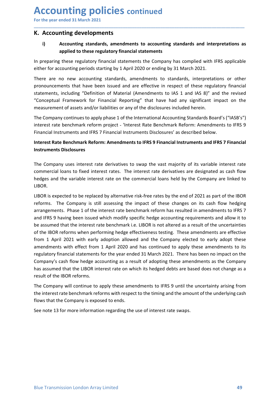### Accounting policies continued<br>
For the year ended 31 March 2021<br>
K. Accounting developments<br>
i) Accounting standards, amendments to accounting standards and interpretations a Accounting policies continued<br>
For the year ended 31 March 2021<br>
K. Accounting developments<br>
i) Accounting standards, amendments to accounting standards and interpretations as<br>
applied to these regulatory financial stateme Accounting policies continued<br>For the year ended 31 March 2021<br>K. Accounting developments<br>i) Accounting standards, amendments to accounting standards and interpreta<br>applied to these regulatory financial statements<br>In prepa **ECOUNTING POLICIES continued**<br>
The year ended 31 March 2021<br> **Accounting developments**<br>
(i) Accounting standards, amendments to accounting standards and interpretations as<br>
applied to these regulatory financial statements **Anting policies continued**<br> **Exampled 31 March 2021**<br> **Accounting standards, amendments to accounting standards and interpretations as<br>
applied to these regulatory financial statements<br>
these regulatory financial statemen**

\_\_\_\_\_\_\_\_\_\_\_\_\_\_\_\_\_\_\_\_\_\_\_\_\_\_\_\_\_\_\_\_\_\_\_\_\_\_\_\_\_\_\_\_\_\_\_\_\_\_\_\_\_\_\_\_\_\_\_\_\_\_\_\_\_\_\_\_\_\_\_\_\_\_\_\_\_\_\_\_\_\_\_\_\_\_\_\_\_\_

**Accounting policies continued**<br>
For the year ended 31 March 2021<br> **K. Accounting developments**<br>
i) Accounting standards, amendments to accounting standards and interpretations as<br>
applied to these regulatory financial sta **Accounting policies** continued<br>
For the year ended 31 March 2021<br> **K. Accounting developments**<br>
i) Accounting standards, amendments to accounting standards and interpretations as<br>
applied to these regulatory financial sta **Accounting policies continued**<br>
For the year ended 31 March 2021<br> **K. Accounting developments**<br> **i)** Accounting standards, amendments to accounting standards and interpretations as<br>
applied to these regulatory financial s **Accounting policies continued**<br> **K. Accounting developments**<br> **K. Accounting developments**<br> **i)** Accounting standards, amendments to accounting standards and interpretations as<br>
applied to these regulatory financial state **Accounting policies continued**<br>For the year ended 31 March 2021<br> **K. Accounting developments**<br> **i)** Accounting developments<br>
i) Accounting standards, amendments to accounting standards and interpretations as<br>
applied to t **ACCOUNTIME POLICIES** continued<br>
K. Accounting developments<br>
K. Accounting developments<br>
i) Accounting standards, amendments to accounting standards and interpretations as<br>
applied to these regulatory financial statements **ACCOUNTIME POIICIES** continued<br> **K. Accounting developments**<br> **K. Accounting developments**<br> **i)**<br> **Accounting standards, amendments to accounting standards and interpretations as<br>
applied to these regulatory financial sta Accounting policies** continued<br> **K. Accounting developments**<br> **K. Accounting developments**<br> **i)**<br> **Accounting standards, amendments to accounting standards and interpretations as<br>
applied to these regulatory financial sta Accounting policies** continued<br>For the year ended 31 March 2021<br> **K. Accounting developments**<br>
i) Accounting standards, amendments to accounting standards and interpretations as<br>
applied to these regulatory financial stat For the year ended 31 March 2021<br> **K. Accounting developments**<br> **i)** Accounting standards, amendments to accounting standards and interpretations as<br>
applied to these regulatory financial statements<br>
In preparing these reg **K. Accounting developments**<br> **i)** Accounting standards, amendments to accounting standards and interpretations as<br>
applied to these regulatory financial statements the Company has compiled with IFRS applicable<br>
either for **K. Accounting developments**<br>
i) Accounting standards, amendments to accounting standards and inte<br>
applied to these regulatory financial statements<br>
the preparing these regulatory financial statements the Company has comp **Example to these regulatory financial statements**<br>
In preparing these regulatory financial statements the Company has complied with IFRS applicable<br>
either for accounting periods starting by 1 April 2020 or ending by 31 M In preparing these regulatory financial statements the Company has compiled with IFRS applicable<br>either for accounting periods starting by 1 April 2020 or ending by 31 March 2021.<br>There are no new accounting standards, ame In preparing these regulatory Innancial statements the Company nas complied with IFRS applicable<br>either for accounting priods starting by 1 April 2020 or ending by 31 March 2021.<br>There are no new accounting standards, amen

LIBOR.

There are no new accounting standards, amendments to standards, interpretations or other<br>pronouncements that have been issued and are effective in respect of these regulatory financial<br>statements, including "Definition of pronouncements that have been issued and are effective in respect of these regulatory financial<br>statements, including "Definition of Material (Amendments to IAS 1 and IAS 3" and the revised<br>"Conceptual Framework for Financ statements, including "Definition of Material (Amendments to IAS 1 and IAS 8)" and the revised<br>"Conceptual Framework for Financial Reporting" that have had any significant impact on the<br>measurement of assets and/or liabili "Conceptual Framework for Financal Reporting" that have had any significant impact<br>
measurement of assets and/or labilities or any of the disclosures included herein.<br>
The Company continues to apply phase 1 of the Internat measurement of assets and/or liabilities or any of the disclosures included herein.<br>The Company continues to apply phase 1 of the international Accounting Strandards Board's ("IASB's")<br>interest rate benchmark reform projec The Company continues to apply phase 1 of the International Accounting Standards Board's ("IASB's")<br>
interest rate benchmark reform project - "interest Rate Benchmark Reform: Amendments to IFRS 9 Financial Instruments on I interest rate benchmark reform project - 'Interest Rate Benchmark Reform: Amendments to IFRS 9<br>Financial Instruments and IFRS 7 Financial Instruments Disclosures' as described below.<br>Interest Rate Benchmark Reform: Amendme Financial Instruments and IFRS 7 Financial Instruments Disclosures' as described below.<br>Interest Rate Benchmark Reform: Amendments to IFRS 9 Financial Instruments and IFRS 7 Financial<br>Instruments Disclosures<br>The Company us Interest Rate Benchmark Reform: Amendments to IFRS 9 Financial Instruments and IFRS 7 Financial<br>Instruments Disclosures<br>The Company uses interest rate derivatives to swap the vast majority of its variable interest rate<br>com Instruments Disclosures<br>
Instruments Disclosures<br>
The Company uses interest rate derivatives to swap the vast majority of its variable interest rate<br>
commercial loans to fixed interest rates. The interest rate derivatives maculture Sustances<br>The Company uses interest rate derivatives to swap the vast majority of its variable interest rate<br>commercial loans to fixed interest rates. The interest rate derivatives are designated as cash flow<br>the The Company uses interest rate derivatives to swap the vast majority of its variable intercommercial loans to fixed interest rates. The interest rate derivatives are designated as hedges and the variable interest rate on t commercial loans to fixed interest rates. The interest rate derivatives are designated as cash flow<br>heldges and the variable interest rate on the commercial loans held by the Company are linked to<br>heldor.<br>LIBOR is expected hedges and the variable interest rate on the commercial loans held by the Company are linked to LIBOR.<br>
LIBOR is expected to be replaced by alternative risk-free rates by the end of 2021 as part of the IBOR reforms. The Co LIBOR.<br>LIBOR is expected to be replaced by alternative risk-free rates by the end of 2021 as part of the IBOR<br>reforms. The Company is still assessing the impact of these changes on its cash flow hedging<br>arrangements. Phase LIBOR is expected to be replaced by alternative risk-free rates by the end of 2021 as part of the IBOR reforms. The Company is still assessing the impact of these changes on its cash flow hedging arrangements. Phase 1 of t

massimula that the ELOR reforms.<br>The Company will continue to apply these amendments to IFRS 9 until the uncertainty arising from<br>The Company will continue to apply these amendments to IFRS 9 until the uncertainty arising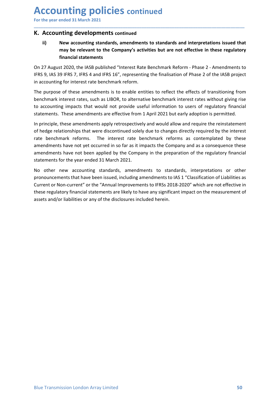Accounting policies continued<br>
For the year ended 31 March 2021<br>
K. Accounting developments continued<br>
ii) New accounting standards, amendments to standards and interpretations issued that Accounting policies continued<br>
For the year ended 31 March 2021<br>
K. Accounting developments continued<br>
ii) New accounting standards, amendments to standards and interpretations issued that<br>
may be relevant to the Company's **Accounting policies continued**<br>For the year ended 31 March 2021<br>**K. Accounting developments continued**<br>ii) New accounting standards, amendments to standards and interpretations iss<br>may be relevant to the Company's activit **CCOUNTIME POLICIES continued**<br>
the year ended 31 March 2021<br> **Accounting developments continued**<br>
ii) New accounting standards, amendments to standards and interpretations issued that<br>
may be relevant to the Company's act **INTING PONICIES continued**<br> **Example 31 March 2021**<br> **Inting developments continued**<br> **New accounting standards, amendments to standards and interpretations issued that**<br> **Intimarcial statements**<br> **Standards and interpret Inting policies continued**<br> **Solution**<br> **Solution**<br> **Solution**<br> **New accounting standards, amendments to standards and interpretations issue<br>
may be relevant to the Company's activities but are not effective in these regu** 

\_\_\_\_\_\_\_\_\_\_\_\_\_\_\_\_\_\_\_\_\_\_\_\_\_\_\_\_\_\_\_\_\_\_\_\_\_\_\_\_\_\_\_\_\_\_\_\_\_\_\_\_\_\_\_\_\_\_\_\_\_\_\_\_\_\_\_\_\_\_\_\_\_\_\_\_\_\_\_\_\_\_\_\_\_\_\_\_\_\_

**Accounting policies continued**<br>
For the year ended 31 March 2021<br> **K. Accounting developments continued**<br> **ii)**<br>
New accounting standards, amendments to standards and interpretations issued that<br>
may be relevant to the Co

**Accounting policies continued**<br>
For the year ended 31 March 2021<br> **K. Accounting developments continued**<br> **ii)** New accounting standards, amendments to standards and interpretations issued that<br>
may be relevant to the Com **Accounting policies continued**<br>For the year ended 31 March 2021<br> **K. Accounting developments continued**<br>
ii) New accounting standards, amendments to standards and interpretations issued that<br>
may be relevant to the Compan **Accounting policies continued**<br>
For the year ended 31 March 2021<br> **K. Accounting developments continued**<br>
ii) New accounting developments continued<br>
ii) New accounting developments continued<br>
on 27 August 2020, the IASB p **ACCOUNTIME POOIICIES continued**<br>
For the year ended 31 March 2021<br> **K. Accounting developments continued**<br>
ii) New accounting standards, amendments to standards and interpretations issued that<br>
may be relevant to the Comp **ACCOUNTIME POLICIES continued**<br>
K. Accounting developments continued<br>
ii) New accounting standards, amendments to standards and interpretations issued that<br>
may be relevant to the Company's activities but are not effectiv

**ACCOUNTIME POLICIES** continued<br> **K. Accounting developments continued**<br> **K. Accounting developments continued**<br> **ii)**<br>
New accounting standards, amendments to standards and interpretations issued that<br>
my be relevant to t **ACCOUNTIME POLICIES continued**<br>
In For the year ended 31 March 2021<br> **K. Accounting developments continued**<br> **ii)** New accounting standards, amendments to standards and interpretations issued that<br>
may be relevant to the **For the year ended 31 March 2021**<br> **K. Accounting developments continued**<br> **ii)** New accounting standards, amendments to standards and interpretations issued that<br>
may be relevant to the Company's activities but are not e For the year ential and Martin 2021<br>
ii) New accountring developments continued<br>
iii) New accountring standards, amendments to standards and interpretations issued that<br>
may be relevant to the Company's activities but are **K. Accounting developments continued**<br>
ii) New accounting standards, amendments to standards and interpretations issued that<br>
may be relevant to the Company's activities but are not effective in these regulatory<br>
financia american and interpretations issued that<br> **american statements** of standards, amendments to standards and interpretations issued that<br>
may be relevant to the Company's activities but are not effective in these regulatory<br> Fig. wa accounting standardss, amendments to standards and interpretations issued that<br>
may be relevant to the Company's activities but are not effective in these regulatory<br>
financial statements<br>
On 27 August 2020, the IA The purpose of the IRS and the Mercian Statements and the message of the message of the message of the message of the message of the message of the SS J, IFSS 4 and IFRS 16", representing the finalisation of Phase 2 - Amen On 27 August 2020, the IASB published "Interest Rate Benchmark Reform - Phase 2 - Amendments to<br>IFRS 9, IAS 39 IFRS 7, IFRS 4 and IFRS 16", representing the finalisation of Phase 2 of the IASB project<br>in accounting for int On 2/ August 2020, the IASB published "Interest kate Benchmark Reform - Phase 2 - Amendments to<br>On 2/ August 2020, the IASB project<br>in accounting for interest rate benchmark reform.<br>The purpose of these amendments is to en IFMS 9, IRS 39 IFMS 4 and IFMS 16", representing the thanks atom of Phase 2 of the IASB project<br>In accounting for interest rate benchmark reform.<br>The purpose of these amendments is to enable entities to reflect the effects in accounting tor interest rate benchmark reform.<br>The purpose of these amendments is to enable entities to reflect the effects of transitioning from<br>The purpose of these amendments is to enable entities to reflect the effe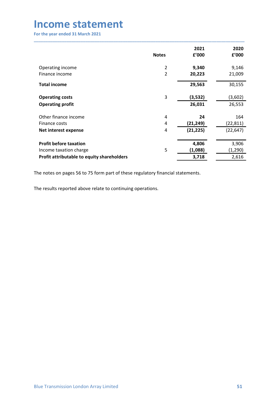| <b>Income statement</b>                                              |                |                        |                        |
|----------------------------------------------------------------------|----------------|------------------------|------------------------|
|                                                                      |                |                        |                        |
| For the year ended 31 March 2021                                     |                |                        |                        |
|                                                                      |                |                        |                        |
|                                                                      |                |                        |                        |
|                                                                      |                | 2021                   | 2020                   |
|                                                                      | <b>Notes</b>   | £'000                  | £'000                  |
| Operating income                                                     | $\overline{2}$ | 9,340                  | 9,146                  |
| Finance income                                                       | $\overline{2}$ | 20,223                 | 21,009                 |
| <b>Total income</b>                                                  |                | 29,563                 | 30,155                 |
| <b>Operating costs</b>                                               | 3              | (3,532)                | (3,602)                |
| <b>Operating profit</b>                                              |                | 26,031                 | 26,553                 |
|                                                                      |                |                        |                        |
|                                                                      |                | 24                     | 164                    |
| Other finance income                                                 | 4              |                        |                        |
| Finance costs<br>Net interest expense                                | 4<br>4         | (21, 249)<br>(21, 225) | (22, 811)<br>(22, 647) |
|                                                                      |                |                        |                        |
| <b>Profit before taxation</b>                                        |                | 4,806                  | 3,906                  |
| Income taxation charge<br>Profit attributable to equity shareholders | $\mathsf S$    | (1,088)<br>3,718       | (1, 290)<br>2,616      |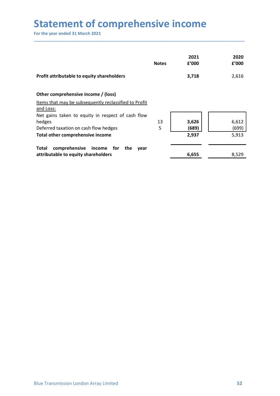| <b>Statement of comprehensive income</b>                                  |              |                |                |
|---------------------------------------------------------------------------|--------------|----------------|----------------|
| For the year ended 31 March 2021                                          |              |                |                |
|                                                                           |              |                |                |
|                                                                           |              |                |                |
|                                                                           | <b>Notes</b> | 2021<br>£'000  | 2020<br>f'000  |
| Profit attributable to equity shareholders                                |              | 3,718          | 2,616          |
| Other comprehensive income / (loss)                                       |              |                |                |
| Items that may be subsequently reclassified to Profit                     |              |                |                |
| and Loss:<br>Net gains taken to equity in respect of cash flow            |              |                |                |
| hedges                                                                    | 13           | 3,626          | 6,612          |
| Deferred taxation on cash flow hedges<br>Total other comprehensive income | 5            | (689)<br>2,937 | (699)<br>5,913 |
| comprehensive income for the year<br><b>Total</b>                         |              |                |                |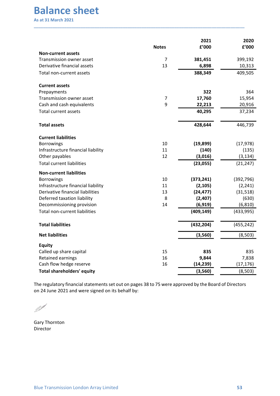| <b>Balance sheet</b><br><b>As at 31 March 2021</b>    |              |            |            |
|-------------------------------------------------------|--------------|------------|------------|
|                                                       |              |            |            |
|                                                       |              |            |            |
|                                                       |              |            |            |
|                                                       |              |            |            |
|                                                       |              |            |            |
|                                                       |              |            |            |
|                                                       |              |            |            |
|                                                       |              |            |            |
|                                                       |              |            |            |
|                                                       |              |            |            |
|                                                       |              |            |            |
|                                                       |              |            |            |
|                                                       |              |            |            |
|                                                       |              |            |            |
|                                                       |              | 2021       | 2020       |
|                                                       | <b>Notes</b> | £'000      | £'000      |
| <b>Non-current assets</b>                             |              |            |            |
| Transmission owner asset                              | 7            | 381,451    | 399,192    |
| Derivative financial assets                           | 13           | 6,898      | 10,313     |
| Total non-current assets                              |              | 388,349    | 409,505    |
|                                                       |              |            |            |
| <b>Current assets</b><br>Prepayments                  |              | 322        | 364        |
| Transmission owner asset                              | 7            | 17,760     | 15,954     |
| Cash and cash equivalents                             | $\mathsf{Q}$ | 22,213     | 20,916     |
| Total current assets                                  |              | 40,295     | 37,234     |
|                                                       |              |            |            |
| <b>Total assets</b>                                   |              | 428,644    | 446,739    |
| <b>Current liabilities</b>                            |              |            |            |
| Borrowings                                            | $10\,$       | (19, 899)  | (17, 978)  |
| Infrastructure financial liability                    | $11\,$       | (140)      | (135)      |
| Other payables                                        | 12           | (3,016)    | (3, 134)   |
| <b>Total current liabilities</b>                      |              | (23, 055)  | (21, 247)  |
| <b>Non-current liabilities</b>                        |              |            |            |
| Borrowings                                            | 10           | (373, 241) | (392, 796) |
| Infrastructure financial liability                    | 11           | (2, 105)   | (2, 241)   |
| Derivative financial liabilities                      | 13           | (24, 477)  | (31,518)   |
| Deferred taxation liability                           | 8            | (2,407)    | (630)      |
| Decommissioning provision                             | 14           | (6, 919)   | (6, 810)   |
| Total non-current liabilities                         |              | (409, 149) | (433,995)  |
| <b>Total liabilities</b>                              |              | (432, 204) | (455, 242) |
| <b>Net liabilities</b>                                |              | (3,560)    | (8, 503)   |
| <b>Equity</b>                                         |              |            |            |
| Called up share capital                               | 15           | 835        | 835        |
| Retained earnings                                     | 16           | 9,844      | 7,838      |
|                                                       | 16           | (14, 239)  | (17, 176)  |
|                                                       |              |            |            |
| Cash flow hedge reserve<br>Total shareholders' equity |              | (3,560)    | (8, 503)   |

The regulatory financial statements set out on pages 38 to 75 were approved by the Board of Directors<br>on 24 June 2021 and were signed on its behalf by:<br> $\blacksquare$ <br> $\blacksquare$ <br> $\blacksquare$ <br> $\blacksquare$ <br> $\blacksquare$ <br>Blue Transmission London Array Limi

Director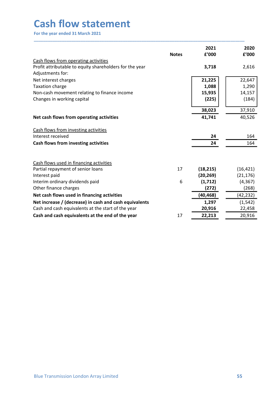| <b>Cash flow statement</b>                                                                                   |              |                        |                        |
|--------------------------------------------------------------------------------------------------------------|--------------|------------------------|------------------------|
|                                                                                                              |              |                        |                        |
|                                                                                                              |              |                        |                        |
|                                                                                                              |              |                        |                        |
|                                                                                                              |              |                        |                        |
|                                                                                                              |              |                        |                        |
|                                                                                                              |              |                        |                        |
|                                                                                                              |              |                        |                        |
|                                                                                                              |              |                        |                        |
|                                                                                                              |              |                        |                        |
|                                                                                                              |              |                        |                        |
| For the year ended 31 March 2021                                                                             |              |                        |                        |
|                                                                                                              |              |                        |                        |
|                                                                                                              |              | 2021                   | 2020                   |
|                                                                                                              | <b>Notes</b> | f'000                  | f'000                  |
| Cash flows from operating activities                                                                         |              |                        |                        |
| Profit attributable to equity shareholders for the year                                                      |              | 3,718                  | 2,616                  |
| Adjustments for:                                                                                             |              |                        | 22,647                 |
| Net interest charges<br>Taxation charge                                                                      |              | 21,225<br>1,088        | 1,290                  |
| Non-cash movement relating to finance income                                                                 |              | 15,935                 | 14,157                 |
| Changes in working capital                                                                                   |              | (225)                  | (184)                  |
|                                                                                                              |              |                        |                        |
|                                                                                                              |              | 38,023                 | 37,910                 |
| Net cash flows from operating activities                                                                     |              | 41,741                 | 40,526                 |
| Cash flows from investing activities                                                                         |              |                        |                        |
| Interest received                                                                                            |              | 24                     | 164                    |
| Cash flows from investing activities                                                                         |              | 24                     | 164                    |
|                                                                                                              |              |                        |                        |
|                                                                                                              |              |                        |                        |
| Cash flows used in financing activities                                                                      |              |                        |                        |
| Partial repayment of senior loans<br>Interest paid                                                           | 17           | (18, 215)<br>(20, 269) | (16, 421)<br>(21, 176) |
| Interim ordinary dividends paid                                                                              | 6            | (1,712)                | (4, 367)               |
| Other finance charges                                                                                        |              | (272)                  | (268)                  |
| Net cash flows used in financing activities                                                                  |              | (40, 468)              | (42, 232)              |
|                                                                                                              |              | 1,297                  | (1, 542)               |
|                                                                                                              |              | 20,916                 | 22,458                 |
| Net increase / (decrease) in cash and cash equivalents<br>Cash and cash equivalents at the start of the year | 17           | 22,213                 | 20,916                 |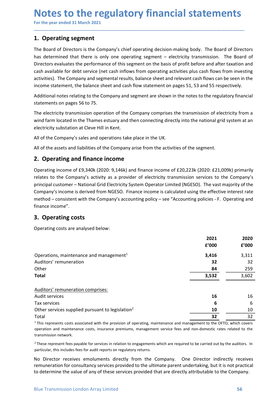# Notes to the regulatory financial statements<br>
For the year ended 31 March 2021<br>
1. Operating segment<br>
The Board of Directors is the Company's chief operating decision-making body. The Board of Directors

**Notes to the regulatory financial statements**<br>
For the year ended 31 March 2021<br> **1. Operating segment**<br>
The Board of Directors is the Company's chief operating decision-making body. The Board of Direct<br>
has determined th **Notes to the regulatory financial statement <br>
For the year ended 31 March 2021**<br>
1. Operating segment<br>
The Board of Directors is the Company's chief operating decision-making body. The Board<br>
has determined that there is **Notes to the regulatory financial statements**<br>For the year ended 31 March 2021<br>1. Operating segment<br>The Board of Directors is the Company's chief operating decision-making body. The Board of Directors<br>has determined that **Notes to the regulatory financial statements**<br>For the year ended 31 March 2021<br>1. Operating segment<br>The Board of Directors is the Company's chief operating decision-making body. The Board of Directors<br>has determined that **Notes to the regulatory financial statements**<br>For the year ended 31 March 2021<br>1. Operating segment<br>The Board of Directors is the Company's chief operating decision-making body. The Board of Directors<br>has determined that **Notes to the regulatory financial statements**<br>For the year ended 31 March 2021<br>1. Operating segment<br>The Board of Directors is the Company's chief operating decision-making body. The Board of Directors<br>has determined that **Notes to the regulatory financial statements**<br>For the year ended 31 March 2021<br>1. **Operating segment**<br>The Board of Directors is the Company's chief operating decision-making body. The Board of Directors<br>has determined tha **Notes to the regulatory financial statements**<br>For the year ended 31 March 2021<br>I. Operating segment<br>IThe Board of Directors is the Company's chief operating decision-making body. The Board of Directors<br>Directors evaluates **Notes to the regulatory financial statements**<br>For the year ended 31 March 2021<br>1. Operating segment<br>The Board of Directors is the Company's chief operating decision-making body. The Board of Directors<br>Directors evaluates **Notes to the regulatory financial statements**<br>For the year ended 31 March 2021<br>**1. Operating segment**<br>The Board of Directors is the Company's chief operating decision-making body. The Board of Directors<br>Interaction of Dir **Notes to the regulatory financial statements**<br>For the year ended 31 March 2021<br>1. Operating segment<br>The Board of Directors is the Company's chief operating decision-making body. The Board of Directors<br>has determined that **Notes to the regulatory financial statements**<br>For the year ended 31 March 2021<br>1. Operating segment<br>The Board of Directors is the Company's chief operating decision-making body. The Board of Directors<br>has determined that **Notes to the regulatory financial statements**<br>For the year ended 31 March 2021<br>1. Operating segment<br>The Board of Directors is the Company's chief operating decision-making body. The Board of Directors<br>has determined that For the year ended 31 March 2021<br> **1. Operating segment**<br>
The Board of Directors is the Company's chief operating decision-making body. The Board of Directors<br>
this determined that there is only one operating segment – ele **1. Operating segment**<br>The Board of Directors is the Company's chief operating decision-making body. The Board of Directors<br>has determined that there is only one operating segment – electricity transmission. The Board of<br>D The Board of Directors is the Company's chief operating decision-making body. The Board of Directors<br>
this determined that there is only one operating segment – electricity transmission. The Board of<br>
Directors evaluates t

\_\_\_\_\_\_\_\_\_\_\_\_\_\_\_\_\_\_\_\_\_\_\_\_\_\_\_\_\_\_\_\_\_\_\_\_\_\_\_\_\_\_\_\_\_\_\_\_\_\_\_\_\_\_\_\_\_\_\_\_\_\_\_\_\_\_\_\_\_\_\_\_\_\_\_\_\_\_\_\_\_\_\_\_\_\_\_\_\_\_

has determined that there is only one operating segment – electricity transmission. The Board of<br>Directors evaluates the performance of this segment on the basis of profit before and after taxation and<br>cash available for d Directors evaluates the performance of this segment on the basis of profit before and after taxation and<br>cash available for debt service (net cash inflows from operating activities plus cash flows from investing<br>activities cash available for debt service (net cash inflows from operating activities plus cash flows from investing<br>activities). The Company and segmental results, balance sheet and relevant cash flows can be seen in the<br>income sta activities). The Company and segmental results, balance sheet and relevant cash flows can be seen in the<br>income statement, the balance sheet and cash flow statement on pages 51, 53 and 55 respectively.<br>Additional notes rel income statement, the balance sheet and cash flow statement on pages 51, 53 and 55 respectively.<br>Additional notes relating to the Company and segment are shown in the notes to the regulatory financial<br>statements on pages 5 finance income". statements on pages 56 to 75.<br>
The electricity transmission operation of the Company comprises the transmission of electricity transmission operation of the Company comprises the transmission of electricity substation at C The electricity transmission operation of the Company comprises the transmission of electricity from<br>
wind farm located in the Thames estuary and then connecting directly into the national grid system at a<br>
electricity sub 1001 grid system at an<br>
101: E21,009k) primarily<br>
ces to the Company's<br>
he vast majority of the<br>
effective interest rate<br>
cies - F. Operating and<br>
2021 2020<br>
ε'000 ε'000<br>
3,416 3,311<br>
32 32<br>
84 259

| All of the Company's sales and operations take place in the UK.                                                                                                                                                                                                                                                                                                                                                                                                                                                                                                   |               |               |
|-------------------------------------------------------------------------------------------------------------------------------------------------------------------------------------------------------------------------------------------------------------------------------------------------------------------------------------------------------------------------------------------------------------------------------------------------------------------------------------------------------------------------------------------------------------------|---------------|---------------|
| All of the assets and liabilities of the Company arise from the activities of the segment.                                                                                                                                                                                                                                                                                                                                                                                                                                                                        |               |               |
| 2. Operating and finance income                                                                                                                                                                                                                                                                                                                                                                                                                                                                                                                                   |               |               |
| Operating income of £9,340k (2020: 9,146k) and finance income of £20,223k (2020: £21,009k) primarily<br>relates to the Company's activity as a provider of electricity transmission services to the Company's<br>principal customer - National Grid Electricity System Operator Limited (NGESO). The vast majority of the<br>Company's income is derived from NGESO. Finance income is calculated using the effective interest rate<br>method - consistent with the Company's accounting policy - see "Accounting policies - F. Operating and<br>finance income". |               |               |
| 3. Operating costs                                                                                                                                                                                                                                                                                                                                                                                                                                                                                                                                                |               |               |
| Operating costs are analysed below:                                                                                                                                                                                                                                                                                                                                                                                                                                                                                                                               |               |               |
|                                                                                                                                                                                                                                                                                                                                                                                                                                                                                                                                                                   | 2021<br>f'000 | 2020<br>f'000 |
| Operations, maintenance and management <sup>1</sup><br>Auditors' remuneration                                                                                                                                                                                                                                                                                                                                                                                                                                                                                     | 3,416<br>32   | 3,311<br>32   |
| Other                                                                                                                                                                                                                                                                                                                                                                                                                                                                                                                                                             | 84            | 259           |
| <b>Total</b>                                                                                                                                                                                                                                                                                                                                                                                                                                                                                                                                                      | 3,532         | 3,602         |
| Auditors' remuneration comprises:                                                                                                                                                                                                                                                                                                                                                                                                                                                                                                                                 |               |               |
| Audit services                                                                                                                                                                                                                                                                                                                                                                                                                                                                                                                                                    | 16            | 16            |
| Tax services                                                                                                                                                                                                                                                                                                                                                                                                                                                                                                                                                      | 6             | 6             |
| Other services supplied pursuant to legislation <sup>2</sup>                                                                                                                                                                                                                                                                                                                                                                                                                                                                                                      | 10            | 10            |
| Total                                                                                                                                                                                                                                                                                                                                                                                                                                                                                                                                                             | 32            | 32            |
| <sup>1</sup> This represents costs associated with the provision of operating, maintenance and management to the OFTO, which covers<br>operation and maintenance costs, insurance premiums, management service fees and non-domestic rates related to the<br>transmission network.                                                                                                                                                                                                                                                                                |               |               |
| <sup>2</sup> These represent fees payable for services in relation to engagements which are required to be carried out by the auditors. In<br>particular, this includes fees for audit reports on regulatory returns.                                                                                                                                                                                                                                                                                                                                             |               |               |
| No Director receives emoluments directly from the Company. One Director indirectly receives<br>remuneration for consultancy services provided to the ultimate parent undertaking, but it is not practical<br>to determine the value of any of these services provided that are directly attributable to the Company.                                                                                                                                                                                                                                              |               |               |
|                                                                                                                                                                                                                                                                                                                                                                                                                                                                                                                                                                   |               |               |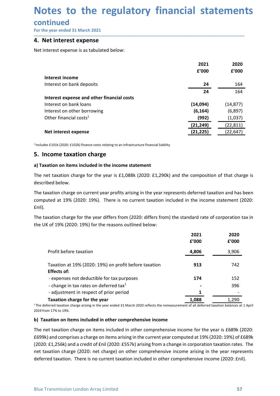# Notes to the regulatory financial statements<br>
continued<br>
For the year ended 31 March 2021<br>
4. Net interest expense **Notes to the regulatory financial statemen**<br>
For the year ended 31 March 2021<br> **4. Net interest expense**<br>
Net interest expense is as tabulated below:<br>
Net interest expense is as tabulated below:<br>
2021 2020

### continued

| Notes to the regulatory financial statements                                                                                                                                                                             |                    |                      |
|--------------------------------------------------------------------------------------------------------------------------------------------------------------------------------------------------------------------------|--------------------|----------------------|
| continued                                                                                                                                                                                                                |                    |                      |
| For the year ended 31 March 2021                                                                                                                                                                                         |                    |                      |
| 4. Net interest expense                                                                                                                                                                                                  |                    |                      |
| Net interest expense is as tabulated below:                                                                                                                                                                              |                    |                      |
|                                                                                                                                                                                                                          | 2021               | 2020                 |
|                                                                                                                                                                                                                          | £'000              | f'000                |
| Interest income                                                                                                                                                                                                          |                    |                      |
| Interest on bank deposits                                                                                                                                                                                                | 24<br>24           | 164<br>164           |
| Interest expense and other financial costs                                                                                                                                                                               |                    |                      |
| Interest on bank loans                                                                                                                                                                                                   | (14,094)           | (14, 877)            |
| Interest on other borrowing<br>Other financial costs <sup>1</sup>                                                                                                                                                        | (6, 164)           | (6, 897)             |
|                                                                                                                                                                                                                          | (992)<br>(21, 249) | (1,037)<br>(22, 811) |
| Net interest expense                                                                                                                                                                                                     | (21, 225)          | (22, 647)            |
| $^1$ Includes £101k (2020: £102k) finance costs relating to an infrastructure financial liability                                                                                                                        |                    |                      |
| 5. Income taxation charge                                                                                                                                                                                                |                    |                      |
|                                                                                                                                                                                                                          |                    |                      |
| a) Taxation on items included in the income statement                                                                                                                                                                    |                    |                      |
| The net taxation charge for the year is £1,088k (2020: £1,290k) and the composition of that charge is<br>described below.                                                                                                |                    |                      |
| The taxation charge on current year profits arising in the year represents deferred taxation and has been<br>computed at 19% (2020: 19%). There is no current taxation included in the income statement (2020:<br>£nil). |                    |                      |
| The taxation charge for the year differs from (2020: differs from) the standard rate of corporation tax in<br>the UK of 19% (2020: 19%) for the reasons outlined below:                                                  |                    |                      |
|                                                                                                                                                                                                                          | 2021<br>£'000      | 2020<br>f'000        |
| Profit before taxation                                                                                                                                                                                                   | 4,806              | 3,906                |
|                                                                                                                                                                                                                          |                    |                      |

| Other financial costs <sup>1</sup>                                                                                                                                                                                                                                                                                                                                                                                                                                                                                                            |               | (992)                 | (1,037)                |
|-----------------------------------------------------------------------------------------------------------------------------------------------------------------------------------------------------------------------------------------------------------------------------------------------------------------------------------------------------------------------------------------------------------------------------------------------------------------------------------------------------------------------------------------------|---------------|-----------------------|------------------------|
| Net interest expense                                                                                                                                                                                                                                                                                                                                                                                                                                                                                                                          |               | (21,249)<br>(21, 225) | (22, 811)<br>(22, 647) |
| $1$ Includes £101k (2020: £102k) finance costs relating to an infrastructure financial liability                                                                                                                                                                                                                                                                                                                                                                                                                                              |               |                       |                        |
| 5. Income taxation charge                                                                                                                                                                                                                                                                                                                                                                                                                                                                                                                     |               |                       |                        |
|                                                                                                                                                                                                                                                                                                                                                                                                                                                                                                                                               |               |                       |                        |
| a) Taxation on items included in the income statement                                                                                                                                                                                                                                                                                                                                                                                                                                                                                         |               |                       |                        |
| The net taxation charge for the year is $£1,088k$ (2020: £1,290k) and the composition of that charge is<br>described below.                                                                                                                                                                                                                                                                                                                                                                                                                   |               |                       |                        |
| The taxation charge on current year profits arising in the year represents deferred taxation and has been<br>computed at 19% (2020: 19%). There is no current taxation included in the income statement (2020:<br>£nil).                                                                                                                                                                                                                                                                                                                      |               |                       |                        |
| The taxation charge for the year differs from (2020: differs from) the standard rate of corporation tax in<br>the UK of 19% (2020: 19%) for the reasons outlined below:                                                                                                                                                                                                                                                                                                                                                                       |               |                       |                        |
|                                                                                                                                                                                                                                                                                                                                                                                                                                                                                                                                               | 2021<br>£'000 |                       | 2020<br>£'000          |
| Profit before taxation                                                                                                                                                                                                                                                                                                                                                                                                                                                                                                                        | 4,806         |                       | 3,906                  |
| Taxation at 19% (2020: 19%) on profit before taxation<br><b>Effects of:</b>                                                                                                                                                                                                                                                                                                                                                                                                                                                                   | 913           |                       | 742                    |
| - expenses not deductible for tax purposes                                                                                                                                                                                                                                                                                                                                                                                                                                                                                                    | 174           |                       | 152                    |
| - change in tax rates on deferred tax <sup>1</sup>                                                                                                                                                                                                                                                                                                                                                                                                                                                                                            |               |                       | 396                    |
| - adjustment in respect of prior period                                                                                                                                                                                                                                                                                                                                                                                                                                                                                                       |               | 1                     |                        |
| Taxation charge for the year<br>$1$ The deferred taxation charge arising in the year ended 31 March 2020 reflects the remeasurement of all deferred taxation balances at 1 April<br>2019 from 17% to 19%.                                                                                                                                                                                                                                                                                                                                     | 1,088         |                       | 1,290                  |
| b) Taxation on items included in other comprehensive income                                                                                                                                                                                                                                                                                                                                                                                                                                                                                   |               |                       |                        |
| The net taxation charge on items included in other comprehensive income for the year is £689k (2020:<br>£699k) and comprises a charge on items arising in the current year computed at 19% (2020: 19%) of £689k<br>(2020: £1,256k) and a credit of £nil (2020: £557k) arising from a change in corporation taxation rates. The<br>net taxation charge (2020: net charge) on other comprehensive income arising in the year represents<br>deferred taxation. There is no current taxation included in other comprehensive income (2020: £nil). |               |                       |                        |
| <b>Blue Transmission London Array Limited</b>                                                                                                                                                                                                                                                                                                                                                                                                                                                                                                 |               |                       | 57                     |

ENER OF THE EXECT CONDUCTED THE TRANSMIN CHECT CARREL TRANSMINGTON CHARGED TRANSMINGTON CHARGED TRANSMINGTON ARRAY THE DREAD TRANSMINGTON THE DREAD TRANSMINGTON THE DREAD TRANSMINGTON THE DREAD TRANSMINGTON THE DREAD TRANS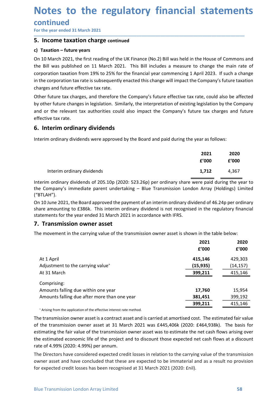# Notes to the regulatory financial statements<br>
continued<br>
For the year ended 31 March 2021<br>
5. Income taxation charge continued **Notes to the regulatory financial statemen**<br>
For the year ended 31 March 2021<br> **5. Income taxation charge continued**<br> **c) Taxation – future years**<br>
On 10 March 2021, the first reading of the UK Finance (No.2) Bill was hel

### continued

\_\_\_\_\_\_\_\_\_\_\_\_\_\_\_\_\_\_\_\_\_\_\_\_\_\_\_\_\_\_\_\_\_\_\_\_\_\_\_\_\_\_\_\_\_\_\_\_\_\_\_\_\_\_\_\_\_\_\_\_\_\_\_\_\_\_\_\_\_\_\_\_\_\_\_\_\_\_\_\_\_\_\_\_\_\_\_\_\_\_

**Notes to the regulatory financial statemer**<br>
continued<br>
For the year ended 31 March 2021<br> **5. Income taxation charge continued**<br>
c) Taxation – future years<br>
On 10 March 2021, the first reading of the UK Finance (No.2) Bil **Notes to the regulatory financial statem**<br>
For the year ended 31 March 2021<br> **5. Income taxation charge continued**<br>
c) Taxation – future years<br>
On 10 March 2021, the first reading of the UK Finance (No.2) Bill was held in **Notes to the regulatory financial statements**<br>
For the year ended 31 March 2021<br> **5. Income taxation charge continued**<br> **c) Taxation – future years**<br>
On 10 March 2021, the first reading of the UK Finance (No.2) Bill was h **Notes to the regulatory financial statements**<br>
For the year ended 31 March 2021<br> **5. Income taxation charge continued**<br> **c) Taxation – future years**<br>
On 10 March 2021, the first reading of the UK Finance (No.2) Bill was h **Notes to the regulatory financial statements**<br>
For the year ended 31 March 2021<br> **5. Income taxation charge continued**<br> **c) Taxation – future years**<br> **c**n 10 March 2021, the first reading of the UK Finance (No.2) Bill was **Notes to the regulatory financial statements**<br>
For the year ended 31 March 2021<br> **5. Income taxation charge continued**<br> **c)** Taxation – future years<br>
On 10 March 2021, the first reading of the UK Finance (No.2) Bill was h **Notes to the regulatory financial statements**<br> **Continued**<br>
For the year ended 31 March 2021<br> **5. Income taxation charge continued**<br> **c)** Taxation – future years<br>
On 10 March 2021, the first reading of the UK Finance (No. **Notes to the regulatory financial statements**<br>
For the year ended 31 March 2021<br> **5. Income taxation charge continued**<br> **c) Taxation – future years**<br>
On 10 March 2021, the first reading of the UK Finance (No.2) Bill was h **Notes to the regulatory financial statements**<br>
For the year ended 31 March 2021<br> **5. Income taxation charge continued**<br> **c) Taxation - future years**<br> **c)** Taxation - future years<br>
the Bill was published on 11 March 2021. **Notes to the regulatory financial statements**<br>
For the year ended 31 March 2021<br> **5. Income taxation charge continued**<br> **c) Taxation – future years**<br> **c)** Taxation – future years<br>
to 10 March 2021, the first reading of th **Notes to the regulatory financial standary**<br>
For the year ended 31 March 2021<br> **5.** Income taxation charge continued<br>
c) Taxation - future years<br>
On 10 March 2021, the first reading of the UK Finance (No.2) Bill was held **INOTES TO THE FEBUIATOFY TIMANCIAL STATEMET**<br>
For the year ended 31 March 2021<br> **5. Income taxation charge continued**<br> **c)** Taxation – future years<br>
On 10 March 2021, the first reading of the UK Finance (No.2) Bill was h **CONTINUE CONTERVALUATES:**<br> **S. Income taxation charge continued**<br> **S. Income taxation charge continued**<br> **c. Income taxation charge continued**<br> **c. In the Bill was published on 11 March 2021**. This Bill includes a measur Provide the main rate of<br>
Explore the main rate of<br>
il 2023. If such a change<br>
ompany's future taxation<br>
e, could also be affected<br>
gislation by the Company<br>
tax charges and future<br>
rate of the Company<br>
rate of the Company e House of Commons and<br>
change the main rate of<br>
ril 2023. If such a change<br>
company's future taxation<br>
te, could also be affected<br>
regislation by the Company<br>
e tax charges and future<br>
ar as follows:<br> **2021 2020<br>
£'000 £'** March 2021, the first reading of the UK Finance (No.2) Bill was held in the House of Commons and<br>
Il was published on 11 March 2021. This Bill includes a measure to change the main rate of<br>
attion taxtion from 19% to 25% f

the Bill was published on 11 March 2021. This Bill includes a measure to change the main rate of<br>
corporation taxation from 19% to 25% for the financial year commencing 1 April 2023. If such a change<br>
in the corporation ta corporation taxation from 19% to 25% for the financial year commencing 1 April 2023. If such a change<br>
in the corporation tax rate is subsequently enacted this change will impact the Company's future taxation<br>
other future charges and future effective tax rate.<br>
Other future tax charges, and therefore the Company's future effective tax rate, could also be affected<br>
by other future changes in legislation. Similarly, the interpretation of exis Other future tax charges, and therefore the Company's future effective tax rate, could also be affected<br>by other future changes in legislation. Similarly, the interpretation of existing legislation by the Company<br>effective one Tuture care are considered at the company's studie entective data date, cound also be anceceded<br>the year enterpretation of existing legislation by the Company<br>and or the relevant tax authorities could also impact the C

| and or the relevant tax authorities could also impact the Company's future tax charges and future<br>effective tax rate.                                                                                                                                                                |                |               |
|-----------------------------------------------------------------------------------------------------------------------------------------------------------------------------------------------------------------------------------------------------------------------------------------|----------------|---------------|
| 6. Interim ordinary dividends                                                                                                                                                                                                                                                           |                |               |
| Interim ordinary dividends were approved by the Board and paid during the year as follows:                                                                                                                                                                                              |                |               |
|                                                                                                                                                                                                                                                                                         | 2021<br>f'000  | 2020<br>£'000 |
| Interim ordinary dividends                                                                                                                                                                                                                                                              | 1,712          | 4,367         |
| Interim ordinary dividends of 205.10p (2020: 523.26p) per ordinary share were paid during the year to<br>the Company's immediate parent undertaking - Blue Transmission London Array (Holdings) Limited<br>("BTLAH").                                                                   |                |               |
| On 10 June 2021, the Board approved the payment of an interim ordinary dividend of 46.24p per ordinary<br>share amounting to £386k. This interim ordinary dividend is not recognised in the regulatory financia<br>statements for the year ended 31 March 2021 in accordance with IFRS. |                |               |
| 7. Transmission owner asset                                                                                                                                                                                                                                                             |                |               |
| The movement in the carrying value of the transmission owner asset is shown in the table below:                                                                                                                                                                                         |                |               |
|                                                                                                                                                                                                                                                                                         | 2021<br>f'000  | 2020<br>£'000 |
| Δt 1 Δnril                                                                                                                                                                                                                                                                              | <b>415 146</b> | 429 303       |

| effective tax rate.                                                                                                                                                                                                                                                                                                                                                                                                                   |           |           |
|---------------------------------------------------------------------------------------------------------------------------------------------------------------------------------------------------------------------------------------------------------------------------------------------------------------------------------------------------------------------------------------------------------------------------------------|-----------|-----------|
| 6. Interim ordinary dividends                                                                                                                                                                                                                                                                                                                                                                                                         |           |           |
| Interim ordinary dividends were approved by the Board and paid during the year as follows:                                                                                                                                                                                                                                                                                                                                            |           |           |
|                                                                                                                                                                                                                                                                                                                                                                                                                                       | 2021      | 2020      |
|                                                                                                                                                                                                                                                                                                                                                                                                                                       | £'000     | f'000     |
| Interim ordinary dividends                                                                                                                                                                                                                                                                                                                                                                                                            | 1,712     | 4,367     |
| Interim ordinary dividends of 205.10p (2020: 523.26p) per ordinary share were paid during the year to<br>the Company's immediate parent undertaking - Blue Transmission London Array (Holdings) Limited<br>("BTLAH").                                                                                                                                                                                                                 |           |           |
| On 10 June 2021, the Board approved the payment of an interim ordinary dividend of 46.24p per ordinary<br>share amounting to £386k. This interim ordinary dividend is not recognised in the regulatory financial<br>statements for the year ended 31 March 2021 in accordance with IFRS.                                                                                                                                              |           |           |
| 7. Transmission owner asset                                                                                                                                                                                                                                                                                                                                                                                                           |           |           |
| The movement in the carrying value of the transmission owner asset is shown in the table below:                                                                                                                                                                                                                                                                                                                                       |           |           |
|                                                                                                                                                                                                                                                                                                                                                                                                                                       | 2021      | 2020      |
|                                                                                                                                                                                                                                                                                                                                                                                                                                       | £'000     | £'000     |
| At 1 April                                                                                                                                                                                                                                                                                                                                                                                                                            | 415,146   | 429,303   |
| Adjustment to the carrying value <sup>+</sup>                                                                                                                                                                                                                                                                                                                                                                                         | (15, 935) | (14, 157) |
| At 31 March                                                                                                                                                                                                                                                                                                                                                                                                                           | 399,211   | 415,146   |
| Comprising:                                                                                                                                                                                                                                                                                                                                                                                                                           |           |           |
| Amounts falling due within one year                                                                                                                                                                                                                                                                                                                                                                                                   | 17,760    | 15,954    |
| Amounts falling due after more than one year                                                                                                                                                                                                                                                                                                                                                                                          | 381,451   | 399,192   |
|                                                                                                                                                                                                                                                                                                                                                                                                                                       | 399,211   | 415,146   |
| * Arising from the application of the effective interest rate method.                                                                                                                                                                                                                                                                                                                                                                 |           |           |
| The transmission owner asset is a contract asset and is carried at amortised cost. The estimated fair value<br>of the transmission owner asset at 31 March 2021 was £445,406k (2020: £464,938k). The basis for<br>estimating the fair value of the transmission owner asset was to estimate the net cash flows arising over<br>the estimated economic life of the project and to discount those expected net cash flows at a discount |           |           |
| rate of 4.99% (2020: 4.99%) per annum.                                                                                                                                                                                                                                                                                                                                                                                                |           |           |
| The Directors have considered expected credit losses in relation to the carrying value of the transmission<br>owner asset and have concluded that these are expected to be immaterial and as a result no provision<br>for expected credit losses has been recognised at 31 March 2021 (2020: £nil).                                                                                                                                   |           |           |
|                                                                                                                                                                                                                                                                                                                                                                                                                                       |           |           |
|                                                                                                                                                                                                                                                                                                                                                                                                                                       |           | 58        |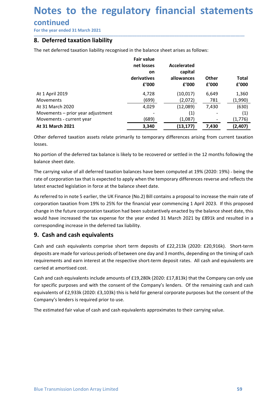# Notes to the regulatory financial statements<br>
continued<br>
For the year ended 31 March 2021<br>
8. Deferred taxation liability **Notes to the regulatory financial statemen**<br>
For the year ended 31 March 2021<br> **8. Deferred taxation liability**<br>
The net deferred taxation liability recognised in the balance sheet arises as follows:<br>
Fair value<br>
Fair val

### continued

| 8. Deferred taxation liability                                                                                                                                                                                                                                                                                                                                                                                                                                                                  |                                       |                        |                       |                       |
|-------------------------------------------------------------------------------------------------------------------------------------------------------------------------------------------------------------------------------------------------------------------------------------------------------------------------------------------------------------------------------------------------------------------------------------------------------------------------------------------------|---------------------------------------|------------------------|-----------------------|-----------------------|
| The net deferred taxation liability recognised in the balance sheet arises as follows:                                                                                                                                                                                                                                                                                                                                                                                                          |                                       |                        |                       |                       |
|                                                                                                                                                                                                                                                                                                                                                                                                                                                                                                 | <b>Fair value</b><br>net losses<br>on | Accelerated<br>capital |                       |                       |
|                                                                                                                                                                                                                                                                                                                                                                                                                                                                                                 | derivatives<br>£'000                  | allowances<br>£'000    | <b>Other</b><br>£'000 | <b>Total</b><br>f'000 |
| At 1 April 2019                                                                                                                                                                                                                                                                                                                                                                                                                                                                                 | 4,728                                 | (10, 017)              | 6,649                 | 1,360                 |
| <b>Movements</b><br>At 31 March 2020                                                                                                                                                                                                                                                                                                                                                                                                                                                            | (699)<br>4,029                        | (2,072)<br>(12,089)    | 781<br>7,430          | (1,990)<br>(630)      |
| Movements - prior year adjustment                                                                                                                                                                                                                                                                                                                                                                                                                                                               |                                       | (1)                    |                       | (1)                   |
| Movements - current year                                                                                                                                                                                                                                                                                                                                                                                                                                                                        | (689)                                 | (1,087)                |                       | (1,776)               |
| At 31 March 2021                                                                                                                                                                                                                                                                                                                                                                                                                                                                                | 3,340                                 | (13, 177)              | 7,430                 | (2,407)               |
| Other deferred taxation assets relate primarily to temporary differences arising from current taxation<br>losses.                                                                                                                                                                                                                                                                                                                                                                               |                                       |                        |                       |                       |
| No portion of the deferred tax balance is likely to be recovered or settled in the 12 months following the                                                                                                                                                                                                                                                                                                                                                                                      |                                       |                        |                       |                       |
| balance sheet date.                                                                                                                                                                                                                                                                                                                                                                                                                                                                             |                                       |                        |                       |                       |
| The carrying value of all deferred taxation balances have been computed at 19% (2020: 19%) - being the<br>rate of corporation tax that is expected to apply when the temporary differences reverse and reflects the<br>latest enacted legislation in force at the balance sheet date.                                                                                                                                                                                                           |                                       |                        |                       |                       |
| As referred to in note 5 earlier, the UK Finance (No.2) Bill contains a proposal to increase the main rate of<br>corporation taxation from 19% to 25% for the financial year commencing 1 April 2023. If this proposed<br>change in the future corporation taxation had been substantively enacted by the balance sheet date, this<br>would have increased the tax expense for the year ended 31 March 2021 by £891k and resulted in a<br>corresponding increase in the deferred tax liability. |                                       |                        |                       |                       |
| 9. Cash and cash equivalents                                                                                                                                                                                                                                                                                                                                                                                                                                                                    |                                       |                        |                       |                       |
| Cash and cash equivalents semprise short term depesits of £22,212k (2020; £20,015k). Short term                                                                                                                                                                                                                                                                                                                                                                                                 |                                       |                        |                       |                       |

Wowements – prior year adjustment<br>
As 13 March 2020<br>
Movements – prior year adjustment<br>
Movements – current year<br>  $\frac{(1389)}{3,340}$ <br>  $\frac{(1,088)}{(1,3087)}$ <br>  $\frac{(1,088)}{(1,087)}$ <br>  $\frac{(1,088)}{(1,087)}$ <br>  $\frac{(1,088)}{(1,087)}$ <br>  $\frac{(1,0$ Example 1.12.2021<br>
At 3.1 March 2021<br> **Corresponding increase interesponding increase in the deferred tax bases.**<br> **Corresponding increase in the deferred tax bases** in the deferred tax bases.<br>
No portion of the deferred Movements - current year<br> **At 31 March 2021**<br> **At 31 March 2021**<br> **At 31 March 2021**<br> **Conter deferred taxation assets relate primarily to temporary differences arising from current<br>
Iosses.<br>
Iosses.<br>
No portion of the de** Characterized translation assets relate primarily to temporary differences arising from current taxation<br>Iosses.<br>No portion of the deferred tax balance is likely to be recovered or settled in the 12 months following the<br>ba Other deferred taxation assets relate primarily to temporary differences arising from current taxation losses.<br>
No portion of the deferred tax balance is likely to be recovered or settled in the 12 months following the<br>
No losses.<br>
No portion of the deferred tax balance is likely to be recovered or settled in the 12 months following the<br>
balance sheet date.<br>
The carrying value of all deferred taxation balances have been computed at 19% (2020 No portion of the deferred tax balance is likely to be recovered or settled in the 12 months fol<br>balance sheet date.<br>The carrying value of all deferred taxation balances have been computed at 19% (2020: 19%)-<br>rate of corpo balance sheet date.<br>The carrying value of all deferred taxation balances have been computed at 19% (2020: 19%) - being the<br>rate of corporation tax that is expected to apply when the temporary differences reverse and reflec The carrying value of all deferred taxation balances have been computed at 19% (2020: 19%) - being the<br>rate of corporation tax that is expected to apply when the temporary differences reverse and reflects the<br>latest enacte rate of corporation tax that is expected to apply when the temporary differences reverse and reflects the latest enacted legislation in force at the balance sheet date.<br>As referred to in note 5 earlier, the UK Finance (No. latest enacted legislation in force at the balance sheet date.<br>As referred to in note 5 earlier, the UK Finance (No.2) Bill contains a proposal to increase the main rate of<br>corporation taxation from 19% to 25% for the fina As referred to in note 5 earlier, the UK Finance (No.2) Bill contains a proposal to increase the main rate of<br>corporation taxation from 19% to 25% for the financial year commencing 1 April 2023. If this proposed<br>thange in

Cash and cash equivalents include amounts of £19,280k (2020: £17,813k) that the Company can only use<br>for specific purposes and with the consent of the Company's lenders. Of the remaining cash and cash<br>equivalents of £2,933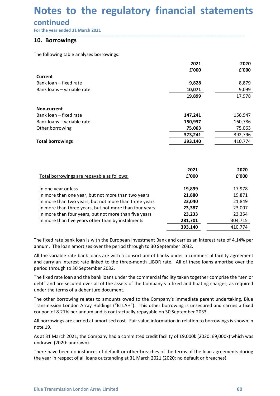# Notes to the regulatory financial statements<br>
continued<br>
For the year ended 31 March 2021<br>
10. Borrowings **Notes to the regulatory financial statemen**<br>
For the year ended 31 March 2021<br> **10. Borrowings**<br>
The following table analyses borrowings:<br>
The following table analyses borrowings:<br>
2021

### continued

| Notes to the regulatory financial statements<br>continued |               |               |
|-----------------------------------------------------------|---------------|---------------|
|                                                           |               |               |
|                                                           |               |               |
|                                                           |               |               |
|                                                           |               |               |
|                                                           |               |               |
|                                                           |               |               |
|                                                           |               |               |
|                                                           |               |               |
| For the year ended 31 March 2021                          |               |               |
| 10. Borrowings                                            |               |               |
|                                                           |               |               |
| The following table analyses borrowings:                  |               |               |
|                                                           | 2021          | 2020          |
|                                                           | f'000         | £'000         |
| <b>Current</b>                                            |               |               |
| Bank loan - fixed rate                                    | 9,828         | 8,879         |
| Bank loans - variable rate                                | 10,071        | 9,099         |
|                                                           | 19,899        | 17,978        |
| Non-current                                               |               |               |
| Bank loan - fixed rate                                    | 147,241       | 156,947       |
| Bank loans - variable rate                                | 150,937       | 160,786       |
| Other borrowing                                           | 75,063        | 75,063        |
|                                                           | 373,241       | 392,796       |
| <b>Total borrowings</b>                                   | 393,140       | 410,774       |
|                                                           |               |               |
|                                                           |               |               |
|                                                           |               |               |
|                                                           | 2021<br>£'000 | 2020<br>£'000 |
| Total borrowings are repayable as follows:                |               |               |
| In one year or less                                       | 19,899        | 17,978        |
| In more than one year, but not more than two years        | 21,880        | 19,871        |
| In more than two years, but not more than three years     | 23,040        | 21,849        |
| In more than three years, but not more than four years    | 23,387        | 23,007        |
| In more than four years, but not more than five years     | 23,233        | 23,354        |
|                                                           | 281,701       | 304,715       |
| In more than five years other than by instalments         |               |               |

| Balik Juans – Variable rate                                                                                                                                                                                                                                                                                                                                                                                                                                                                                                                                                                                                                                                                                     | 10,071  | ອ,ບອອ   |
|-----------------------------------------------------------------------------------------------------------------------------------------------------------------------------------------------------------------------------------------------------------------------------------------------------------------------------------------------------------------------------------------------------------------------------------------------------------------------------------------------------------------------------------------------------------------------------------------------------------------------------------------------------------------------------------------------------------------|---------|---------|
|                                                                                                                                                                                                                                                                                                                                                                                                                                                                                                                                                                                                                                                                                                                 | 19,899  | 17,978  |
| Non-current                                                                                                                                                                                                                                                                                                                                                                                                                                                                                                                                                                                                                                                                                                     |         |         |
| Bank loan - fixed rate                                                                                                                                                                                                                                                                                                                                                                                                                                                                                                                                                                                                                                                                                          | 147,241 | 156,947 |
| Bank loans - variable rate                                                                                                                                                                                                                                                                                                                                                                                                                                                                                                                                                                                                                                                                                      | 150,937 | 160,786 |
| Other borrowing                                                                                                                                                                                                                                                                                                                                                                                                                                                                                                                                                                                                                                                                                                 | 75,063  | 75,063  |
|                                                                                                                                                                                                                                                                                                                                                                                                                                                                                                                                                                                                                                                                                                                 | 373,241 | 392,796 |
| <b>Total borrowings</b>                                                                                                                                                                                                                                                                                                                                                                                                                                                                                                                                                                                                                                                                                         | 393,140 | 410,774 |
|                                                                                                                                                                                                                                                                                                                                                                                                                                                                                                                                                                                                                                                                                                                 |         |         |
|                                                                                                                                                                                                                                                                                                                                                                                                                                                                                                                                                                                                                                                                                                                 |         |         |
|                                                                                                                                                                                                                                                                                                                                                                                                                                                                                                                                                                                                                                                                                                                 | 2021    | 2020    |
| Total borrowings are repayable as follows:                                                                                                                                                                                                                                                                                                                                                                                                                                                                                                                                                                                                                                                                      | £'000   | £'000   |
| In one year or less                                                                                                                                                                                                                                                                                                                                                                                                                                                                                                                                                                                                                                                                                             | 19,899  | 17,978  |
| In more than one year, but not more than two years                                                                                                                                                                                                                                                                                                                                                                                                                                                                                                                                                                                                                                                              | 21,880  | 19,871  |
| In more than two years, but not more than three years                                                                                                                                                                                                                                                                                                                                                                                                                                                                                                                                                                                                                                                           | 23,040  | 21,849  |
| In more than three years, but not more than four years                                                                                                                                                                                                                                                                                                                                                                                                                                                                                                                                                                                                                                                          | 23,387  | 23,007  |
| In more than four years, but not more than five years                                                                                                                                                                                                                                                                                                                                                                                                                                                                                                                                                                                                                                                           | 23,233  | 23,354  |
| In more than five years other than by instalments                                                                                                                                                                                                                                                                                                                                                                                                                                                                                                                                                                                                                                                               | 281,701 | 304,715 |
|                                                                                                                                                                                                                                                                                                                                                                                                                                                                                                                                                                                                                                                                                                                 | 393,140 | 410,774 |
| The fixed rate bank loan is with the European Investment Bank and carries an interest rate of 4.14% per<br>annum. The loan amortises over the period through to 30 September 2032.<br>All the variable rate bank loans are with a consortium of banks under a commercial facility agreement<br>and carry an interest rate linked to the three-month LIBOR rate. All of these loans amortise over the<br>period through to 30 September 2032.<br>The fixed rate loan and the bank loans under the commercial facility taken together comprise the "senior<br>debt" and are secured over all of the assets of the Company via fixed and floating charges, as required<br>under the terms of a debenture document. |         |         |
| The other borrowing relates to amounts owed to the Company's immediate parent undertaking, Blue<br>Transmission London Array Holdings ("BTLAH"). This other borrowing is unsecured and carries a fixed<br>coupon of 8.21% per annum and is contractually repayable on 30 September 2033.                                                                                                                                                                                                                                                                                                                                                                                                                        |         |         |
| All borrowings are carried at amortised cost. Fair value information in relation to borrowings is shown in<br>note 19.                                                                                                                                                                                                                                                                                                                                                                                                                                                                                                                                                                                          |         |         |
| As at 31 March 2021, the Company had a committed credit facility of £9,000k (2020: £9,000k) which was<br>undrawn (2020: undrawn).                                                                                                                                                                                                                                                                                                                                                                                                                                                                                                                                                                               |         |         |
| There have been no instances of default or other breaches of the terms of the loan agreements during<br>the year in respect of all loans outstanding at 31 March 2021 (2020: no default or breaches).                                                                                                                                                                                                                                                                                                                                                                                                                                                                                                           |         |         |

The fixed rate loan and the bank loans under the commercial facility taken together comprise the "senior debt" and are secured over all of the assets of the Company via fixed and floating charges, as required under the ter In more than five years other than by instalments<br>  $281,701$ <br>
The fixed rate bank loan is with the European Investment Bank and carriers an interest rate of 4.14% per<br>
annum. The loan amortises over the period through to 393,140<br>
Ine fixed rate bank loan is with the European Investment Bank and carries an interest rat<br>
annum. The loan amortises over the period through to 30 September 2032.<br>
All the variable rate bank loans are with a conso The fixed rate bank loan is with the European Investment Bank and carries an interest rate of 4.14% per annum. The loan amortises over the period through to 30 September 2032.<br>All the variable rate bank loans are with a co The triate bank ion is with the European Investment bank and carries an interest rate of 4.14% per<br>nanum. The loan amortises over the period through to 30 September 2032.<br>All the variable rate bank loans are with a consort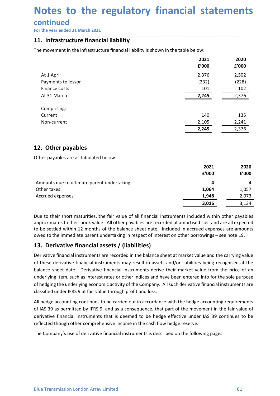# Notes to the regulatory financial statements<br>
continued<br>
For the year ended 31 March 2021<br>11. Infrastructure financial liability **Notes to the regulatory financial statemen**<br>
For the year ended 31 March 2021<br> **11.** Infrastructure financial liability<br>
The movement in the infrastructure financial liability is shown in the table below:<br>
2021 2020<br>
2020

### continued

| Notes to the regulatory financial statements<br>continued<br>For the year ended 31 March 2021 |                |                |
|-----------------------------------------------------------------------------------------------|----------------|----------------|
|                                                                                               |                |                |
|                                                                                               |                |                |
|                                                                                               |                |                |
|                                                                                               |                |                |
| 11. Infrastructure financial liability                                                        |                |                |
| The movement in the infrastructure financial liability is shown in the table below:           |                |                |
|                                                                                               | 2021           | 2020           |
|                                                                                               | £'000          | f'000          |
| At 1 April                                                                                    | 2,376          | 2,502          |
| Payments to lessor                                                                            | (232)          | (228)          |
| Finance costs                                                                                 | 101            | 102            |
| At 31 March                                                                                   | 2,245          | 2,376          |
| Comprising:                                                                                   |                |                |
| Current                                                                                       | 140            | 135            |
| Non-current                                                                                   | 2,105          | 2,241          |
|                                                                                               | 2,245          | 2,376          |
| 12. Other payables                                                                            |                |                |
|                                                                                               |                |                |
| Other payables are as tabulated below.                                                        |                |                |
|                                                                                               | 2021<br>£'000  | 2020<br>f'000  |
|                                                                                               |                |                |
| Amounts due to ultimate parent undertaking<br>Other taxes                                     | 4              | 4              |
| Accrued expenses                                                                              | 1,064<br>1,948 | 1,057<br>2,073 |
|                                                                                               | 3,016          | 3,134          |
|                                                                                               |                |                |

| Comprising:                                                                                                                                                                                                                                                                                                                                                                                                                                                                                                                                                                                                              |       |       |
|--------------------------------------------------------------------------------------------------------------------------------------------------------------------------------------------------------------------------------------------------------------------------------------------------------------------------------------------------------------------------------------------------------------------------------------------------------------------------------------------------------------------------------------------------------------------------------------------------------------------------|-------|-------|
| Current                                                                                                                                                                                                                                                                                                                                                                                                                                                                                                                                                                                                                  | 140   | 135   |
| Non-current                                                                                                                                                                                                                                                                                                                                                                                                                                                                                                                                                                                                              | 2,105 | 2,241 |
|                                                                                                                                                                                                                                                                                                                                                                                                                                                                                                                                                                                                                          | 2,245 | 2,376 |
| 12. Other payables                                                                                                                                                                                                                                                                                                                                                                                                                                                                                                                                                                                                       |       |       |
| Other payables are as tabulated below.                                                                                                                                                                                                                                                                                                                                                                                                                                                                                                                                                                                   |       |       |
|                                                                                                                                                                                                                                                                                                                                                                                                                                                                                                                                                                                                                          | 2021  | 2020  |
|                                                                                                                                                                                                                                                                                                                                                                                                                                                                                                                                                                                                                          | £'000 | f'000 |
| Amounts due to ultimate parent undertaking                                                                                                                                                                                                                                                                                                                                                                                                                                                                                                                                                                               | 4     | 4     |
| Other taxes                                                                                                                                                                                                                                                                                                                                                                                                                                                                                                                                                                                                              | 1,064 | 1,057 |
| Accrued expenses                                                                                                                                                                                                                                                                                                                                                                                                                                                                                                                                                                                                         | 1,948 | 2,073 |
|                                                                                                                                                                                                                                                                                                                                                                                                                                                                                                                                                                                                                          | 3,016 | 3,134 |
| Due to their short maturities, the fair value of all financial instruments included within other payables<br>approximates to their book value. All other payables are recorded at amortised cost and are all expected<br>to be settled within 12 months of the balance sheet date. Included in accrued expenses are amounts<br>owed to the immediate parent undertaking in respect of interest on other borrowings - see note 19.<br>13. Derivative financial assets / (liabilities)                                                                                                                                     |       |       |
| Derivative financial instruments are recorded in the balance sheet at market value and the carrying value<br>of these derivative financial instruments may result in assets and/or liabilities being recognised at the<br>balance sheet date. Derivative financial instruments derive their market value from the price of an<br>underlying item, such as interest rates or other indices and have been entered into for the sole purpose<br>of hedging the underlying economic activity of the Company. All such derivative financial instruments are<br>classified under IFRS 9 at fair value through profit and loss. |       |       |
| All hedge accounting continues to be carried out in accordance with the hedge accounting requirements                                                                                                                                                                                                                                                                                                                                                                                                                                                                                                                    |       |       |
| of IAS 39 as permitted by IFRS 9, and as a consequence, that part of the movement in the fair value of                                                                                                                                                                                                                                                                                                                                                                                                                                                                                                                   |       |       |
|                                                                                                                                                                                                                                                                                                                                                                                                                                                                                                                                                                                                                          |       |       |

**EXALM**<br> **EXALM**<br> **EXALM**<br> **EXALM**<br> **EXALM**<br> **EXALM**<br> **EXALM**<br> **EXALM**<br> **EXALM**<br> **EXALM**<br> **EXALM**<br> **EXALM**<br> **EXALM**<br> **EXALM**<br> **EXALM**<br> **EXALM**<br> **EXALM**<br> **EXALM**<br> **EXALM**<br> **EXALM**<br> **EXALM**<br> **EXALM**<br> **EXALM**<br> **EXALM**<br> **EXAL** Amounts due to ultimate parent undertaking<br>
a Other taxes<br>
Accrued expenses<br>
Accrued expenses<br>
Due to their short maturities, the fair value of all financial instruments included within other payables<br>
approximates to thei All offer takes<br>
All the traces<br>
Accreted expenses<br>
Accreted expenses<br>
All financial instruments included within other paysles<br>
approximates to their book value. All other payables are recorded at a mortised cost and are a Social deventions of IAS 39 as permitted by IFRS 9, and as a consequence, that part of the movement in the fair of the move of the balance is net developed a annoticed within other payables<br>approximates to their hook value **Example 19 and the stand to the stand instruments in the stand of the standard instruments included within other payables<br>approximates to their book value. All other payables are recorded at amortised cost and are all exp** Due to their short maturities, the fair value of all financial instruments included within other payales<br>approximates to their book value. All other payables are recorded at amortised cost and are all expected<br>to be settle Due to their short maturities, the fair value of all financial instruments included within other payables are recorded at amortised cost and are all expected to be settled within 12 months of the balance sheet date. Includ

sounderlying item, such as interest rates or other indices and have been entered into for the sole purpose<br>underlying item, such as interest rates or other indices and have been entered into for the sole purpose<br>of hedging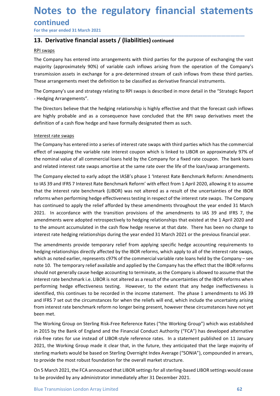# Notes to the regulatory financial statements<br>
continued<br>
For the year ended 31 March 2021<br>13. Derivative financial assets / (liabilities) continued continued **Notes to the regulatory financial statemen**<br>
For the year ended 31 March 2021<br> **13. Derivative financial assets / (liabilities) continued**<br>
<u>RPI swaps</u><br>
The Company has entered into arrangements with third parties for the

\_\_\_\_\_\_\_\_\_\_\_\_\_\_\_\_\_\_\_\_\_\_\_\_\_\_\_\_\_\_\_\_\_\_\_\_\_\_\_\_\_\_\_\_\_\_\_\_\_\_\_\_\_\_\_\_\_\_\_\_\_\_\_\_\_\_\_\_\_\_\_\_\_\_\_\_\_\_\_\_\_\_\_\_\_\_\_\_\_\_

**Notes to the regulatory financial statements**<br>
For the year ended 31 March 2021<br> **13. Derivative financial assets / (liabilities)** continued<br> **RPI swaps**<br>
The Company has entered into arrangements with third parties for t **Notes to the regulatory financial<br>
continued<br>
For the year ended 31 March 2021<br>
13. Derivative financial assets / (liabilities) continued<br>
RPI swaps<br>
The Company has entered into arrangements with third parties for the pu Notes to the regulatory financial statements**<br>
For the year ended 31 March 2021<br> **13. Derivative financial assets / (liabilities)** continued<br>
<u>RPI swaps</u><br>
The Company has entered into arrangements with third parties for t **Notes to the regulatory financial statements**<br>For the year ended 31 March 2021<br>13. Derivative financial assets / (liabilities) continued<br>RPI swaps<br>The Company has entered into arrangements with third parties for the purpo **Notes to the regulatory financial statements**<br>
For the year ended 31 March 2021<br> **13. Derivative financial assets / (liabilities) continued**<br>
<u>RPI swaps</u><br>
The Company has entered into arrangements with third parties for t **Notes to the regulatory financial statements**<br>
For the year ended 31 March 2021<br> **13. Derivative financial assets / (liabilities)** continued<br>
<u>RPI swaps</u><br>
The Company has entered into arrangements with third parties for t **Notes to the regulatory financial statements**<br>
For the year ended 31 March 2021<br> **13. Derivative financial assets / (liabilities)** continued<br>
<u>RPI swaps</u><br>
The Company has entered into arrangements with third parties for t **Notes to the regulatory financial statements**<br>For the year ended 31 March 2021<br>13. Derivative financial assets / (liabilities) continued<br>RPI swaps<br>The Company has entered into arrangements with third parties for the purpo **Notes to the regulatory financial statements**<br>
For the year ended 31 March 2021<br> **33. Derivative financial assets / (liabilities)** continued<br> **EVIE womaps**<br> **EVIE womapy** has entered into arrangements with third parties f **Notes to the regulatory financial statements**<br> **Example 18 continued**<br>
For the year ended 31 March 2021<br> **13. Derivative financial assets / (liabilities) continued**<br> **EXAMPLE 2021**<br> **EXAMPLE 2021**<br> **EXAMPLE 2021**<br> **EXAMPL** 

- Hedging Arrangements".

**Continued**<br> **Source the year ended 31 March 2021**<br> **13. Derivative financial assets / (liabilities) continued**<br> **RPI swaps**<br> **ITHE Company has entered into arrangements with third parties for the purpose of ex<br>
majority (** For the year ended 31 March 2021<br> **13. Derivative financial assets / (liabilities)** continued<br>
<u>RPI swaps</u><br>
The Company has entered into arrangements with third parties for the purpose of exchanging the vast<br>
The Company's **13. Derivative financial assets / (liabilities) continued**<br> **RPI swaps**<br>
The Company has entered into arrangements with third parties for the purpose of exchanging the vast<br>
rangmiticity (approximately 90%) of variable ca 13. Derivative inflantian assets  $f$  (inabilities) continued<br>The Company has entered into arrangements with third parties for the purpose of exchanging the vast<br>majority (approximately 90%) of variable cash inflows arising

RPI swaps<br>The Company has entered into arrangements with third parties for the purpose of exchanging the vast<br>The Company's (approximately 90%) of variable cash inflows arising from the operation of the Company's<br>transmiss The Company has enterted it to arrangements with third parties for the purpose of exchanging the vast<br>majority (approximately 90%) of variable cash inflows arising from the operation of the Company's<br>transmission assets in majority (approximately 90%) of variable cash inflows arising from the operation of the Company's<br>transmission assets in exchame for a pre-determined stream of cash finlows from these trind parties.<br>These arrangements meet transmission assets in exchange for a pre-determined stream of cash inflows from these third parties.<br>The comapary's use and strategy relating to RPI swaps is described in more detail in the "Strategic Report<br>Free comapary These arrangements meet the definition to be classified as derivative financial instruments.<br>The Company's use and strategy relating to RPI swaps is described in more detail in the "Strategic Report<br>- Hedging Arrangements" The Company's use and strategy relating to RPI swaps is described in more detail in the "Strategic Report<br>
- Hedging Arrangements".<br>
The Directors believe that the hedging relationship is highly effective and that the fore - Hedging Arrangements".<br>
The Directors believe that the hedging relationship is highly effective and that the forecast cash inflows<br>
are highly probable and as a consequence have concluded that the RPI swap derivatives me The Directors believe that the hedging relationship is highly effective and that the forecast cash inflows<br>are highly probable and as a consequence have concluded that the RPI swap derivatives meet the<br>definition of a cash The Untertoins been end the meangly readuroingly is may encombled and the totecast cash immoves are highly probable and as a consequence have concluded that the RPI swap derivatives meet the definition of a cash flow hedge are many probable and as a consequence nave concluded unt the wir swap derivatives ineed the definition of a cash flow hedge and have formally designated them as such.<br>
Interest rate swaps<br>
The Company has entered into a s Interest rate swaps<br>The Company has entered into a series of interest rate swaps with third parties which has the commercial<br>effect of swapping the variable rate interest coupon which is linked to LIBOR on approximately 97 Interest rate swaps<br>
The Company has entered into a series of interest rate swaps with third parties which has the commercial<br>
effect of swapping the variable rate interest coupon which is linked to LIBOR on approximately The Company has entered into a series of interest rate swaps with third parties which has the commercial<br>effect of swapping the variable rate interest coupon which is linked to LIBOR on approximately 97% of<br>the norminal va effect of swapping the variable rate interest coupon which is linked to LIBOR on approximately 97% of<br>the nominal value of all commercial loans held by the Company for a fixed rate coupon. The bank loans<br>and related intere

should not generally cause hedge accounting to terminate, as the Company is allowed to assume that the metrest rate benchmark i.e. LIBOR is not alltered as a result of the uncertainties of the BIOR reforms when interest ra the nominal value of all commercial loans held by the Company for a fixed rate coupon. The bank loans<br>and related interest rate swaps amortise at the same rate over the life of the loan/swap arrangements.<br>The Company elect and related interest rate swaps amortise at the same rate over the life of the loan/swap arrangements.<br>The Company elected to early adopt the IASB's phase 1 'Interest Rate Benchmark Reform: Amendments<br>to IAS 39 and IFRS 7 The Company elected to early adopt the IASB's phase 1 'Interest Rate Benchmark Reform: Amendments<br>to IAS 39 and IFRS 7 Interest Rate Benchmark Reform' with effect from 1 April 2020, allowing it to assume<br>that the interest The Company lected to early adopt the IASB's phase 1 'interest Rate Benchmark Reform: Amendments<br>to IAS 39 and IFRS 7 Interest Rate Benchmark Reform with effect from 1 Apil 2020, allowing it to assume<br>that the interest rat to IAS 39 and IFRS 7 Interest Rate Benchmark Reform' with effect from 1 April 2020, allowing it to assume<br>the this the tractest rate benchmark (LIBOR) was not altered as a result of the uncertainties of the IBOR<br>reforms wh that the interest rate benchmark (LIBOR) was not altered as a result of the uncertainties of the IBOR<br>reforms when performing hedge effectiveness testing in respect of the interest rate swaps. The Company<br>has continued to reforms when performing hedge effectiveness testing in respect of the interest has continued to apply the relief afforded by these amendments throughout 2021. In accordance with the transition provisions of the amendments ma contunue to apply the tenter alrotogal of the mattematics into givital the year and the entropy of the amendments to 1AS 39 and IFRS 7, the amendments were adopted retrospectively to hedging relationships that existed a 2021. The accounted with the transistion photosions of the ametiniments to lass 35 and trists of the amount accumulated in the cash flow hedge reserve at that date. There has been no change to interest rate hedging relatio and the moment were appear the competent of the moment of the amount of the amount accuration in the state of the amount accumulated in the cash flow hedge reserve at that date. Thee presions financial year, The amendments to the amount accumulation in the cassinion ineergy restrore at that cuit." Intered is been tho claring the present of the amendments provide temporary relief from applying specific hedge accounting requirements to hedging mtenest rate ineugling reractorisings buring the year entoted sinvation (or the previous imanital year.<br>The amendments provide temporary relief from applying specific hedge accounting requirements to<br>hedging relationships The amendments provide temporary relief from applying specific hedge accounting requirements to hedging relationships directly affected by the IBOR reforms, which a palot fie interest rate swaps, which as noted earlier, re meying reautorisings outcuty antected by the isoson tentoring, windinapply to annot the interests care sweps,<br>which as noted earlier, represents G97% of the commercial variable rate loans held by the Company – see<br>onte 10. which as inverte erate entry, represents Cosys of the commenterational and papiled by the Company has the effect that the IBOR reforms should not generally cause hedge accounting to terminate, as the Company is allowed to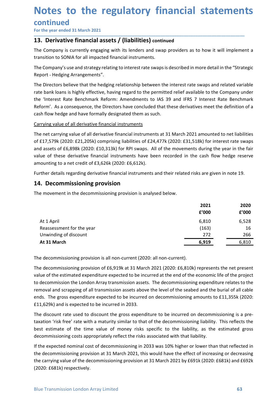### Notes to the regulatory financial statements<br>
continued<br>
For the year ended 31 March 2021<br>13. Derivative financial assets / (liabilities) continued **Notes to the regulatory financial statemen**<br>
For the year ended 31 March 2021<br> **13. Derivative financial assets / (liabilities)** continued<br>
The Company is currently engaging with its lenders and swap providers as to how i **Notes to the regulatory financial statements<br>
For the year ended 31 March 2021**<br> **13. Derivative financial assets / (liabilities) continued**<br>
The Company is currently engaging with its lenders and swap providers as to how **Notes to the regulatory financial statements**<br>
For the year ended 31 March 2021<br> **13. Derivative financial assets / (liabilities)** continued<br>
The Company is currently engaging with its lenders and swap providers as to how **Notes to the regulatory financial statements**<br>
For the year ended 31 March 2021<br> **13. Derivative financial assets / (liabilities)** continued<br>
The Company is currently engaging with its lenders and swap providers as to how

### continued

\_\_\_\_\_\_\_\_\_\_\_\_\_\_\_\_\_\_\_\_\_\_\_\_\_\_\_\_\_\_\_\_\_\_\_\_\_\_\_\_\_\_\_\_\_\_\_\_\_\_\_\_\_\_\_\_\_\_\_\_\_\_\_\_\_\_\_\_\_\_\_\_\_\_\_\_\_\_\_\_\_\_\_\_\_\_\_\_\_\_

Report - Hedging Arrangements".

**Notes to the regulatory financial statements**<br>
For the year ended 31 March 2021<br> **13. Derivative financial assets / (liabilities)** continued<br>
The Company is currently engaging with its lenders and swap providers as to how **Notes to the regulatory financial statements**<br>
For the year ended 31 March 2021<br> **13. Derivative financial assets / (liabilities)** continued<br>
The Company is currently engaging with its lenders and swap providers as to how **Notes to the regulatory financial statements**<br>
For the year ended 31 March 2021<br> **13. Derivative financial assets / (liabilities)** continued<br>
The Company is currently engaging with its lenders and swap providers as to how **Notes to the regulatory financial statements**<br>
For the year ended 31 March 2021<br> **13. Derivative financial assets / (liabilities)** continued<br>
The Company is currently engaging with its lenders and swap providers as to how **Notes to the regulatory financial statements**<br>
For the year ended 31 March 2021<br> **13. Derivative financial assets / (liabilities)** continued<br>
The Company is currently engaging with its leaders and swap providers as to how **Notes to the regulatory financial statements**<br>
For the year ended 31 March 2021<br> **13. Derivative financial assets / (liabilities)** continued<br>
The Company is urrently engaging with its lenders and swap providers as to how **Notes to the regulatory financial statements**<br>
For the year ended 31 March 2021<br> **13. Derivative financial assets / (liabilities)** continued<br>
The Company is currently engaging with its lenders and swap providers as to how **CONTLINUMENT EXECT THE NET CONTRIGENT CONTRIGENT AND MANGE THE NET CONTRIGENT AND THE COMPART THE COMPART THE COMPART THE COMPART OF THE COMPART OF THE COMPART OF CONTRA FOR THE COMPART ST THE COMPART ST THE COMPART ST TH CONTITING (2020: Example 2021)**<br> **EFOT THE TREMAT TO THE COMPAT TO THE CONDUCT TO THE CONDUCT TO THE CONDUCT TO THE COMPAT TO THE COMPAT TO THE<br>
THE COMPANY SUGNER TO THE COMPAT TO THE COMPAT TO THE COMPAT TO THE COMPAT T** For the year ended 3.1 Martin 2021<br> **13. Derivative financial assets / (liabilities)** continued<br>
The Company's userand strategy relating to interest rate swaps providers as to how it will implement a<br>
The Company's use and **13. Derivative financial assets / (liabilities)** continued<br>The Company is currently engaging with its lenders and swap providers as to how it will implement a<br>transition to SOMA for all impacted financial instruments.<br>The The Company is currently engaging with its lenders and swap providers as to how it will implem<br>transition to SONIA for all impacted financial instruments.<br>The Company's use and strategy relating to interest rate swaps is d transition to SONIA for all impacted financial instruments.<br>The Company's use and strategy relating to interest rate swaps is described in more detail in the "Strategic<br>Report - Hedging Arrangements".<br>The Directors believe The Company's use and strategy relating to interest rate swaps is described in more detail in the "Strateg<br>
Report - Hedging Rarangements".<br>
The Directors believe that the hedging relationship between the interest rate sw metaport - neuging Mirangements -<br>The Directors believe that the hedging relationship between the interest rate swaps and related variable<br>Trate Directors believe that the hedging relationship between the interest Rate Ben

| rate bank loans is highly effective, having regard to the permitted relief available to the Company under   |       |       |
|-------------------------------------------------------------------------------------------------------------|-------|-------|
| the 'Interest Rate Benchmark Reform: Amendments to IAS 39 and IFRS 7 Interest Rate Benchmark                |       |       |
| Reform'. As a consequence, the Directors have concluded that these derivatives meet the definition of a     |       |       |
| cash flow hedge and have formally designated them as such.                                                  |       |       |
| Carrying value of all derivative financial instruments                                                      |       |       |
| The net carrying value of all derivative financial instruments at 31 March 2021 amounted to net liabilities |       |       |
| of £17,579k (2020: £21,205k) comprising liabilities of £24,477k (2020: £31,518k) for interest rate swaps    |       |       |
| and assets of £6,898k (2020: £10,313k) for RPI swaps. All of the movements during the year in the fair      |       |       |
| value of these derivative financial instruments have been recorded in the cash flow hedge reserve           |       |       |
| amounting to a net credit of £3,626k (2020: £6,612k).                                                       |       |       |
| Further details regarding derivative financial instruments and their related risks are given in note 19.    |       |       |
|                                                                                                             |       |       |
| 14. Decommissioning provision                                                                               |       |       |
| The movement in the decommissioning provision is analysed below.                                            |       |       |
|                                                                                                             | 2021  | 2020  |
|                                                                                                             | £'000 | f'000 |
| At 1 April                                                                                                  | 6,810 | 6,528 |
| Reassessment for the year                                                                                   | (163) | 16    |
| Unwinding of discount                                                                                       | 272   | 266   |
| At 31 March                                                                                                 | 6,919 | 6,810 |
|                                                                                                             |       |       |
| The decommissioning provision is all non-current (2020: all non-current).                                   |       |       |
| The decommissioning provision of £6,919k at 31 March 2021 (2020: £6,810k) represents the net present        |       |       |
| value of the estimated expenditure expected to be incurred at the end of the economic life of the project   |       |       |
| to decommission the London Array transmission assets. The decommissioning expenditure relates to the        |       |       |
| removal and scrapping of all transmission assets above the level of the seabed and the burial of all cable  |       |       |
| ends. The gross expenditure expected to be incurred on decommissioning amounts to £11,355k (2020:           |       |       |
|                                                                                                             |       |       |

value of the estimated expenditure expected to be incurred at the end of the economic life of the project<br>to decommission the London Array transmission assets. The decommissioning expenditure relates to the<br>removal and scr value of the estimated expenditure expected to be incurred at the end of the scalar note 19.<br>
Further details regarding derivative financial instruments and their related risks are given in note 19.<br>
14. Decommissioning pr EFFERE THE CONDITION CONSULTER THE CONSULTER THE CONSULTER THE CONSULTER THE CONSULTER THE CONSULTER THE CONDITION THE MOVEMENT THE CONDITION CONSULTER THE CONDUCT CONSULTER THE CONDUCT CONDUCT THE CONDUCT CONDUCT CONDUCT Further details regarding derivative financial instruments and their related risks are given in note 19.<br>
14. Decommissioning provision is analysed below.<br>
2021 2020<br>
2021 2020 6.528<br>
Reassessment for the year<br>
Unwinding **14. Decommissioning provision**<br>
The movement in the decommissioning provision is analysed below.<br> **2021**<br> **2020**<br> **2020**<br> **2020**<br> **2020**<br> **2020**<br> **2020**<br> **2020**<br> **2020**<br> **2020**<br> **2020**<br> **2020**<br> **2020**<br> **2020**<br> **2020**<br> **2** The movement in the decommissioning provision is analysed below.<br> **EVALUATE CONSTANT CONSTANT CONSTANT CONSTANT CONSTANT CONSTANT CONSTANT CONSTANT CONSTANT CONSTANT CONSTANT CONSTANT THE decommissioning provision is all EXECTS AND THE DISCONSE AND THE DESCRIPTION CONSERVATION CONSERVATION CONSERVATION CONSERVATION CONSERVATION CONSERVATION CONSERVATION CONSERVATION CONSERVATION CONSERVATION CONSERVATION CONSERVATION CONSERVATION CONSERV EXECT THE REST CONSTRANT THE CONSTRANT CONSTRANT CONSTRANT CONSTRANT CONSTRANT CONSTRANT (163)**<br> **EXECT A 13 March**<br> **EXECT A 13 March**<br> **EXECT A 13 March**<br> **EXECT A 13 March**<br> **EXECT A 13 Match**<br> **EXECT A 13 Match**<br> **EX EXECUSE 11.6** FORD COM CONDECT CONDUCT COND CONDECT AND CONDECT AND CONDECT AND CONDECT AND CONDECT AND AND THE decommissioning provision is all non-current (2020: all non-current).<br>
The decommissioning provision is all At 1 April 6,810 6,528<br>
Unwinding of discount (163) 16<br>
1631 Unwinding of discount (163) 16<br> **At 31 March** (2020: all non-current).<br>
The decommissioning provision is all non-current (2020: all non-current).<br>
The decommiss If the decommissioning provision is all non-current (2020: all non-current).<br>
In winding of discount<br>
The decommissioning provision is all non-current (2020: all non-current).<br>
The decommissioning provision of £6,919k at 3 **Example 10**<br> **Example 10**<br> **The decommissioning provision is all non-current (2020: all non-current).**<br>
The decommissioning provision of E6,919k at 31 March 2021 (2020: E6,810k) represents the net present<br>
value of the e The decommissioning provision is all non-current (2020: all non-current).<br>The decommissioning provision of £6,919k at 31 March 2021 (2020: £6,810k) represents the net present<br>value of the estimated expenditure expected to

(2020: £681k) respectively.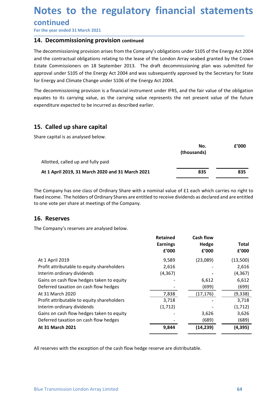# Notes to the regulatory financial statements<br>
continued<br>
For the year ended 31 March 2021<br>14. Decommissioning provision continued

### continued

\_\_\_\_\_\_\_\_\_\_\_\_\_\_\_\_\_\_\_\_\_\_\_\_\_\_\_\_\_\_\_\_\_\_\_\_\_\_\_\_\_\_\_\_\_\_\_\_\_\_\_\_\_\_\_\_\_\_\_\_\_\_\_\_\_\_\_\_\_\_\_\_\_\_\_\_\_\_\_\_\_\_\_\_\_\_\_\_\_\_

**Notes to the regulatory financial statemen**<br>
For the year ended 31 March 2021<br>
The decommissioning provision continued<br>
The decommissioning provision arises from the Company's obligations under S105 of the Energy Act 2<br>
a **Notes to the regulatory financial statement<br>
continued**<br>
For the year ended 31 March 2021<br> **14. Decommissioning provision continued**<br>
The decommissioning provision arises from the Company's obligations under S105 of the E **Notes to the regulatory financial statements**<br>
For the year ended 31 March 2021<br> **14. Decommissioning provision continued**<br>
The decommissioning provision arises from the Company's obligations under S105 of the Energy Act **Notes to the regulatory financial statements**<br>
For the year ended 31 March 2021<br> **14. Decommissioning provision continued**<br>
The decommissioning provision arises from the Company's obligations under S105 of the Energy Act **Notes to the regulatory financial statements**<br>
For the year ended 31 March 2021<br> **14. Decommissioning provision** continued<br> **14. Decommissioning provision** arises from the Company's obligations under S105 of the Energy Ac **Notes to the regulatory financial statements**<br>
For the year ended 31 March 2021<br> **14. Decommissioning provision** continued<br>
The decommissioning provision arises from the Company's obligations under S105 of the Energy Act **Notes to the regulatory financial statements**<br> **Continued**<br>
For the year ended 31 March 2021<br> **14. Decommissioning provision** arises from the Company's obligations under 5105 of the Energy Act 2004<br>
and the contractual ob **Notes to the regulatory financial statements**<br>
For the year ended 31 March 2021<br> **14. Decommissioning provision arises** from the Company's obligations under 5105 of the Energy Act 2004<br>
and the contractual obligations rel **Notes to the regulatory financial statements**<br>
For the year ended 31 March 2021<br> **14. Decommissioning provision continued**<br>
The decommissioning provision arises from the Company's obligations under S105 of the Energy Act **Notes to the regulatory financial statements**<br>
For the year ended 31 March 2021<br> **14. Decommissioning provision continued**<br>
The decommissioning provision arises from the Company's obligations under 5105 of the Energy Act **INOTES TO THE PEGUIATORY TINANCIAL STATEMET**<br>
For the year ended 31 March 2021<br>
14. Decommissioning provision continued<br>
The decommissioning provision arises from the Company's obligations under S105 of the Energy Act<br>
an **CONTINUM EXECUTE CONTRIGUATE CONTRIGUATE CONTRIGUATE CONTRIGUATE CONTRIGUATE CONTRIGUATE THE EXECUTION CONTRIGUATE THE EXECUTION OF THE EXECUTION CONTRIGUATE THE EXECUTION THE CONTRIGUATE CONTRIGUATE CONTRIGUATE CONTRIGUA** decommissioning provision arises from the Company's obligations under \$105 of the Energy Act 2004<br>
the contractual obligations relating to the lease of the London Array seabed granted by the Crown<br>
the Commissioners on 18

| Estate Commissioners on 18 September 2013. The draft decommissioning plan was submitted for<br>approval under S105 of the Energy Act 2004 and was subsequently approved by the Secretary for State<br>for Energy and Climate Change under S106 of the Energy Act 2004.       | and the contractual obligations relating to the lease of the London Array seabed granted by the Crown |                                    |                       |  |
|------------------------------------------------------------------------------------------------------------------------------------------------------------------------------------------------------------------------------------------------------------------------------|-------------------------------------------------------------------------------------------------------|------------------------------------|-----------------------|--|
| The decommissioning provision is a financial instrument under IFRS, and the fair value of the obligation<br>equates to its carrying value, as the carrying value represents the net present value of the future<br>expenditure expected to be incurred as described earlier. |                                                                                                       |                                    |                       |  |
| 15. Called up share capital                                                                                                                                                                                                                                                  |                                                                                                       |                                    |                       |  |
| Share capital is as analysed below.                                                                                                                                                                                                                                          |                                                                                                       |                                    |                       |  |
|                                                                                                                                                                                                                                                                              |                                                                                                       | No.                                | £'000                 |  |
|                                                                                                                                                                                                                                                                              |                                                                                                       | (thousands)                        |                       |  |
| Allotted, called up and fully paid                                                                                                                                                                                                                                           |                                                                                                       |                                    |                       |  |
| At 1 April 2019, 31 March 2020 and 31 March 2021                                                                                                                                                                                                                             |                                                                                                       | 835                                | 835                   |  |
| The Company has one class of Ordinary Share with a nominal value of £1 each which carries no right to<br>fixed income. The holders of Ordinary Shares are entitled to receive dividends as declared and are entitled<br>to one vote per share at meetings of the Company.    |                                                                                                       |                                    |                       |  |
| 16. Reserves                                                                                                                                                                                                                                                                 |                                                                                                       |                                    |                       |  |
| The Company's reserves are analysed below.                                                                                                                                                                                                                                   |                                                                                                       |                                    |                       |  |
|                                                                                                                                                                                                                                                                              | <b>Retained</b><br><b>Earnings</b><br>£'000                                                           | <b>Cash flow</b><br>Hedge<br>f'000 | <b>Total</b><br>£'000 |  |

| Share capital is as analysed below.                                                                                                                                                                                                                                       |                                             |                                    |                       |
|---------------------------------------------------------------------------------------------------------------------------------------------------------------------------------------------------------------------------------------------------------------------------|---------------------------------------------|------------------------------------|-----------------------|
|                                                                                                                                                                                                                                                                           |                                             | No.<br>(thousands)                 | £'000                 |
| Allotted, called up and fully paid                                                                                                                                                                                                                                        |                                             |                                    |                       |
| At 1 April 2019, 31 March 2020 and 31 March 2021                                                                                                                                                                                                                          |                                             | 835                                | 835                   |
| The Company has one class of Ordinary Share with a nominal value of £1 each which carries no right to<br>fixed income. The holders of Ordinary Shares are entitled to receive dividends as declared and are entitled<br>to one vote per share at meetings of the Company. |                                             |                                    |                       |
| 16. Reserves                                                                                                                                                                                                                                                              |                                             |                                    |                       |
| The Company's reserves are analysed below.                                                                                                                                                                                                                                |                                             |                                    |                       |
|                                                                                                                                                                                                                                                                           | <b>Retained</b><br><b>Earnings</b><br>f'000 | <b>Cash flow</b><br>Hedge<br>f'000 | <b>Total</b><br>f'000 |
| At 1 April 2019                                                                                                                                                                                                                                                           | 9,589                                       | (23,089)                           | (13,500)              |
| Profit attributable to equity shareholders                                                                                                                                                                                                                                | 2,616                                       |                                    | 2,616                 |
| Interim ordinary dividends                                                                                                                                                                                                                                                | (4, 367)                                    |                                    | (4, 367)              |
| Gains on cash flow hedges taken to equity                                                                                                                                                                                                                                 |                                             | 6,612                              | 6,612                 |
| Deferred taxation on cash flow hedges                                                                                                                                                                                                                                     |                                             | (699)                              | (699)                 |
| At 31 March 2020                                                                                                                                                                                                                                                          | 7,838                                       | (17, 176)                          | (9, 338)              |
| Profit attributable to equity shareholders                                                                                                                                                                                                                                | 3,718                                       |                                    | 3,718                 |
| Interim ordinary dividends                                                                                                                                                                                                                                                | (1, 712)                                    |                                    | (1, 712)              |
| Gains on cash flow hedges taken to equity                                                                                                                                                                                                                                 |                                             | 3,626                              | 3,626                 |
| Deferred taxation on cash flow hedges                                                                                                                                                                                                                                     |                                             | (689)                              | (689)                 |
| At 31 March 2021                                                                                                                                                                                                                                                          | 9,844                                       | (14, 239)                          | (4, 395)              |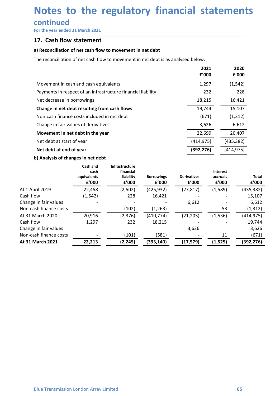# Notes to the regulatory financial statements<br>
continued<br>
For the year ended 31 March 2021<br>17. Cash flow statement **Notes to the regulatory financial statemen**<br>
For the year ended 31 March 2021<br> **17.** Cash flow statement<br>
a) Reconciliation of net cash flow to movement in net debt<br>
The reconciliation of net cash flow to movement in net **Notes to the regulatory financial stater**<br>
continued<br>
For the year ended 31 March 2021<br> **17.** Cash flow statement<br>
a) Reconciliation of net cash flow to movement in net debt<br>
The reconciliation of net cash flow to movemen

| Notes to the regulatory financial statements                                      |                              |                                 |                            |                             |                               |               |                                 |
|-----------------------------------------------------------------------------------|------------------------------|---------------------------------|----------------------------|-----------------------------|-------------------------------|---------------|---------------------------------|
|                                                                                   |                              |                                 |                            |                             |                               |               |                                 |
| continued                                                                         |                              |                                 |                            |                             |                               |               |                                 |
| For the year ended 31 March 2021                                                  |                              |                                 |                            |                             |                               |               |                                 |
| 17. Cash flow statement                                                           |                              |                                 |                            |                             |                               |               |                                 |
| a) Reconciliation of net cash flow to movement in net debt                        |                              |                                 |                            |                             |                               |               |                                 |
| The reconciliation of net cash flow to movement in net debt is as analysed below: |                              |                                 |                            |                             |                               |               |                                 |
|                                                                                   |                              |                                 |                            |                             |                               |               |                                 |
|                                                                                   |                              |                                 |                            | £'000                       | 2021                          | 2020<br>£'000 |                                 |
| Movement in cash and cash equivalents                                             |                              |                                 |                            | 1,297                       |                               | (1, 542)      |                                 |
| Payments in respect of an infrastructure financial liability                      |                              |                                 |                            |                             | 232                           | 228           |                                 |
| Net decrease in borrowings                                                        |                              |                                 |                            | 18,215                      |                               | 16,421        |                                 |
| Change in net debt resulting from cash flows                                      |                              |                                 |                            | 19,744                      |                               | 15,107        |                                 |
| Non-cash finance costs included in net debt                                       |                              |                                 |                            |                             | (671)                         | (1, 312)      |                                 |
| Change in fair values of derivatives                                              |                              |                                 |                            | 3,626                       |                               | 6,612         |                                 |
| Movement in net debt in the year                                                  |                              |                                 |                            | 22,699                      |                               | 20,407        |                                 |
| Net debt at start of year                                                         |                              |                                 |                            | (414, 975)                  |                               | (435, 382)    |                                 |
| Net debt at end of year                                                           |                              |                                 |                            | (392, 276)                  |                               | (414, 975)    |                                 |
| b) Analysis of changes in net debt                                                |                              |                                 |                            |                             |                               |               |                                 |
|                                                                                   | Cash and                     | Infrastructure                  |                            |                             |                               |               |                                 |
|                                                                                   | cash<br>equivalents<br>£'000 | financial<br>liability<br>f'000 | <b>Borrowings</b><br>£'000 | <b>Derivatives</b><br>£'000 | Interest<br>accruals<br>£'000 |               | Total<br>${\bf f}^{\prime}$ 000 |
| At 1 April 2019                                                                   | 22,458                       | (2,502)                         | (425, 932)                 | (27, 817)                   | (1,589)                       |               | (435, 382)                      |
| Cash flow                                                                         | (1, 542)                     | 228                             | 16,421                     |                             |                               |               | 15,107                          |
| Change in fair values                                                             |                              |                                 |                            | 6,612                       |                               |               | 6,612                           |
| Non-cash finance costs                                                            |                              | (102)                           | (1, 263)                   |                             |                               | 53            | (1, 312)                        |
| At 31 March 2020<br>Cash flow                                                     | 20,916<br>1,297              | (2, 376)<br>232                 | (410, 774)<br>18,215       | (21, 205)                   | (1, 536)                      |               | (414, 975)<br>19,744            |
|                                                                                   |                              |                                 |                            |                             |                               |               |                                 |

| Movement in cash and cash equivalents                        |                                          |                                                   |                            | 1,297                       |       |                               | (1, 542)              |
|--------------------------------------------------------------|------------------------------------------|---------------------------------------------------|----------------------------|-----------------------------|-------|-------------------------------|-----------------------|
| Payments in respect of an infrastructure financial liability |                                          |                                                   |                            |                             | 232   |                               | 228                   |
| Net decrease in borrowings                                   |                                          |                                                   |                            | 18,215                      |       |                               | 16,421                |
| Change in net debt resulting from cash flows                 |                                          |                                                   |                            | 19,744                      |       |                               | 15,107                |
| Non-cash finance costs included in net debt                  |                                          |                                                   |                            |                             | (671) |                               | (1, 312)              |
| Change in fair values of derivatives                         |                                          |                                                   |                            | 3,626                       |       |                               | 6,612                 |
| Movement in net debt in the year                             |                                          |                                                   |                            | 22,699                      |       |                               | 20,407                |
|                                                              | Net debt at start of year                |                                                   |                            | (414, 975)<br>(435, 382)    |       |                               |                       |
|                                                              | Net debt at end of year                  |                                                   |                            |                             |       |                               |                       |
|                                                              |                                          |                                                   |                            | (392, 276)                  |       | (414, 975)                    |                       |
| b) Analysis of changes in net debt                           |                                          |                                                   |                            |                             |       |                               |                       |
|                                                              | Cash and<br>cash<br>equivalents<br>f'000 | Infrastructure<br>financial<br>liability<br>£'000 | <b>Borrowings</b><br>f'000 | <b>Derivatives</b><br>£'000 |       | Interest<br>accruals<br>£'000 | <b>Total</b><br>f'000 |
| At 1 April 2019                                              | 22,458                                   |                                                   |                            |                             |       |                               |                       |
| Cash flow                                                    | (1, 542)                                 | (2,502)<br>228                                    | (425, 932)<br>16,421       | (27, 817)                   |       | (1,589)                       | (435, 382)<br>15,107  |
| Change in fair values                                        |                                          |                                                   |                            | 6,612                       |       |                               | 6,612                 |
| Non-cash finance costs                                       |                                          | (102)                                             | (1, 263)                   |                             |       | 53                            | (1, 312)              |
| At 31 March 2020                                             | 20,916                                   | (2, 376)                                          | (410, 774)                 | (21, 205)                   |       | (1, 536)                      | (414, 975)            |
| Cash flow                                                    | 1,297                                    | 232                                               | 18,215                     |                             |       |                               | 19,744                |
| Change in fair values                                        |                                          |                                                   |                            | 3,626                       |       |                               | 3,626                 |
|                                                              |                                          | (101)                                             | (581)                      |                             |       | 11                            | (671)                 |
| Non-cash finance costs                                       |                                          |                                                   |                            | (17, 579)                   |       | (1, 525)                      | (392, 276)            |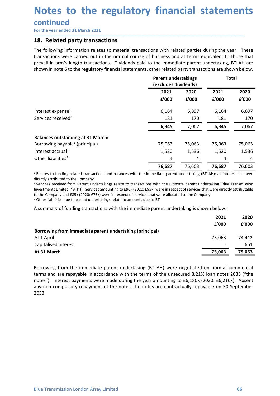# Notes to the regulatory financial statements<br>
continued<br>
For the year ended 31 March 2021<br>18. Related party transactions

### continued

**Notes to the regulatory financial statemen**<br>
For the year ended 31 March 2021<br> **18. Related party transactions**<br>
The following information relates to material transactions with related parties during the year. The<br>
transa **Notes to the regulatory financial stateme**<br>
For the year ended 31 March 2021<br> **18. Related party transactions**<br>
The following information relates to material transactions with related parties during the year.<br>
transaction **Notes to the regulatory financial statements**<br>
For the year ended 31 March 2021<br> **18. Related party transactions**<br>
The following information relates to material transactions with related parties during the year. These<br>
tr **Notes to the regulatory financial statements**<br>
For the year ended 31 March 2021<br> **18.** Related party transactions<br>
The following information relates to material transactions with related parties during the year. These<br>
tr **Notes to the regulatory financial statements**<br>
For the year ended 31 March 2021<br> **18.** Related party transactions<br>
The following information relates to material transactions with related parties during the year. These<br>
tr

| For the year ended 31 March 2021                                                                                                                                                                                                                                                                                                                                                                                                                                                                                                                                                                                                                               |                                                    |        |              |               |
|----------------------------------------------------------------------------------------------------------------------------------------------------------------------------------------------------------------------------------------------------------------------------------------------------------------------------------------------------------------------------------------------------------------------------------------------------------------------------------------------------------------------------------------------------------------------------------------------------------------------------------------------------------------|----------------------------------------------------|--------|--------------|---------------|
| 18. Related party transactions                                                                                                                                                                                                                                                                                                                                                                                                                                                                                                                                                                                                                                 |                                                    |        |              |               |
| The following information relates to material transactions with related parties during the year. These<br>transactions were carried out in the normal course of business and at terms equivalent to those that<br>prevail in arm's length transactions. Dividends paid to the immediate parent undertaking, BTLAH are<br>shown in note 6 to the regulatory financial statements, other related party transactions are shown below.                                                                                                                                                                                                                             |                                                    |        |              |               |
|                                                                                                                                                                                                                                                                                                                                                                                                                                                                                                                                                                                                                                                                | <b>Parent undertakings</b><br>(excludes dividends) |        | <b>Total</b> |               |
|                                                                                                                                                                                                                                                                                                                                                                                                                                                                                                                                                                                                                                                                | 2021                                               | 2020   | 2021         | 2020          |
|                                                                                                                                                                                                                                                                                                                                                                                                                                                                                                                                                                                                                                                                | £'000                                              | f'000  | £'000        | £'000         |
| Interest expense <sup>1</sup>                                                                                                                                                                                                                                                                                                                                                                                                                                                                                                                                                                                                                                  | 6,164                                              | 6,897  | 6,164        | 6,897         |
| Services received <sup>2</sup>                                                                                                                                                                                                                                                                                                                                                                                                                                                                                                                                                                                                                                 | 181                                                | 170    | 181          | 170           |
|                                                                                                                                                                                                                                                                                                                                                                                                                                                                                                                                                                                                                                                                | 6,345                                              | 7,067  | 6,345        | 7,067         |
| <b>Balances outstanding at 31 March:</b>                                                                                                                                                                                                                                                                                                                                                                                                                                                                                                                                                                                                                       |                                                    |        |              |               |
| Borrowing payable <sup>1</sup> (principal)                                                                                                                                                                                                                                                                                                                                                                                                                                                                                                                                                                                                                     | 75,063                                             | 75,063 | 75,063       | 75,063        |
| Interest accrual <sup>1</sup>                                                                                                                                                                                                                                                                                                                                                                                                                                                                                                                                                                                                                                  | 1,520                                              | 1,536  | 1,520        | 1,536         |
| Other liabilities <sup>3</sup>                                                                                                                                                                                                                                                                                                                                                                                                                                                                                                                                                                                                                                 | 4                                                  | 4      | 4            | 4             |
|                                                                                                                                                                                                                                                                                                                                                                                                                                                                                                                                                                                                                                                                | 76,587                                             | 76,603 | 76,587       | 76,603        |
| <sup>1</sup> Relates to funding related transactions and balances with the immediate parent undertaking (BTLAH); all interest has been<br>directly attributed to the Company.<br><sup>2</sup> Services received from Parent undertakings relate to transactions with the ultimate parent undertaking (Blue Transmission<br>Investments Limited ("BTI")). Services amounting to £96k (2020: £95k) were in respect of services that were directly attributable<br>to the Company and £85k (2020: £75k) were in respect of services that were allocated to the Company.<br><sup>3</sup> Other liabilities due to parent undertakings relate to amounts due to BTI |                                                    |        |              |               |
| A summary of funding transactions with the immediate parent undertaking is shown below:                                                                                                                                                                                                                                                                                                                                                                                                                                                                                                                                                                        |                                                    |        |              |               |
|                                                                                                                                                                                                                                                                                                                                                                                                                                                                                                                                                                                                                                                                |                                                    |        | 2021         | 2020          |
|                                                                                                                                                                                                                                                                                                                                                                                                                                                                                                                                                                                                                                                                |                                                    |        | f'000        | £'000         |
| Borrowing from immediate parent undertaking (principal)                                                                                                                                                                                                                                                                                                                                                                                                                                                                                                                                                                                                        |                                                    |        |              |               |
| At 1 April<br>Capitalised interest                                                                                                                                                                                                                                                                                                                                                                                                                                                                                                                                                                                                                             |                                                    |        | 75,063       | 74,412<br>651 |
| At 31 March                                                                                                                                                                                                                                                                                                                                                                                                                                                                                                                                                                                                                                                    |                                                    |        | 75,063       | 75,063        |
|                                                                                                                                                                                                                                                                                                                                                                                                                                                                                                                                                                                                                                                                |                                                    |        |              |               |

terms and are repayable in accordance with the terms of the unsecured 8.21% Ioan notes 2033 ("the<br>notes"). Interest payments were made during the year amounting to £6,180k (2020: £6,216k). Absent<br>any non-compulsory repayme 2033.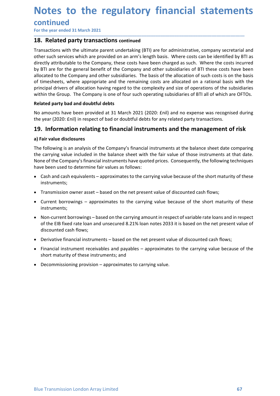# Notes to the regulatory financial statements<br>
continued<br>
For the year ended 31 March 2021<br>18. Related party transactions continued

### continued

\_\_\_\_\_\_\_\_\_\_\_\_\_\_\_\_\_\_\_\_\_\_\_\_\_\_\_\_\_\_\_\_\_\_\_\_\_\_\_\_\_\_\_\_\_\_\_\_\_\_\_\_\_\_\_\_\_\_\_\_\_\_\_\_\_\_\_\_\_\_\_\_\_\_\_\_\_\_\_\_\_\_\_\_\_\_\_\_\_\_

**Notes to the regulatory financial statemen**<br>
For the year ended 31 March 2021<br> **18. Related party transactions continued**<br>
Transactions with the ultimate parent undertaking (BTI) are for administrative, company secretaria **Notes to the regulatory financial stateme**<br>
For the year ended 31 March 2021<br> **18. Related party transactions continued**<br>
Transactions with the ultimate parent undertaking (BTI) are for administrative, company secreta<br>
ot **Notes to the regulatory financial statements**<br>
For the year ended 31 March 2021<br> **18. Related party transactions continued**<br>
Transactions with the ultimate parent undertaking (BTI) are for administrative, company secretar **Notes to the regulatory financial statements**<br>
For the year ended 31 March 2021<br> **18.** Related party transactions continued<br>
Transactions with the ultimate parent undertaking (BTI) are for administrative, company secretar **Notes to the regulatory financial statements**<br>
For the year ended 31 March 2021<br> **18.** Related party transactions continued<br>
Transactions with the ultimate parent undertaking (BTI) are for administrative, company secretar **Notes to the regulatory financial statements**<br>
For the year ended 31 March 2021<br> **18. Related party transactions continued**<br> **Transactions with the ultimate parent undertaking (BTI) are for administrative, company secreta Notes to the regulatory financial statements**<br>For the year ended 31 March 2021<br>18. Related party transactions continued<br>Transactions with the ultimate parent undertaking (BTI) are for administrative, company secretarial a **Notes to the regulatory financial statements**<br>
For the year ended 31 March 2021<br> **18.** Related party transactions continued<br>
Transactions with the ultimate parent undertaking (BTI) are for administrative, company secretar **Notes to the regulatory financial statements**<br>
For the year ended 31 March 2021<br> **18. Related party transactions continued**<br> **Transactions with the ultimate parent undertaking (BT)** are for administrative, company secreta **Notes to the regulatory financial statements**<br>For the year ended 31 March 2021<br>18. Related party transactions continued<br>Transactions with the ultimate parent undertaking (BTI) are for administrative, company secretarial a **Notes to the regulatory financial statements**<br>
For the year ended 31 March 2021<br> **18. Related party transactions continued**<br> **17. Related party transactions continued**<br> **17. Related party transactions continued**<br> **17. Notes to the regulatory financial statements**<br>
For the year ended 31 March 2021<br> **18.** Related party transactions continued<br>
Transactions with the ultimate parent undertaking (BTI) are for administrative, company secretar **Notes to the regulatory financial statements**<br>
For the year ended 31 March 2021<br>
18. Related party transactions continued<br>
Transactions with the ultimate parent undertaking (BTI) are for administrative, company secretaria **INDUCES LOUTTE TE COLUTE TE COLUTE TE COLUTE TE CONTINUES CONTINUES CONTINUES CONTINUES CONTINUES CONTINUES TRI<br>
19. Related party transactions continued<br>
Transactions with the ultimate parent undertaking (BTI) are for ad CONTINUEG**<br>
For the year ended 31 March 2021<br> **18. Related party transactions continued**<br>
Transactions with the ultimate parent undertaking (BTI) are for administrative, competers under such services which are provided on For the year ended 31 March 2021<br> **18. Related party transactions continued**<br>
Transactions with the utilinitete parent undertaking (BTI) are for administrative, company secretarial and<br>
directly attributable to the Company **18. Related party transactions continued**<br>Transactions with the ultimate parent undertaking (BTI) are for administrative, company scretarial and<br>other such services which are provided on an arm's length basis. Where costs Transactions with the ultimate parent undertaking (BTI) are for administrative, company secretarial and<br>other such services which are provided on an arm's length basis. Where costs can be identified by BTI as<br>directly attr Transactions with the ultimate parent undertaking (817) are for administrative, company secretarial and<br>there such services which are provided on an arm's length basis. Where costs can be identified by BTI as<br>directly att ectly attributable to the Company, these costs have been charged as such. Where the costs incurred bettly attributable to the Company, these costs have been charged as such. Where the costs incurred BT are for the general

cated to the Company and other subsidiaries. The basis of the allocation of such costs is on the basis<br>timesheets, where appropriate and the remaining costs are allocated on a rational basis with the<br>citpal drivers of allo nicplal drivers of allocation having regard to the complexity and size of operations of the subsidiaries<br>hin the Group. The Company is one of four such operating subsidiaries of BTI all of which are OFTOs.<br>
amounts have be ated party bad and doubtful debts<br>amounts have been provided at 31 March 2021 (2020: Enil) and no expense was recognised during<br>year (2020: Enil) in respect of bad or doubtful debts for any related party transactions.<br>1**In** of the EIB fixed rate loan and insecured 8.21% loan notes 2033 it is based on the net present manual shall party transactions.<br> **1. Information relating to financial instruments and the management of risk**<br>
Fair value di amounts have been provided at 31 March 2021 (2020: Enil) and no expense was recogn<br>year (2020: Enil) in respect of bad or doubtful debts for any related party transactions.<br> **. Information relating to financial instruments . Information relating to financial instruments and the management of risk**<br>tair value disclosures<br>following is an analysis of the Company's financial instruments at the balance sheet date comparing<br>relative flows in a ma Financial instruments. The carrying to the company's financial instruments at the balance sheet date comparing<br>Financial instruments and a manalysis of the Company's financial instruments at the balance sheet date comparin Fair value disclosures<br>
following is an analysis of the Company's financial instruments at the balance sheet date comparing<br>
following is an analysis of the Company's financial instruments at the offereen user carrying val following is an analysis of the Company's financial instruments at the balance sheet date comparing<br>carrying value. included in the balance sheet with the fair value of those instruments at that date.<br>ne of the Company's f

- instruments;
- 
- instruments;
- 
- 
- 
-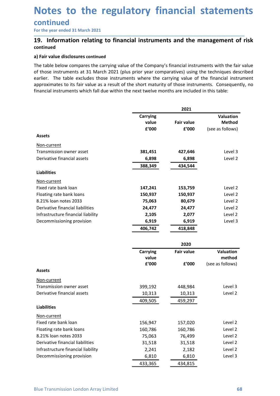# Notes to the regulatory financial statements<br>
continued<br>
For the year ended 31 March 2021<br>
19. Information relating to financial instruments and the management of risk **Notes to the regulatory financial statemen**<br>
For the year ended 31 March 2021<br> **19.** Information relating to financial instruments and the management of r<br>
continued<br>
a) Fair value disclosures continued<br>
The table below c **Notes to the regulatory financial statements**<br>
For the year ended 31 March 2021<br>
19. Information relating to financial instruments and the management of risk<br>
continued<br>
a) Fair value disclosures continued<br>
The table belo

### **continued**<br>For the year ended 31 March 2021 \_\_\_\_\_\_\_\_\_\_\_\_\_\_\_\_\_\_\_\_\_\_\_\_\_\_\_\_\_\_\_\_\_\_\_\_\_\_\_\_\_\_\_\_\_\_\_\_\_\_\_\_\_\_\_\_\_\_\_\_\_\_\_\_\_\_\_\_\_\_\_\_\_\_\_\_\_\_\_\_\_\_\_\_\_\_\_\_\_\_

### continued

**Notes to the regulatory financial stam-**<br>
For the year ended 31 March 2021<br> **19.** Information relating to financial instruments and the manage<br>
continued<br>
a) Fair value disclosures continued<br>
The table below compares the **Notes to the regulatory financial statements**<br>
For the year ended 31 March 2021<br> **19.** Information relating to financial instruments and the management of risk<br>
continued<br>
a) Fair value disclosures continued<br>
The table be **Notes to the regulatory financial statements**<br>
For the year ended 31 March 2021<br> **19.** Information relating to financial instruments and the management of risk<br>
continued<br>
a) Fair value disclosures continued<br>
The table be **Notes to the regulatory financial statements**<br>
For the year ended 31 March 2021<br> **19.** Information relating to financial instruments and the management of risk<br>
continued<br>
a) Fair value disclosures continued<br>
The table be **Notes to the regulatory financial statements**<br>
For the year ended 31 March 2021<br> **19.** Information relating to financial instruments and the management of risk<br>
continued<br>
a) Fair value disclosures continued<br>
The table be **Notes to the regulatory financial statements**<br>
For the year ended 31 March 2021<br> **19.** Information relating to financial instruments and the management of risk<br>
continued<br>
a) Fair value disclosures continued<br>
The table be

| For the year ended 31 March 2021<br>19. Information relating to financial instruments and the management of risk<br>continued<br>a) Fair value disclosures continued<br>The table below compares the carrying value of the Company's financial instruments with the fair value<br>of those instruments at 31 March 2021 (plus prior year comparatives) using the techniques described<br>earlier. The table excludes those instruments where the carrying value of the financial instrument<br>approximates to its fair value as a result of the short maturity of those instruments. Consequently, no<br>financial instruments which fall due within the next twelve months are included in this table: |                                   |                            |                                                |
|----------------------------------------------------------------------------------------------------------------------------------------------------------------------------------------------------------------------------------------------------------------------------------------------------------------------------------------------------------------------------------------------------------------------------------------------------------------------------------------------------------------------------------------------------------------------------------------------------------------------------------------------------------------------------------------------------------|-----------------------------------|----------------------------|------------------------------------------------|
|                                                                                                                                                                                                                                                                                                                                                                                                                                                                                                                                                                                                                                                                                                          |                                   |                            |                                                |
|                                                                                                                                                                                                                                                                                                                                                                                                                                                                                                                                                                                                                                                                                                          |                                   |                            |                                                |
|                                                                                                                                                                                                                                                                                                                                                                                                                                                                                                                                                                                                                                                                                                          |                                   |                            |                                                |
|                                                                                                                                                                                                                                                                                                                                                                                                                                                                                                                                                                                                                                                                                                          |                                   | 2021                       |                                                |
|                                                                                                                                                                                                                                                                                                                                                                                                                                                                                                                                                                                                                                                                                                          | <b>Carrying</b><br>value<br>£'000 | <b>Fair value</b><br>£'000 | Valuation<br><b>Method</b><br>(see as follows) |
| <b>Assets</b>                                                                                                                                                                                                                                                                                                                                                                                                                                                                                                                                                                                                                                                                                            |                                   |                            |                                                |
| Non-current                                                                                                                                                                                                                                                                                                                                                                                                                                                                                                                                                                                                                                                                                              |                                   |                            |                                                |
| Transmission owner asset                                                                                                                                                                                                                                                                                                                                                                                                                                                                                                                                                                                                                                                                                 | 381,451                           | 427,646                    | Level 3                                        |
| Derivative financial assets                                                                                                                                                                                                                                                                                                                                                                                                                                                                                                                                                                                                                                                                              | 6,898<br>388,349                  | 6,898<br>434,544           | Level 2                                        |
| <b>Liabilities</b>                                                                                                                                                                                                                                                                                                                                                                                                                                                                                                                                                                                                                                                                                       |                                   |                            |                                                |
| Non-current                                                                                                                                                                                                                                                                                                                                                                                                                                                                                                                                                                                                                                                                                              |                                   |                            |                                                |
| Fixed rate bank loan                                                                                                                                                                                                                                                                                                                                                                                                                                                                                                                                                                                                                                                                                     | 147,241                           | 153,759                    | Level 2                                        |
| Floating rate bank loans                                                                                                                                                                                                                                                                                                                                                                                                                                                                                                                                                                                                                                                                                 | 150,937                           | 150,937                    | Level 2                                        |
| 8.21% loan notes 2033                                                                                                                                                                                                                                                                                                                                                                                                                                                                                                                                                                                                                                                                                    | 75,063                            | 80,679                     | Level 2                                        |
| Derivative financial liabilities                                                                                                                                                                                                                                                                                                                                                                                                                                                                                                                                                                                                                                                                         | 24,477                            | 24,477                     | Level 2                                        |
| Infrastructure financial liability                                                                                                                                                                                                                                                                                                                                                                                                                                                                                                                                                                                                                                                                       | 2,105                             | 2,077                      | Level 2                                        |
| Decommissioning provision                                                                                                                                                                                                                                                                                                                                                                                                                                                                                                                                                                                                                                                                                | 6,919                             | 6,919                      | Level 3                                        |
|                                                                                                                                                                                                                                                                                                                                                                                                                                                                                                                                                                                                                                                                                                          | 406,742                           | 418,848                    |                                                |
|                                                                                                                                                                                                                                                                                                                                                                                                                                                                                                                                                                                                                                                                                                          |                                   | 2020                       |                                                |
|                                                                                                                                                                                                                                                                                                                                                                                                                                                                                                                                                                                                                                                                                                          | <b>Carrying</b>                   | <b>Fair value</b>          | <b>Valuation</b>                               |
|                                                                                                                                                                                                                                                                                                                                                                                                                                                                                                                                                                                                                                                                                                          | value                             |                            | method                                         |
|                                                                                                                                                                                                                                                                                                                                                                                                                                                                                                                                                                                                                                                                                                          | £'000                             | £'000                      | (see as follows)                               |
| <b>Assets</b>                                                                                                                                                                                                                                                                                                                                                                                                                                                                                                                                                                                                                                                                                            |                                   |                            |                                                |
| Non-current                                                                                                                                                                                                                                                                                                                                                                                                                                                                                                                                                                                                                                                                                              |                                   |                            |                                                |
| Transmission owner asset                                                                                                                                                                                                                                                                                                                                                                                                                                                                                                                                                                                                                                                                                 | 399,192                           | 448,984                    | Level 3                                        |
| Derivative financial assets                                                                                                                                                                                                                                                                                                                                                                                                                                                                                                                                                                                                                                                                              | 10,313                            | 10,313                     | Level 2                                        |
|                                                                                                                                                                                                                                                                                                                                                                                                                                                                                                                                                                                                                                                                                                          | 409,505                           | 459,297                    |                                                |
| <b>Liabilities</b>                                                                                                                                                                                                                                                                                                                                                                                                                                                                                                                                                                                                                                                                                       |                                   |                            |                                                |
| Non-current                                                                                                                                                                                                                                                                                                                                                                                                                                                                                                                                                                                                                                                                                              |                                   |                            |                                                |
| Fixed rate bank loan                                                                                                                                                                                                                                                                                                                                                                                                                                                                                                                                                                                                                                                                                     | 156,947                           | 157,020                    | Level 2                                        |
| Floating rate bank loans                                                                                                                                                                                                                                                                                                                                                                                                                                                                                                                                                                                                                                                                                 | 160,786                           | 160,786                    | Level 2                                        |
| 8.21% loan notes 2033<br>Derivative financial liabilities                                                                                                                                                                                                                                                                                                                                                                                                                                                                                                                                                                                                                                                | 75,063                            | 76,499                     | Level 2                                        |
| Infrastructure financial liability                                                                                                                                                                                                                                                                                                                                                                                                                                                                                                                                                                                                                                                                       | 31,518                            | 31,518                     | Level 2<br>Level 2                             |
| Decommissioning provision                                                                                                                                                                                                                                                                                                                                                                                                                                                                                                                                                                                                                                                                                | 2,241<br>6,810                    | 2,182<br>6,810             | Level 3                                        |
|                                                                                                                                                                                                                                                                                                                                                                                                                                                                                                                                                                                                                                                                                                          | 433,365                           | 434,815                    |                                                |
|                                                                                                                                                                                                                                                                                                                                                                                                                                                                                                                                                                                                                                                                                                          |                                   |                            |                                                |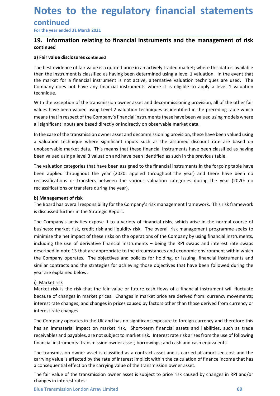## Notes to the regulatory financial statements<br>
continued<br>
For the year ended 31 March 2021<br>
19. Information relating to financial instruments and the management of risk continued Notes to the regulatory financial statemen<br>
For the year ended 31 March 2021<br>
T9. Information relating to financial instruments and the management of r<br>
continued<br>
a) Fair value disclosures continued **Notes to the regulatory financial statements**<br>
For the year ended 31 March 2021<br>
19. Information relating to financial instruments and the management of risk<br>
continued<br>
a) Fair value disclosures continued<br>
The best evide

\_\_\_\_\_\_\_\_\_\_\_\_\_\_\_\_\_\_\_\_\_\_\_\_\_\_\_\_\_\_\_\_\_\_\_\_\_\_\_\_\_\_\_\_\_\_\_\_\_\_\_\_\_\_\_\_\_\_\_\_\_\_\_\_\_\_\_\_\_\_\_\_\_\_\_\_\_\_\_\_\_\_\_\_\_\_\_\_\_\_

### continued

**Notes to the regulatory financial stame**<br>
For the year ended 31 March 2021<br> **19.** Information relating to financial instruments and the manage<br>
continued<br>
a) Fair value disclosures continued<br>
The best evidence of fair val **Notes to the regulatory financial statements**<br>
For the year ended 31 March 2021<br> **19.** Information relating to financial instruments and the management of risk<br>
continued<br>
a) Fair value disclosures continued<br>
The best evi **Notes to the regulatory financial statements**<br>
For the year ended 31 March 2021<br> **19.** Information relating to financial instruments and the management of risk<br>
continued<br>
a) Fair value disclosures continued<br>
The best evi **Notes to the regulatory financial statements**<br>
For the year ended 31 March 2021<br> **19.** Information relating to financial instruments and the management of risk<br>
continued<br>
a) Fair value disclosures continued<br>
The best evi **Notes to the regulatory financial statements**<br>
For the year ended 31 March 2021<br> **19.** Information relating to financial instruments and the management of risk<br>
continued<br>
a) Fair value disclosures continued<br>
the best evi technique. **Notes to the regulatory financial statements**<br> **Continued**<br>
For the year ended 31 March 2021<br> **Continued**<br> **Continued**<br> **Continued**<br> **Continued**<br> **Continued**<br> **Continued**<br> **Continued**<br> **Continued**<br> **Continued**<br> **Continued Notes to the regulatory financial statements**<br>
For the year ended 31 March 2021<br> **19.** Information relating to financial instruments and the management of risk<br>
continued<br>
a) Fair value disdosures continued<br>
File best evi **Notes to the regulatory financial statements**<br> **Continued**<br>
Tor the year ended 31 March 2021<br> **Continued**<br> **Continued**<br> **Continued**<br> **Continued**<br> **Continued**<br> **Company does continued**<br> **Company does continued**<br> **Company d Notes to the regulatory financial statements**<br>For the year ended 31 March 2021<br>19. Information relating to financial instruments and the management of risk<br>continued<br>Ja Fair value disclosures continued<br>The best evidence o **Continued**<br> **IST THE CONTE THE CONTE THE CONTE CONTE CONTE THE CONTE CONTE THE CONTENT CONTENT THE CONTENT THE CONTENT OF THE CONTENT OF THE CONTENT OF THE CONTENT OF THE CONTENT OF THE CONTENT OF THE CONTENT OF THE CONTE EVITIF THET THET THET THET ASSUES THET ASSUES THE ASSUES THE ASSUES THE ASSUES THE ASSUES THE ASSUES THE ASSUES THE ASSUES THE ASSUES THE ASSUES THE ASSUES THE ASSUES THE ASSUES THE ASSUES THE ASSUES THE ASSUES THE ASSUES** For the year entered as invident 2021<br> **19.** Information relating to financial instruments and the management of risk<br>
continued<br>
a) Fair value disclosures continued<br>
The best evidence of fair value is a quoted price in an **19. Information relating to financial instruments and the management of risk**<br>ontinued<br>The best evidence of fair value is a quoted price in an actively traded market, where this data is available<br>The best evidence of fair orialized<br>a) Fair value disclosures continued<br>The best evidence of fair value is a quoted price in an actively traded market; where this data is available<br>then the instrument is classified as having been determined using a **a) Fair value disclosures continued**<br>The best evidence of fair value is a quoted price in an actively traded market, where this data is available<br>The het is throughout the applies a paying been determined using a level 1 The best evidence of fair value is a quoted price in an actively traded market; where this data is available<br>then the instrument is classified as having been determined using a level 1 valuation. In the event that<br>the mark

then the instrument is classified as having been determined using a level 1 valuation. In the event that<br>the market for a financial instrument is not active, alternative valuation techniques are used. The<br>Company does not the market for a thancial instrument is not active, alternative valuation techniques are<br>the market for a thave any financial instruments where it is eligible to apply a level<br>technique.<br>With the exception of the transmiss Company does not nave any financial instruments where it is eigible to apply a level 1 valuation<br>
Company does not have been valued using Level 2 valuation techniques as identified in the preceding table which<br>
With the ex

ectimique.<br>
With the exception of the transmission owner asset and decommissioning provision, all of the other fair<br>
With the exception of the Company's financial instruments these have been valued using models where<br>
and with the Company's rether wand and the Company's financial instruments who see that the preceding table which<br>walues have been valued using theel? Valuation techniques as identified in the preceding table which<br>means that business: market risk, credit risk and liquidity risk. The overall risk management results where an a set a model where all significant inputs are based directly or indirectly on observable market data.<br>In the case of the multion station transfere to the company smathed mathed and the company and the company small significant inputs are based directly or indirectly on observable market data.<br>In the case of the transmission owner asset and d in In the case of the transmission owner asset and electron-viron onter case. The sease of the transmission owere asset and electromission parovision, these have been valued using<br>a valuation technique where significant in In the case of the transmission owner asset and decommissioning provision, these have been valued using<br>a valuation technique where significant inputs such as the assumed discount rate are based on<br>anobservable market data a valuation technique where significant inputs such as the assumed discount rate are based on<br>unobservable market data. This means that these financial instruments have been classified as having<br>been valued using a level 3 unobservable market data. This means that these financial instruments have been classified as having<br>theen valued using a level 3 valuation and have been identified as such in the previous table.<br>The valuation categories t been valued using a level 3 valuation and have been identified as such in the previous table.<br>The valuation categories that have been assigned to the financial instruments in the forgoin<br>been applied throughout the year (2 The valuation categories that have been assigned to the financial instruments in th<br>been applied throughout the year (2020: applied throughout the year) and t<br>reclassifications or transfers between the various valuation ca been applied throughout the year (2020: applied throughout the year) and there have been no<br>ecdassifications or transfers between the various valuation categories during the year (2020: no<br>reclassifications or transfers be reclassifications or transfers between the various valuation categories during the year (2020: no<br>
b) Management of risk<br>
Difference of risk<br>
The Board has overall responsibility for the Company's risk management framework reclassifications or transfers during the year).<br> **b) Management of risk**<br>
The Board has overall responsibility for the Company's risk management framework. This risk framework<br>
Its discussed further in the Strategic Repor **b) Management of risk**<br>The Board has overall responsibility for the Company's risk management framework. The discussed further in the Strategic Report.<br>The Company's activities expose it to a variety of financial risks, w The Board has overall responsibility for the Company's risk management framework. This risk framework<br>The Company's activities expose it to a variety of financial risks, which arise in the normal course of<br>The Company's ac is discussed further in the Strategic Report.<br>The Company's activities expose it to a variety of financial risks, which arise in the normal course of<br>business: market risk, credit risk and liquidity risk. The overall risk The Company's activities expose it to a variety of financial risks, which arise in the normal course of business: makket risk, credit risk and liquidity risk. The overall risk management programme seeks to minimimise the n business: market risk, credit risk and liquidity risk. The overall risk management programme seeks to<br>minimise the net timpact of these risks on the operations of the Company by using financial instruments,<br>including the u minimise the net impact of these risks on the operations of the Company by using financial instruments,<br>including the use of derivative financial instruments – being the RPI swaps and intereret rate swaps<br>described in note including the use of derivative financial instruments – being the RPI swaps and interest rate swaps<br>described in note 13 that are appropriate to the circumstances and economic environment within which<br>the Company operates. described in note 13 that are appropriate to the circumstances and economic environment within which<br>the Company operates. The objectives and policies for holding, or issuing, financial instruments and<br>similar contracts an

Spear are explained below.<br>
Sumplimed below.<br>
Sumplimed this is the risk that the fair value or future cash flows of a financial instrument will fluctuate<br>
Market risk is the risk that the fair value or future cash flows o the Company operates. The objectives and policies for holding, or issuing, financial instruments and<br>similar contracts and the strategies for achieving those objectives that have been followed during the<br>year are explained similar contracts and the strategies for achieving those objectives that have been followed year are explained below.<br>
<u>i) Market risk</u><br>
Market risk is the risk that the fair value or future cash flows of a financial instr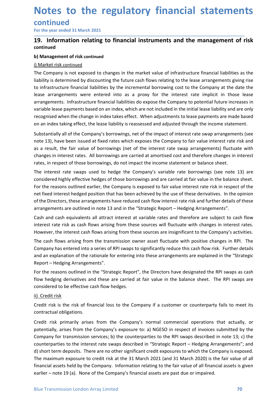## Notes to the regulatory financial statements<br>
continued<br>
For the year ended 31 March 2021<br>
19. Information relating to financial instruments and the management of risk continued **Notes to the regulatory financial statemen**<br>
For the year ended 31 March 2021<br> **19.** Information relating to financial instruments and the management of r<br>
continued<br>
b) Management of risk continued<br>
i) Market risk contin **Notes to the regulatory financial statements**<br>
For the year ended 31 March 2021<br>
19. Information relating to financial instruments and the management of risk<br>
continued<br>
i) Management of risk continued<br>
i) Market risk con

\_\_\_\_\_\_\_\_\_\_\_\_\_\_\_\_\_\_\_\_\_\_\_\_\_\_\_\_\_\_\_\_\_\_\_\_\_\_\_\_\_\_\_\_\_\_\_\_\_\_\_\_\_\_\_\_\_\_\_\_\_\_\_\_\_\_\_\_\_\_\_\_\_\_\_\_\_\_\_\_\_\_\_\_\_\_\_\_\_\_

### continued

**Notes to the regulatory financial staten**<br>
For the year ended 31 March 2021<br> **19.** Information relating to financial instruments and the management<br>
continued<br>
b) Management of risk continued<br>
i) Market risk continued<br>
Th **Notes to the regulatory financial st**<br> **continued**<br>
For the year ended 31 March 2021<br> **19.** Information relating to financial instruments and the mar<br>
continued<br>
b) Management of risk continued<br>
I) Market risk continued<br> **Notes to the regulatory financial statements**<br>
For the year ended 31 March 2021<br> **19.** Information relating to financial instruments and the management of risk<br>
continued<br>
i) Management of risk continued<br>
i) Market risk c **Notes to the regulatory financial statements**<br>
For the year ended 31 March 2021<br> **19.** Information relating to financial instruments and the management of risk<br>
continued<br>
b) Management of risk continued<br>
The Company is n **Notes to the regulatory financial statements**<br>
For the year ended 31 March 2021<br> **19.** Information relating to financial instruments and the management of risk<br>
continued<br>
b) Management of risk continued<br>
il Market risk c **Notes to the regulatory financial statements**<br>
For the year ended 31 March 2021<br> **19.** Information relating to financial instruments and the management of risk<br>
continued<br>
b) Management of risk continued<br>
i) Market risk c **Notes to the regulatory financial statements**<br>
For the year ended 31 March 2021<br> **19.** Information relating to financial instruments and the management of risk<br>
continued<br>
b) Management of risk continued<br>
i) Market risk c **Notes to the regulatory financial statements**<br>For the year ended 31 March 2021<br>19. Information relating to financial instruments and the management of risk<br>continued<br>b) Management of risk continued<br>b) Market risk continue **Notes to the regulatory financial statements**<br> **Continued**<br> **Continued**<br> **Configment of risk continued**<br> **Configment of risk continued**<br> **Configment of risk continued**<br> **Configment of risk continued**<br> **Configment of risk Notes to the regulatory financial statements**<br>
For the year ended 31 March 2021<br> **19.** Information relating to financial instruments and the management of risk<br>
continued<br>
i) Market risk continued<br>
i) Market risk continue **CONTLINUMENT TO THE COMPUTE THE COMPUTE CONTROLLATE COMPUTE THE COMPUTE THE COMPUTE COMPUTE IS A DEPTEMBENT OF THE COMPANY IS A DETERT CONTROLLATE THE COMPANY IS A DETERT CONTROLLATE THE COMPANY IS determined by discounti COTITITY THE THE CONDET ASSOC TERN CONDET ASSOC TERN THE CONDET AND A THE CONDET AND A THE COMPANY IS USED THE CONDET ARE CONDET AND MANGET AND MANGET AND MANGET IS A CONDET AND MANGET THE COMPANY IS determined by discoun** For the year ended 31 March 2021<br> **419.**<br> **Continued**<br> **b) Management of risk continued**<br> **b) Management of risk continued**<br> **b) Management of risk continued**<br> **Chorrowing is the the interest of hypersulary is the the matt 19. Information relating to financial instruments and the management of risk<br>
continued<br>
b) Management of risk continued<br>
i) Management of risk continued<br>
il Market risk continued<br>
The Company is not exposed to changes in by Management of risk continued**<br> **b) Management of risk continued**<br>
The Company is not exposed to changes in the market value of infrastructure financial liabilities as the<br>
liability is determined by discounting the fut **I) Management of risk continued**<br>
<u>The Company is not exposed to changes</u> in the market value of infrastructure financial liabilities as the The Company is not exposed to changes in the market value of infrastructure fina <u>I) Market risk continued</u><br>The Company is not exposed to changes in the market value of infrastructure financial liabilities as the<br>liability is determined by discounting the future cash flows relating to the lease arrange The Company is not exposed to changes in the market value of infrastructure financial liabilities as the liability is determined by discounting the future cash flows relating to the lease arrangements giving rise to infras liability is determined by discounting the future cash flows relating to the lease arrangements giving rise<br>to infrastructure financials liabilities by the incremental borrowing cost to the Company at the date the<br>lease ar to infrastructure financial liabilities by the incremental borrowing cost to the Company at the date the lease arrangements were entered into as a proxy for the interest rate implicit in those lease arrangements. Infrastru

lease arrangements were entered into as a proxy for the interest rate implicit in those lease<br>arrangements. Infrastructure financial liabilities do expose the Company to potential future increases in<br>variable lease payment arrangements. Infrastructure financial liabilities do expose the Company to potential future increases in<br>variable lease payments based on an index, which are not included in the initial lease liability and are only<br>variab variable lease payments based on an index, which are not included in the initial lease liability and are only<br>recognised when the change in index takes effect. When adjustments to lease payments are made based<br>on an index recognised when the change in index takes effect. When adjustments to lease payments are made based<br>On an index taking effect, the lease liability is reassessed and adjusted through the income statement.<br>Substantially all on an index taking eftect, the lease liability is reassessed and adjusted through the income statement.<br>Substantially all of the Company's borrowings, net of the impact of interest rate swap arrangements (see<br>note 13), hav Substantially all of the Company's borrowings, net of the impact of interest rate swap arrangements (see<br>note 13), have been issued at fixed rates which exposs the Company to fair value interest rate risk and<br>as a result, note 13), have been issued at fixed rates which exposes the Company to fair value interest rate risk and<br>as a result, the fair value of borrowings (net of the interestt rate swap arrangements) fluctuate with<br>changes in int changes in interest rates. All borrowings are carried at amortised cost and therefore changes in interest<br>The interest rate season contimpation on thingact the income statement or balance sheet.<br>The interest rate swaps use rates, in respect of those borrowings, do not impact the income statement or balance sheet.<br>The interest rate swaps used to belage the Company's variable rate borrowings (see note 13) are<br>Considered highly effective hedges The interest rate swaps used to hedge the Company's variable rate borrowings (see note 13) are<br>considered highly effective hedges of those borrowings and are carried at fair value in the balnes esheet.<br>For the reasons outl considered highly effective hedges of those borrowings and are carried at fair value<br>For the reasons outlined earlier, the Company is exposed to fair value interest rate<br>net fixed interest hedged position that has been ach

Report - Hedging Arrangements". For the reasons outlined earing, the Company is exposed to lair value interests rare instep.<br>For fined interest hedged position that has been achieved by the use of these derivatives. In the opinion<br>of the Directors, these

For the reasons outlined in the "Strategic Report", the Directors have designated the RPI swaps as cash<br>flow hedging derivatives and these are carried at fair value in the balance sheet. The RPI swaps are<br>considered to be met inxed interest nedged position that has been anchieved by the use of these derivations.<br>The the Directors, these arrangements have reduced cash flow interest rate risk and furt<br>arrangements are outlined in note 13 and arrangements are outlined in note 13 and in the "Strategic Report – Hedging Arrangements".<br>Cash and cash equivalents all attract interest at variable rates and therefore are subject to cash flow<br>interest rate frisk as cash Cash and cash equivalents all attract interest at variable rates and therefore are subject to cash flow<br>interest rate risk as cash flows arising from these sources will fluctuate with changes in interest rates.<br>However, th Compare to the interest rate wisers in the compare to variable the flow the services; because interest rates.<br>However, the interest cash flows arising from these sources are insignificant to the Company's activities.<br>The c meters to the interest rate of the interest rate swaps of minds of the state with consider when the company's activities.<br>The cash flows arising from the transmission owner asset fluctuate with positive changes in RPI. The nowere, the meteric term and the term deposits. The maximum of the Company is exposed.<br>The cash flows arising from the transmission owner asset fluctuate with positive changes in RPI. The<br>Company has entered into a series The cash flows arising from the transmission ower asset luctuate with positive changes in RPI. In the Company has entered into a series of RPI swaps to significantly reduce this cash flow risk. Further details and an expla Company has entered into a series of RPI swaps to significantly reduce this cash flow risk. Further details<br>and an explanation of the rationale for entering into these arrangements are explained in the "Strategic<br>Report – and an explanation of the rationale for entering into these arrangements are explained in the "Strategic<br>Report – Hedging Arrangements".<br>For the reasons outlined in the "Strategic Report", the Directors have designated the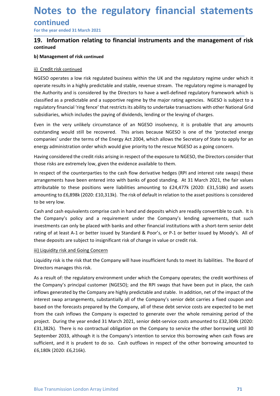### Notes to the regulatory financial statements<br>
continued<br>
For the year ended 31 March 2021<br>
19. Information relating to financial instruments and the management of risk continued **Notes to the regulatory financial statemen**<br>continued<br>For the year ended 31 March 2021<br>19. Information relating to financial instruments and the management of r<br>continued<br>b) Management of risk continued **Notes to the regulatory financial statements**<br>
For the year ended 31 March 2021<br>
T9. Information relating to financial instruments and the management of risk<br>
continued<br>
b) Management of risk continued<br>
ii) Credit risk co **Notes to the regulatory financial staten<br>
For the year ended 31 March 2021**<br> **19.** Information relating to financial instruments and the management<br>
continued<br>
b) Management of risk continued<br>
ii) Credit risk continued<br>
i

### \_\_\_\_\_\_\_\_\_\_\_\_\_\_\_\_\_\_\_\_\_\_\_\_\_\_\_\_\_\_\_\_\_\_\_\_\_\_\_\_\_\_\_\_\_\_\_\_\_\_\_\_\_\_\_\_\_\_\_\_\_\_\_\_\_\_\_\_\_\_\_\_\_\_\_\_\_\_\_\_\_\_\_\_\_\_\_\_\_\_

### continued

**Notes to the regulatory financial st**<br> **continued**<br>
For the year ended 31 March 2021<br> **19.** Information relating to financial instruments and the mar<br>
continued<br>
b) Management of risk continued<br>
ii) Credit risk continued<br> **Notes to the regulatory financial statements**<br>
For the year ended 31 March 2021<br> **19.** Information relating to financial instruments and the management of risk<br>
continued<br>
ii) Credit risk continued<br>
ii) Credit risk contin **Notes to the regulatory financial statements**<br>
For the year ended 31 March 2021<br> **19.** Information relating to financial instruments and the management of risk<br>
continued<br>
ii) Credit risk continued<br>
ii) Credit risk contin **Notes to the regulatory financial statements**<br>
For the year ended 31 March 2021<br> **19.** Information relating to financial instruments and the management of risk<br>
continued<br>
ii) Credit risk continued<br>
ii) Credit risk contin **Notes to the regulatory financial statements**<br>
For the year ended 31 March 2021<br> **19.** Information relating to financial instruments and the management of risk<br>
continued<br>
ii) Credit risk continued<br>
ii) Credit risk contin **Notes to the regulatory financial statements**<br>
For the year ended 31 March 2021<br>
19. Information relating to financial instruments and the management of risk<br>
continued<br>
ii) Credit risk continued<br>
ii) Credit risk continue **Notes to the regulatory financial statements**<br> **Solution Continued**<br> **Solution included**<br> **Subsidiarism of risk continued**<br> **Continued**<br> **Continued**<br> **Continued**<br> **Continued**<br> **Continued**<br> **Continued**<br> **Continued**<br> **Conti Notes to the regulatory financial statements**<br>
For the year ended 31 March 2021<br> **19.** Information relating to financial instruments and the management of risk<br>
continued<br>
ii) Credit risk continued<br>
ii) Credit risk contin **CONTINUE CONTROLL CONTROLL CONTROLL CONTROLL CONTROLL CONTROLL TO THE CONTROLL TO THE PROPORT THE THE CONTROLL THE CONTROLL THE CONTROLL THE CONTROLL OF THE CONTROLL IS CONTROLL THE CONTROLL OF THE CONTROLL IS CONTROLL TH CONTINUE CONTINUE CONTINUE CONTINUE CONTINUE (STATE)**<br> **CONTINUE ACTS (STATE)**<br> **CONTINUE CONTINUE CONTINUE CONTINUE (STATE)**<br> **CONTINUE ACTS CONTINUE ACTS CONTINUE ACTS (STATE)**<br> **CONTINUE ACTS CONTINUE ACTS (STATE)**<br> **C** For the year ended 31 March 2021<br> **19. Information relating to financial instruments and the management of risk**<br>
continued<br>
b) Management of risk continued<br>
ii) Credit risk continued<br>
ii) Credit risk continued<br>
ii) Credit **19. Information relating to financial instruments and the management of risk**<br>continued<br>b) Management of risk continued<br>ii) Credit risk continued<br>ii) Credit risk continued<br>iii) Credit risk continued<br>coperates a low risk r continued<br>
ii) Credit risk continued<br>
ii) Credit risk continued<br>
ii) Credit risk continued<br>
in Credits in a highly predictable and stable, revenue stream. The regulatory regime is managed by<br>
operate results in a highly pr **b) Management of risk continued**<br>IN Credit risk continued<br>NGESO operates a low risk regulated business within the UK and the regulatory regime is managed by<br>operate results in a highly predictable and stable, revenue stre ii) Credit risk continued<br>NGESO operates a low risk regulated business within the UK and the regulatory regime under which it<br>operate results in a highly predictable and stable, revenue stream. The regulatory regime is man an Creutins commission of the these positions within the UK and the regulatory regime under which it<br>No fisO operates a low risk regulated business within the UK and the regulatory regime is managed by<br>the Authority and is NGESO operates a low risk regulated business within the UK and the regulatory regime under which it<br>operate results in a highly predictable and stable, revenue stream. The regulatory regime is managed by<br>the Authority and

operate results in a highly predictable and stable, revenue stream. The regulatory relation the Authority and is considered by the Directors to have a well-defined regulatory classified as a predictable and a supportive re

the waturof with inclusive the presention of the presention of the major rating regulatory intermediate as a predictable and a supportive regime by the major rating agencies. NGESO is subject to a regulatory financial 'rin Ensultator as a pretuncture and a suspon to reguine treguine py the magnitrations, which their National Grid subsidiaries, which includes the paying of dividends, lending or the levying of charges.<br>Even in the very unlikel ingulatory mianticar imig ienter tratestics is a short that a short can be placed with outer in the very unlikely circumstance of an NGESO insolvency, it is probable that any amounts outstanding would still be recovered. T subsidiances, wintrinudious life paying of utvidentia, lending of the levying of charges.<br>Even in the very unlikely riccuratione of an NGESO insolvency, it is probable that any amounts<br>coutstanding would still be recovered Even in the very unlikely circumstance of an NGESO insolvency, it is probable that any amounts<br>outstanding would still be recovered. This arises because NGESO is one of the 'protected energy<br>companies' under the terms of t ouslanding would sum of Pecovered. This arises because reason is one of the ore the procesed entries companies' under the terms of the Energy Art 2004, which allows the Secretary of State to apply for entropy administratio energy administration order which would give priority to the rescue NGESO, as a going concern.<br>Having considered the credit risks arising in respect of the exposure to NGESO, the Directors consider that<br>those risks are ext Having considered the credit risks arising in respect of the exposure to NGESO, the Directors consitions risks are extremely low, given the evidence available to them.<br>In respect of the counterparties to the cash flow deri

As a result of: the regulatory environment under which the Company operates; the credit worthiness of<br>the Company's principal customer (NGESO); and the RPI swaps that have been put in place, the cash<br>inflows generated by t those risks are extremely low, given the evidence available to them.<br>In respect of the counterparties to the cash flow derivative hedges (RPI and interest rate swaps) these<br>ararangements have been entered into with banks o In respect of the counterparties to the cash flow derivative hedges (RPI and interest rate swaps) these<br>arrangements have been entered into with banks of good standing. At 31 March 2021, the fair values<br>attributable to the in respect to income parallel and stable. The company are highly predictable and stable. The fair values attributable to these positions were liabilities amounting to  $E24,477k$  (2020: £31,518k) and assets attributable to nonigonial state of the exact serves in the company in the Company in the Company in the Company in the Company in the Company in the Company is a fixed control to the Company's policy and a requirement under the Company's econsidered to encompary sprincipal and the metalline of the Company to the comparison of the company share and the company's leading onvertible to cash. It is and cash equivalents comprise cash in hand and deposits which and the company spiriculation of the cash of the cash in that is expected to be very low.<br>
The company's policy and a requirement under the Company's lending agreements, that such<br>
the Company's policy and a requirement un to cervi, you.<br>Cash and eash equivalents comprise cash in hand and deposits which are readily convertible to cash. It is<br>the Company's policy and a requirement under the Company's lending agreements, that such<br>investments Cash and cash equivalents componie cash in hand and deposits which are readily convertible to cash. It is no<br>the Company's policy and a requirement under financial institutions with a short-term senior debt<br>investments can the Companys policy and a requirement under the Companys elements, that such the companys elements can only be placed with banks and other financial institutions with a short-term senior debt rating of at least A-1 or bett investments can only be placed with banks and other financial institutions with a short-term senior debt<br>rating of at least A-1 or better issued by Standard & Poor's, or P-1 or better issued by Moody's. All of<br>these deposi £6,180k (2020: £6,216k).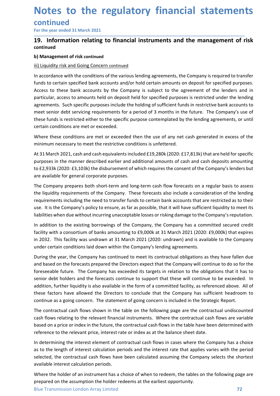# Notes to the regulatory financial statements<br>
continued<br>
For the year ended 31 March 2021<br>
19. Information relating to financial instruments and the management of risk continued **Notes to the regulatory financial statemen**<br>
For the year ended 31 March 2021<br> **19.** Information relating to financial instruments and the management of r<br>
continued<br>
b) Management of risk continued<br>
iii) Usuidity risk an **Notes to the regulatory financial statements**<br>
For the year ended 31 March 2021<br>
T9. Information relating to financial instruments and the management of risk<br>
continued<br>
b) Management of risk continued<br>
ii) Liquidity risk **Notes to the regulatory financial staten<br>
For the year ended 31 March 2021**<br> **19.** Information relating to financial instruments and the management<br>
continued<br>
b) Management of risk continued<br>
ii) Liquidity risk and Going

\_\_\_\_\_\_\_\_\_\_\_\_\_\_\_\_\_\_\_\_\_\_\_\_\_\_\_\_\_\_\_\_\_\_\_\_\_\_\_\_\_\_\_\_\_\_\_\_\_\_\_\_\_\_\_\_\_\_\_\_\_\_\_\_\_\_\_\_\_\_\_\_\_\_\_\_\_\_\_\_\_\_\_\_\_\_\_\_\_\_

# continued

**Notes to the regulatory financial statemen**<br>
For the year ended 31 March 2021<br> **19.** Information relating to financial instruments and the management of i<br>
continued<br>
b) Management of risk continued<br>
ii) Liquidity risk an **Notes to the regulatory financial statements**<br>
For the year ended 31 March 2021<br> **19.** Information relating to financial instruments and the management of risk<br>
continued<br>
b) Management of risk continued<br>
iii) Liquidity r **Notes to the regulatory financial statements**<br>For the year ended 31 March 2021<br>19. Information relating to financial instruments and the management of risk<br>continued<br>bi) Management of risk continued<br>iii) Liquidity risk an **Notes to the regulatory financial statements**<br>
For the year ended 31 March 2021<br> **19.** Information relating to financial instruments and the management of risk<br>
continued<br>
b) Management of risk continued<br>
iii) Liquidity r **Notes to the regulatory financial statements**<br>
For the year ended 31 March 2021<br> **19.** Information relating to financial instruments and the management of risk<br>
continued<br>
iii) liquidity risk and Going Concern continued<br> **Notes to the regulatory financial statements**<br> **Continued**<br> **Contineveranted 31 March 2021**<br> **Continued**<br> **Continued**<br> **Continued**<br> **Continued**<br> **Continued**<br> **Continued**<br> **Continued**<br> **Continued**<br> **Continued**<br> **Continued Notes to the regulatory financial statements**<br> **continued**<br> **continued**<br> **continued**<br> **continued**<br> **continued**<br> **continued**<br> **to financial instruments and the management of risk**<br> **continued**<br> **iii)** Liquidity risk and Go **Notes to the regulatory financial statements**<br>For the year ended 31 March 2021<br>19. Information relating to financial instruments and the management of risk<br>continued<br>ii) Liquidity risk and Going Concern continued<br>iii) Liq **Notes to the regulatory financial statement**<br>
For the year ended 31 March 2021<br> **19.** Information relating to financial instruments and the management of risontinued<br> **19.** Information relating to financial instruments an **For the year ended 31 March 2021**<br>**Continued**<br>**Continued condition relating to financial instruments and the management of risk<br>continued<br>in Liquidity risk and Going Concern continued<br>in Liquidity risk and Going Concern c** For the year ended 31 March 2021<br> **19. Information relating to financial instruments and the management of risk**<br>
continued<br>
iii) Liguidity risk and Going Concern continued<br>
iii) Liguidity risk and Going Concern continued<br> **19. Information relating to financial instruments and the management of risk**<br>
Continued<br>
(**iii**) Liquidity risk and Going Concern continued<br>
III Liquidity risk and Going Concern continued<br>
In accordance with the conditio continued<br> **bi** Management of risk continued<br>
iii) Liquidity risk and Going Concern continued<br>
In accordance with the conditions of the various lending agreements, the Company is required to transfer<br>
functs to certain spe **b) Management of risk continued**<br>
<u>iii) Liquidity risk and Going Concern continued</u><br>
In accordance with the conditions of the various lending agreements, the Company is required to transfer<br>
funds to certain specified ban by inaugharine of the Going Concern continued<br>iii) <u>Liquidity</u> risk and Going Concern continued<br>In accordance with the conditions of the various lending agreements, the Company is required to transfer<br>funds to certain spec In accordance with the conditions of the various lending agreements, the Company is required to transfer<br>funds to certain specified bank accounts and/or hold certain amounts on deposit for specified purposes.<br>Access to the In accordance with the complains of the vanious lending agreements, the Company is required to transier<br>Industo certain specified bank accounts and/or hold certain amounts on deposit for specified purposes.<br>Access to these timas to certain spectred bank accounts and/or hold certain amounts on deposit for spectred purposes.<br>Access to these bank accounts by the Company is subject to the agreement of the lenders and in<br>particular, access to am Access to these bank accounts by the Company is subject to the agreement of the lenders and in<br>particular, access to amounts held on deposit held for specified purposes is restricted under the lending<br>agreements. Such spec

particular, access to amounts held on deposit held tor specified purposes in estincted under the lending<br>agreements. Such specific purposes include the holding of sufficient funds in restrictive bank accounts to<br>meet senio meet senior debt servicing requirements for a period of 3 months in the future. The Company's use of<br>these funds is restricted either to the specific purpose contemplated by the lending agreements, or until<br>certain conditi these funds is restricted either to the specific purpose contemplated by the lending agreements, or until<br>certain conditions are met or exceeded.<br>Where these conditions are met or exceeded.<br>Where these conditions are met o certain conditions are met or exceeded.<br>
Where these conditions are met or exceeded.<br>
Where these conditions are met or exceeded.<br>
At 31 March 2021, cash and cash equivalents included £19,280k (2020: £17,813k) that are hel Where these conditions are met or exceeded then the use of any net cash generated in excess of the<br>minimum necessary to meet the restrictive conditions is unfettered.<br>At 31 March 2021, cash and cash equivalents included £1

roreseable uture. The Company nas exceeded its targets in relation to the obilgations that it has to<br>eserior debt holders and the forceasts continue to support that these will continue to be exceeded. In<br>addition, further minimum necessary to meet the restrictive conditions is unfettered.<br>At 31 March 2021, cash and cash equivalents included £19,280k (2020: £17,813k) that are held for specific<br>purposes in the manner described earlier and add Art 31 March 2021, cash and cash equivalents included £19,280k (2020: £17,813k) that are held for specific purposes in the manner described earlier and additional amounts of cash and cash deposits amounting to £2,933k (202 At 31 March 2021, (2020: E1, 000k) that are held to relations in the theoretic specific that are held tor specific<br>purposes in the manner described earlier and additional amounts of eash and cash deposits amounting<br>to E2,9 purposes in the mannier described earlier and additional amounts of cash and cash deposits amounting<br>to 62,933k (2020: 63,103k) the disbursement of which requires the consent of the Company's lenders but<br>are available for to *L2,933* (2*U2U:* 2,3130)4) the dissumement of which requires the consent of the Company's lenders but<br>or *L2,9334* (2*U2U:* 23,1034) the dissumement of which requires and foury carrelation of the lending<br>requirements i are available tor general corporate purposes.<br>The Company prepares both short-term and long-term cash flow forecasts on a regular basis to assess<br>The liquidity requirements of the Company. These forecasts also include a co The Company prepares both short-term and long-term cash flow forecasts on a regular basis to assess<br>the liquidity requirements of the Company. These forecasts also include a consideration of the lending<br>requirements includ the liquidity requirements of the Company. These forecasts also include a consideration of the lending<br>requirements including the need to transfer funds to certain bank accounts that are restricted as to their<br>use. It is t requirements including the need to transfer funds to certain bank accounts that are restricted as to their periodical instance (as to the periodic system) and this method in the existing bank flows sufficient liquidity to use. It is the Company's policy to ensure, as far as possible, that it will have sultricent liquidity to meet its<br>liabilities when due without incurring unacceptable losses or risking damage to the Company's reputation.<br>In Ilabilities when due without incurring unacceptable losses or risking damage to the Company's reputation.<br>In addition to the existing borrowings of the Company, the Company has a committed secured credit<br>facility with a co In addition to the existing borrowings of the Company, the Company has a committed secured credit<br>In aditity with a consortium of banks amounting to £9,000k at 31 March 2021 (2020: £9,000k) that expires<br>in 2032. This facil itatily with a consortium of banks amounting to £5),000k at 31 March 2021 (2021): £0201). £020, £9,000k) that expires in paraly in 2023, This facility was undrawn at 31 March 2021 (2020: undrawn) and is available to the Co in 2032. This lacility was undrawn at 31 March 2021 (2020: undrawn) and is available to the Company and the company and simulated company's lending agreements.<br>During the year, the Company has continued to meet its contrac under certain conditions laid down within the Company's lending agreements.<br>During the year, the Company has continued to meet its contractual obligations as they have fallen d<br>and based on the forecasts prepared the Direc During the year, the Company has continued to meet its contractual obligations as they have fallen due of an instrument of the foreseeable future. The Company has exceeded its targets in relation to the obligations that it and based on the forecasts prepared the Directors expect that the Company will continue to do so for the origo controllapped in the compared in terms of conserved in that the serget of the obligations that it has to forces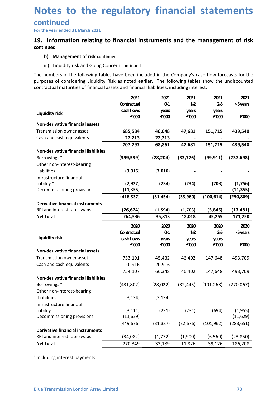# Notes to the regulatory financial statements<br>
continued<br>
For the year ended 31 March 2021<br>
19. Information relating to financial instruments and the management of risk continued **Notes to the regulatory financial statemen**<br>
For the year ended 31 March 2021<br> **19.** Information relating to financial instruments and the management of r<br>
continued<br>
b) Management of risk continued<br>
iii) Liquidity risk a **Notes to the regulatory financial statements**<br>
For the year ended 31 March 2021<br>
19. Information relating to financial instruments and the management of risk<br>
continued<br>
b) Management of risk continued<br>
iii) Liquidity ris **b) These to the regulatory financial statemer**<br>
Information relating to financial instruments and the management of<br>
Information relating to financial instruments and the management of<br>
ii) Liquidity risk and Going Concer **isomal Statements**<br> **isomal Statements**<br> **isomal Statements**<br> **isomal Statement of risk continued**<br> **iii)** Liquidity risk and Going Concern continued<br> **iiii)** Liquidity risk and Going Concern continued<br>
iiii) Liquidity ri **Notes to the regulatory financial statements**<br>
For the year ended 31 March 2021<br> **19.** Information relating to financial instruments and the management of risk<br>
continued<br>
b) Management of risk continued<br>
iii) Liguidity r

# continued

| <b>Management of risk continued</b><br>b)<br>Liquidity risk and Going Concern continued<br>iii)<br>The numbers in the following tables have been included in the Company's cash flow forecasts for the<br>purposes of considering Liquidity Risk as noted earlier. The following tables show the undiscounted<br>contractual maturities of financial assets and financial liabilities, including interest:<br>2021<br>2021<br>2021<br>2021<br>2021<br>Contractual<br>$1-2$<br>$0 - 1$<br>$2-5$<br>>5 years<br>cash flows<br>years<br>years<br>years<br><b>Liquidity risk</b><br>f'000<br>£'000<br>f'000<br>£'000<br>£'000<br>Non-derivative financial assets<br>Transmission owner asset<br>685,584<br>47,681<br>151,715<br>439,540<br>46,648<br>Cash and cash equivalents<br>22,213<br>22,213<br>707,797<br>151,715<br>439,540<br>68,861<br>47,681<br>Non-derivative financial liabilities<br>Borrowings <sup>+</sup><br>(399, 539)<br>(28, 204)<br>(33, 726)<br>(99, 911)<br>(237, 698)<br>Other non-interest-bearing<br>Liabilities<br>(3,016)<br>(3,016)<br>Infrastructure financial<br>liability <sup>+</sup><br>(2,927)<br>(234)<br>(234)<br>(703)<br>(1,756)<br>Decommissioning provisions<br>(11, 355)<br>(11, 355)<br>(416, 837)<br>(33,960)<br>(100, 614)<br>(250, 809)<br>(31, 454)<br><b>Derivative financial instruments</b><br>(26, 624)<br>(17, 481)<br>RPI and interest rate swaps<br>(1, 594)<br>(1,703)<br>(5, 846)<br>264,336<br>12,018<br>45,255<br>Net total<br>35,813<br>171,250<br>2020<br>2020<br>2020<br>2020<br>2020<br>Contractual<br>$0-1$<br>$1-2$<br>$2-5$<br>>5 years<br><b>Liquidity risk</b><br>cash flows<br>years<br>years<br>years<br>£'000<br>£'000<br>£'000<br>£'000<br>£'000<br>Non-derivative financial assets<br>Transmission owner asset<br>493,709<br>733,191<br>45,432<br>46,402<br>147,648<br>Cash and cash equivalents<br>20,916<br>20,916<br>754,107<br>66,348<br>46,402<br>147,648<br>493,709<br>Non-derivative financial liabilities<br>Borrowings <sup>+</sup><br>(101, 268)<br>(431,802)<br>(28, 022)<br>(32, 445)<br>(270,067)<br>Other non-interest-bearing<br>Liabilities<br>(3, 134)<br>(3, 134)<br>Infrastructure financial<br>liability <sup>+</sup><br>(231)<br>(3, 111)<br>(231)<br>(694)<br>(1,955)<br>Decommissioning provisions<br>(11, 629)<br>(11, 629)<br>(449, 676)<br>(31, 387)<br>(32, 676)<br>(101, 962)<br>(283, 651)<br><b>Derivative financial instruments</b><br>RPI and interest rate swaps<br>(34,082)<br>(1, 772)<br>(1,900)<br>(6, 560)<br>(23, 850)<br>Net total<br>270,349<br>39,126<br>186,208<br>33,189<br>11,826 | Including interest payments.<br><b>Blue Transmission London Array Limited</b><br>73 |  |  |  |
|----------------------------------------------------------------------------------------------------------------------------------------------------------------------------------------------------------------------------------------------------------------------------------------------------------------------------------------------------------------------------------------------------------------------------------------------------------------------------------------------------------------------------------------------------------------------------------------------------------------------------------------------------------------------------------------------------------------------------------------------------------------------------------------------------------------------------------------------------------------------------------------------------------------------------------------------------------------------------------------------------------------------------------------------------------------------------------------------------------------------------------------------------------------------------------------------------------------------------------------------------------------------------------------------------------------------------------------------------------------------------------------------------------------------------------------------------------------------------------------------------------------------------------------------------------------------------------------------------------------------------------------------------------------------------------------------------------------------------------------------------------------------------------------------------------------------------------------------------------------------------------------------------------------------------------------------------------------------------------------------------------------------------------------------------------------------------------------------------------------------------------------------------------------------------------------------------------------------------------------------------------------------------------------------------------------------------------------------------------------------------------------------------------------------------------------------------------------------------------------------------------------------------------------------------------------------------------------------------|-------------------------------------------------------------------------------------|--|--|--|
|                                                                                                                                                                                                                                                                                                                                                                                                                                                                                                                                                                                                                                                                                                                                                                                                                                                                                                                                                                                                                                                                                                                                                                                                                                                                                                                                                                                                                                                                                                                                                                                                                                                                                                                                                                                                                                                                                                                                                                                                                                                                                                                                                                                                                                                                                                                                                                                                                                                                                                                                                                                                    |                                                                                     |  |  |  |
|                                                                                                                                                                                                                                                                                                                                                                                                                                                                                                                                                                                                                                                                                                                                                                                                                                                                                                                                                                                                                                                                                                                                                                                                                                                                                                                                                                                                                                                                                                                                                                                                                                                                                                                                                                                                                                                                                                                                                                                                                                                                                                                                                                                                                                                                                                                                                                                                                                                                                                                                                                                                    |                                                                                     |  |  |  |
|                                                                                                                                                                                                                                                                                                                                                                                                                                                                                                                                                                                                                                                                                                                                                                                                                                                                                                                                                                                                                                                                                                                                                                                                                                                                                                                                                                                                                                                                                                                                                                                                                                                                                                                                                                                                                                                                                                                                                                                                                                                                                                                                                                                                                                                                                                                                                                                                                                                                                                                                                                                                    |                                                                                     |  |  |  |
|                                                                                                                                                                                                                                                                                                                                                                                                                                                                                                                                                                                                                                                                                                                                                                                                                                                                                                                                                                                                                                                                                                                                                                                                                                                                                                                                                                                                                                                                                                                                                                                                                                                                                                                                                                                                                                                                                                                                                                                                                                                                                                                                                                                                                                                                                                                                                                                                                                                                                                                                                                                                    |                                                                                     |  |  |  |
|                                                                                                                                                                                                                                                                                                                                                                                                                                                                                                                                                                                                                                                                                                                                                                                                                                                                                                                                                                                                                                                                                                                                                                                                                                                                                                                                                                                                                                                                                                                                                                                                                                                                                                                                                                                                                                                                                                                                                                                                                                                                                                                                                                                                                                                                                                                                                                                                                                                                                                                                                                                                    |                                                                                     |  |  |  |
|                                                                                                                                                                                                                                                                                                                                                                                                                                                                                                                                                                                                                                                                                                                                                                                                                                                                                                                                                                                                                                                                                                                                                                                                                                                                                                                                                                                                                                                                                                                                                                                                                                                                                                                                                                                                                                                                                                                                                                                                                                                                                                                                                                                                                                                                                                                                                                                                                                                                                                                                                                                                    |                                                                                     |  |  |  |
|                                                                                                                                                                                                                                                                                                                                                                                                                                                                                                                                                                                                                                                                                                                                                                                                                                                                                                                                                                                                                                                                                                                                                                                                                                                                                                                                                                                                                                                                                                                                                                                                                                                                                                                                                                                                                                                                                                                                                                                                                                                                                                                                                                                                                                                                                                                                                                                                                                                                                                                                                                                                    |                                                                                     |  |  |  |
|                                                                                                                                                                                                                                                                                                                                                                                                                                                                                                                                                                                                                                                                                                                                                                                                                                                                                                                                                                                                                                                                                                                                                                                                                                                                                                                                                                                                                                                                                                                                                                                                                                                                                                                                                                                                                                                                                                                                                                                                                                                                                                                                                                                                                                                                                                                                                                                                                                                                                                                                                                                                    |                                                                                     |  |  |  |
|                                                                                                                                                                                                                                                                                                                                                                                                                                                                                                                                                                                                                                                                                                                                                                                                                                                                                                                                                                                                                                                                                                                                                                                                                                                                                                                                                                                                                                                                                                                                                                                                                                                                                                                                                                                                                                                                                                                                                                                                                                                                                                                                                                                                                                                                                                                                                                                                                                                                                                                                                                                                    |                                                                                     |  |  |  |
|                                                                                                                                                                                                                                                                                                                                                                                                                                                                                                                                                                                                                                                                                                                                                                                                                                                                                                                                                                                                                                                                                                                                                                                                                                                                                                                                                                                                                                                                                                                                                                                                                                                                                                                                                                                                                                                                                                                                                                                                                                                                                                                                                                                                                                                                                                                                                                                                                                                                                                                                                                                                    |                                                                                     |  |  |  |
|                                                                                                                                                                                                                                                                                                                                                                                                                                                                                                                                                                                                                                                                                                                                                                                                                                                                                                                                                                                                                                                                                                                                                                                                                                                                                                                                                                                                                                                                                                                                                                                                                                                                                                                                                                                                                                                                                                                                                                                                                                                                                                                                                                                                                                                                                                                                                                                                                                                                                                                                                                                                    |                                                                                     |  |  |  |
|                                                                                                                                                                                                                                                                                                                                                                                                                                                                                                                                                                                                                                                                                                                                                                                                                                                                                                                                                                                                                                                                                                                                                                                                                                                                                                                                                                                                                                                                                                                                                                                                                                                                                                                                                                                                                                                                                                                                                                                                                                                                                                                                                                                                                                                                                                                                                                                                                                                                                                                                                                                                    |                                                                                     |  |  |  |
|                                                                                                                                                                                                                                                                                                                                                                                                                                                                                                                                                                                                                                                                                                                                                                                                                                                                                                                                                                                                                                                                                                                                                                                                                                                                                                                                                                                                                                                                                                                                                                                                                                                                                                                                                                                                                                                                                                                                                                                                                                                                                                                                                                                                                                                                                                                                                                                                                                                                                                                                                                                                    |                                                                                     |  |  |  |
|                                                                                                                                                                                                                                                                                                                                                                                                                                                                                                                                                                                                                                                                                                                                                                                                                                                                                                                                                                                                                                                                                                                                                                                                                                                                                                                                                                                                                                                                                                                                                                                                                                                                                                                                                                                                                                                                                                                                                                                                                                                                                                                                                                                                                                                                                                                                                                                                                                                                                                                                                                                                    |                                                                                     |  |  |  |
|                                                                                                                                                                                                                                                                                                                                                                                                                                                                                                                                                                                                                                                                                                                                                                                                                                                                                                                                                                                                                                                                                                                                                                                                                                                                                                                                                                                                                                                                                                                                                                                                                                                                                                                                                                                                                                                                                                                                                                                                                                                                                                                                                                                                                                                                                                                                                                                                                                                                                                                                                                                                    |                                                                                     |  |  |  |
|                                                                                                                                                                                                                                                                                                                                                                                                                                                                                                                                                                                                                                                                                                                                                                                                                                                                                                                                                                                                                                                                                                                                                                                                                                                                                                                                                                                                                                                                                                                                                                                                                                                                                                                                                                                                                                                                                                                                                                                                                                                                                                                                                                                                                                                                                                                                                                                                                                                                                                                                                                                                    |                                                                                     |  |  |  |
|                                                                                                                                                                                                                                                                                                                                                                                                                                                                                                                                                                                                                                                                                                                                                                                                                                                                                                                                                                                                                                                                                                                                                                                                                                                                                                                                                                                                                                                                                                                                                                                                                                                                                                                                                                                                                                                                                                                                                                                                                                                                                                                                                                                                                                                                                                                                                                                                                                                                                                                                                                                                    |                                                                                     |  |  |  |
|                                                                                                                                                                                                                                                                                                                                                                                                                                                                                                                                                                                                                                                                                                                                                                                                                                                                                                                                                                                                                                                                                                                                                                                                                                                                                                                                                                                                                                                                                                                                                                                                                                                                                                                                                                                                                                                                                                                                                                                                                                                                                                                                                                                                                                                                                                                                                                                                                                                                                                                                                                                                    |                                                                                     |  |  |  |
|                                                                                                                                                                                                                                                                                                                                                                                                                                                                                                                                                                                                                                                                                                                                                                                                                                                                                                                                                                                                                                                                                                                                                                                                                                                                                                                                                                                                                                                                                                                                                                                                                                                                                                                                                                                                                                                                                                                                                                                                                                                                                                                                                                                                                                                                                                                                                                                                                                                                                                                                                                                                    |                                                                                     |  |  |  |
|                                                                                                                                                                                                                                                                                                                                                                                                                                                                                                                                                                                                                                                                                                                                                                                                                                                                                                                                                                                                                                                                                                                                                                                                                                                                                                                                                                                                                                                                                                                                                                                                                                                                                                                                                                                                                                                                                                                                                                                                                                                                                                                                                                                                                                                                                                                                                                                                                                                                                                                                                                                                    |                                                                                     |  |  |  |
|                                                                                                                                                                                                                                                                                                                                                                                                                                                                                                                                                                                                                                                                                                                                                                                                                                                                                                                                                                                                                                                                                                                                                                                                                                                                                                                                                                                                                                                                                                                                                                                                                                                                                                                                                                                                                                                                                                                                                                                                                                                                                                                                                                                                                                                                                                                                                                                                                                                                                                                                                                                                    |                                                                                     |  |  |  |
|                                                                                                                                                                                                                                                                                                                                                                                                                                                                                                                                                                                                                                                                                                                                                                                                                                                                                                                                                                                                                                                                                                                                                                                                                                                                                                                                                                                                                                                                                                                                                                                                                                                                                                                                                                                                                                                                                                                                                                                                                                                                                                                                                                                                                                                                                                                                                                                                                                                                                                                                                                                                    |                                                                                     |  |  |  |
|                                                                                                                                                                                                                                                                                                                                                                                                                                                                                                                                                                                                                                                                                                                                                                                                                                                                                                                                                                                                                                                                                                                                                                                                                                                                                                                                                                                                                                                                                                                                                                                                                                                                                                                                                                                                                                                                                                                                                                                                                                                                                                                                                                                                                                                                                                                                                                                                                                                                                                                                                                                                    |                                                                                     |  |  |  |
|                                                                                                                                                                                                                                                                                                                                                                                                                                                                                                                                                                                                                                                                                                                                                                                                                                                                                                                                                                                                                                                                                                                                                                                                                                                                                                                                                                                                                                                                                                                                                                                                                                                                                                                                                                                                                                                                                                                                                                                                                                                                                                                                                                                                                                                                                                                                                                                                                                                                                                                                                                                                    |                                                                                     |  |  |  |
|                                                                                                                                                                                                                                                                                                                                                                                                                                                                                                                                                                                                                                                                                                                                                                                                                                                                                                                                                                                                                                                                                                                                                                                                                                                                                                                                                                                                                                                                                                                                                                                                                                                                                                                                                                                                                                                                                                                                                                                                                                                                                                                                                                                                                                                                                                                                                                                                                                                                                                                                                                                                    |                                                                                     |  |  |  |
|                                                                                                                                                                                                                                                                                                                                                                                                                                                                                                                                                                                                                                                                                                                                                                                                                                                                                                                                                                                                                                                                                                                                                                                                                                                                                                                                                                                                                                                                                                                                                                                                                                                                                                                                                                                                                                                                                                                                                                                                                                                                                                                                                                                                                                                                                                                                                                                                                                                                                                                                                                                                    |                                                                                     |  |  |  |
|                                                                                                                                                                                                                                                                                                                                                                                                                                                                                                                                                                                                                                                                                                                                                                                                                                                                                                                                                                                                                                                                                                                                                                                                                                                                                                                                                                                                                                                                                                                                                                                                                                                                                                                                                                                                                                                                                                                                                                                                                                                                                                                                                                                                                                                                                                                                                                                                                                                                                                                                                                                                    |                                                                                     |  |  |  |
|                                                                                                                                                                                                                                                                                                                                                                                                                                                                                                                                                                                                                                                                                                                                                                                                                                                                                                                                                                                                                                                                                                                                                                                                                                                                                                                                                                                                                                                                                                                                                                                                                                                                                                                                                                                                                                                                                                                                                                                                                                                                                                                                                                                                                                                                                                                                                                                                                                                                                                                                                                                                    |                                                                                     |  |  |  |
|                                                                                                                                                                                                                                                                                                                                                                                                                                                                                                                                                                                                                                                                                                                                                                                                                                                                                                                                                                                                                                                                                                                                                                                                                                                                                                                                                                                                                                                                                                                                                                                                                                                                                                                                                                                                                                                                                                                                                                                                                                                                                                                                                                                                                                                                                                                                                                                                                                                                                                                                                                                                    |                                                                                     |  |  |  |
|                                                                                                                                                                                                                                                                                                                                                                                                                                                                                                                                                                                                                                                                                                                                                                                                                                                                                                                                                                                                                                                                                                                                                                                                                                                                                                                                                                                                                                                                                                                                                                                                                                                                                                                                                                                                                                                                                                                                                                                                                                                                                                                                                                                                                                                                                                                                                                                                                                                                                                                                                                                                    |                                                                                     |  |  |  |
|                                                                                                                                                                                                                                                                                                                                                                                                                                                                                                                                                                                                                                                                                                                                                                                                                                                                                                                                                                                                                                                                                                                                                                                                                                                                                                                                                                                                                                                                                                                                                                                                                                                                                                                                                                                                                                                                                                                                                                                                                                                                                                                                                                                                                                                                                                                                                                                                                                                                                                                                                                                                    |                                                                                     |  |  |  |
|                                                                                                                                                                                                                                                                                                                                                                                                                                                                                                                                                                                                                                                                                                                                                                                                                                                                                                                                                                                                                                                                                                                                                                                                                                                                                                                                                                                                                                                                                                                                                                                                                                                                                                                                                                                                                                                                                                                                                                                                                                                                                                                                                                                                                                                                                                                                                                                                                                                                                                                                                                                                    |                                                                                     |  |  |  |
|                                                                                                                                                                                                                                                                                                                                                                                                                                                                                                                                                                                                                                                                                                                                                                                                                                                                                                                                                                                                                                                                                                                                                                                                                                                                                                                                                                                                                                                                                                                                                                                                                                                                                                                                                                                                                                                                                                                                                                                                                                                                                                                                                                                                                                                                                                                                                                                                                                                                                                                                                                                                    |                                                                                     |  |  |  |
|                                                                                                                                                                                                                                                                                                                                                                                                                                                                                                                                                                                                                                                                                                                                                                                                                                                                                                                                                                                                                                                                                                                                                                                                                                                                                                                                                                                                                                                                                                                                                                                                                                                                                                                                                                                                                                                                                                                                                                                                                                                                                                                                                                                                                                                                                                                                                                                                                                                                                                                                                                                                    |                                                                                     |  |  |  |
|                                                                                                                                                                                                                                                                                                                                                                                                                                                                                                                                                                                                                                                                                                                                                                                                                                                                                                                                                                                                                                                                                                                                                                                                                                                                                                                                                                                                                                                                                                                                                                                                                                                                                                                                                                                                                                                                                                                                                                                                                                                                                                                                                                                                                                                                                                                                                                                                                                                                                                                                                                                                    |                                                                                     |  |  |  |
|                                                                                                                                                                                                                                                                                                                                                                                                                                                                                                                                                                                                                                                                                                                                                                                                                                                                                                                                                                                                                                                                                                                                                                                                                                                                                                                                                                                                                                                                                                                                                                                                                                                                                                                                                                                                                                                                                                                                                                                                                                                                                                                                                                                                                                                                                                                                                                                                                                                                                                                                                                                                    |                                                                                     |  |  |  |
|                                                                                                                                                                                                                                                                                                                                                                                                                                                                                                                                                                                                                                                                                                                                                                                                                                                                                                                                                                                                                                                                                                                                                                                                                                                                                                                                                                                                                                                                                                                                                                                                                                                                                                                                                                                                                                                                                                                                                                                                                                                                                                                                                                                                                                                                                                                                                                                                                                                                                                                                                                                                    |                                                                                     |  |  |  |
|                                                                                                                                                                                                                                                                                                                                                                                                                                                                                                                                                                                                                                                                                                                                                                                                                                                                                                                                                                                                                                                                                                                                                                                                                                                                                                                                                                                                                                                                                                                                                                                                                                                                                                                                                                                                                                                                                                                                                                                                                                                                                                                                                                                                                                                                                                                                                                                                                                                                                                                                                                                                    |                                                                                     |  |  |  |
|                                                                                                                                                                                                                                                                                                                                                                                                                                                                                                                                                                                                                                                                                                                                                                                                                                                                                                                                                                                                                                                                                                                                                                                                                                                                                                                                                                                                                                                                                                                                                                                                                                                                                                                                                                                                                                                                                                                                                                                                                                                                                                                                                                                                                                                                                                                                                                                                                                                                                                                                                                                                    |                                                                                     |  |  |  |
|                                                                                                                                                                                                                                                                                                                                                                                                                                                                                                                                                                                                                                                                                                                                                                                                                                                                                                                                                                                                                                                                                                                                                                                                                                                                                                                                                                                                                                                                                                                                                                                                                                                                                                                                                                                                                                                                                                                                                                                                                                                                                                                                                                                                                                                                                                                                                                                                                                                                                                                                                                                                    |                                                                                     |  |  |  |
|                                                                                                                                                                                                                                                                                                                                                                                                                                                                                                                                                                                                                                                                                                                                                                                                                                                                                                                                                                                                                                                                                                                                                                                                                                                                                                                                                                                                                                                                                                                                                                                                                                                                                                                                                                                                                                                                                                                                                                                                                                                                                                                                                                                                                                                                                                                                                                                                                                                                                                                                                                                                    |                                                                                     |  |  |  |
|                                                                                                                                                                                                                                                                                                                                                                                                                                                                                                                                                                                                                                                                                                                                                                                                                                                                                                                                                                                                                                                                                                                                                                                                                                                                                                                                                                                                                                                                                                                                                                                                                                                                                                                                                                                                                                                                                                                                                                                                                                                                                                                                                                                                                                                                                                                                                                                                                                                                                                                                                                                                    |                                                                                     |  |  |  |
|                                                                                                                                                                                                                                                                                                                                                                                                                                                                                                                                                                                                                                                                                                                                                                                                                                                                                                                                                                                                                                                                                                                                                                                                                                                                                                                                                                                                                                                                                                                                                                                                                                                                                                                                                                                                                                                                                                                                                                                                                                                                                                                                                                                                                                                                                                                                                                                                                                                                                                                                                                                                    |                                                                                     |  |  |  |
|                                                                                                                                                                                                                                                                                                                                                                                                                                                                                                                                                                                                                                                                                                                                                                                                                                                                                                                                                                                                                                                                                                                                                                                                                                                                                                                                                                                                                                                                                                                                                                                                                                                                                                                                                                                                                                                                                                                                                                                                                                                                                                                                                                                                                                                                                                                                                                                                                                                                                                                                                                                                    |                                                                                     |  |  |  |
|                                                                                                                                                                                                                                                                                                                                                                                                                                                                                                                                                                                                                                                                                                                                                                                                                                                                                                                                                                                                                                                                                                                                                                                                                                                                                                                                                                                                                                                                                                                                                                                                                                                                                                                                                                                                                                                                                                                                                                                                                                                                                                                                                                                                                                                                                                                                                                                                                                                                                                                                                                                                    |                                                                                     |  |  |  |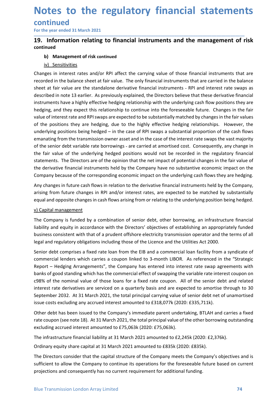# Notes to the regulatory financial statements<br>
continued<br>
For the year ended 31 March 2021<br>
19. Information relating to financial instruments and the management of risk continued **Notes to the regulatory financial statemen**<br>
For the year ended 31 March 2021<br> **19.** Information relating to financial instruments and the management of r<br>
continued<br>
b) Management of risk continued<br>
iv) Sensitivities **Notes to the regulatory financial statements**<br>
For the year ended 31 March 2021<br>
19. Information relating to financial instruments and the management of risk<br>
continued<br>
b) Management of risk continued<br>
<u>iv) Sensitivities</u>

\_\_\_\_\_\_\_\_\_\_\_\_\_\_\_\_\_\_\_\_\_\_\_\_\_\_\_\_\_\_\_\_\_\_\_\_\_\_\_\_\_\_\_\_\_\_\_\_\_\_\_\_\_\_\_\_\_\_\_\_\_\_\_\_\_\_\_\_\_\_\_\_\_\_\_\_\_\_\_\_\_\_\_\_\_\_\_\_\_\_

# continued

**b) The state of the State (Financial statemer**<br> **of the vear ended 31 March 2021**<br> **Information relating to financial instruments and the management of**<br> **inued**<br> **b)** Management of risk continued<br> **iv)** Sensitivities<br> **o Dividend Control Control Control Control Control Control Control Control Control Control Control Control Control Control Control Control Control Control Control Control Control Control Control Control Control Control Cont Notes to the regulatory financial statements**<br>
For the year ended 31 March 2021<br> **19.** Information relating to financial instruments and the management of risk<br>
continued<br>
b) Management of risk continued<br>
iv) Sensitivitie **Notes to the regulatory financial statements**<br>
For the year ended 31 March 2021<br> **19.** Information relating to financial instruments and the management of risk<br>
continued<br>
b) Management of risk continued<br>
iv) Sensitivitie **Notes to the regulatory financial statements**<br>
For the year ended 31 March 2021<br> **19.** Information relating to financial instruments and the management of risk<br>
continued<br>
b) Management of risk continued<br>
in the standalon **Notes to the regulatory financial statements**<br>
For the year ended 31 March 2021<br> **19.** Information relating to financial instruments and the management of risk<br>
continued<br>
b) Management of risk continued<br>
in D. Sensitivit **Notes to the regulatory financial statements**<br>
For the year ended 31 March 2021<br> **19.** Information relating to financial instruments and the management of risk<br>
toontinued<br>
b) Management of risk continued<br>
b) Sensitivitie **Notes to the regulatory financial statements**<br>
For the year ended 31 March 2021<br> **19.** Information relating to financial instruments and the management of risk<br>
continued<br>
b) Management of risk continue<br>
b) Sensitivities<br> **Notes to the regulatory financial statements**<br> **Continued**<br> **Continued**<br> **Continued**<br> **Continued**<br> **Continued**<br> **Continued**<br> **Continued**<br> **Continued**<br> **Continued**<br> **Continued**<br> **Continued**<br> **Continued**<br> **Continued**<br> **Cont Notes to the regulatory financial statements**<br>
For the year ended 31 March 2021<br> **19.** Information relating to financial instruments and the management of risk<br>
continue<br>
b) Management of risk continued<br>
w) Sensitivities<br> **CONTIFICE CONTROLL CONTROLL CONTROLL CONTROLL TO THE CONTROLL CONTROLL TO THE CONTROLL TO THE CONTROLL TO THE CONTROLL TO THE CONTROLL TO THE CONTROLL TO THE CONTROLL TO THE CONTROLL TO THE CONTROLL TO THE CONTROLL TO THE CONTINUE CONTERVIES (SONTER) CONTERT IS TO A CONTERT ASSET ASSET ASSET ASSET ASSET ASSET ASSET ASSET ASSET ASSET AS PROPORT AND A CONTERT AS THE INTERT AS PROPORT AND A CONTERT AS PRESENT AND THE USE OF THE INTERT AS PR** For the year ended 31 March 2021<br> **19.** Info**rmation relating to financial instruments and the management of risk**<br>
continued<br>
b) Management of risk continued<br>
in the balance sheet at fair value. The only financial instrum **19. Information relating to financial instruments and the management of risk continued<br>
b) Management of risk continued<br>
in Vestivities<br>
Changes in interest rates and/or RPI affect the carrying value of those financial i** statement of the data flattement in the method in the method in the method in the method in the opinion or the company in interact rates and/or RPI affect the carrying value of those financial instruments that are chosen i **b) Management of risk continued**<br>
in <u>Sensitivities</u><br>
Changes in interest rates and/or RPI affect the carrying value of those financial instruments that are<br>
erecorded in the balance sheet at fair value. The only financ or<br>
in Somission interest rates and/or RPI affect the carrying value of those financial instruments that are<br>
recorded in the balance sheet at fair value. The only financial instruments that are carried in the balance<br>
rec Changes in interest rates and/or RPI affect the carrying value of those financial instruments that are recorded in the balance sheet at fair value. The only financial instruments that are carried in the balance recorded in Examples in interest interest incorrest convertion of senior detections, and infrarential instruments that are carried in the balance precorded in the balance sheet at fair value. The only financial instruments that are ca expected in the bonal one of the compary instants in comparison in the Universal opposes the flow the constrained the compared the compared that the compared the presenting the presenting in the term of the present of the described in note 13 earlier. As previously explained, the Directors believe that the instruments have a highly effective hedging relationship with the underlying cash fi<br>hedging, and they expect this relationship to conti Instruments have a highly ertective headging realitonsiny with the underlying cash low positions they are<br>hedging, and they expect this relationship to continue into the foreseeable future. Changes in the fair<br>value of int neaging, and they expect this relationship to continue into the foreseeable tuture. Changes in the fair values<br>of interest atte and RPI swaps are expected to be substantially matched by changes in the fair values<br>of the po walle of Interest rate and RPI swaps are expected to be substantially mattered by changes in the fair values<br>of the positions thely are hedging, due to the highly effective hedging relationships. However, the<br>underlying po of the positions they are hedging, due to the highly effective hedging relationships. However, the<br>underlying positions being hedged – in the case of RPI swaps a substantial proportion of the cash flows<br>emanating from the emanating from the transmission owner asset and in the case of the interest rate swaps the vast majority<br>of the senior debt variable rate borrowings - are carried at amortised cost. Consequently, any change in<br>the fair va

banks of good standing which has the commercial effect of swapping the variable rate interest coupon on<br>c98% of the nominal value of those loans for a fixed rate coupon. All of the senior debt and related<br>interest rate der of the senior debt variable rate borrowings - are carried at amortised cost. Consequently, any change in<br>the fair value of the underlying hedged positions would not be recorded in the regulatory financial<br>statements. The D the fair value of the underlying hedged positions would not be recorded in the regulatory financial<br>statements. The Directors are of the opinion that the net impact of potential changes in the fair value of<br>the derivative statements. The Directors are of the opinion that the net impact of potential changes in the fair value of<br>the derivative financial instruments held by the Company have no substantive economic impact on the<br>Company because the derivative financial instruments held by the Company have no substantive economic impact on the Company because of the corresponding economic impact on the underlying cash flows they are hedging.<br>Any changes in future Company because of the corresponding economic impact on the underlying cash flows they are hedging.<br>Any changes in future cash flows in relation to the derivative financial instruments held by the Company,<br>arising from fut Apy changes in future cash flows in relation to the derivative financial instruments held by the Company, arising from future changes in RPI and/or interest rates, are expected to be matched by substantially equal and oppo Any thanges in tuttre cash flows in relation to the derivative financial instruments held by the Company<br>arising from future changes in RPI and/or interest rates, are expected to be matched by substantially<br>equal and oppos equal and opposite changes in cash flows arising from or relating to the underlying position being hedged.<br>
V) Capital management<br>
The Company is funded by a combination of senior debt, other borrowing, an infrastructure f v) Capital management<br>The Company is funded by a combination of senior debt, other borrowing, an infrastructure financial<br>liability and equity in accordance with the Directors' objectives of establishing an appropriately f V) Capital management<br>The Company is funded by a combination of senior debt, other borrowing, an infrastructure financial<br>The Company is funded by a combination of senior debt, other borrowing, an infrastructure financial<br> The Company is funded by a combination of senior debt, other borrowing, an infrastructure financial<br>liability and equity in accordance with the Directors' objectives of estabilishing an appropriately funded<br>business consis mourity in equivale at material at a britic brackinor winding univerparity unany in the terms of all<br>business consistent with that of a prudent offshore electricity transmission operator and the terms of all<br>legal and regu legal and regulatory obligations including those of the Licence and the Utilities Act 2000.<br>Senior debt comprises a fixed rate loan from the EIB and a commercial loan facility from a syndicate of<br>commercial lenders which c Senior debt comprises a fixed rate loan from the EIB and a commercial loan facility from a syndicate of commercial lenders which carries a coupon linked to 3-month UBOR. As referenced in the "Strategic Report – Hedging Arr becomposed and the "Strate Commonwine Common the Commonwine Common commercial lenders which carries a coupon linked to 3-month LIBOR. As referenced in the "Strategic Report – Hedging Arrangements", the Company has entered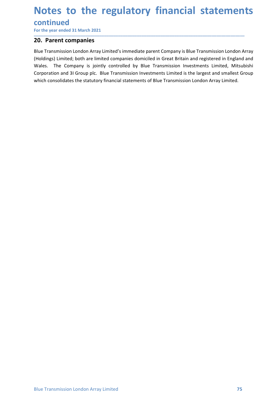# Notes to the regulatory financial statements<br>
continued<br>
For the year ended 31 March 2021<br>
20. Parent companies

# continued

\_\_\_\_\_\_\_\_\_\_\_\_\_\_\_\_\_\_\_\_\_\_\_\_\_\_\_\_\_\_\_\_\_\_\_\_\_\_\_\_\_\_\_\_\_\_\_\_\_\_\_\_\_\_\_\_\_\_\_\_\_\_\_\_\_\_\_\_\_\_\_\_\_\_\_\_\_\_\_\_\_\_\_\_\_\_\_\_\_\_

**Notes to the regulatory financial statemen**<br>
For the year ended 31 March 2021<br> **20. Parent companies**<br>
Blue Transmission London Array Limited's immediate parent Company is Blue Transmission London A<br>
(Holdings) Limited; b **Notes to the regulatory financial stat<br>
continued<br>
For the year ended 31 March 2021<br>
20. Parent companies<br>
Blue Transmission London Array Limited's immediate parent Company is Blue Transmissi<br>
(Holdings) Limited; both are Notes to the regulatory financial statements**<br>
For the year ended 31 March 2021<br> **20.** Parent companies<br>
Blue Transmission London Array Limited's immediate parent Company is Blue Transmission London Array<br>
(Holdings) Limi **Notes to the regulatory financial statements**<br>
For the year ended 31 March 2021<br> **20. Parent companies**<br>
Blue Transmission London Array Limited's immediate parent Company is Blue Transmission London Array<br>
(Holdings) Limi **Notes to the regulatory financial statements**<br>
For the year ended 31 March 2021<br> **20. Parent companies**<br> **20. Parent companies**<br> **20. Parent companies**<br>
(Holdings) Limited, both are limited companies domiciled in Great Br **Notes to the regulatory financial statements**<br>
For the year ended 31 March 2021<br> **20. Parent companies**<br>
Blue Transmission London Array Limited's immediate parent Company is Blue Transmission London Array<br>
(Holdings) Limi **Notes to the regulatory financial statements**<br>
For the year ended 31 March 2021<br> **20. Parent companies**<br>
Blue Transmission London Array Limited's immediate parent Company is Blue Transmission London Array<br>
(Holdings) Limi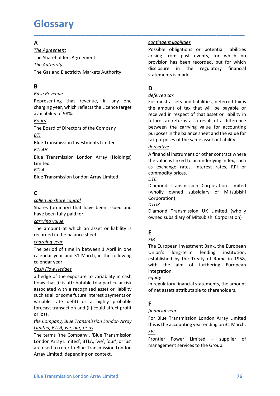# **Glossary**

# $\overline{A}$

**Glossary**<br> **A**<br>
<u>Contingent liabilities</u><br>
The Agreement<br>
The Shareholders Agreement<br>
The Gas and Electricity Markets Authority<br>
The Gas and Electricity Markets Authority<br> **Conting to the Statements is made. Glossary**<br>
The Agreement<br>
The Agreement<br>
The Shareholders Agreement<br>
The Shareholders Agreement<br>
The Shareholders Agreement<br>
The Sas and Electricity Markets Authority<br>
The Gas and Electricity Markets Authority<br>
B<br>
B<br>
D<br>
D **Glossary**<br> **A**<br>
<u>The Agreement</u><br>
The Anthority<br>
The Shareholders Agreement<br>
The Gas and Electricity Markets Authority<br>
The Gas and Electricity Markets Authority<br> **B**<br>
<u>Base Revenue</u><br> **D**<br>
Base Revenue<br> **D**<br>
Base Revenue<br> **Glossary**<br>
The Agreement<br>
The Agreement<br>
The Shareholders Agreement<br>
The Shareholders Agreement<br>
The Gas and Electricity Markets Authority<br>
The Gas and Electricity Markets Authority<br>
The Gas and Electricity Markets Author

# B<sub>a</sub> Barat and the second service of the series of the series of the series of the series of the series of the series of the series of the series of the series of the series of the series of the series of the series of the

### Board

### **BTI**

### BTLAH

Limited

### BTLA

# C

calendar year.<br>
established by the Irealy of Nome in 1958,<br>
and a hedge of the exposure to variability in cash<br>
a hedge of the exposure to variability in cash<br>
a hedge of the exposure to variability in cash<br>
and flows that calendar year. **EXAMPLE THE SET AND THE SET AND THE SET AND THE SET ASSESS THEREN SERIES THEREN SERIES THEST AND THE SET AND THE SET AND THE SET AND THE SET AND THE SET AND THE SET AND THE SET AND THE SET AND THE SET AND THE SET AND THE** Expose the value is linked to an underlying index, such<br>
and the value is linked to an underlying index, such<br>
Bilue Transmission London Array Limited<br>
Commodity prices.<br>
Commodity prices.<br>
Commodity prices.<br>
Commodity pr FITA<br>
ETLA as exchange rates, interest rates, RPI or<br>
EDIM<br>
EDIM<br>
EDIM<br>
CONDIVITY ONTERN CONTEXT DISTINGUISHING CONTEXT DISTINGUISH<br>
CONDIVITY ONTERN CONTEXT CONTEXT (wholly owned subsidiary of Mitsubishi<br>
Context been is **Bilue Transmission London Array Limited**<br> **Commodity prices.**<br> **Commodity and Transmission Corporation Limited**<br> **Corporation**<br> **Commodity and Commonical substigation**<br>
Shares (ordinary) that have been issued and<br> **Commo** since transmission contour Array comparison<br>
Colled the share control<br>
Colled the share control<br>
Shares (ordinary) that have been issued and<br>
Diamond Transmission UK Limited (wholly<br>
have been fully paid for.<br>
Corrying val C<br>
C<br>
Content of the proton and Transmission Corporation Limited<br>
Shares (ordinary) that have been issued and<br>  $\frac{DTUK}{D}$ <br>
Shares (ordinary) that have been issued and<br>  $\frac{DTUK}{D}$ <br>
Free an fully paid for.<br>
The amount at wh **C**<br> **Compled up share copital**<br>
Shares (ordinary) that have been issued and<br>  $\frac{DTUK}{N}$ <br>
Shares (ordinary) that have been issued and<br>  $\frac{DTUK}{N}$ <br>
Corporation and Transmission UK Limited (wholly<br>  $\frac{M}{N}$  could be the fu Corporation<br>
Shares (ordinary) that have been issued and<br>  $\frac{DTUK}{Diamond}$ <br>
Corporation)<br>
Shares for inly paid for.<br>
Corporation<br>  $\frac{DTUK}{Ddiamond}$ <br>
The amount at which an asset or liability is<br>
recorded in the balance sheet.<br>
Charg Shares (ordinary) that have been issued and<br>
have been fully paid for.<br>
Internal Transmission UK Limited (wholly<br>
near-orded in the balance sheet.<br>
The amount at which an asset or liability is<br>  $\frac{exp(1)}{2}$ <br>
the company a Example 10 and Transmission UK Limited (wholowed subsidiary of Mitsubishi Corporation)<br>
The amount at which an asset or liability is<br>
The European Investment Bank, the European<br>
crecorded in the balance sheet.<br>
Containing corrying value<br>
The amount at which an asset or liability is<br>  $\frac{EB}{other}$ <br>  $\frac{BIB}{other}$ <br>  $\frac{RIB}{other}$ <br>  $\frac{BIB}{other}$ <br>  $\frac{BIB}{other}$ <br>  $\frac{BIB}{other}$ <br>  $\frac{BIB}{other}$ <br>  $\frac{BIB}{other}$ <br>  $\frac{C1}{other}$ <br>  $\frac{C1}{other}$ <br>  $\frac{C1}{other}$ <br>  $\frac{C1}{other}$ <br>  $\frac{C1}{other}$ <br>  $\frac{$ The amount at which an asset or liability is<br>  $\frac{EB}{The amount at which an asset or liability is  
\nthe period of time in between 1 April in one  
\nChapter 10.24  
\nThe period of time in between 1 April in one  
\ncalendar year and 31 March, in the following  
\ncalendra year and 31 March, in the following  
\ncalendra year and 31 March, in the following  
\n*Cash Flow Medges*  
\n*Cash Flow Medges*  
\n*Cash Flow Medges*  
\n*Cash Flow Medges*  
\n*Cash Flow Medges*  
\n*Cash Flow Medges*$ Free priorities when the balance sheet.<br> **Example the balance sheet.**<br> **EVALUAT EXECT THE EUTOPED TRANS THE PERENT CONDITION**<br> **EXECT TRANS TO THE EUTOPED TRANS TO THE EUTOPED TRANS TO THE EUTOPED CONDITION**<br> **CALC TRANS** EVENTIFY THE DEFAINT WE CONSULTED THE EXECT THE RETOREM INTEGRATING THE PROPORT THE PERIOD OF THE EUROPEAN CORRECT THE EUROPEAN CORRECT THE EUROPEAN CORRECT CONDITION CONTECT CONTECT CONTECT AN INTEGRAL THEOREM INTEGRAL AN

\_\_\_\_\_\_\_\_\_\_\_\_\_\_\_\_\_\_\_\_\_\_\_\_\_\_\_\_\_\_\_\_\_\_\_\_\_\_\_\_\_\_\_\_\_\_\_\_\_\_\_\_\_\_\_\_\_\_\_\_\_\_\_\_\_\_\_\_\_\_\_\_\_\_\_\_\_\_\_\_\_\_\_\_\_\_\_\_\_\_

**GIOSSATY**<br>
The Agreement<br>
The Shareholders Agreement<br>
The Shareholders Agreement<br>
The Shareholders Agreement<br>
The Shareholders Agreement<br>
The Gas and Electricity Markets Authority<br>
The Gas and Electricity Markets Authorit **Contingent liabilities**<br> **Possible obligations or potential liabilities**<br> **arising from past events, for which no<br>
provision has been recorded, but for which<br>
disclosure in the regulatory financial<br>
statements is made. Contingent liabilities**<br>Possible obligations or potential liabilities<br>arising from past events, for which no<br>provision has been recorded, but for which<br>disclosure in the regulatory financial<br>statements is made. **Example 12**<br> **Example 12**<br> **Example 12**<br> **Example 12**<br> **Example 12**<br> **Example 12**<br> **Example 12**<br> **Example 12**<br> **Example 12**<br> **Example 12**<br> **Example 12**<br> **Example 12**<br> **Example 12**<br> **Example 12**<br> **Example 12**<br> **Example 12 Example 11 Example 11 Example 12 Example 12 Example 12 Example 12 Example 12 Example 12 Example 12 Example 12 Example 12 Example 12 Example 12 Example 12 Example 14 Statements is made.**<br> **D**<br> **D**<br> **D**<br> **D**<br> **D**<br> **D**<br> **def Contingent liabilities**<br> **Example 18**<br> **Possible obligations or potential liabilities**<br> **Alter and the regulatory financial**<br> **CONS**<br> **CONS**<br> **CONS**<br> **CONS**<br> **CONS**<br> **CONS**<br> **CONS**<br> **CONS**<br> **CONS**<br> **CONS**<br> **CONS**<br> **CONS**<br> **Contingent liabilities**<br> **Example 15**<br> **Possible obligations or potential liabilities**<br> **arising from past events, for which no**<br> **provision has been recorded, but for which**<br> **disclosure in the regulatory financial**<br> **Su** 

# D<sub>ar</sub> and the state of the state of the state of the state of the state of the state of the state of the state of the state of the state of the state of the state of the state of the state of the state of the state of the

**Glossary**<br> **A**<br> **A**<br>
<u>Contingent liabilities</u><br>
The Authority<br>
The Shareholders Agreement<br>
The Authority<br>
The Shareholders Agreement<br>
The Gas and Electricity Markets Authority<br>
Shareholders are considered to provision has **G LOSSATY**<br>
The Agreement<br>
The Agreement<br>
The Shareholders Agreement<br>
The Shareholders Agreement<br>
The Shareholders Agreement<br>
The Shareholders Agreement<br>
The Gas and Electricity Markets Authority<br>
The Gas and Electricity **Glossary**<br>
The Agreement<br>
The Shareholders Agreement<br>
The Shareholders Agreement<br>
The Shareholders Agreement<br>
The Gas and Electricity Markets Authority<br>
The Gas and Electricity Markets Authority<br>
Susclosure in the regulat **Good Contingent Contingent Indivities**<br>
The Agreement<br>
The Agreement<br>
The Sax and Electricity Markets Authority<br>
The Sax and Electricity Markets Authority<br>
The Sax and Electricity Markets Authority<br>
The Gas and Electricit **EXECUTE:**<br> **EXECUTE:**<br>
The Agreement<br>
The Shareholders Agreement<br>
The Shareholders Agreement<br>
The Gas and Electricity Markets Authority<br>
The Gas and Electricity Markets Authority<br>
Blue Electricity Markets Authority<br>
Sepre **A**<br> **EXAMELE THE STATE CONSUMED THE STATE CONSUMERENT CONSUMERENT THE STATE SPECIES CONSUMERENT CONSUMER THE STATE ONE OF THE SAMELE OF A CONSUMERENT CONSUMERENT CONSUMERENT CONSUMERENT CONSUMERENT CONSUMERENT CONSUMEREN** Fine Authority<br>
The Authority<br>
The Authority<br>
The Authority<br>
The Authority<br>
Subsequence<br>
Buse Revenue<br>
Representing that revenue, in any one<br>
Buse Revenue<br>
Representing that revenue, in any one<br>
of most assets and liabilit **B**<br> **EXEREM EVENT CONDUCT CONDUCT CONDOM CONDOM**<br> **EXEREM EXEREM AND AND CONDOM CONDUCT CONDUCT CONDOM CONDOM CONDUCT CONDUCT CONDOM CONDOM CONDOM CONDOM CONDOM CONDOM CONDOM CONDOM CONDOM CONDOM CONDOM CONDOM CONDOM CON Boxe Revenue**<br> **Example that the venue, in any one**<br> **Example that the start of the start of the start of start of start of start of start of start of start<br>
charging year, which reflects the Licence target<br>
<b>Example 10 EXEIGNMENT ASSOCIATE:**<br> **EXERCUSS THE SET AND ASSOCIATE AND ASSOCIATE AND ASSOCIATE AND AND AND ASSOCIATE AND AND BE AND ANONG SURFACE AND ANONG SURFACE AND ANONG PAID AND AND ANONG THE AND ANONG THE AND ANONG THE AND ANO** Charging year, which reflects the Licence target<br>
the amount of tax that a<br>
availability of 98%.<br>
availability of 98%.<br>
Free Board of Directors of the Company<br>
between the carrying val<br>  $\frac{BTLAH}{B00}$ <br>
EBLIE Transmission I availability of 98%.<br> **EVALUAT EXECT SONTABITY:** The amost of Directors of the Company<br>
the tween the carrying value for accounting<br>
<u>BFIR</u><br>
The Board of Directors of the Company<br>
between the carrying value for accounting **Contingent liabilities**<br> **Contingent liabilities**<br> **Possible obligations or potential liabilities**<br> **arising from past events, for which no**<br> **provision has been recorded, but for which**<br> **disclosure in the regulatory fin Contingent liabilities**<br> **Possible obligations or potential liabilities**<br> **arising from past events, for which no**<br> **provision has been recorded, but for which**<br> **disclosure in the regulatory financial**<br> **b**<br> **D**<br> **D**<br> **D Contingent liabilities**<br> **Possible obligations or potential liabilities**<br> **arising from past events, for which no**<br> **provision has been recorded, but for which**<br> **disclosure in the regulatory financial**<br> **b**<br> **D**<br> **D**<br> **D Example 12**<br> **Contingent liabilities**<br> **Possible obligations or potential liabilities**<br>
arising from past events, for which no<br>
provision has been recorded, but for which<br>
disclosure in the regulatory financial<br> **D**<br> **D**<br> **Contingent liabilities**<br> **Example condigations** or potential liabilities<br> **Provision has been recorded, but for which no**<br> **provision has been recorded, but for which**<br> **disclosure** in the regulatory financial<br> **Statement Contingent liabilities**<br> **Possible obligations or potential liabilities**<br> **arrising from past events, for which no**<br> **provision has been recorded, but for which disclosure in the regulatory financial<br>
<b>B**<br> **D**<br> **D**<br> **D**<br> **Example 12**<br> **Contingent liabilities**<br> **Possible obligations or potential liabilities**<br>
arising from past events, for which no<br>
provision has been recorded, but for which<br>
statements is made.<br> **D**<br> **D**<br> **D**<br> **D**<br> **D**<br> **D Example 12**<br> **Example 12**<br> **Example 12**<br> **Example 12**<br> **Example 12**<br> **Example 12**<br> **Example 12**<br> **COVE 12**<br> **COVE 12**<br> **COVE 12**<br> **COVE 12**<br> **COVE 12**<br> **COVE 12**<br> **COVE 12**<br> **COVE 12**<br> **COVE 12**<br> **COVE 12**<br> **COVE 12**<br> **CO Contingent liabilities**<br> **Possible obligations or potential liabilities**<br> **arising from past events, for which no**<br> **provision has been recorded, but for which no**<br> **disclosure in the regulatory financial**<br> **BLAC**<br> **D**<br> **Example 11 (Controllation Space Transmission** or potential liabilities Parsising from past events, for which no<br>provision has been recorded, but for which no<br>disclosure in the regulatory financial<br>statements is made.<br>**D**<br> Possible obligations or potential liabilities<br>arising from past events, for which no<br>provision has been recorded, but for which no<br>disclosure in the regulatory financial<br>statements is made.<br>D<br>D<br>deferred tax<br>For most assets arising from past events, for which no<br>provision has been recorded, but for which<br>disclosure in the regulatory financial<br>statements is made.<br><br>**D**<br>**D**<br>**D**<br>**D**<br>**Commodity** is made.<br>**Commodity** financial<br>statements is made.<br><br> disclosure in the regulatory financial<br>statements is made.<br>**D**<br>**D**<br>deferred tax<br>For most assets and liabilities, deferred tax is<br>the amount of tax that will be payable or<br>received in respect of that asset or liability in<br>b statements is made.<br> **D**<br> **D**<br> **D**<br> **D**<br> **Com** most assets and liabilities, deferred tax is<br>
the amount of tax that will be payable or<br>
received in respect of that asset or liability in<br>
future tax returns as a result of a deferred tax<br>For most assets and liabilities, deferred tax is<br>the amount of tax that will be payable or<br>received in respect of that asset or liability in<br>future tax returns as a result of a difference<br>between the carrying For most assets and liabilities, deferred tax is<br>the amount of tax that will be payable or<br>received in respect of that asset or liability in<br>future tax returns as a result of a difference<br>between the carrying value for ac

### derivative

### DTC

Corporation)

### DTUK

# Experience of the state of the state of the state of the state of the state of the state of the state of the state of the state of the state of the state of the state of the state of the state of the state of the state of

## EIB **EIB**

**EXEMPLE SET THE SONG THE SONG THE SONG CONSUMPTED THE BOAT OF COLLON THE BOAT OF COLLON THE SURFACT DRESS OF A SURFACT DRESS OF A SURFACT DRESS OF A SURFACT DRESS OF A SURFACT DRESS OF A SURFACT DRESS OF A SURFACT DRESS** The Board of Directors of the Company<br>
BILE<br>
Blue Transmission Investments Limited<br>
Blue Transmission Investments Limited<br>
Blue Transmission London Array (Holdings)<br>
A financial instrument or other<br>
Limited<br>
ETLA<br>
Blue Tr The period of time in between 1 April in one Examples Transmission Investments Limited<br>
Elue Transmission London Array (Holdings)<br>  $\frac{\theta\text{ITAA}}{\text{Bin}}$ <br>
Elue Transmission London Array (Holdings)<br>  $\theta\text{N}$  A financial instrument or other contract where<br>  $\frac{\theta\text{ITA}}{\text{Lin$ between the carrying value for<br>purposes in the balance sheet and the value for<br>tax purposes of the same asset or liability.<br><u>derivative</u><br>A financial instrument or other contract where<br>the value is linked to an underlying i purposes of the same asset and the value of<br>tax purposes of the same asset or liability.<br>
<u>derivative</u><br>
A financial instrument or other contract where<br>
the value is linked to an underlying index, such<br>
as exchange rates, i derivative<br>
derivative<br>
derivative and instrument or other contract where<br>
the value is linked to an underlying index, such<br>
as exchange rates, interest rates, RPI or<br>
commodity prices.<br>
DTC<br>
DTC<br>
Commond Transmission Corp **derivative**<br>
A financial instrument or other contract where<br>
A financial instrument or other contract where<br>
the value is linked to an underlying index, such<br>
as exchange rates, interest rates, RPI or<br>
<u>Commondity</u> prices integration. as exchange rates, interest rates, RPI or<br>
<u>OPTC</u><br>
<u>OPTC</u><br>
Diamond Transmission Corporation Limited<br>
(wholly owned subsidiary of Mitsubishi<br>
Corporation)<br>
<u>DTUK</u><br>
Diamond Transmission UK Limited (wholly<br>
owned subsidiary o commodity prices.<br>
<u>Dricom</u><br>
<u>Dricom</u><br>
Diamond Transmission Corporation Limited<br>
(wholly owned subsidiary of Mitsubishi<br>
Corporation)<br>
<u>DTUK</u><br>
Diamond Transmission UK Limited (wholly<br>
owned subsidiary of Mitsubishi Corpor (Winter)<br>
Corporation)<br>
Corporation)<br>
DTUK<br>
Diamond Transmission UK Limited (wholly<br>
owned subsidiary of Mitsubishi Corporation)<br>
E<br>
E<br>
E<br>
The European Investment Bank, the European<br>
Union's long-term lending institution, Expression,<br>
Entrince Transmission UK Limited (wholly<br>
Diamond Transmission UK Limited (wholly<br>
Comment Bank, the European<br>
Thion's long-term lending institution,<br>
established by the Treaty of Rome in 1958,<br>
with the aim o The accounting Diamond Transmission UK Limited (wholly<br>
Diamond Transmission UK Limited (wholly<br>
Entertainment Sank, the European<br>
The European Investment Bank, the European<br>
established by the Treaty of Rome in 1958,<br>
wit E<u>IB</u><br>
<u>EIB</u><br>
The European Investment Bank, the European<br>
Union's long-term lending institution,<br>
setablished by the Treaty of Rome in 1958,<br>
with the aim of furthering European<br>
integration.<br>
<u>equity</u><br>
In regulatory finan **E**<br> **EIB**<br>
The European Investment Bank, the European<br>
Union's long-term lending institution,<br>
established by the Treaty of Rome in 1958,<br>
with the aim of furthering European<br>
integration.<br> **Equity**<br>
In regulatory financ

### equity

# **F F** *F*

FPL **FRIDA**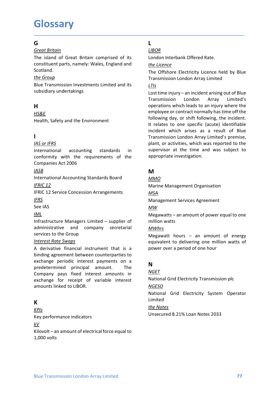# **Glossary**

## Germany and the second service of the service of the service of the series of the series of the series of the series of the series of the series of the series of the series of the series of the series of the series of the

G<br>
G<br>
Great Britain<br>
Great Britain<br>
The island of Great Britain comprised of its<br>
LIBOR<br>
The island of Great Britain comprised of its<br>
London Interbank Offere<br>
constituent parts, namely: Wales, England and<br>
Scotland.<br>
The **Glossary**<br>
G<br>
Great Britain<br>
The island of Great Britain comprised of its<br>
LIBOR<br>
The island of Great Britain comprised of its<br>
constituent parts, namely: Wales, England and<br>
Scotland.<br>
The Offshore Electricity Licence h **Glossary**<br> **G**<br> **Constituent parts, namely: Wales, England and<br>** *LIBOR***<br>
In the sland of Great Britain comprised of its<br>
constituent parts, namely: Wales, England and<br>
<u>the Group</u><br>
The Offshore Electricity Licence held b** Scotland. **Glossary**<br>
Get Britain<br>
The island of Great Britain comprised of its<br>
The island of Great Britain comprised of its<br>
constituent parts, namely: Wales, England and<br>
the Licence<br>
Scotland.<br>
The Offshore Electricity<br>
Transmi

# H<sub>ar</sub> and the state of the state of the state of the state of the state of the state of the state of the state of the state of the state of the state of the state of the state of the state of the state of the state of the

### HS&E

# **I** and the state of the

### **IASB International Contract Contract Contract Contract Contract Contract Contract Contract Contract Contract Contract Contract Contract Contract Contract Contract Contract Contract Contract Contract Contract Contract Co**

### IFRS

### IML

It relates to one specific (acut<br>
Incident which arises as a removement with the requirements<br>
International accounting standards in supervisor at the time and updated<br>
International accounting standards in supervisor at t **IN:**<br>
ITERN ITERN TREAT WINDIM THERE THE TREAT WINDIM THE TREAT WINDIM THE TREAT TREAT TREAT TREAT TREAT TREAT TREAT<br>
INCONSIDENT TREAT AND COMPARIES ACT 2006<br>
INTERNATIONAL ACCOUNTING STANDART SCHEME AND APPOPTIVE INVEN **EXECUTE THE SECUTE THE SECUTE THE SECUTE THE SECUTE THE SECUTE THE SECUTE THE SECUTE ONE COMPARISM AND THE SECUTE CONDUCT CONDUCT CONDUCT CONDUCT CONDUCT CONDUCT CONDUCT CONDUCT CONDUCT CONDUCT CONDUCT CONDUCT CONDUCT CON** Example the control of the matter of the matter of the matter of the conformity with the requirements of the appropriate investigation.<br>
Companies Act 2006<br>
Companies Act 2006<br>
Matternational Accounting Standards Board<br>
C International accounting standards in supervoor at the time and was subject to<br>
comformity with the requirements of the appropriate investigation.<br>
<u>MASO</u><br>
International Accounting Standards Board<br>
International Accounting conformity with the requirements of the **appropriate** investigation.<br>
Companies Act 2006<br>
International Accounting Standards Board<br>
International Accounting Standards Board<br>
International Marine Management Organisation<br>
IF Companies Act 2006<br>
<u>IASE</u><br>
<u>IASE</u><br>
International Accounting Standards Board<br>
INTERIC 12<br>
IFRIC 12<br>
IFRIC 12<br>
IFRIC 12<br>
IFRIC 12<br>
IFRIC 12<br>
IFRIC 12<br>
IFRIC 12<br>
IFRIC 12<br>
IFRIC 12<br>
IFRIC 12<br>
IFRIC 12<br>
IFRIC 12<br>
IFRIC 12<br>
IF  $\begin{tabular}{l|c|c|c|c} \hline \textbf{M} & \textbf{M} & \textbf{M} \\ \hline Inert alaccounting Standards Board & \textbf{M} \underline{MO} & \textbf{M} \underline{MO} \\ \hline IFRIC 12 Service Concession Arrangements & \textbf{M} \underline{SA} & \textbf{M} \underline{AN} \\ \hline IFRIC 12 Service Concession Arrangements & \textbf{M} \underline{SA} & \textbf{M} \underline{AN} \\ \hline IFRS & \textbf{M} \underline{AM} \\ \hline Infrasturature Manggers Limited - supplier of & \textbf{m} \underline{I} \underline{R} \\ \hline and \textbf{m} \underline{$ Management Services Agreement<br>
See IAS<br>
MML<br>
Infrastructure Managers Limited – supplier of<br>
Megawatts – an amount of power eq<br>
derivative and company secretarial<br>
A derivative financial instrument that is a<br>
Megawatt hour Magnover the managers Limited – supplier of Miggavatts – an amount of power equal to one<br>diministrative and company secretarial  $\frac{MWh_{IS}}{Mly_{RZ}}$ <br>
Environs to the Group<br>
Interest Rote Sworps<br>
Interest Rote Sworps<br>
A deriv Infrastructure Managers Limited – supplier of<br>
administrative and<br>
services to the Group<br>
Services to the Group<br> *Interest Rote Swaps*<br>
A derivative financial instrument that is a<br>
equivalent to delivering<br>
A derivative fi

# K<sub>ar</sub>a di Kabupatén Bandung Kabupatén Bandung Kabupatén Bandung Kabupatén Bandung Kabupatén Bandung Kabupatén Bandung Ka

KPIs  $kV$ 

# L<sub>ine</sub> and the state of the state of the state of the state of the state of the state of the state of the state of the state of the state of the state of the state of the state of the state of the state of the state of the

# LIBOR

\_\_\_\_\_\_\_\_\_\_\_\_\_\_\_\_\_\_\_\_\_\_\_\_\_\_\_\_\_\_\_\_\_\_\_\_\_\_\_\_\_\_\_\_\_\_\_\_\_\_\_\_\_\_\_\_\_\_\_\_\_\_\_\_\_\_\_\_\_\_\_\_\_\_\_\_\_\_\_\_\_\_\_\_\_\_\_\_\_\_

LIBOR<br>London Interbank Offered Rate.<br><u>the Licence</u><br>The Offshore Electricity Licence held by Blue<br>Transmission London Array Limited<br>LIIs<br>Lost time injury – an incident arising out of <sup>Ri</sup>lue L<br>
<u>LIBOR</u><br>
London Interbank Offered Rate.<br>
<u>the Licence</u><br>
The Offshore Electricity Licence held by Blue<br>
Transmission London Array Limited<br>
LILS<br>
Lost time injury – an incident arising out of Blue<br>
Transmission London Ar

### LTIs

**GIOSSATY**<br>
Great Britain<br>
The island of Great Britain comprised of its<br>
LIBOR<br>
The island of Great Britain comprised of its<br>
Scotland.<br>
Scotland.<br>
Scotland.<br>
Scotland.<br>
The Offshore Electricity Licence held by Blue<br>
Tran subsidiary undertakings **Good Science Control Controllering Controllering Controllering Controllering Controllering Controllering Controllering Controllering Controllering Controllering Controllering Controllering Controllering Controllering Cont** Grid Finder Scotland<br>
For Example 1980 and The island of Great Britain comprised of its<br>
Econstituent parts, namely: Wales, England and<br>
the Licence<br>
Scotland.<br>
The Offshore Electricity<br>
For Group<br>
Transmission London Arr. **G**<br> **Contained Standard Containstant Containstant Containstant Consisted Consisted Consideration<br>
Scotland.<br>
Scotland.<br>
Scotland.<br>
Scotland.<br>
Scotland.<br>
Scotland.<br>
Scotland.<br>
Examples Scotland.<br>
Examples of the Compare E G**<br>
<u>Greed Britain</u><br>
Chromosopheric Ligarity: Viales, England and<br>
the <u>Ligarity</u>:<br>
Chromosopheric Ligarity is the core of the requirements of the requirements of the<br>
Econdarion Chromosopheric Electricity Lietunce held Great Britain<br>
Condition The island of Great Britain comprised of its<br>
constitution there is the Companism Scotland.<br>
Scotland.<br>
Scotland the Companism Investments Limited and its<br>
Scotland.<br>
Scotland Transmission Investme Contant the pair of the the contant of the term of the term of the Critical Contant (Scenarius Contant of the Critical Transmission London Array Limited's upstandard the Crounting Subsidiary undertakings undertakings to t Scotland.<br>
The Offshore Electricity<br>
Electricity<br>
In Offshore Electricity<br>
In Offshore Electricity<br>
In any other<br>
Subsidiary undertakings<br>
International<br>
In a counting tand and its<br>
International operations which leads<br>
I  $the Group Transmission Investments Limited and its  
\nBlue Transmission investments limited and its  
\nsubsidary undertaking  
\nsubsidary undertaking  
\nsubsidary undertaking  
\nJrammission London Array Limited's  
\nLrammission London Array Limited's  
\nLrammission London Array Uniteds  
\nLham, Safety's  
\nLham, safety and the Environment  
\nHell, Safety and the Environment  
\nHell, safety and the Environment  
\nHell, safety and the Environment  
\nLham, or activities, which was reported to the  
\nintermational  
\ntransmission London Array Limited s premiles  
\ntransmission London Array Limited s premiles  
\nLam, or activities, which was reported to the  
\nintermational accounting standards in  
\nCompanies Act 2006  
\nLam, or activities, which was reported to the$ </u> subsidiary undertakings<br>
H<br>
H<br>
H<br>
H<br>
H<br>
H<br>
H<br>
H<br>
H<br>
H<br>
See IAS<br>
Health, Safety and the Environment<br>
Transmission London<br>
operations which leads<br>
thermational<br>
accounting standards<br>
in the reducement of the<br>
Companies Act 2 **HERS**<br>
IN the Graphologe or contract mormally has then of the employe or contract mormally has then of the<br>
Health, Safety and the Environment<br>
Infrastructure Mollowing day, or shift following, the inclent<br>
International administrative and company secretarial Fractive and the Environment<br>
Interaction of specific (actual<br>
International<br>
International<br>
International<br>
International accounting standards in<br>
supervisor at the time and was<br>
represented to the system of the system of L<br>
<u>LIBOR</u><br>
London Interbank Offered Rate.<br>
<u>the Licence</u><br>
The Offshore Electricity Licence held by Blue<br>
Transmission London Array Limited<br>
LITS<br>
Lost time injury – an incident arising out of Blue<br>
Transmission London Arr L<br>
<u>LIBOR</u><br>
London Interbank Offered Rate.<br>
<u>the Licence</u><br>
The Offshore Electricity Licence held by Blue<br>
Transmission London Array Limited<br>
LIIs<br>
Lost time injury – an incident arising out of Blue<br>
Transmission London Arr L<br>
<u>LIBOR</u><br>
London Interbank Offered Rate.<br>
The Offshore Electricity Licence held by Blue<br>
Transmission London Array Limited<br>
LIIs<br>
Lost time injury – an incident arising out of Blue<br>
Transmission London Array Limited's<br>
o L<br>
<u>LIBOR</u><br>
London Interbank Offered Rate.<br>
the Licence<br>
The Offshore Electricity Licence held by Blue<br>
Transmission London Array Limited<br>
Lost time injury – an incident arising out of Blue<br>
Transmission London Array Limit **LIBOR**<br> **LIBOR**<br> **LIBOR**<br> **COMPTE LIGORE TO THE CONFIDENCIAL CONFIDENCIAL CONFIDENCIAL CONFIDENCIAL CONFIDENTIES**<br> **LITIS**<br> **LOCE TRANS LIGORET LIGORET CONFIDENCIAL CONFIDENCIAL CONFIDENCIAL CONFIDENCIAL CONFIDENCIAL CONF LEOR**<br>
<u>LIBOR</u><br>
London Interbank Offered Rate.<br>
the Licence<br>
The Offshore Electricity Licence held by Blue<br>
Transmission London Array Limited<br>
LTIs<br>
Lost time injury – an incident arising out of Blue<br>
Transmission London **LIBOR**<br> **LIBOR**<br> **LIBOR**<br> **COMOT LIBOR CONTIFY CONTIFY CONTIFY CONTIFY CONTIFY CONTIFY CONTIFY CONTIFY CONTIFY CONTIFY CONTIFY<br>
<b>LITIS**<br> **LITIS**<br> **LITIS**<br> **LIGK EXECT CONTIFY CONTIFY CONTIFY CONTIFY CONTIFY CONTIFY CONT** LIBOR<br>
LIBOR<br>
LIBOR<br>
LONDON Interbank Offered Rate.<br>
the Licence<br>
The Offshore Electricity Licence held by Blue<br>
Transmission London Array Limited's<br>
Dost time injury – an incident arising out of Blue<br>
Transmission London **LEDOR**<br>
<u>LIBOR</u><br>
LIBOR<br>
LIBOR<br>
LIGNE LIGENCIC EXECT DUSTIBUTE OF THE Offshore Electricity Licence held by Blue<br>
Transmission London Array Limited's<br>
LITIS<br>
Lost time injury – an incident arising out of Blue<br>
Transmission LIBOR<br>
LIBOR<br>
LIBOR<br>
LIBOR<br>
In Offshore Electricity Licence held by Blue<br>
Transmission London Array Limited<br>
LITIs<br>
Lost time injury – an incident arising out of Blue<br>
Transmission London Array Limited's<br>
operations which **LEROR**<br> **LEROR**<br> **LEROR**<br> **LERORE LERORE ELECTICITY LIGERT TOM BUT THE OFFSHOTE ELECTICITY**<br> **LETS**<br> **LETS**<br> **LETS**<br> **LETS**<br> **LETS**<br> **LETS**<br> **LETS**<br> **LETS**<br> **LETS**<br> **LETS**<br> **LETS**<br> **LETS**<br> **LETS**<br> **LETS**<br> **LETS**<br> **LETS**<br> **LIBOR**<br> **LIBOR**<br> **LIBOR**<br> **CIBOR**<br> **LITES**<br> **CIBOR**<br> **CIBOR**<br> **CITES**<br> **CITES**<br> **CITES**<br> **CITES**<br> **CITES**<br> **CITES**<br> **CITES**<br> **CITES**<br> **CITES**<br> **CITES**<br> **CITES**<br> **CITES**<br> **CITES**<br> **CITES**<br> **CITES**<br> **CITES**<br> **CITES**<br> **CITES** LIBOR<br>
LIBOR<br>
LIBOR<br>
LOND Interbank Offered Rate.<br>
The Offshore Electricity Licence held by Blue<br>
Transmission London Array Limited<br>
LITLS<br>
LOSt time injury – an incident arising out of Blue<br>
Transmission London Array Limi The Offshore Electricity Licence held by Blue<br>
Transmission London Array Limited<br>
<u>LTIs</u><br>
Lost time injury – an incident arising out of Blue<br>
Transmission London Array Limited's<br>
operations which leads to an injury where t <u>LTIs</u><br>
<u>LTIs</u><br>
Lost time injury – an incident arising out of Blue<br>
Transmission London Array Limited's<br>
operations which leads to an injury where the<br>
employee or contract normally has time off the<br>
following day, or shi Transmission London Array Limited's<br>operations which leads to an injury where the<br>employee or contarta forormally has time off the<br>following day, or shift following, the incident.<br>It relates to one specific (acute) identi operations which leads to an injury where the<br>employee or contract normally has time off the<br>following day, or shift following, the incident.<br>It relates to one specific (acute) identifiable<br>incident which arises as a resul following day, or shift following, the incident.<br>
It relates to one specific (actute) identifiable<br>
incident which arises as a result of Blue<br>
Transmission London Array Limited's premise,<br>
plant, or activities, which was r It relates to one specific (acute) identifiable<br>incident which arises as a result of Blue<br>Transmission London Array Limited's premise,<br>plant, or activities, which was reported to the<br>supervisor at the time and was subject incident which arises as a result of Blue<br>Transmission London Array Limited's premise,<br>plant, or activities, which was reported to the<br>supervisor at the time and was subject to<br>appropriate investigation.<br>M<br>M<br>Mazine Managem

# M<sub>a</sub> and the set of the set of the set of the set of the set of the set of the set of the set of the set of the set of the set of the set of the set of the set of the set of the set of the set of the set of the set of the

<u>MMO</u> and the state of the state of the state of the state of the state of the state of the state of the state o

MSA PARTICIPATION CONTINUES AND LOCAL CONTINUES.

### MW

### MWhrs

## N<sub>N</sub>N<sub>N</sub>

exchange periodic interest payments on a<br>
predetermined principal amount. The<br>
Company pays fixed interest amounts in<br>
exchange for receipt of variable interest<br>
antional Grid Electricity Transmission plc<br>
amounts linked t **NGET MMO**<br>
Marine Management Organisation<br>
<u>MSA</u><br>
Management Services Agreement<br>
million watts<br>
million watts<br>
megawatt hours – an amount of energy<br>
equivalent to delivering one million watts of<br>
power over a period of one hou NGESO MMO<br>
Marine Management Organisation<br>
<u>MSA</u><br>
Management Services Agreement<br>
Megawatts – an amount of power equal to one<br>
million watts<br>
MWhrs<br>
Megawatt hours – an amount of energy<br>
Megawatt hours – an amount of energy<br>
equi Limited MsA<br>
Management Services Agreement<br>
<u>MW</u><br>
Megawatts – an amount of power equal to one<br>
million watts<br>
Megawatt hours – an amount of energy<br>
equivalent to delivering one million watts of<br>
power over a period of one hour<br>
N<br> Management Services Agreement<br>
<u>MW</u><br>
Megawatts – an amount of power equal to one<br>
million watts<br>
<u>MWhrs</u><br>
Megawatt hours – an amount of energy<br>
equivalent to delivering one million watts of<br>
power over a period of one hour